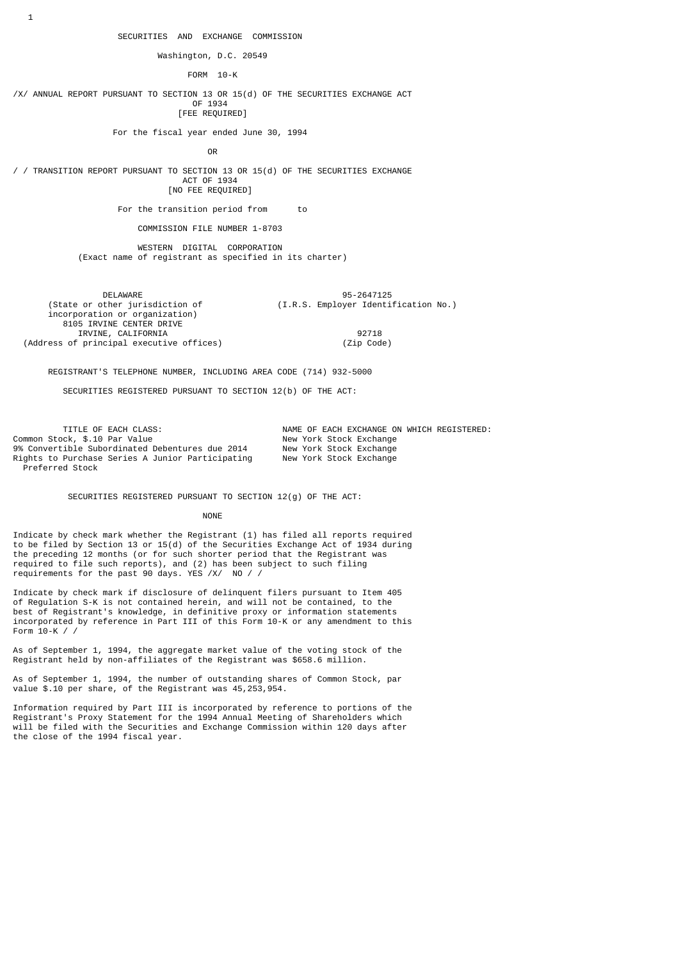1

Washington, D.C. 20549

FORM 10-K

/X/ ANNUAL REPORT PURSUANT TO SECTION 13 OR 15(d) OF THE SECURITIES EXCHANGE ACT OF 1934 [FEE REQUIRED]

For the fiscal year ended June 30, 1994

**OR CONSTRUCTION** 

/ / TRANSITION REPORT PURSUANT TO SECTION 13 OR 15(d) OF THE SECURITIES EXCHANGE ACT OF 1934 [NO FEE REQUIRED]

For the transition period from to

COMMISSION FILE NUMBER 1-8703

 WESTERN DIGITAL CORPORATION (Exact name of registrant as specified in its charter)

DELAWARE 95-2647125<br>(State or other jurisdiction of  $(1.R.S. \text{ Emplayer Identify})$ (I.R.S. Employer Identification No.) incorporation or organization) 8105 IRVINE CENTER DRIVE IRVINE, CALIFORNIA 92718 (Address of principal executive offices) (Zip Code)

REGISTRANT'S TELEPHONE NUMBER, INCLUDING AREA CODE (714) 932-5000

SECURITIES REGISTERED PURSUANT TO SECTION 12(b) OF THE ACT:

TITLE OF EACH CLASS: NAME OF EACH EXCHANGE ON WHICH REGISTERED:<br>het, \$.10 Par Value hot start of New York Stock Exchange Common Stock, \$.10 Par Value<br>9% Convertible Subordinated Debentures due 2014 New York Stock Exchange 9% Convertible Subordinated Debentures due 2014 Rights to Purchase Series A Junior Participating Mew York Stock Exchange Preferred Stock

SECURITIES REGISTERED PURSUANT TO SECTION 12(g) OF THE ACT:

#### NONE **NONE**

Indicate by check mark whether the Registrant (1) has filed all reports required to be filed by Section 13 or 15(d) of the Securities Exchange Act of 1934 during the preceding 12 months (or for such shorter period that the Registrant was required to file such reports), and (2) has been subject to such filing requirements for the past 90 days. YES /X/ NO / /

Indicate by check mark if disclosure of delinquent filers pursuant to Item 405 of Regulation S-K is not contained herein, and will not be contained, to the best of Registrant's knowledge, in definitive proxy or information statements incorporated by reference in Part III of this Form 10-K or any amendment to this Form 10-K / /

As of September 1, 1994, the aggregate market value of the voting stock of the Registrant held by non-affiliates of the Registrant was \$658.6 million.

As of September 1, 1994, the number of outstanding shares of Common Stock, par value \$.10 per share, of the Registrant was 45,253,954.

Information required by Part III is incorporated by reference to portions of the Registrant's Proxy Statement for the 1994 Annual Meeting of Shareholders which will be filed with the Securities and Exchange Commission within 120 days after the close of the 1994 fiscal year.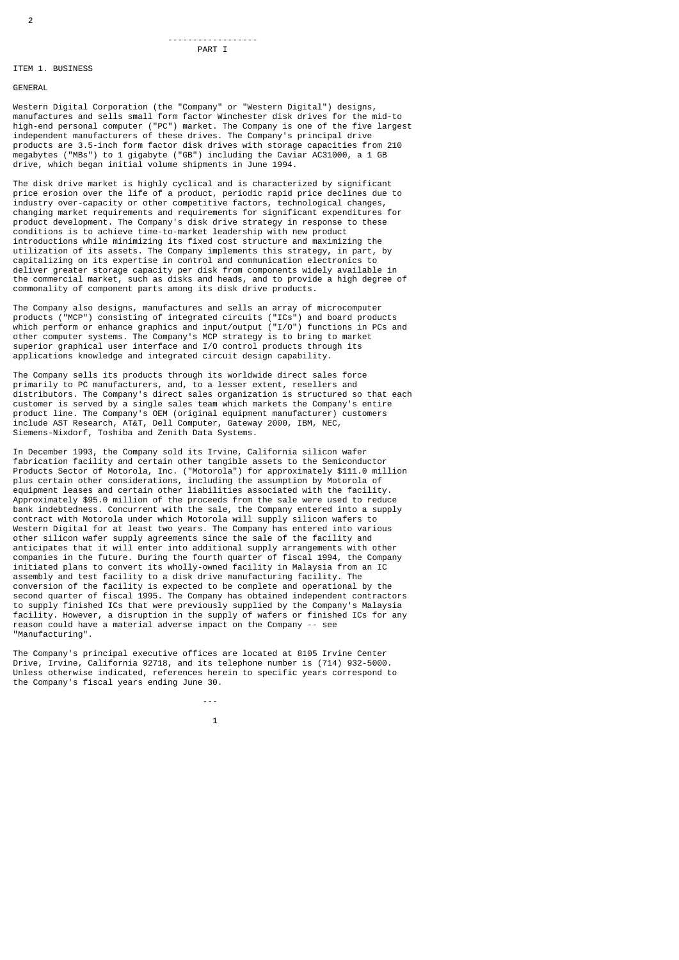#### ------------------ PART I

# ITEM 1. BUSINESS

# GENERAL

Western Digital Corporation (the "Company" or "Western Digital") designs, manufactures and sells small form factor Winchester disk drives for the mid-to high-end personal computer ("PC") market. The Company is one of the five largest independent manufacturers of these drives. The Company's principal drive products are 3.5-inch form factor disk drives with storage capacities from 210 megabytes ("MBs") to 1 gigabyte ("GB") including the Caviar AC31000, a 1 GB drive, which began initial volume shipments in June 1994.

The disk drive market is highly cyclical and is characterized by significant price erosion over the life of a product, periodic rapid price declines due to industry over-capacity or other competitive factors, technological changes, changing market requirements and requirements for significant expenditures for product development. The Company's disk drive strategy in response to these conditions is to achieve time-to-market leadership with new product introductions while minimizing its fixed cost structure and maximizing the utilization of its assets. The Company implements this strategy, in part, by capitalizing on its expertise in control and communication electronics to deliver greater storage capacity per disk from components widely available in the commercial market, such as disks and heads, and to provide a high degree of commonality of component parts among its disk drive products.

The Company also designs, manufactures and sells an array of microcomputer products ("MCP") consisting of integrated circuits ("ICs") and board products which perform or enhance graphics and input/output ("I/O") functions in PCs and other computer systems. The Company's MCP strategy is to bring to market superior graphical user interface and I/O control products through its applications knowledge and integrated circuit design capability.

The Company sells its products through its worldwide direct sales force primarily to PC manufacturers, and, to a lesser extent, resellers and distributors. The Company's direct sales organization is structured so that each customer is served by a single sales team which markets the Company's entire product line. The Company's OEM (original equipment manufacturer) customers include AST Research, AT&T, Dell Computer, Gateway 2000, IBM, NEC, Siemens-Nixdorf, Toshiba and Zenith Data Systems.

In December 1993, the Company sold its Irvine, California silicon wafer fabrication facility and certain other tangible assets to the Semiconductor Products Sector of Motorola, Inc. ("Motorola") for approximately \$111.0 million plus certain other considerations, including the assumption by Motorola of equipment leases and certain other liabilities associated with the facility. Approximately \$95.0 million of the proceeds from the sale were used to reduce bank indebtedness. Concurrent with the sale, the Company entered into a supply contract with Motorola under which Motorola will supply silicon wafers to Western Digital for at least two years. The Company has entered into various other silicon wafer supply agreements since the sale of the facility and anticipates that it will enter into additional supply arrangements with other companies in the future. During the fourth quarter of fiscal 1994, the Company initiated plans to convert its wholly-owned facility in Malaysia from an IC assembly and test facility to a disk drive manufacturing facility. The conversion of the facility is expected to be complete and operational by the second quarter of fiscal 1995. The Company has obtained independent contractors to supply finished ICs that were previously supplied by the Company's Malaysia facility. However, a disruption in the supply of wafers or finished ICs for any reason could have a material adverse impact on the Company -- see "Manufacturing".

The Company's principal executive offices are located at 8105 Irvine Center Drive, Irvine, California 92718, and its telephone number is (714) 932-5000. Unless otherwise indicated, references herein to specific years correspond to the Company's fiscal years ending June 30.

---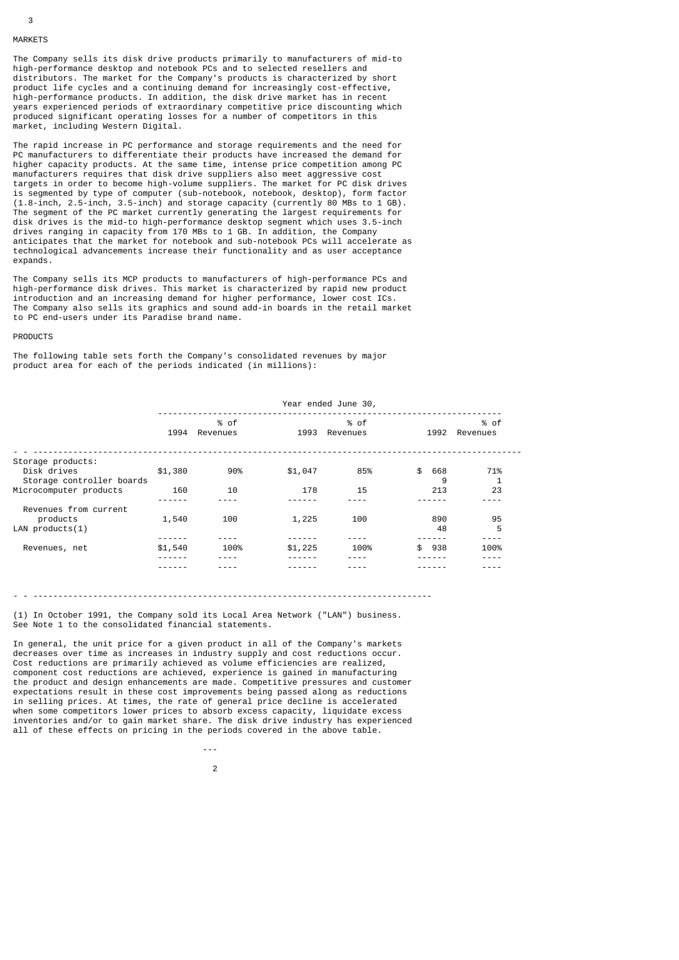# 3 MARKETS

The Company sells its disk drive products primarily to manufacturers of mid-to high-performance desktop and notebook PCs and to selected resellers and distributors. The market for the Company's products is characterized by short product life cycles and a continuing demand for increasingly cost-effective, high-performance products. In addition, the disk drive market has in recent years experienced periods of extraordinary competitive price discounting which produced significant operating losses for a number of competitors in this market, including Western Digital.

The rapid increase in PC performance and storage requirements and the need for PC manufacturers to differentiate their products have increased the demand for higher capacity products. At the same time, intense price competition among PC manufacturers requires that disk drive suppliers also meet aggressive cost targets in order to become high-volume suppliers. The market for PC disk drives is segmented by type of computer (sub-notebook, notebook, desktop), form factor (1.8-inch, 2.5-inch, 3.5-inch) and storage capacity (currently 80 MBs to 1 GB). The segment of the PC market currently generating the largest requirements for disk drives is the mid-to high-performance desktop segment which uses 3.5-inch drives ranging in capacity from 170 MBs to 1 GB. In addition, the Company anticipates that the market for notebook and sub-notebook PCs will accelerate as technological advancements increase their functionality and as user acceptance expands.

The Company sells its MCP products to manufacturers of high-performance PCs and high-performance disk drives. This market is characterized by rapid new product introduction and an increasing demand for higher performance, lower cost ICs. The Company also sells its graphics and sound add-in boards in the retail market to PC end-users under its Paradise brand name.

#### **PRODUCTS**

The following table sets forth the Company's consolidated revenues by major product area for each of the periods indicated (in millions):

|                                          |         |                  |         | Year ended June 30, |                |                  |
|------------------------------------------|---------|------------------|---------|---------------------|----------------|------------------|
|                                          | 1994    | % of<br>Revenues | 1993    | % of<br>Revenues    | 1992           | % of<br>Revenues |
| Storage products:                        |         |                  |         |                     |                |                  |
| Disk drives<br>Storage controller boards | \$1,380 | 90%              | \$1,047 | 85%                 | \$<br>668<br>9 | 71%              |
| Microcomputer products                   | 160     | 10               | 178     | 15                  | 213            | 23               |
| Revenues from current<br>products        | 1,540   | 100              | 1,225   | 100                 | 890            | 95               |
| LAN $products(1)$                        |         |                  |         |                     | 48             | 5                |
| Revenues, net                            | \$1,540 | 100%             | \$1,225 | 100%                | \$<br>938      | 100%             |
|                                          |         |                  |         |                     |                |                  |

### - - --------------------------------------------------------------------------------

(1) In October 1991, the Company sold its Local Area Network ("LAN") business. See Note 1 to the consolidated financial statements.

In general, the unit price for a given product in all of the Company's markets decreases over time as increases in industry supply and cost reductions occur. Cost reductions are primarily achieved as volume efficiencies are realized, component cost reductions are achieved, experience is gained in manufacturing the product and design enhancements are made. Competitive pressures and customer expectations result in these cost improvements being passed along as reductions in selling prices. At times, the rate of general price decline is accelerated when some competitors lower prices to absorb excess capacity, liquidate excess inventories and/or to gain market share. The disk drive industry has experienced all of these effects on pricing in the periods covered in the above table.

2

---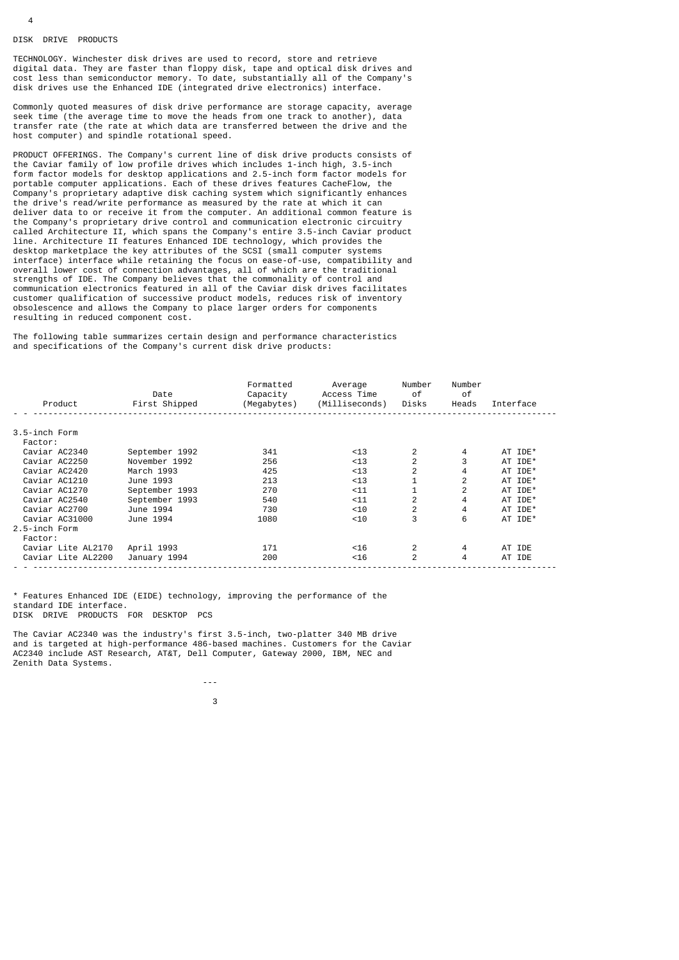#### DISK DRIVE PRODUCTS

TECHNOLOGY. Winchester disk drives are used to record, store and retrieve digital data. They are faster than floppy disk, tape and optical disk drives and cost less than semiconductor memory. To date, substantially all of the Company's disk drives use the Enhanced IDE (integrated drive electronics) interface.

Commonly quoted measures of disk drive performance are storage capacity, average seek time (the average time to move the heads from one track to another), data transfer rate (the rate at which data are transferred between the drive and the host computer) and spindle rotational speed.

PRODUCT OFFERINGS. The Company's current line of disk drive products consists of the Caviar family of low profile drives which includes 1-inch high, 3.5-inch form factor models for desktop applications and 2.5-inch form factor models for portable computer applications. Each of these drives features CacheFlow, the Company's proprietary adaptive disk caching system which significantly enhances the drive's read/write performance as measured by the rate at which it can deliver data to or receive it from the computer. An additional common feature is the Company's proprietary drive control and communication electronic circuitry called Architecture II, which spans the Company's entire 3.5-inch Caviar product line. Architecture II features Enhanced IDE technology, which provides the desktop marketplace the key attributes of the SCSI (small computer systems interface) interface while retaining the focus on ease-of-use, compatibility and overall lower cost of connection advantages, all of which are the traditional strengths of IDE. The Company believes that the commonality of control and communication electronics featured in all of the Caviar disk drives facilitates customer qualification of successive product models, reduces risk of inventory obsolescence and allows the Company to place larger orders for components resulting in reduced component cost.

The following table summarizes certain design and performance characteristics and specifications of the Company's current disk drive products:

| Product            | Date<br>First Shipped | Formatted<br>Capacity<br>(Megabytes) | Average<br>Access Time<br>(Milliseconds) | Number<br>0f<br>Disks | Number<br>0f<br>Heads | Interface |
|--------------------|-----------------------|--------------------------------------|------------------------------------------|-----------------------|-----------------------|-----------|
|                    |                       |                                      |                                          |                       |                       |           |
| 3.5-inch Form      |                       |                                      |                                          |                       |                       |           |
| Factor:            |                       |                                      |                                          |                       |                       |           |
| Caviar AC2340      | September 1992        | 341                                  | $<$ 13                                   | 2                     | 4                     | AT IDE*   |
| Caviar AC2250      | November 1992         | 256                                  | $<$ 13                                   | $\overline{2}$        |                       | AT IDE*   |
| Caviar AC2420      | March 1993            | 425                                  | $<$ 13                                   | 2                     | 4                     | AT IDE*   |
| Caviar AC1210      | June 1993             | 213                                  | $<$ 13                                   |                       | 2                     | AT IDE*   |
| Caviar AC1270      | September 1993        | 270                                  | $11$                                     |                       | 2                     | AT IDE*   |
| Caviar AC2540      | September 1993        | 540                                  | $11$                                     | $\overline{2}$        | 4                     | AT IDE*   |
| Caviar AC2700      | June 1994             | 730                                  | < 10                                     | 2                     | 4                     | AT IDE*   |
| Caviar AC31000     | June 1994             | 1080                                 | $<$ 10                                   | 3                     | 6                     | AT IDE*   |
| 2.5-inch Form      |                       |                                      |                                          |                       |                       |           |
| Factor:            |                       |                                      |                                          |                       |                       |           |
| Caviar Lite AL2170 | April 1993            | 171                                  | $<$ 16                                   | $\overline{2}$        | 4                     | AT IDE    |
| Caviar Lite AL2200 | January 1994          | 200                                  | $<$ 16                                   | 2                     | 4                     | AT IDE    |
|                    |                       |                                      |                                          |                       |                       |           |

\* Features Enhanced IDE (EIDE) technology, improving the performance of the standard IDE interface. DISK DRIVE PRODUCTS FOR DESKTOP PCS

The Caviar AC2340 was the industry's first 3.5-inch, two-platter 340 MB drive and is targeted at high-performance 486-based machines. Customers for the Caviar AC2340 include AST Research, AT&T, Dell Computer, Gateway 2000, IBM, NEC and Zenith Data Systems.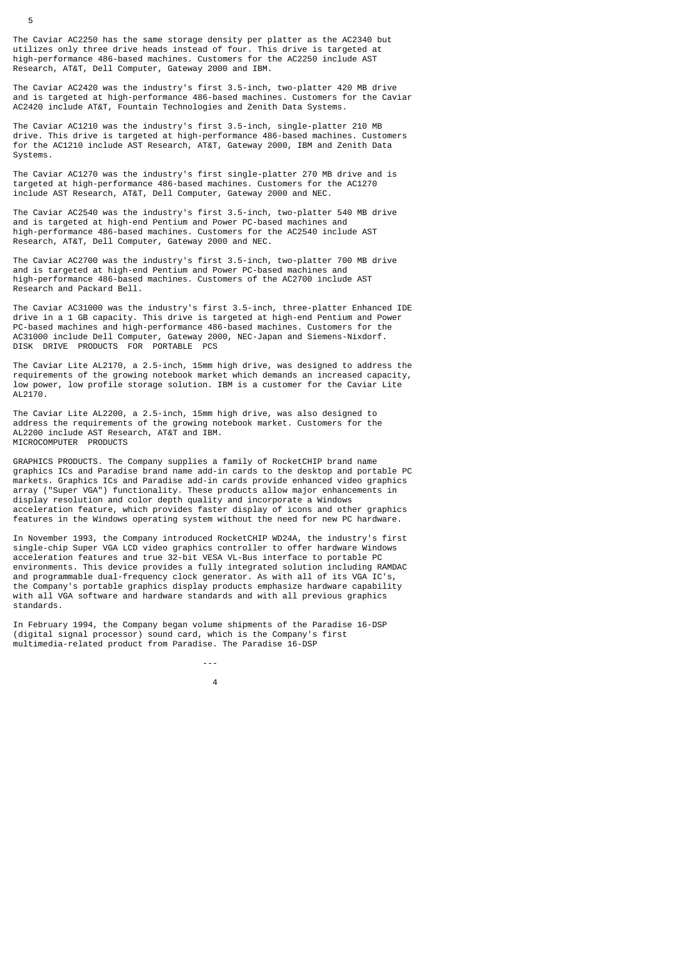The Caviar AC2250 has the same storage density per platter as the AC2340 but utilizes only three drive heads instead of four. This drive is targeted at high-performance 486-based machines. Customers for the AC2250 include AST Research, AT&T, Dell Computer, Gateway 2000 and IBM.

The Caviar AC2420 was the industry's first 3.5-inch, two-platter 420 MB drive and is targeted at high-performance 486-based machines. Customers for the Caviar AC2420 include AT&T, Fountain Technologies and Zenith Data Systems.

The Caviar AC1210 was the industry's first 3.5-inch, single-platter 210 MB drive. This drive is targeted at high-performance 486-based machines. Customers for the AC1210 include AST Research, AT&T, Gateway 2000, IBM and Zenith Data Systems.

The Caviar AC1270 was the industry's first single-platter 270 MB drive and is targeted at high-performance 486-based machines. Customers for the AC1270 include AST Research, AT&T, Dell Computer, Gateway 2000 and NEC.

The Caviar AC2540 was the industry's first 3.5-inch, two-platter 540 MB drive and is targeted at high-end Pentium and Power PC-based machines and high-performance 486-based machines. Customers for the AC2540 include AST Research, AT&T, Dell Computer, Gateway 2000 and NEC.

The Caviar AC2700 was the industry's first 3.5-inch, two-platter 700 MB drive and is targeted at high-end Pentium and Power PC-based machines and high-performance 486-based machines. Customers of the AC2700 include AST Research and Packard Bell.

The Caviar AC31000 was the industry's first 3.5-inch, three-platter Enhanced IDE drive in a 1 GB capacity. This drive is targeted at high-end Pentium and Power PC-based machines and high-performance 486-based machines. Customers for the AC31000 include Dell Computer, Gateway 2000, NEC-Japan and Siemens-Nixdorf. DISK DRIVE PRODUCTS FOR PORTABLE PCS

The Caviar Lite AL2170, a 2.5-inch, 15mm high drive, was designed to address the requirements of the growing notebook market which demands an increased capacity, low power, low profile storage solution. IBM is a customer for the Caviar Lite AL2170.

The Caviar Lite AL2200, a 2.5-inch, 15mm high drive, was also designed to address the requirements of the growing notebook market. Customers for the AL2200 include AST Research, AT&T and IBM. MICROCOMPUTER PRODUCTS

GRAPHICS PRODUCTS. The Company supplies a family of RocketCHIP brand name graphics ICs and Paradise brand name add-in cards to the desktop and portable PC markets. Graphics ICs and Paradise add-in cards provide enhanced video graphics array ("Super VGA") functionality. These products allow major enhancements in display resolution and color depth quality and incorporate a Windows acceleration feature, which provides faster display of icons and other graphics features in the Windows operating system without the need for new PC hardware.

In November 1993, the Company introduced RocketCHIP WD24A, the industry's first single-chip Super VGA LCD video graphics controller to offer hardware Windows acceleration features and true 32-bit VESA VL-Bus interface to portable PC environments. This device provides a fully integrated solution including RAMDAC and programmable dual-frequency clock generator. As with all of its VGA IC's, the Company's portable graphics display products emphasize hardware capability with all VGA software and hardware standards and with all previous graphics standards.

In February 1994, the Company began volume shipments of the Paradise 16-DSP (digital signal processor) sound card, which is the Company's first multimedia-related product from Paradise. The Paradise 16-DSP

---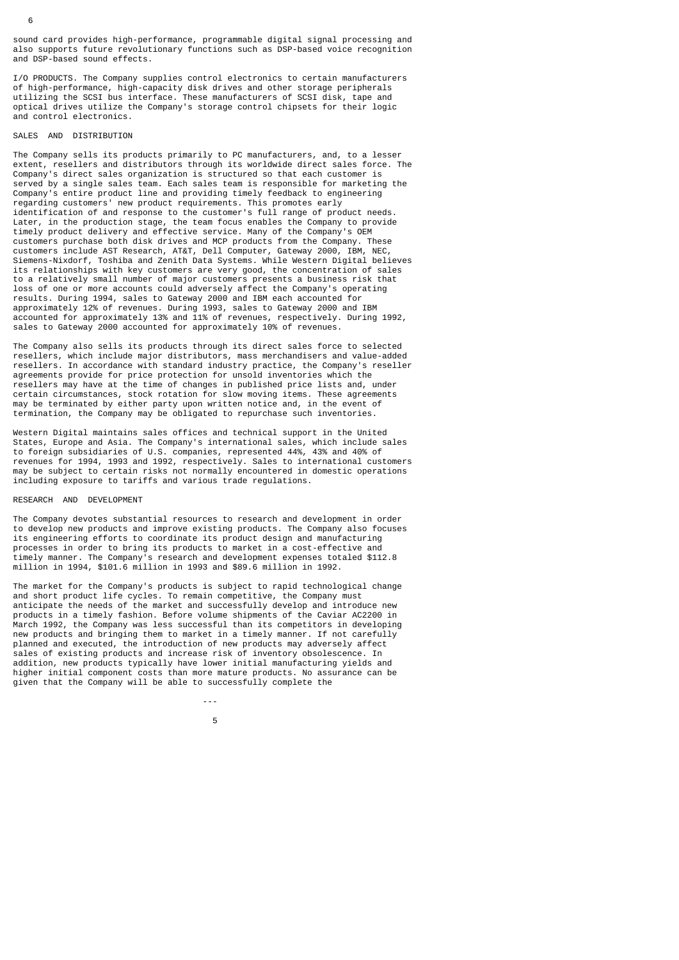sound card provides high-performance, programmable digital signal processing and also supports future revolutionary functions such as DSP-based voice recognition and DSP-based sound effects.

I/O PRODUCTS. The Company supplies control electronics to certain manufacturers of high-performance, high-capacity disk drives and other storage peripherals utilizing the SCSI bus interface. These manufacturers of SCSI disk, tape and optical drives utilize the Company's storage control chipsets for their logic and control electronics.

## SALES AND DISTRIBUTION

6

The Company sells its products primarily to PC manufacturers, and, to a lesser extent, resellers and distributors through its worldwide direct sales force. The Company's direct sales organization is structured so that each customer is served by a single sales team. Each sales team is responsible for marketing the Company's entire product line and providing timely feedback to engineering regarding customers' new product requirements. This promotes early identification of and response to the customer's full range of product needs. Later, in the production stage, the team focus enables the Company to provide timely product delivery and effective service. Many of the Company's OEM customers purchase both disk drives and MCP products from the Company. These customers include AST Research, AT&T, Dell Computer, Gateway 2000, IBM, NEC, Siemens-Nixdorf, Toshiba and Zenith Data Systems. While Western Digital believes its relationships with key customers are very good, the concentration of sales to a relatively small number of major customers presents a business risk that loss of one or more accounts could adversely affect the Company's operating results. During 1994, sales to Gateway 2000 and IBM each accounted for approximately 12% of revenues. During 1993, sales to Gateway 2000 and IBM accounted for approximately 13% and 11% of revenues, respectively. During 1992, sales to Gateway 2000 accounted for approximately 10% of revenues.

The Company also sells its products through its direct sales force to selected resellers, which include major distributors, mass merchandisers and value-added resellers. In accordance with standard industry practice, the Company's reseller agreements provide for price protection for unsold inventories which the resellers may have at the time of changes in published price lists and, under certain circumstances, stock rotation for slow moving items. These agreements may be terminated by either party upon written notice and, in the event of termination, the Company may be obligated to repurchase such inventories.

Western Digital maintains sales offices and technical support in the United States, Europe and Asia. The Company's international sales, which include sales to foreign subsidiaries of U.S. companies, represented 44%, 43% and 40% of revenues for 1994, 1993 and 1992, respectively. Sales to international customers may be subject to certain risks not normally encountered in domestic operations including exposure to tariffs and various trade regulations.

### RESEARCH AND DEVELOPMENT

 -- the contract of the contract of the contract of the contract of the contract of the contract of the contract o

The Company devotes substantial resources to research and development in order to develop new products and improve existing products. The Company also focuses its engineering efforts to coordinate its product design and manufacturing processes in order to bring its products to market in a cost-effective and timely manner. The Company's research and development expenses totaled \$112.8 million in 1994, \$101.6 million in 1993 and \$89.6 million in 1992.

The market for the Company's products is subject to rapid technological change and short product life cycles. To remain competitive, the Company must anticipate the needs of the market and successfully develop and introduce new products in a timely fashion. Before volume shipments of the Caviar AC2200 in March 1992, the Company was less successful than its competitors in developing new products and bringing them to market in a timely manner. If not carefully planned and executed, the introduction of new products may adversely affect sales of existing products and increase risk of inventory obsolescence. In addition, new products typically have lower initial manufacturing yields and higher initial component costs than more mature products. No assurance can be given that the Company will be able to successfully complete the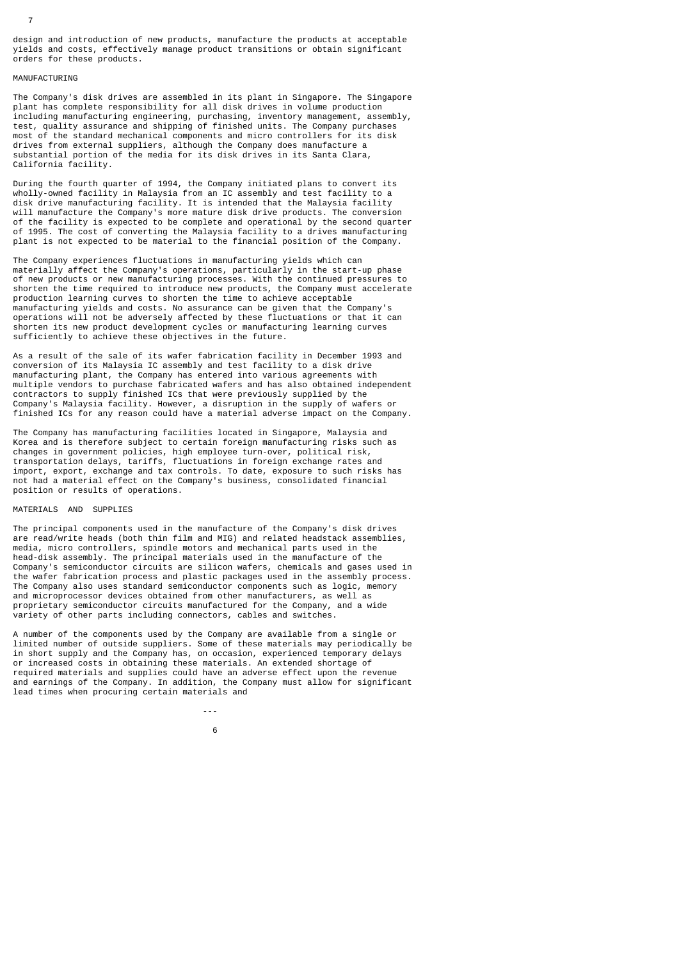design and introduction of new products, manufacture the products at acceptable yields and costs, effectively manage product transitions or obtain significant orders for these products.

#### MANUFACTURING

The Company's disk drives are assembled in its plant in Singapore. The Singapore plant has complete responsibility for all disk drives in volume production including manufacturing engineering, purchasing, inventory management, assembly, test, quality assurance and shipping of finished units. The Company purchases most of the standard mechanical components and micro controllers for its disk drives from external suppliers, although the Company does manufacture a substantial portion of the media for its disk drives in its Santa Clara, California facility.

During the fourth quarter of 1994, the Company initiated plans to convert its wholly-owned facility in Malaysia from an IC assembly and test facility to a disk drive manufacturing facility. It is intended that the Malaysia facility will manufacture the Company's more mature disk drive products. The conversion of the facility is expected to be complete and operational by the second quarter of 1995. The cost of converting the Malaysia facility to a drives manufacturing plant is not expected to be material to the financial position of the Company.

The Company experiences fluctuations in manufacturing yields which can materially affect the Company's operations, particularly in the start-up phase of new products or new manufacturing processes. With the continued pressures to shorten the time required to introduce new products, the Company must accelerate production learning curves to shorten the time to achieve acceptable manufacturing yields and costs. No assurance can be given that the Company's operations will not be adversely affected by these fluctuations or that it can shorten its new product development cycles or manufacturing learning curves sufficiently to achieve these objectives in the future.

As a result of the sale of its wafer fabrication facility in December 1993 and conversion of its Malaysia IC assembly and test facility to a disk drive manufacturing plant, the Company has entered into various agreements with multiple vendors to purchase fabricated wafers and has also obtained independent contractors to supply finished ICs that were previously supplied by the Company's Malaysia facility. However, a disruption in the supply of wafers or finished ICs for any reason could have a material adverse impact on the Company.

The Company has manufacturing facilities located in Singapore, Malaysia and Korea and is therefore subject to certain foreign manufacturing risks such as changes in government policies, high employee turn-over, political risk, transportation delays, tariffs, fluctuations in foreign exchange rates and import, export, exchange and tax controls. To date, exposure to such risks has not had a material effect on the Company's business, consolidated financial position or results of operations.

#### MATERIALS AND SUPPLIES

and the second control of the second control of the second control of the second control of the second control of the second control of the second control of the second control of the second control of the second control o  $\sim$  600  $\sim$  600  $\sim$  600  $\sim$  600  $\sim$  600  $\sim$  600  $\sim$  600  $\sim$  600  $\sim$  600  $\sim$  600  $\sim$  600  $\sim$  600  $\sim$  600  $\sim$  600  $\sim$  600  $\sim$  600  $\sim$  600  $\sim$  600  $\sim$  600  $\sim$  600  $\sim$  600  $\sim$  600  $\sim$  600  $\sim$  600  $\sim$ 

The principal components used in the manufacture of the Company's disk drives are read/write heads (both thin film and MIG) and related headstack assemblies, media, micro controllers, spindle motors and mechanical parts used in the head-disk assembly. The principal materials used in the manufacture of the Company's semiconductor circuits are silicon wafers, chemicals and gases used in the wafer fabrication process and plastic packages used in the assembly process. The Company also uses standard semiconductor components such as logic, memory and microprocessor devices obtained from other manufacturers, as well as proprietary semiconductor circuits manufactured for the Company, and a wide variety of other parts including connectors, cables and switches.

A number of the components used by the Company are available from a single or limited number of outside suppliers. Some of these materials may periodically be in short supply and the Company has, on occasion, experienced temporary delays or increased costs in obtaining these materials. An extended shortage of required materials and supplies could have an adverse effect upon the revenue and earnings of the Company. In addition, the Company must allow for significant lead times when procuring certain materials and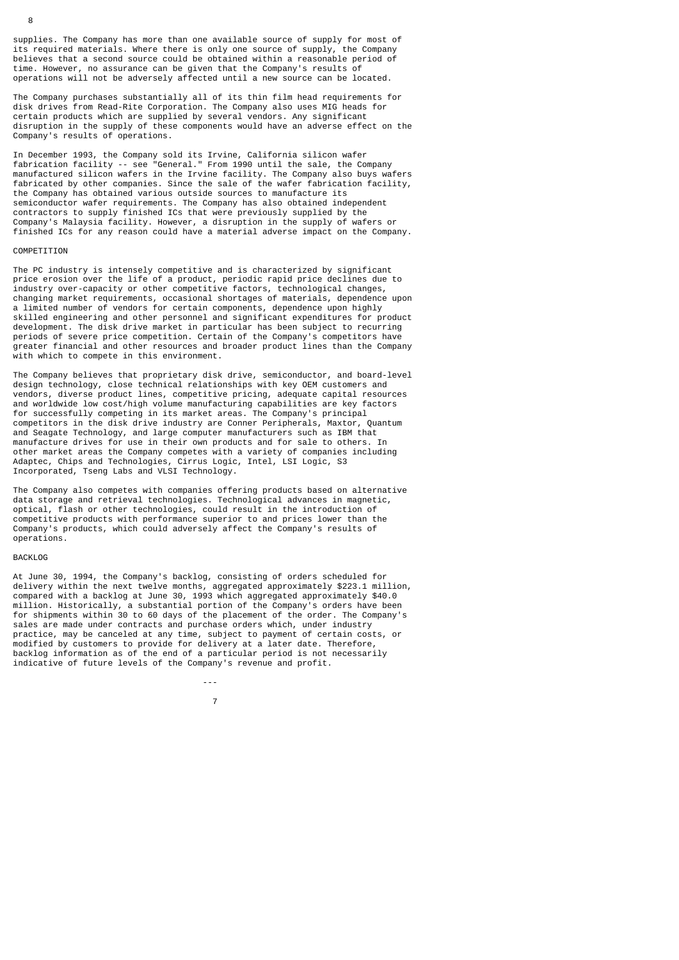supplies. The Company has more than one available source of supply for most of its required materials. Where there is only one source of supply, the Company believes that a second source could be obtained within a reasonable period of time. However, no assurance can be given that the Company's results of operations will not be adversely affected until a new source can be located.

The Company purchases substantially all of its thin film head requirements for disk drives from Read-Rite Corporation. The Company also uses MIG heads for certain products which are supplied by several vendors. Any significant disruption in the supply of these components would have an adverse effect on the Company's results of operations.

In December 1993, the Company sold its Irvine, California silicon wafer fabrication facility -- see "General." From 1990 until the sale, the Company manufactured silicon wafers in the Irvine facility. The Company also buys wafers fabricated by other companies. Since the sale of the wafer fabrication facility, the Company has obtained various outside sources to manufacture its semiconductor wafer requirements. The Company has also obtained independent contractors to supply finished ICs that were previously supplied by the Company's Malaysia facility. However, a disruption in the supply of wafers or finished ICs for any reason could have a material adverse impact on the Company.

#### **COMPETITION**

The PC industry is intensely competitive and is characterized by significant price erosion over the life of a product, periodic rapid price declines due to industry over-capacity or other competitive factors, technological changes, changing market requirements, occasional shortages of materials, dependence upon a limited number of vendors for certain components, dependence upon highly skilled engineering and other personnel and significant expenditures for product development. The disk drive market in particular has been subject to recurring periods of severe price competition. Certain of the Company's competitors have greater financial and other resources and broader product lines than the Company with which to compete in this environment.

The Company believes that proprietary disk drive, semiconductor, and board-level design technology, close technical relationships with key OEM customers and vendors, diverse product lines, competitive pricing, adequate capital resources and worldwide low cost/high volume manufacturing capabilities are key factors for successfully competing in its market areas. The Company's principal competitors in the disk drive industry are Conner Peripherals, Maxtor, Quantum and Seagate Technology, and large computer manufacturers such as IBM that manufacture drives for use in their own products and for sale to others. In other market areas the Company competes with a variety of companies including Adaptec, Chips and Technologies, Cirrus Logic, Intel, LSI Logic, S3 Incorporated, Tseng Labs and VLSI Technology.

The Company also competes with companies offering products based on alternative data storage and retrieval technologies. Technological advances in magnetic, optical, flash or other technologies, could result in the introduction of competitive products with performance superior to and prices lower than the Company's products, which could adversely affect the Company's results of operations.

#### BACKLOG

At June 30, 1994, the Company's backlog, consisting of orders scheduled for delivery within the next twelve months, aggregated approximately \$223.1 million, compared with a backlog at June 30, 1993 which aggregated approximately \$40.0 million. Historically, a substantial portion of the Company's orders have been for shipments within 30 to 60 days of the placement of the order. The Company's sales are made under contracts and purchase orders which, under industry practice, may be canceled at any time, subject to payment of certain costs, or modified by customers to provide for delivery at a later date. Therefore, backlog information as of the end of a particular period is not necessarily indicative of future levels of the Company's revenue and profit.

---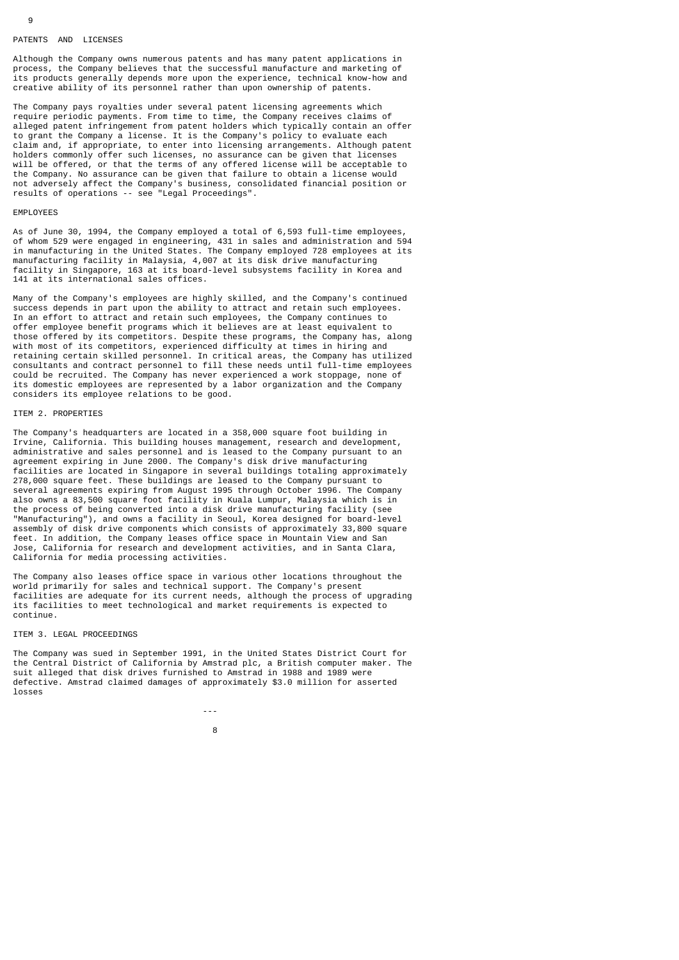#### PATENTS AND LICENSES

Although the Company owns numerous patents and has many patent applications in process, the Company believes that the successful manufacture and marketing of its products generally depends more upon the experience, technical know-how and creative ability of its personnel rather than upon ownership of patents.

The Company pays royalties under several patent licensing agreements which require periodic payments. From time to time, the Company receives claims of alleged patent infringement from patent holders which typically contain an offer to grant the Company a license. It is the Company's policy to evaluate each claim and, if appropriate, to enter into licensing arrangements. Although patent holders commonly offer such licenses, no assurance can be given that licenses will be offered, or that the terms of any offered license will be acceptable to the Company. No assurance can be given that failure to obtain a license would not adversely affect the Company's business, consolidated financial position or results of operations -- see "Legal Proceedings".

#### EMPLOYEES

As of June 30, 1994, the Company employed a total of 6,593 full-time employees, of whom 529 were engaged in engineering, 431 in sales and administration and 594 in manufacturing in the United States. The Company employed 728 employees at its manufacturing facility in Malaysia, 4,007 at its disk drive manufacturing facility in Singapore, 163 at its board-level subsystems facility in Korea and 141 at its international sales offices.

Many of the Company's employees are highly skilled, and the Company's continued success depends in part upon the ability to attract and retain such employees. In an effort to attract and retain such employees, the Company continues to offer employee benefit programs which it believes are at least equivalent to those offered by its competitors. Despite these programs, the Company has, along with most of its competitors, experienced difficulty at times in hiring and retaining certain skilled personnel. In critical areas, the Company has utilized consultants and contract personnel to fill these needs until full-time employees could be recruited. The Company has never experienced a work stoppage, none of its domestic employees are represented by a labor organization and the Company considers its employee relations to be good.

#### ITEM 2. PROPERTIES

The Company's headquarters are located in a 358,000 square foot building in Irvine, California. This building houses management, research and development, administrative and sales personnel and is leased to the Company pursuant to an agreement expiring in June 2000. The Company's disk drive manufacturing facilities are located in Singapore in several buildings totaling approximately 278,000 square feet. These buildings are leased to the Company pursuant to several agreements expiring from August 1995 through October 1996. The Company also owns a 83,500 square foot facility in Kuala Lumpur, Malaysia which is in the process of being converted into a disk drive manufacturing facility (see "Manufacturing"), and owns a facility in Seoul, Korea designed for board-level assembly of disk drive components which consists of approximately 33,800 square feet. In addition, the Company leases office space in Mountain View and San Jose, California for research and development activities, and in Santa Clara, California for media processing activities.

The Company also leases office space in various other locations throughout the world primarily for sales and technical support. The Company's present facilities are adequate for its current needs, although the process of upgrading its facilities to meet technological and market requirements is expected to continue.

#### ITEM 3. LEGAL PROCEEDINGS

en andere de la provincia de la provincia de la provincia de la provincia de la provincia de la provincia del

The Company was sued in September 1991, in the United States District Court for the Central District of California by Amstrad plc, a British computer maker. The suit alleged that disk drives furnished to Amstrad in 1988 and 1989 were defective. Amstrad claimed damages of approximately \$3.0 million for asserted losses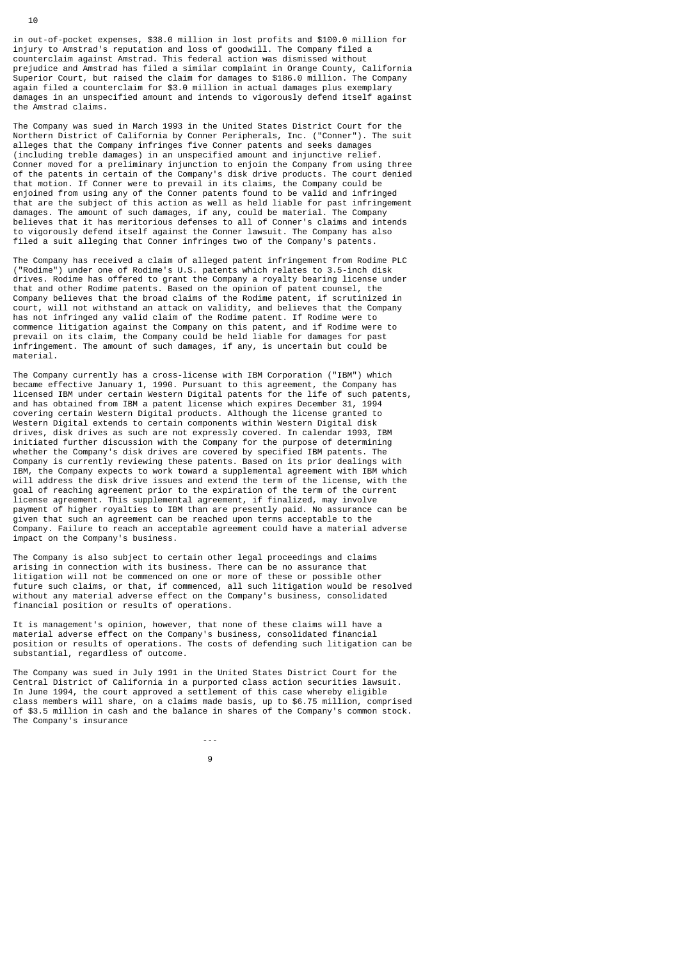in out-of-pocket expenses, \$38.0 million in lost profits and \$100.0 million for injury to Amstrad's reputation and loss of goodwill. The Company filed a counterclaim against Amstrad. This federal action was dismissed without prejudice and Amstrad has filed a similar complaint in Orange County, California Superior Court, but raised the claim for damages to \$186.0 million. The Company again filed a counterclaim for \$3.0 million in actual damages plus exemplary damages in an unspecified amount and intends to vigorously defend itself against the Amstrad claims.

The Company was sued in March 1993 in the United States District Court for the Northern District of California by Conner Peripherals, Inc. ("Conner"). The suit alleges that the Company infringes five Conner patents and seeks damages (including treble damages) in an unspecified amount and injunctive relief. Conner moved for a preliminary injunction to enjoin the Company from using three of the patents in certain of the Company's disk drive products. The court denied that motion. If Conner were to prevail in its claims, the Company could be enjoined from using any of the Conner patents found to be valid and infringed that are the subject of this action as well as held liable for past infringement damages. The amount of such damages, if any, could be material. The Company believes that it has meritorious defenses to all of Conner's claims and intends to vigorously defend itself against the Conner lawsuit. The Company has also filed a suit alleging that Conner infringes two of the Company's patents.

The Company has received a claim of alleged patent infringement from Rodime PLC ("Rodime") under one of Rodime's U.S. patents which relates to 3.5-inch disk drives. Rodime has offered to grant the Company a royalty bearing license under that and other Rodime patents. Based on the opinion of patent counsel, the Company believes that the broad claims of the Rodime patent, if scrutinized in court, will not withstand an attack on validity, and believes that the Company has not infringed any valid claim of the Rodime patent. If Rodime were to commence litigation against the Company on this patent, and if Rodime were to prevail on its claim, the Company could be held liable for damages for past infringement. The amount of such damages, if any, is uncertain but could be material.

The Company currently has a cross-license with IBM Corporation ("IBM") which became effective January 1, 1990. Pursuant to this agreement, the Company has licensed IBM under certain Western Digital patents for the life of such patents, and has obtained from IBM a patent license which expires December 31, 1994 covering certain Western Digital products. Although the license granted to Western Digital extends to certain components within Western Digital disk drives, disk drives as such are not expressly covered. In calendar 1993, IBM initiated further discussion with the Company for the purpose of determining whether the Company's disk drives are covered by specified IBM patents. The Company is currently reviewing these patents. Based on its prior dealings with IBM, the Company expects to work toward a supplemental agreement with IBM which will address the disk drive issues and extend the term of the license, with the goal of reaching agreement prior to the expiration of the term of the current license agreement. This supplemental agreement, if finalized, may involve payment of higher royalties to IBM than are presently paid. No assurance can be given that such an agreement can be reached upon terms acceptable to the Company. Failure to reach an acceptable agreement could have a material adverse impact on the Company's business.

The Company is also subject to certain other legal proceedings and claims arising in connection with its business. There can be no assurance that litigation will not be commenced on one or more of these or possible other future such claims, or that, if commenced, all such litigation would be resolved without any material adverse effect on the Company's business, consolidated financial position or results of operations.

It is management's opinion, however, that none of these claims will have a material adverse effect on the Company's business, consolidated financial position or results of operations. The costs of defending such litigation can be substantial, regardless of outcome.

The Company was sued in July 1991 in the United States District Court for the Central District of California in a purported class action securities lawsuit. In June 1994, the court approved a settlement of this case whereby eligible class members will share, on a claims made basis, up to \$6.75 million, comprised of \$3.5 million in cash and the balance in shares of the Company's common stock. The Company's insurance

9

and the state of the state of the state of the state of the state of the state of the state of the state of the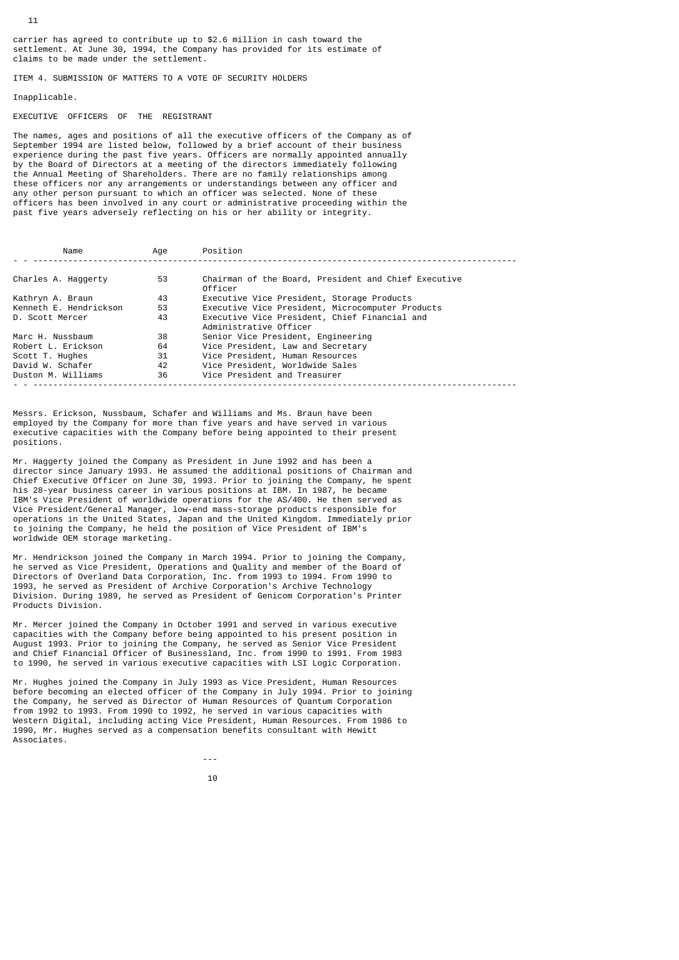carrier has agreed to contribute up to \$2.6 million in cash toward the settlement. At June 30, 1994, the Company has provided for its estimate of claims to be made under the settlement.

ITEM 4. SUBMISSION OF MATTERS TO A VOTE OF SECURITY HOLDERS

# Inapplicable.

EXECUTIVE OFFICERS OF THE REGISTRANT

The names, ages and positions of all the executive officers of the Company as of September 1994 are listed below, followed by a brief account of their business experience during the past five years. Officers are normally appointed annually by the Board of Directors at a meeting of the directors immediately following the Annual Meeting of Shareholders. There are no family relationships among these officers nor any arrangements or understandings between any officer and any other person pursuant to which an officer was selected. None of these officers has been involved in any court or administrative proceeding within the past five years adversely reflecting on his or her ability or integrity.

|                     | Name                   | Age | Position                                                                |
|---------------------|------------------------|-----|-------------------------------------------------------------------------|
|                     |                        |     |                                                                         |
| Charles A. Haggerty |                        | 53  | Chairman of the Board, President and Chief Executive<br>Officer         |
| Kathryn A. Braun    |                        | 43  | Executive Vice President, Storage Products                              |
|                     | Kenneth E. Hendrickson | 53  | Executive Vice President, Microcomputer Products                        |
| D. Scott Mercer     |                        | 43  | Executive Vice President, Chief Financial and<br>Administrative Officer |
| Marc H. Nussbaum    |                        | 38  | Senior Vice President, Engineering                                      |
| Robert L. Erickson  |                        | 64  | Vice President, Law and Secretary                                       |
| Scott T. Hughes     |                        | 31  | Vice President, Human Resources                                         |
| David W. Schafer    |                        | 42  | Vice President, Worldwide Sales                                         |
| Duston M. Williams  |                        | 36  | Vice President and Treasurer                                            |

Messrs. Erickson, Nussbaum, Schafer and Williams and Ms. Braun have been employed by the Company for more than five years and have served in various executive capacities with the Company before being appointed to their present positions.

Mr. Haggerty joined the Company as President in June 1992 and has been a director since January 1993. He assumed the additional positions of Chairman and Chief Executive Officer on June 30, 1993. Prior to joining the Company, he spent his 28-year business career in various positions at IBM. In 1987, he became IBM's Vice President of worldwide operations for the AS/400. He then served as Vice President/General Manager, low-end mass-storage products responsible for operations in the United States, Japan and the United Kingdom. Immediately prior to joining the Company, he held the position of Vice President of IBM's worldwide OEM storage marketing.

Mr. Hendrickson joined the Company in March 1994. Prior to joining the Company, he served as Vice President, Operations and Quality and member of the Board of Directors of Overland Data Corporation, Inc. from 1993 to 1994. From 1990 to 1993, he served as President of Archive Corporation's Archive Technology Division. During 1989, he served as President of Genicom Corporation's Printer Products Division.

Mr. Mercer joined the Company in October 1991 and served in various executive capacities with the Company before being appointed to his present position in August 1993. Prior to joining the Company, he served as Senior Vice President and Chief Financial Officer of Businessland, Inc. from 1990 to 1991. From 1983 to 1990, he served in various executive capacities with LSI Logic Corporation.

Mr. Hughes joined the Company in July 1993 as Vice President, Human Resources before becoming an elected officer of the Company in July 1994. Prior to joining the Company, he served as Director of Human Resources of Quantum Corporation from 1992 to 1993. From 1990 to 1992, he served in various capacities with Western Digital, including acting Vice President, Human Resources. From 1986 to 1990, Mr. Hughes served as a compensation benefits consultant with Hewitt Associates.

10

and the state of the state of the state of the state of the state of the state of the state of the state of the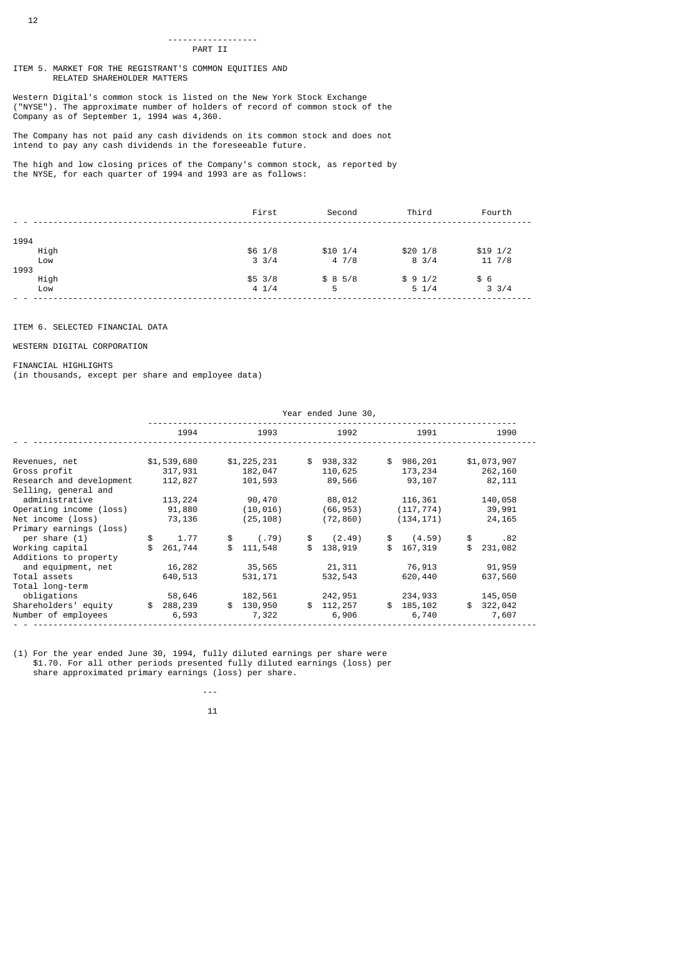#### ------------------ PART II

ITEM 5. MARKET FOR THE REGISTRANT'S COMMON EQUITIES AND RELATED SHAREHOLDER MATTERS

Western Digital's common stock is listed on the New York Stock Exchange ("NYSE"). The approximate number of holders of record of common stock of the Company as of September 1, 1994 was 4,360.

The Company has not paid any cash dividends on its common stock and does not intend to pay any cash dividends in the foreseeable future.

The high and low closing prices of the Company's common stock, as reported by the NYSE, for each quarter of 1994 and 1993 are as follows:

|      | First           | Second      | Third           | Fourth           |
|------|-----------------|-------------|-----------------|------------------|
|      |                 |             |                 |                  |
| 1994 |                 |             |                 |                  |
| High | \$6 1/8         | $$10 \t1/4$ | $$20 \t1/8$     | $$19 \; 1/2$     |
| Low  | $3 \frac{3}{4}$ | 47/8        | $8 \frac{3}{4}$ | $11 \frac{7}{8}$ |
| 1993 |                 |             |                 |                  |
| High | $$5 \; 3/8$     | \$85/8      | \$91/2          | \$6              |
| Low  | 41/4            | 5           | $5 \frac{1}{4}$ | $3 \frac{3}{4}$  |
|      |                 |             |                 |                  |

# ITEM 6. SELECTED FINANCIAL DATA

# WESTERN DIGITAL CORPORATION

## FINANCIAL HIGHLIGHTS

(in thousands, except per share and employee data)

 $11$ 

|                                                  |               |               | Year ended June 30, |               |               |
|--------------------------------------------------|---------------|---------------|---------------------|---------------|---------------|
|                                                  | 1994          | 1993          | 1992                | 1991          | 1990          |
| Revenues, net                                    | \$1,539,680   | \$1,225,231   | \$<br>938,332       | \$<br>986,201 | \$1,073,907   |
| Gross profit                                     | 317,931       | 182,047       | 110,625             | 173,234       | 262,160       |
| Research and development<br>Selling, general and | 112,827       | 101,593       | 89,566              | 93,107        | 82, 111       |
| administrative                                   | 113,224       | 90,470        | 88,012              | 116,361       | 140,058       |
| Operating income (loss)                          | 91,880        | (10, 016)     | (66, 953)           | (117, 774)    | 39,991        |
| Net income (loss)                                | 73,136        | (25, 108)     | (72, 860)           | (134, 171)    | 24,165        |
| Primary earnings (loss)                          |               |               |                     |               |               |
| per share $(1)$                                  | \$<br>1.77    | (.79)<br>\$   | \$<br>(2.49)        | \$<br>(4.59)  | \$<br>.82     |
| Working capital                                  | 261,744       | \$<br>111,548 | \$<br>138,919       | \$<br>167,319 | \$<br>231,082 |
| Additions to property                            |               |               |                     |               |               |
| and equipment, net                               | 16,282        | 35,565        | 21,311              | 76,913        | 91,959        |
| Total assets                                     | 640,513       | 531, 171      | 532,543             | 620,440       | 637,560       |
| Total long-term                                  |               |               |                     |               |               |
| obligations                                      | 58,646        | 182,561       | 242,951             | 234,933       | 145,050       |
| Shareholders' equity                             | \$<br>288,239 | 130,950<br>\$ | \$<br>112,257       | \$<br>185,102 | \$<br>322,042 |
| Number of employees                              | 6,593         | 7,322         | 6,906               | 6,740         | 7,607         |

(1) For the year ended June 30, 1994, fully diluted earnings per share were \$1.70. For all other periods presented fully diluted earnings (loss) per share approximated primary earnings (loss) per share.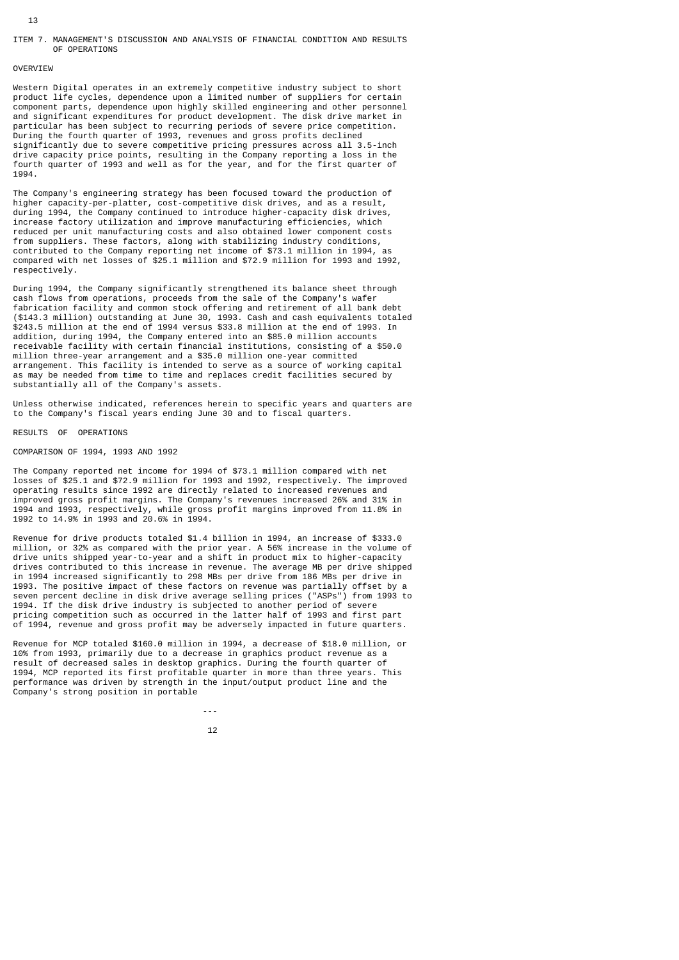#### ITEM 7. MANAGEMENT'S DISCUSSION AND ANALYSIS OF FINANCIAL CONDITION AND RESULTS OF OPERATIONS

# OVERVIEW

Western Digital operates in an extremely competitive industry subject to short product life cycles, dependence upon a limited number of suppliers for certain component parts, dependence upon highly skilled engineering and other personnel and significant expenditures for product development. The disk drive market in particular has been subject to recurring periods of severe price competition. During the fourth quarter of 1993, revenues and gross profits declined significantly due to severe competitive pricing pressures across all 3.5-inch drive capacity price points, resulting in the Company reporting a loss in the fourth quarter of 1993 and well as for the year, and for the first quarter of 1994.

The Company's engineering strategy has been focused toward the production of higher capacity-per-platter, cost-competitive disk drives, and as a result, during 1994, the Company continued to introduce higher-capacity disk drives, increase factory utilization and improve manufacturing efficiencies, which reduced per unit manufacturing costs and also obtained lower component costs from suppliers. These factors, along with stabilizing industry conditions, contributed to the Company reporting net income of \$73.1 million in 1994, as compared with net losses of \$25.1 million and \$72.9 million for 1993 and 1992, respectively.

During 1994, the Company significantly strengthened its balance sheet through cash flows from operations, proceeds from the sale of the Company's wafer fabrication facility and common stock offering and retirement of all bank debt (\$143.3 million) outstanding at June 30, 1993. Cash and cash equivalents totaled \$243.5 million at the end of 1994 versus \$33.8 million at the end of 1993. In addition, during 1994, the Company entered into an \$85.0 million accounts receivable facility with certain financial institutions, consisting of a \$50.0 million three-year arrangement and a \$35.0 million one-year committed arrangement. This facility is intended to serve as a source of working capital as may be needed from time to time and replaces credit facilities secured by substantially all of the Company's assets.

Unless otherwise indicated, references herein to specific years and quarters are to the Company's fiscal years ending June 30 and to fiscal quarters.

# RESULTS OF OPERATIONS

#### COMPARISON OF 1994, 1993 AND 1992

and the state of the state of the state of the state of the state of the state of the state of the state of the

The Company reported net income for 1994 of \$73.1 million compared with net losses of \$25.1 and \$72.9 million for 1993 and 1992, respectively. The improved operating results since 1992 are directly related to increased revenues and improved gross profit margins. The Company's revenues increased 26% and 31% in 1994 and 1993, respectively, while gross profit margins improved from 11.8% in 1992 to 14.9% in 1993 and 20.6% in 1994.

Revenue for drive products totaled \$1.4 billion in 1994, an increase of \$333.0 million, or 32% as compared with the prior year. A 56% increase in the volume of drive units shipped year-to-year and a shift in product mix to higher-capacity drives contributed to this increase in revenue. The average MB per drive shipped in 1994 increased significantly to 298 MBs per drive from 186 MBs per drive in 1993. The positive impact of these factors on revenue was partially offset by a seven percent decline in disk drive average selling prices ("ASPs") from 1993 to 1994. If the disk drive industry is subjected to another period of severe pricing competition such as occurred in the latter half of 1993 and first part of 1994, revenue and gross profit may be adversely impacted in future quarters.

Revenue for MCP totaled \$160.0 million in 1994, a decrease of \$18.0 million, or 10% from 1993, primarily due to a decrease in graphics product revenue as a result of decreased sales in desktop graphics. During the fourth quarter of 1994, MCP reported its first profitable quarter in more than three years. This performance was driven by strength in the input/output product line and the Company's strong position in portable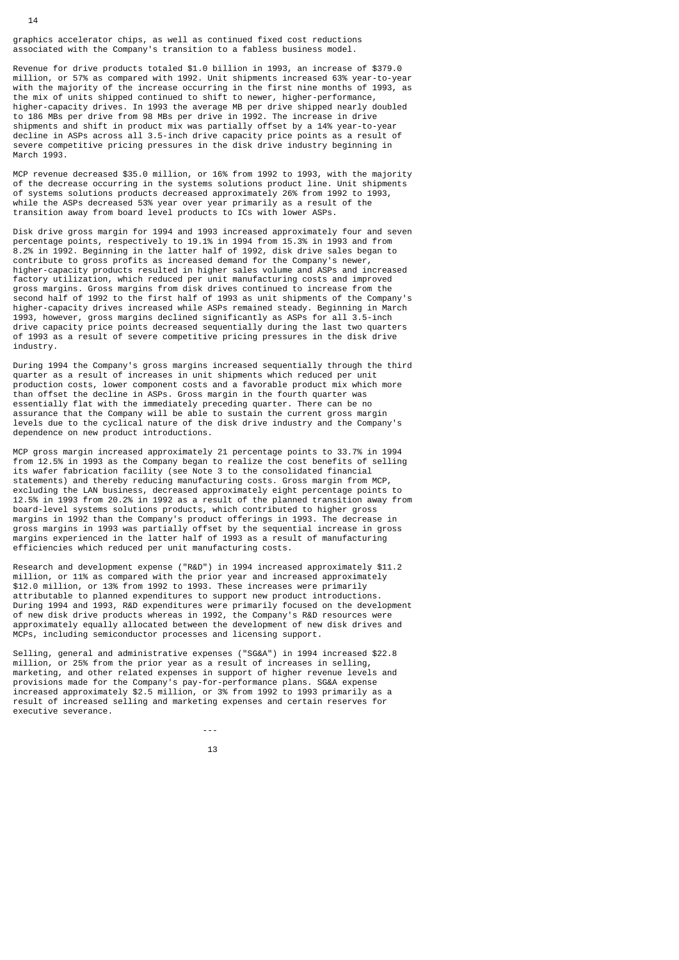graphics accelerator chips, as well as continued fixed cost reductions associated with the Company's transition to a fabless business model.

Revenue for drive products totaled \$1.0 billion in 1993, an increase of \$379.0 million, or 57% as compared with 1992. Unit shipments increased 63% year-to-year with the majority of the increase occurring in the first nine months of 1993, as the mix of units shipped continued to shift to newer, higher-performance, higher-capacity drives. In 1993 the average MB per drive shipped nearly doubled to 186 MBs per drive from 98 MBs per drive in 1992. The increase in drive shipments and shift in product mix was partially offset by a 14% year-to-year decline in ASPs across all 3.5-inch drive capacity price points as a result of severe competitive pricing pressures in the disk drive industry beginning in March 1993.

MCP revenue decreased \$35.0 million, or 16% from 1992 to 1993, with the majority of the decrease occurring in the systems solutions product line. Unit shipments of systems solutions products decreased approximately 26% from 1992 to 1993, while the ASPs decreased 53% year over year primarily as a result of the transition away from board level products to ICs with lower ASPs.

Disk drive gross margin for 1994 and 1993 increased approximately four and seven percentage points, respectively to 19.1% in 1994 from 15.3% in 1993 and from 8.2% in 1992. Beginning in the latter half of 1992, disk drive sales began to contribute to gross profits as increased demand for the Company's newer, higher-capacity products resulted in higher sales volume and ASPs and increased factory utilization, which reduced per unit manufacturing costs and improved gross margins. Gross margins from disk drives continued to increase from the second half of 1992 to the first half of 1993 as unit shipments of the Company's higher-capacity drives increased while ASPs remained steady. Beginning in March 1993, however, gross margins declined significantly as ASPs for all 3.5-inch drive capacity price points decreased sequentially during the last two quarters of 1993 as a result of severe competitive pricing pressures in the disk drive industry.

During 1994 the Company's gross margins increased sequentially through the third quarter as a result of increases in unit shipments which reduced per unit production costs, lower component costs and a favorable product mix which more than offset the decline in ASPs. Gross margin in the fourth quarter was essentially flat with the immediately preceding quarter. There can be no assurance that the Company will be able to sustain the current gross margin levels due to the cyclical nature of the disk drive industry and the Company's dependence on new product introductions.

MCP gross margin increased approximately 21 percentage points to 33.7% in 1994 from 12.5% in 1993 as the Company began to realize the cost benefits of selling its wafer fabrication facility (see Note 3 to the consolidated financial statements) and thereby reducing manufacturing costs. Gross margin from MCP, excluding the LAN business, decreased approximately eight percentage points to 12.5% in 1993 from 20.2% in 1992 as a result of the planned transition away from board-level systems solutions products, which contributed to higher gross margins in 1992 than the Company's product offerings in 1993. The decrease in gross margins in 1993 was partially offset by the sequential increase in gross margins experienced in the latter half of 1993 as a result of manufacturing efficiencies which reduced per unit manufacturing costs.

Research and development expense ("R&D") in 1994 increased approximately \$11.2 million, or 11% as compared with the prior year and increased approximately \$12.0 million, or 13% from 1992 to 1993. These increases were primarily attributable to planned expenditures to support new product introductions. During 1994 and 1993, R&D expenditures were primarily focused on the development of new disk drive products whereas in 1992, the Company's R&D resources were approximately equally allocated between the development of new disk drives and MCPs, including semiconductor processes and licensing support.

Selling, general and administrative expenses ("SG&A") in 1994 increased \$22.8 million, or 25% from the prior year as a result of increases in selling, marketing, and other related expenses in support of higher revenue levels and provisions made for the Company's pay-for-performance plans. SG&A expense increased approximately \$2.5 million, or 3% from 1992 to 1993 primarily as a result of increased selling and marketing expenses and certain reserves for executive severance.

---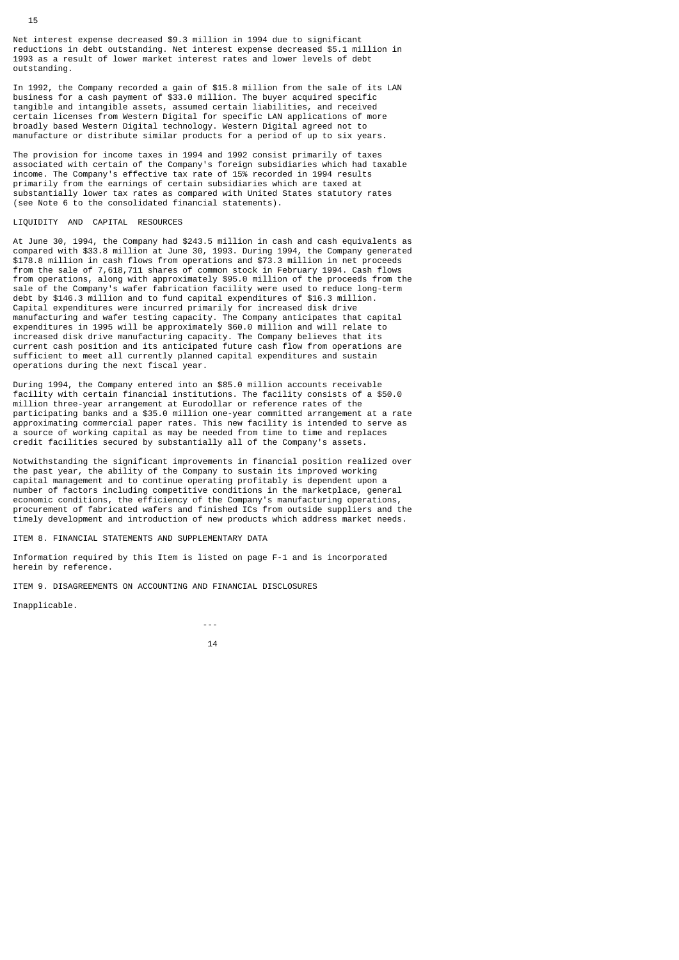Net interest expense decreased \$9.3 million in 1994 due to significant reductions in debt outstanding. Net interest expense decreased \$5.1 million in 1993 as a result of lower market interest rates and lower levels of debt outstanding.

In 1992, the Company recorded a gain of \$15.8 million from the sale of its LAN business for a cash payment of \$33.0 million. The buyer acquired specific tangible and intangible assets, assumed certain liabilities, and received certain licenses from Western Digital for specific LAN applications of more broadly based Western Digital technology. Western Digital agreed not to manufacture or distribute similar products for a period of up to six years.

The provision for income taxes in 1994 and 1992 consist primarily of taxes associated with certain of the Company's foreign subsidiaries which had taxable income. The Company's effective tax rate of 15% recorded in 1994 results primarily from the earnings of certain subsidiaries which are taxed at substantially lower tax rates as compared with United States statutory rates (see Note 6 to the consolidated financial statements).

# LIQUIDITY AND CAPITAL RESOURCES

At June 30, 1994, the Company had \$243.5 million in cash and cash equivalents as compared with \$33.8 million at June 30, 1993. During 1994, the Company generated \$178.8 million in cash flows from operations and \$73.3 million in net proceeds from the sale of 7,618,711 shares of common stock in February 1994. Cash flows from operations, along with approximately \$95.0 million of the proceeds from the sale of the Company's wafer fabrication facility were used to reduce long-term debt by \$146.3 million and to fund capital expenditures of \$16.3 million. Capital expenditures were incurred primarily for increased disk drive manufacturing and wafer testing capacity. The Company anticipates that capital expenditures in 1995 will be approximately \$60.0 million and will relate to increased disk drive manufacturing capacity. The Company believes that its current cash position and its anticipated future cash flow from operations are sufficient to meet all currently planned capital expenditures and sustain operations during the next fiscal year.

During 1994, the Company entered into an \$85.0 million accounts receivable facility with certain financial institutions. The facility consists of a \$50.0 million three-year arrangement at Eurodollar or reference rates of the participating banks and a \$35.0 million one-year committed arrangement at a rate approximating commercial paper rates. This new facility is intended to serve as a source of working capital as may be needed from time to time and replaces credit facilities secured by substantially all of the Company's assets.

Notwithstanding the significant improvements in financial position realized over the past year, the ability of the Company to sustain its improved working capital management and to continue operating profitably is dependent upon a number of factors including competitive conditions in the marketplace, general economic conditions, the efficiency of the Company's manufacturing operations, procurement of fabricated wafers and finished ICs from outside suppliers and the timely development and introduction of new products which address market needs.

ITEM 8. FINANCIAL STATEMENTS AND SUPPLEMENTARY DATA

and the state of the state of the state of the state of the state of the state of the state of the state of the

Information required by this Item is listed on page F-1 and is incorporated herein by reference.

ITEM 9. DISAGREEMENTS ON ACCOUNTING AND FINANCIAL DISCLOSURES

Inapplicable.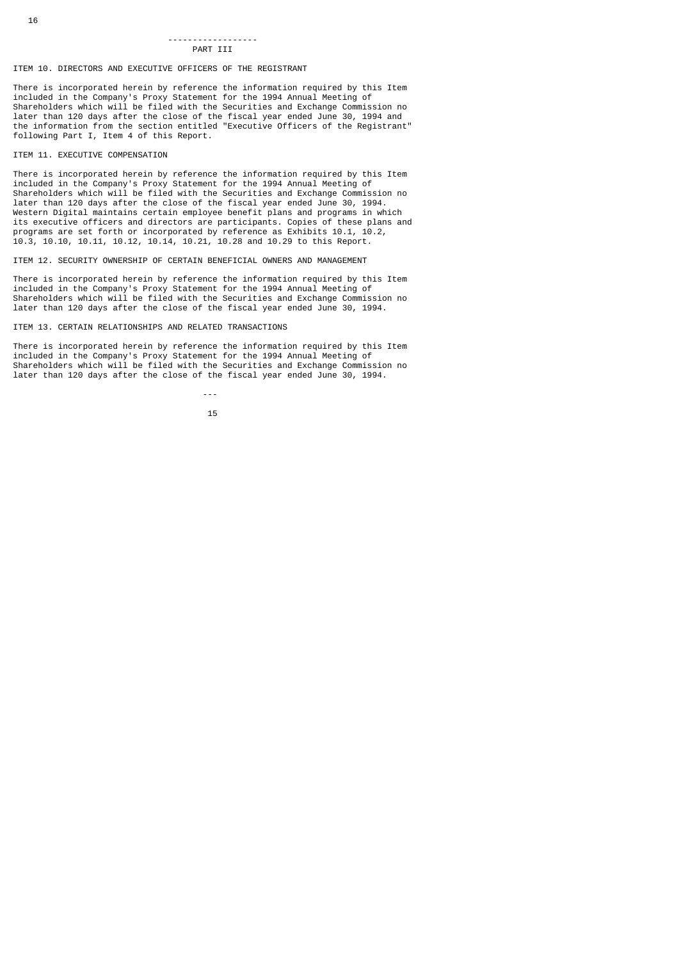#### ------------------ PART TTT

# ITEM 10. DIRECTORS AND EXECUTIVE OFFICERS OF THE REGISTRANT

There is incorporated herein by reference the information required by this Item included in the Company's Proxy Statement for the 1994 Annual Meeting of Shareholders which will be filed with the Securities and Exchange Commission no later than 120 days after the close of the fiscal year ended June 30, 1994 and the information from the section entitled "Executive Officers of the Registrant" following Part I, Item 4 of this Report.

#### ITEM 11. EXECUTIVE COMPENSATION

There is incorporated herein by reference the information required by this Item included in the Company's Proxy Statement for the 1994 Annual Meeting of Shareholders which will be filed with the Securities and Exchange Commission no later than 120 days after the close of the fiscal year ended June 30, 1994. Western Digital maintains certain employee benefit plans and programs in which its executive officers and directors are participants. Copies of these plans and programs are set forth or incorporated by reference as Exhibits 10.1, 10.2, 10.3, 10.10, 10.11, 10.12, 10.14, 10.21, 10.28 and 10.29 to this Report.

ITEM 12. SECURITY OWNERSHIP OF CERTAIN BENEFICIAL OWNERS AND MANAGEMENT

There is incorporated herein by reference the information required by this Item included in the Company's Proxy Statement for the 1994 Annual Meeting of Shareholders which will be filed with the Securities and Exchange Commission no later than 120 days after the close of the fiscal year ended June 30, 1994.

## ITEM 13. CERTAIN RELATIONSHIPS AND RELATED TRANSACTIONS

 $15$ 

There is incorporated herein by reference the information required by this Item included in the Company's Proxy Statement for the 1994 Annual Meeting of Shareholders which will be filed with the Securities and Exchange Commission no later than 120 days after the close of the fiscal year ended June 30, 1994.

---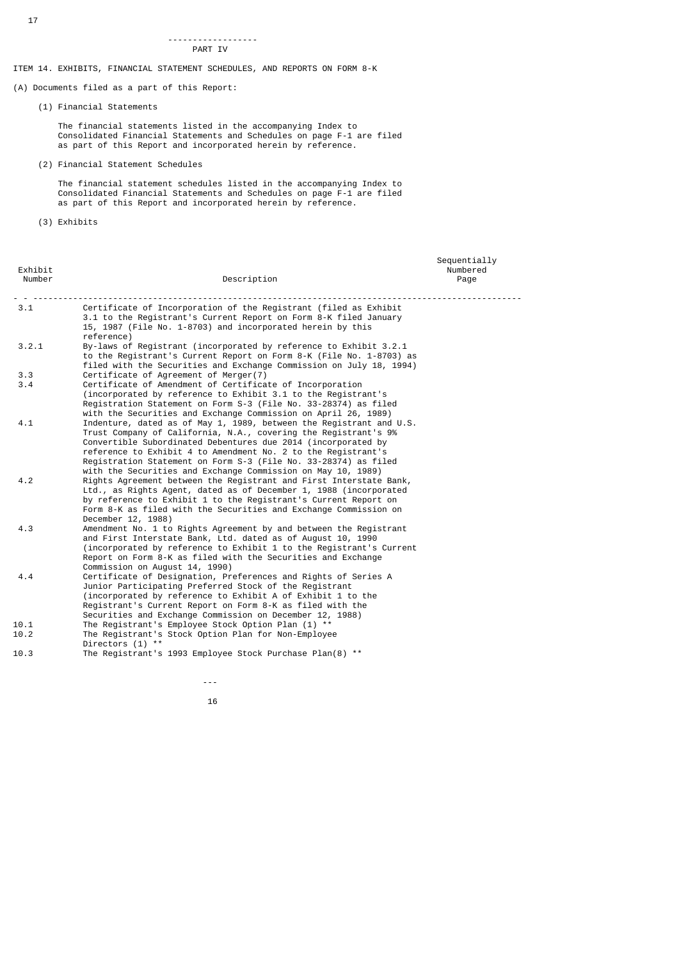#### ------------------ PART IV

ITEM 14. EXHIBITS, FINANCIAL STATEMENT SCHEDULES, AND REPORTS ON FORM 8-K

(A) Documents filed as a part of this Report:

(1) Financial Statements

 The financial statements listed in the accompanying Index to Consolidated Financial Statements and Schedules on page F-1 are filed as part of this Report and incorporated herein by reference.

(2) Financial Statement Schedules

 The financial statement schedules listed in the accompanying Index to Consolidated Financial Statements and Schedules on page F-1 are filed as part of this Report and incorporated herein by reference.

(3) Exhibits

| Exhibit<br>Number | Description                                                                                                                                                                                                                                                                                                                                                                                                 | Sequentially<br>Numbered<br>Page |
|-------------------|-------------------------------------------------------------------------------------------------------------------------------------------------------------------------------------------------------------------------------------------------------------------------------------------------------------------------------------------------------------------------------------------------------------|----------------------------------|
| 3.1               | Certificate of Incorporation of the Reqistrant (filed as Exhibit<br>3.1 to the Registrant's Current Report on Form 8-K filed January<br>15, 1987 (File No. 1-8703) and incorporated herein by this<br>reference)                                                                                                                                                                                            |                                  |
| 3.2.1             | By-laws of Registrant (incorporated by reference to Exhibit 3.2.1<br>to the Registrant's Current Report on Form 8-K (File No. 1-8703) as<br>filed with the Securities and Exchange Commission on July 18, 1994)                                                                                                                                                                                             |                                  |
| 3.3<br>3.4        | Certificate of Agreement of Merger(7)<br>Certificate of Amendment of Certificate of Incorporation                                                                                                                                                                                                                                                                                                           |                                  |
|                   | (incorporated by reference to Exhibit 3.1 to the Reqistrant's<br>Registration Statement on Form S-3 (File No. 33-28374) as filed<br>with the Securities and Exchange Commission on April 26, 1989)                                                                                                                                                                                                          |                                  |
| 4.1               | Indenture, dated as of May 1, 1989, between the Registrant and U.S.<br>Trust Company of California, N.A., covering the Registrant's 9%<br>Convertible Subordinated Debentures due 2014 (incorporated by<br>reference to Exhibit 4 to Amendment No. 2 to the Registrant's<br>Registration Statement on Form S-3 (File No. 33-28374) as filed<br>with the Securities and Exchange Commission on May 10, 1989) |                                  |
| 4.2               | Rights Agreement between the Registrant and First Interstate Bank,<br>Ltd., as Rights Agent, dated as of December 1, 1988 (incorporated<br>by reference to Exhibit 1 to the Registrant's Current Report on<br>Form 8-K as filed with the Securities and Exchange Commission on<br>December 12, 1988)                                                                                                        |                                  |
| 4.3               | Amendment No. 1 to Rights Agreement by and between the Registrant<br>and First Interstate Bank, Ltd. dated as of August 10, 1990<br>(incorporated by reference to Exhibit 1 to the Registrant's Current<br>Report on Form 8-K as filed with the Securities and Exchange<br>Commission on August 14, 1990)                                                                                                   |                                  |
| 4.4               | Certificate of Designation, Preferences and Rights of Series A<br>Junior Participating Preferred Stock of the Registrant<br>(incorporated by reference to Exhibit A of Exhibit 1 to the<br>Registrant's Current Report on Form 8-K as filed with the<br>Securities and Exchange Commission on December 12, 1988)                                                                                            |                                  |
| 10.1              | The Registrant's Employee Stock Option Plan (1) **                                                                                                                                                                                                                                                                                                                                                          |                                  |
| 10.2              | The Registrant's Stock Option Plan for Non-Employee<br>Directors (1) **                                                                                                                                                                                                                                                                                                                                     |                                  |
| 10.3              | The Registrant's 1993 Employee Stock Purchase Plan(8) **                                                                                                                                                                                                                                                                                                                                                    |                                  |

---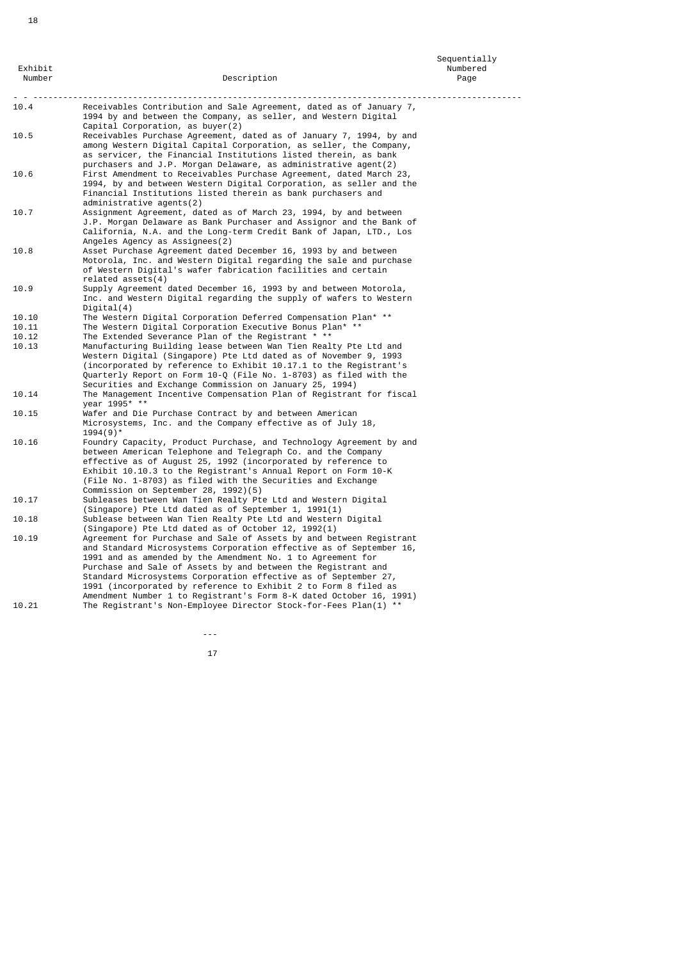Sequentially Exhibit Numbered **Exhibit** Number of Australian Australian Australian Australian Australian Australian Australian Australian Australian Australian Australian Australian Australian Australian Australian Australian Australia Number Description Page - - -------------------------------------------------------------------------------------------------- Receivables Contribution and Sale Agreement, dated as of January 7, 1994 by and between the Company, as seller, and Western Digital Capital Corporation, as buyer(2) 10.5 Receivables Purchase Agreement, dated as of January 7, 1994, by and among Western Digital Capital Corporation, as seller, the Company, as servicer, the Financial Institutions listed therein, as bank purchasers and J.P. Morgan Delaware, as administrative agent(2)<br>First Amendment to Receivables Purchase Agreement dated March 10.6 First Amendment to Receivables Purchase Agreement, dated March 23, 1994, by and between Western Digital Corporation, as seller and the Financial Institutions listed therein as bank purchasers and administrative agents(2)<br>10.7 Assignment Agreement, da 10.7 Assignment Agreement, dated as of March 23, 1994, by and between J.P. Morgan Delaware as Bank Purchaser and Assignor and the Bank of California, N.A. and the Long-term Credit Bank of Japan, LTD., Los Angeles Agency as Assignees(2)<br>10.8 Asset Purchase Agreement dated 10.8 Asset Purchase Agreement dated December 16, 1993 by and between Motorola, Inc. and Western Digital regarding the sale and purchase of Western Digital's wafer fabrication facilities and certain related assets(4) 10.9 Supply Agreement dated December 16, 1993 by and between Motorola, Inc. and Western Digital regarding the supply of wafers to Western Digital(4)<br>10.10 The Wester 10.10 The Western Digital Corporation Deferred Compensation Plan\* \*\*<br>10.11 The Western Digital Corporation Executive Bonus Plan\* \*\* 10.11 The Western Digital Corporation Executive Bonus Plan\*<br>10.12 The Extended Severance Plan of the Registrant \* \*\* 10.12 The Extended Severance Plan of the Registrant \* \*\*<br>10.13 Manufacturing Building lease between Wan Tien Real Manufacturing Building lease between Wan Tien Realty Pte Ltd and Western Digital (Singapore) Pte Ltd dated as of November 9, 1993 (incorporated by reference to Exhibit 10.17.1 to the Registrant's Quarterly Report on Form 10-Q (File No. 1-8703) as filed with the Securities and Exchange Commission on January 25, 1994) 10.14 The Management Incentive Compensation Plan of Registrant for fiscal year  $199\bar{5}^*$  \*  $\overline{5}$  Wafer and Di  $\sim$  Wafer and Die Purchase Contract by and between American Microsystems, Inc. and the Company effective as of July 18,  $1994(9)^*$ <br>10.16 Foundry 10.16 Foundry Capacity, Product Purchase, and Technology Agreement by and between American Telephone and Telegraph Co. and the Company effective as of August 25, 1992 (incorporated by reference to Exhibit 10.10.3 to the Registrant's Annual Report on Form 10-K (File No. 1-8703) as filed with the Securities and Exchange Commission on September 28, 1992)(5)<br>Commission on September 28, 1992)(5)<br>10.17 Subleases between Wan Tien Realty Pt 10.17 Subleases between Wan Tien Realty Pte Ltd and Western Digital (Singapore) Pte Ltd dated as of September 1, 1991(1)<br>10.18 Sublease between Wan Tien Realty Pte Ltd and Western Sublease between Wan Tien Realty Pte Ltd and Western Digital (Singapore) Pte Ltd dated as of October 12, 1992(1)<br>10.19 Agreement for Purchase and Sale of Assets by and bet Agreement for Purchase and Sale of Assets by and between Registrant and Standard Microsystems Corporation effective as of September 16, 1991 and as amended by the Amendment No. 1 to Agreement for Purchase and Sale of Assets by and between the Registrant and Standard Microsystems Corporation effective as of September 27, 1991 (incorporated by reference to Exhibit 2 to Form 8 filed as Amendment Number 1 to Registrant's Form 8-K dated October 16, 1991)<br>10.21 The Registrant's Non-Employee Director Stock-for-Fees Plan(1) \*\* The Registrant's Non-Employee Director Stock-for-Fees Plan(1) \*\*

---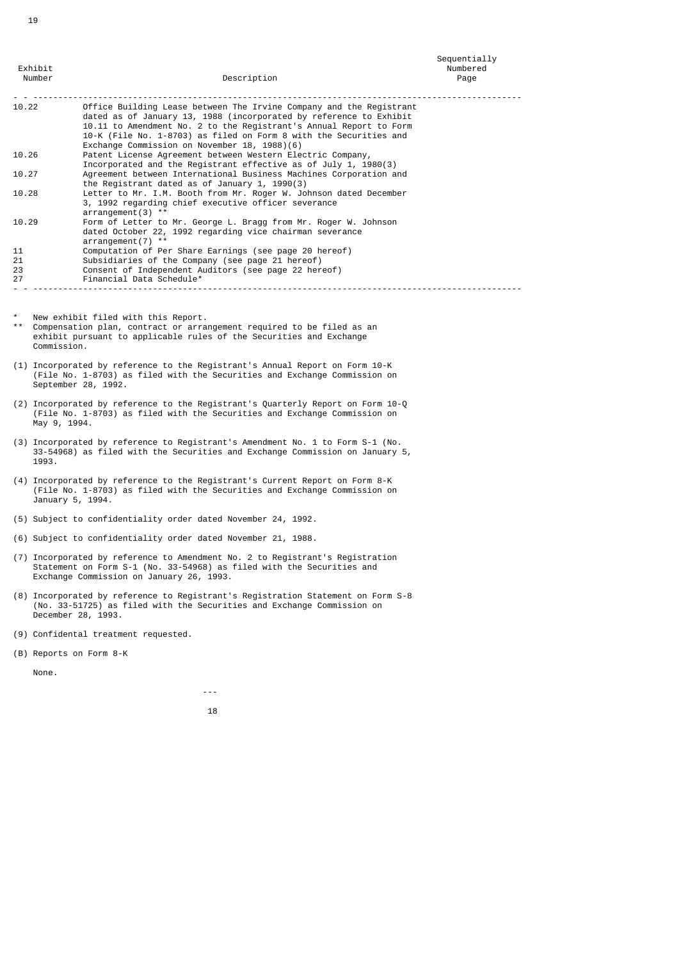Sequentially Exhibit Numbered **Exhibit** Number of Australian Australian Australian Australian Australian Australian Australian Australian Australian Australian Australian Australian Australian Australian Australian Australian Australia Number Description Page - - -------------------------------------------------------------------------------------------------- Office Building Lease between The Irvine Company and the Registrant dated as of January 13, 1988 (incorporated by reference to Exhibit 10.11 to Amendment No. 2 to the Registrant's Annual Report to Form 10-K (File No. 1-8703) as filed on Form 8 with the Securities and Exchange Commission on November 18, 1988)(6) 10.26 Patent License Agreement between Western Electric Company, Incorporated and the Registrant effective as of July 1, 1980(3) 10.27 Agreement between International Business Machines Corporation and the Registrant dated as of January 1, 1990(3) 10.28 Letter to Mr. I.M. Booth from Mr. Roger W. Johnson dated December 3, 1992 regarding chief executive officer severance arrangement(3) \*\* 10.29 Form of Letter to Mr. George L. Bragg from Mr. Roger W. Johnson dated October 22, 1992 regarding vice chairman severance arrangement(7) \*\* 11 Computation of Per Share Earnings (see page 20 hereof)<br>21 Subsidiaries of the Company (see page 21 hereof) 21 Subsidiaries of the Company (see page 21 hereof)<br>23 Consent of Independent Auditors (see page 22 here

- - --------------------------------------------------------------------------------------------------

New exhibit filed with this Report.

27 Financial Data Schedule\*

19

\*\* Compensation plan, contract or arrangement required to be filed as an exhibit pursuant to applicable rules of the Securities and Exchange Commission.

23 Consent of Independent Auditors (see page 22 hereof)

- (1) Incorporated by reference to the Registrant's Annual Report on Form 10-K (File No. 1-8703) as filed with the Securities and Exchange Commission on September 28, 1992.
- (2) Incorporated by reference to the Registrant's Quarterly Report on Form 10-Q (File No. 1-8703) as filed with the Securities and Exchange Commission on May 9, 1994.
- (3) Incorporated by reference to Registrant's Amendment No. 1 to Form S-1 (No. 33-54968) as filed with the Securities and Exchange Commission on January 5, 1993.
- (4) Incorporated by reference to the Registrant's Current Report on Form 8-K (File No. 1-8703) as filed with the Securities and Exchange Commission on January 5, 1994.
- (5) Subject to confidentiality order dated November 24, 1992.
- (6) Subject to confidentiality order dated November 21, 1988.
- (7) Incorporated by reference to Amendment No. 2 to Registrant's Registration Statement on Form S-1 (No. 33-54968) as filed with the Securities and Exchange Commission on January 26, 1993.
- (8) Incorporated by reference to Registrant's Registration Statement on Form S-8 (No. 33-51725) as filed with the Securities and Exchange Commission on December 28, 1993.
- (9) Confidental treatment requested.

and the state of the state of the state of the state of the state of the state of the state of the state of the

(B) Reports on Form 8-K

None.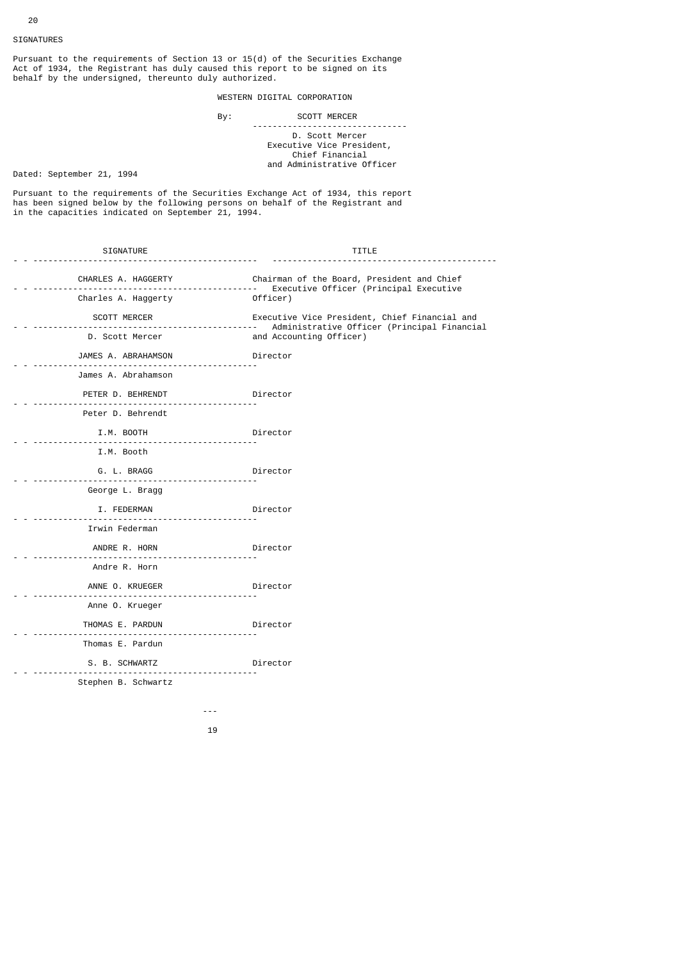20

Pursuant to the requirements of Section 13 or 15(d) of the Securities Exchange Act of 1934, the Registrant has duly caused this report to be signed on its behalf by the undersigned, thereunto duly authorized.

# WESTERN DIGITAL CORPORATION

# By: SCOTT MERCER

## -------------------------------

 D. Scott Mercer Executive Vice President, Chief Financial and Administrative Officer

Dated: September 21, 1994

Pursuant to the requirements of the Securities Exchange Act of 1934, this report has been signed below by the following persons on behalf of the Registrant and in the capacities indicated on September 21, 1994.

| SIGNATURE                  | TITLE                                                                                        |
|----------------------------|----------------------------------------------------------------------------------------------|
| -----------                | Chairman of the Board, President and Chief<br>Executive Officer (Principal Executive         |
| Charles A. Haggerty        | Officer)                                                                                     |
| SCOTT MERCER               | Executive Vice President, Chief Financial and<br>Administrative Officer (Principal Financial |
| D. Scott Mercer            | and Accounting Officer)                                                                      |
| JAMES A. ABRAHAMSON        | Director                                                                                     |
| James A. Abrahamson        |                                                                                              |
| PETER D. BEHRENDT Director |                                                                                              |
| Peter D. Behrendt          |                                                                                              |
| I.M. BOOTH                 | <b>Director</b>                                                                              |
| I.M. Booth                 |                                                                                              |
| G. L. BRAGG Director       |                                                                                              |
| George L. Bragg            |                                                                                              |
| I. FEDERMAN                | Director                                                                                     |
| Irwin Federman             |                                                                                              |
| ANDRE R. HORN              | Director <b>Director</b>                                                                     |
| Andre R. Horn              |                                                                                              |
| ANNE O. KRUEGER            | <b>Director</b>                                                                              |
| Anne O. Krueger            |                                                                                              |
| THOMAS E. PARDUN Director  |                                                                                              |
| Thomas E. Pardun           |                                                                                              |
| S. B. SCHWARTZ Director    |                                                                                              |
| Stephen B. Schwartz        |                                                                                              |
|                            |                                                                                              |

19

and the state of the state of the state of the state of the state of the state of the state of the state of the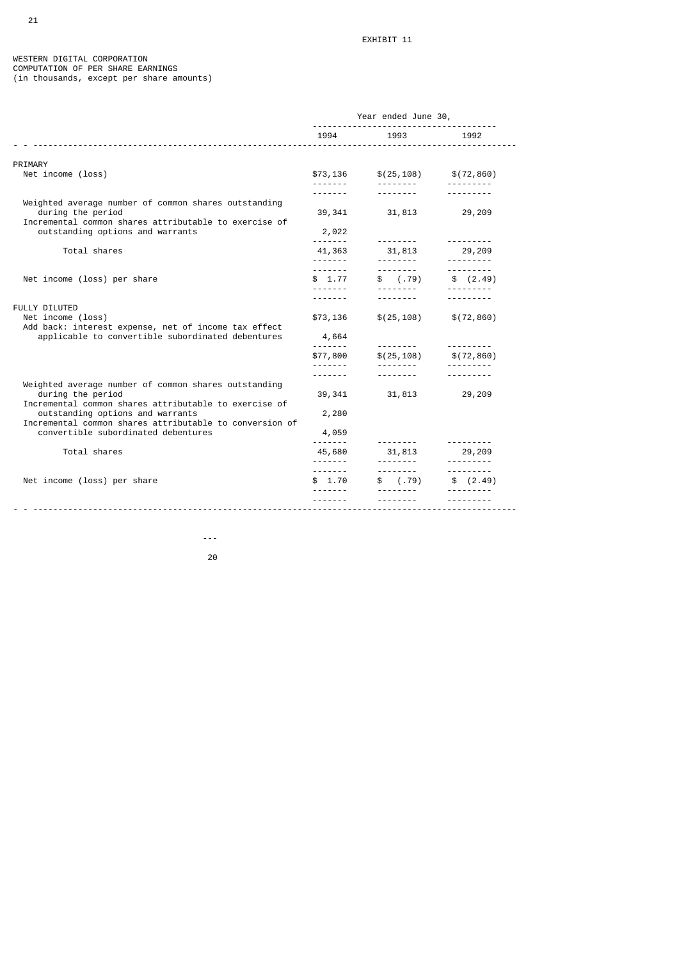#### WESTERN DIGITAL CORPORATION COMPUTATION OF PER SHARE EARNINGS (in thousands, except per share amounts)

|                                                                                                                                                      | Year ended June 30, |                                        |                         |  |  |
|------------------------------------------------------------------------------------------------------------------------------------------------------|---------------------|----------------------------------------|-------------------------|--|--|
|                                                                                                                                                      | 1994                | 1993                                   | 1992                    |  |  |
| PRIMARY                                                                                                                                              |                     |                                        |                         |  |  |
| Net income (loss)                                                                                                                                    | \$73,136<br>.       | \$(25, 108)<br><u> - - - - - - - -</u> | \$(72,860)<br>--------- |  |  |
|                                                                                                                                                      |                     |                                        |                         |  |  |
| Weighted average number of common shares outstanding<br>during the period<br>Incremental common shares attributable to exercise of                   | 39,341              | 31,813                                 | 29,209                  |  |  |
| outstanding options and warrants                                                                                                                     | 2,022<br><u>.</u>   | --------                               | ---------               |  |  |
| Total shares                                                                                                                                         | 41,363              | 31,813                                 | 29,209                  |  |  |
|                                                                                                                                                      | - - - - - - -       | <u> - - - - - - - - -</u>              |                         |  |  |
| Net income (loss) per share                                                                                                                          | \$1.77              | \$(.79)                                | \$(2.49)                |  |  |
|                                                                                                                                                      | -------             |                                        |                         |  |  |
| <b>FULLY DILUTED</b>                                                                                                                                 |                     |                                        |                         |  |  |
| Net income (loss)<br>Add back: interest expense, net of income tax effect                                                                            | \$73,136            | \$(25, 108)                            | \$(72, 860)             |  |  |
| applicable to convertible subordinated debentures                                                                                                    | 4,664               | ---------                              | ---------               |  |  |
|                                                                                                                                                      | \$77,800            | \$(25, 108)                            | \$(72,860)              |  |  |
|                                                                                                                                                      | . <u>.</u>          | ---------<br>.                         | ---------               |  |  |
| Weighted average number of common shares outstanding<br>during the period                                                                            | 39,341              | 31,813                                 | 29,209                  |  |  |
| Incremental common shares attributable to exercise of<br>outstanding options and warrants<br>Incremental common shares attributable to conversion of | 2,280               |                                        |                         |  |  |
| convertible subordinated debentures                                                                                                                  | 4,059               |                                        |                         |  |  |
| Total shares                                                                                                                                         | 45,680              | 31,813                                 | ---------<br>29,209     |  |  |
|                                                                                                                                                      | - - - - - - -       | <u>.</u><br>.                          | .<br>.                  |  |  |
| Net income (loss) per share                                                                                                                          | \$1.70              | \$(.79)                                | \$(2.49)                |  |  |
|                                                                                                                                                      |                     |                                        |                         |  |  |

е процесси производите на 1920 година в 1920 година в 1920 година в 1920 година в 1920 година в 1920 година в <br>2001 година в 1920 година в 1920 година в 1920 година в 1920 година в 1920 година в 1920 година в 1920 година

and the state of the state of the state of the state of the state of the state of the state of the state of the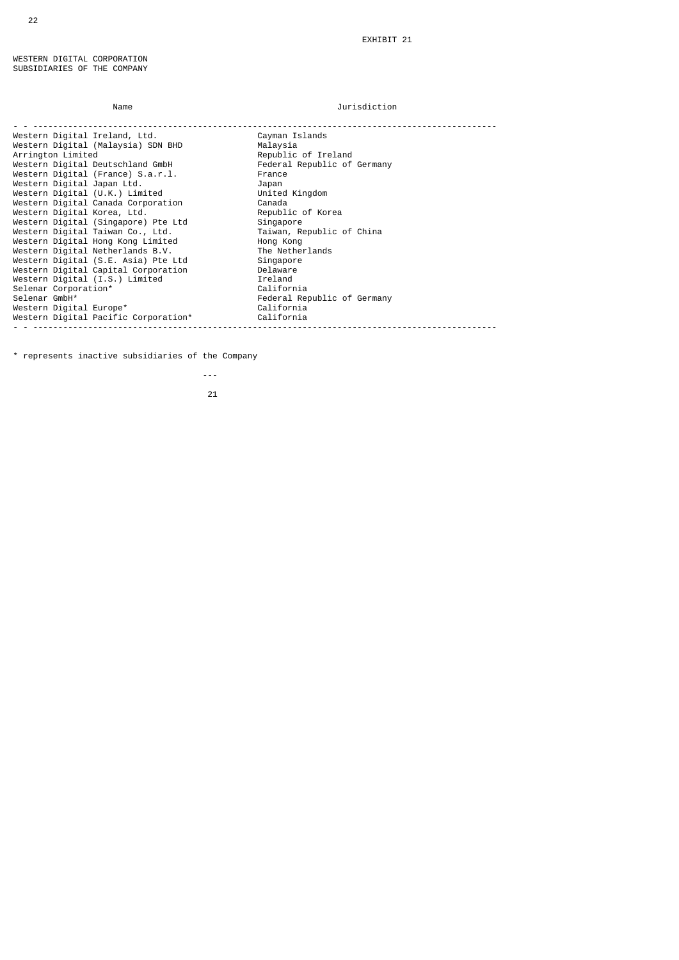# Name Jurisdiction

| Western Digital Ireland, Ltd.        | Cayman Islands              |
|--------------------------------------|-----------------------------|
| Western Digital (Malaysia) SDN BHD   | Malaysia                    |
| Arrington Limited                    | Republic of Ireland         |
| Western Digital Deutschland GmbH     | Federal Republic of Germany |
| Western Digital (France) S.a.r.l.    | France                      |
| Western Digital Japan Ltd.           | Japan                       |
| Western Digital (U.K.) Limited       | United Kingdom              |
| Western Digital Canada Corporation   | Canada                      |
| Western Digital Korea, Ltd.          | Republic of Korea           |
| Western Digital (Singapore) Pte Ltd  | Singapore                   |
| Western Digital Taiwan Co., Ltd.     | Taiwan, Republic of China   |
| Western Digital Hong Kong Limited    | Hong Kong                   |
| Western Digital Netherlands B.V.     | The Netherlands             |
| Western Digital (S.E. Asia) Pte Ltd  | Singapore                   |
| Western Digital Capital Corporation  | Delaware                    |
| Western Digital (I.S.) Limited       | Ireland                     |
| Selenar Corporation*                 | California                  |
| Selenar GmbH*                        | Federal Republic of Germany |
| Western Digital Europe*              | California                  |
| Western Digital Pacific Corporation* | California                  |
|                                      |                             |

\* represents inactive subsidiaries of the Company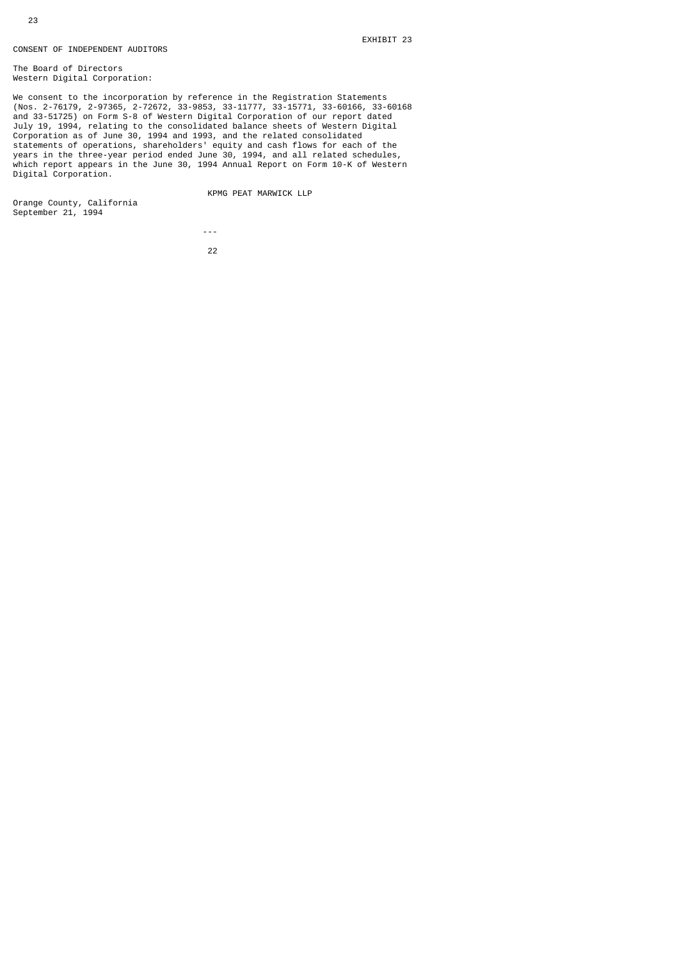# CONSENT OF INDEPENDENT AUDITORS

The Board of Directors Western Digital Corporation:

We consent to the incorporation by reference in the Registration Statements (Nos. 2-76179, 2-97365, 2-72672, 33-9853, 33-11777, 33-15771, 33-60166, 33-60168 and 33-51725) on Form S-8 of Western Digital Corporation of our report dated July 19, 1994, relating to the consolidated balance sheets of Western Digital Corporation as of June 30, 1994 and 1993, and the related consolidated statements of operations, shareholders' equity and cash flows for each of the years in the three-year period ended June 30, 1994, and all related schedules, which report appears in the June 30, 1994 Annual Report on Form 10-K of Western Digital Corporation.

KPMG PEAT MARWICK LLP

Orange County, California September 21, 1994

---

<u>22</u>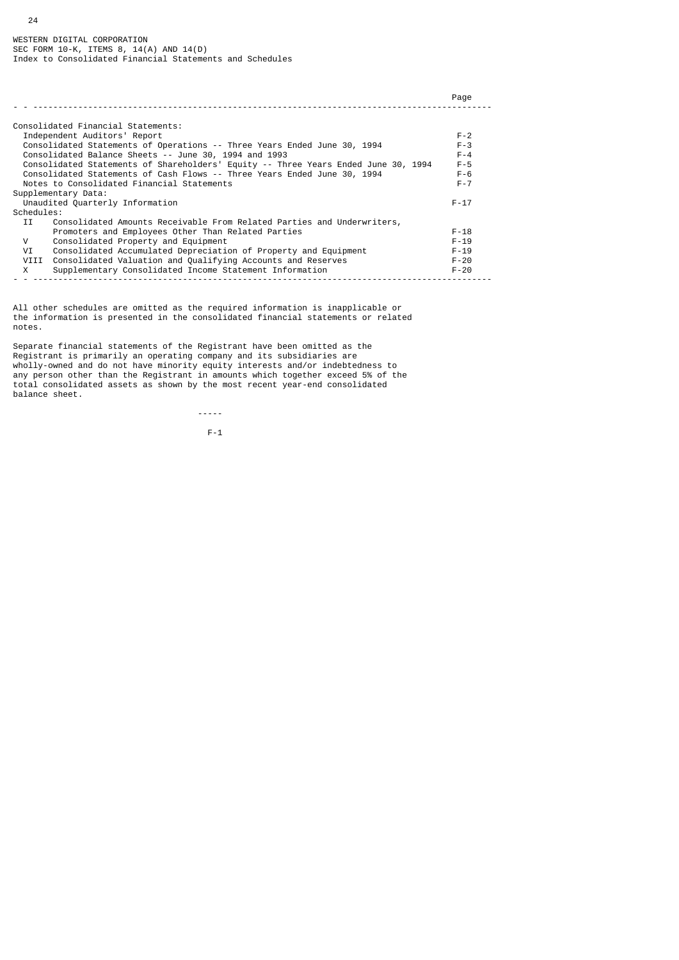24

|                                                                                    | Page     |
|------------------------------------------------------------------------------------|----------|
|                                                                                    |          |
| Consolidated Financial Statements:                                                 |          |
| Independent Auditors' Report                                                       | $F - 2$  |
| Consolidated Statements of Operations -- Three Years Ended June 30, 1994           | $F - 3$  |
| Consolidated Balance Sheets -- June 30, 1994 and 1993                              | $F - 4$  |
| Consolidated Statements of Shareholders' Equity -- Three Years Ended June 30, 1994 | $F - 5$  |
| Consolidated Statements of Cash Flows -- Three Years Ended June 30, 1994           | $F - 6$  |
| Notes to Consolidated Financial Statements                                         | $F - 7$  |
| Supplementary Data:                                                                |          |
| Unaudited Quarterly Information                                                    | $F - 17$ |
| Schedules:                                                                         |          |
| Consolidated Amounts Receivable From Related Parties and Underwriters,<br>IJ       |          |
| Promoters and Employees Other Than Related Parties                                 | $F - 18$ |
| Consolidated Property and Equipment<br>V                                           | $F - 19$ |
| Consolidated Accumulated Depreciation of Property and Equipment<br>VI              | $F - 19$ |
| VIII<br>Consolidated Valuation and Qualifying Accounts and Reserves                | $F - 20$ |
| Supplementary Consolidated Income Statement Information<br>X                       | $F - 20$ |
|                                                                                    |          |

All other schedules are omitted as the required information is inapplicable or the information is presented in the consolidated financial statements or related notes.

Separate financial statements of the Registrant have been omitted as the Registrant is primarily an operating company and its subsidiaries are wholly-owned and do not have minority equity interests and/or indebtedness to any person other than the Registrant in amounts which together exceed 5% of the total consolidated assets as shown by the most recent year-end consolidated balance sheet.

-----

 $F-1$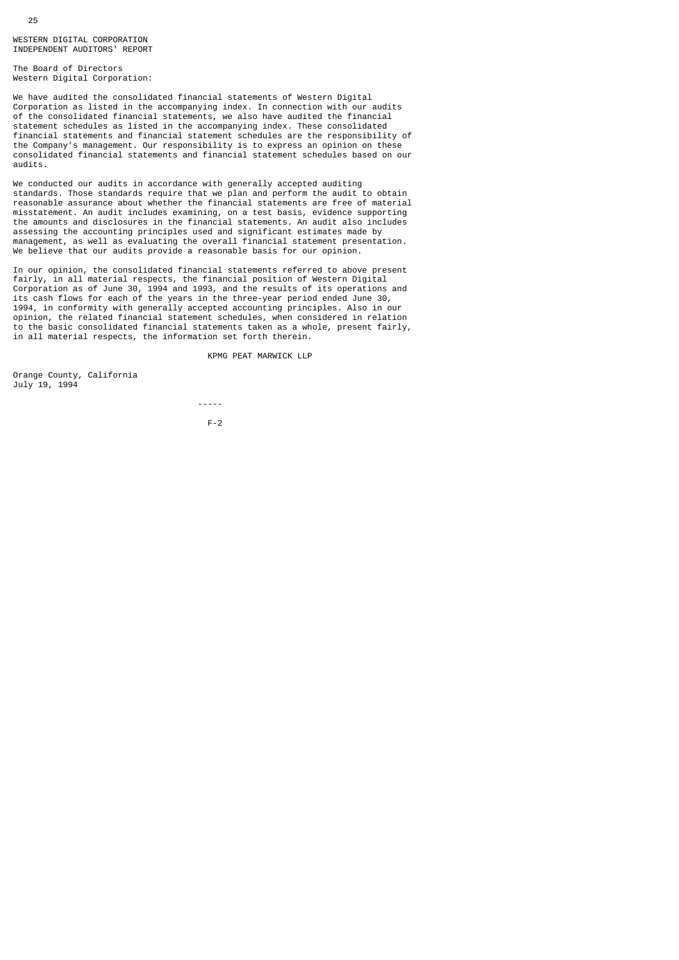The Board of Directors Western Digital Corporation:

We have audited the consolidated financial statements of Western Digital Corporation as listed in the accompanying index. In connection with our audits of the consolidated financial statements, we also have audited the financial statement schedules as listed in the accompanying index. These consolidated financial statements and financial statement schedules are the responsibility of the Company's management. Our responsibility is to express an opinion on these consolidated financial statements and financial statement schedules based on our audits.

We conducted our audits in accordance with generally accepted auditing standards. Those standards require that we plan and perform the audit to obtain reasonable assurance about whether the financial statements are free of material misstatement. An audit includes examining, on a test basis, evidence supporting the amounts and disclosures in the financial statements. An audit also includes assessing the accounting principles used and significant estimates made by management, as well as evaluating the overall financial statement presentation. We believe that our audits provide a reasonable basis for our opinion.

In our opinion, the consolidated financial statements referred to above present fairly, in all material respects, the financial position of Western Digital Corporation as of June 30, 1994 and 1993, and the results of its operations and its cash flows for each of the years in the three-year period ended June 30, 1994, in conformity with generally accepted accounting principles. Also in our opinion, the related financial statement schedules, when considered in relation to the basic consolidated financial statements taken as a whole, present fairly, in all material respects, the information set forth therein.

KPMG PEAT MARWICK LLP

Orange County, California July 19, 1994

 ----- F-2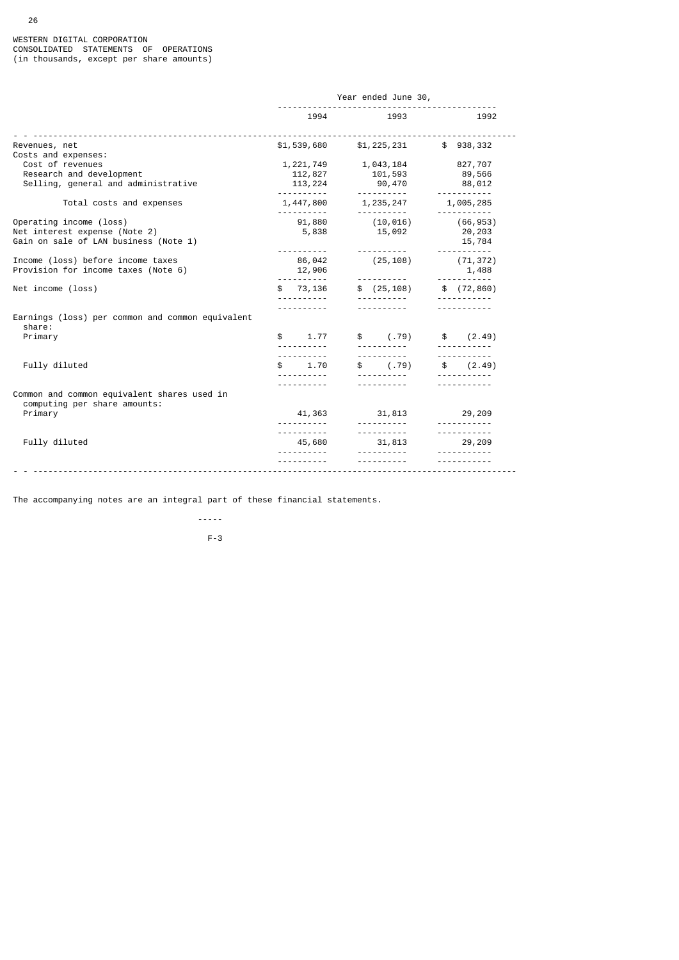| 1994                   | 1993                                                                  | 1992                                                                                                                                                                                                                         |
|------------------------|-----------------------------------------------------------------------|------------------------------------------------------------------------------------------------------------------------------------------------------------------------------------------------------------------------------|
|                        |                                                                       | ---------------                                                                                                                                                                                                              |
| 112,827<br>113, 224    | 101,593<br>90,470                                                     | 827,707<br>89,566<br>88,012<br><u> - - - - - - - - - - -</u>                                                                                                                                                                 |
|                        |                                                                       | 1,005,285<br>-----------                                                                                                                                                                                                     |
| 91,880<br>5,838        | $(10, 016)$ (66,953)<br>15,092                                        | 20,203<br>15,784<br><u>.</u>                                                                                                                                                                                                 |
| 86,042<br>12,906       |                                                                       | (71, 372)<br>1,488<br><u> - - - - - - - - - - -</u>                                                                                                                                                                          |
|                        |                                                                       |                                                                                                                                                                                                                              |
| <u>.</u>               |                                                                       |                                                                                                                                                                                                                              |
| \$ 1.77                | $$ (79)$ \$ $(2.49)$                                                  |                                                                                                                                                                                                                              |
|                        | $\text{\$} \qquad \text{(.79)} \qquad \text{\$} \qquad \text{(2.49)}$ | <u></u>                                                                                                                                                                                                                      |
| 41,363                 | 31,813                                                                | 29,209                                                                                                                                                                                                                       |
| <u>.</u> .<br><u>.</u> | <u> - - - - - - - - - -</u><br><u> - - - - - - - - - -</u>            | <u> - - - - - - - - - - -</u><br><u> - - - - - - - - - - -</u><br>29,209                                                                                                                                                     |
|                        |                                                                       |                                                                                                                                                                                                                              |
|                        | <u>.</u><br><u>.</u>                                                  | Year ended June 30,<br>$$1,539,680$ $$1,225,231$ $$938,332$<br>1, 221, 749 1, 043, 184<br>1,447,800 1,235,247<br>.<br>(25, 108)<br><u> - - - - - - - - -</u><br>$$73,136$ $$(25,108)$ $$(72,860)$<br>\$1.70<br>45,680 31,813 |

The accompanying notes are an integral part of these financial statements.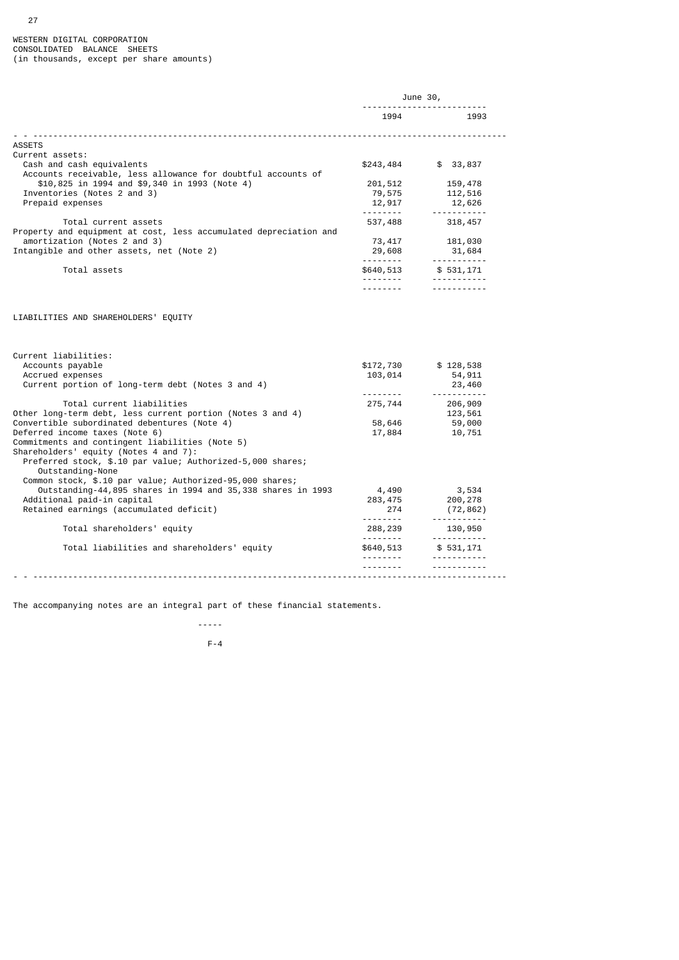27

|                                                                                                                                                                                                                                          | June 30,                    |                                             |  |
|------------------------------------------------------------------------------------------------------------------------------------------------------------------------------------------------------------------------------------------|-----------------------------|---------------------------------------------|--|
|                                                                                                                                                                                                                                          | 1994                        | 1993                                        |  |
| ASSETS                                                                                                                                                                                                                                   |                             |                                             |  |
| Current assets:                                                                                                                                                                                                                          |                             |                                             |  |
| Cash and cash equivalents                                                                                                                                                                                                                | \$243,484                   | \$33,837                                    |  |
| Accounts receivable, less allowance for doubtful accounts of                                                                                                                                                                             |                             |                                             |  |
| \$10,825 in 1994 and \$9,340 in 1993 (Note 4)                                                                                                                                                                                            | 201,512                     | 159,478                                     |  |
| Inventories (Notes 2 and 3)                                                                                                                                                                                                              | 79,575                      | 112,516                                     |  |
| Prepaid expenses                                                                                                                                                                                                                         | 12,917                      | 12,626                                      |  |
|                                                                                                                                                                                                                                          |                             | -----------                                 |  |
| Total current assets                                                                                                                                                                                                                     | 537,488                     | 318,457                                     |  |
| Property and equipment at cost, less accumulated depreciation and                                                                                                                                                                        |                             |                                             |  |
| amortization (Notes 2 and 3)                                                                                                                                                                                                             | 73,417                      | 181,030                                     |  |
| Intangible and other assets, net (Note 2)                                                                                                                                                                                                | 29,608                      | 31,684<br><sup>+</sup> ∪∪,⊥ن<br>----------- |  |
| Total assets                                                                                                                                                                                                                             | \$640,513                   | \$531,171                                   |  |
|                                                                                                                                                                                                                                          |                             | <u> - - - - - - - - - - -</u>               |  |
|                                                                                                                                                                                                                                          | ---------                   |                                             |  |
| Current liabilities:<br>Accounts payable                                                                                                                                                                                                 | \$172,730                   | \$128,538                                   |  |
| Accrued expenses                                                                                                                                                                                                                         |                             |                                             |  |
|                                                                                                                                                                                                                                          | 103,014                     | 54,911                                      |  |
| Current portion of long-term debt (Notes 3 and 4)                                                                                                                                                                                        |                             | 23,460                                      |  |
|                                                                                                                                                                                                                                          | <u> - - - - - - - - - -</u> | -----------                                 |  |
| Total current liabilities                                                                                                                                                                                                                | 275,744                     | 206,909                                     |  |
|                                                                                                                                                                                                                                          |                             | 123,561                                     |  |
|                                                                                                                                                                                                                                          | 58,646                      | 59,000                                      |  |
|                                                                                                                                                                                                                                          | 17,884                      | 10,751                                      |  |
| Preferred stock, \$.10 par value; Authorized-5,000 shares;                                                                                                                                                                               |                             |                                             |  |
| Outstanding-None                                                                                                                                                                                                                         |                             |                                             |  |
| Common stock, \$.10 par value; Authorized-95,000 shares;                                                                                                                                                                                 |                             |                                             |  |
| Outstanding-44,895 shares in 1994 and 35,338 shares in 1993                                                                                                                                                                              | 4,490                       | 3,534                                       |  |
| Additional paid-in capital                                                                                                                                                                                                               | 283,475                     | 200,278                                     |  |
| Retained earnings (accumulated deficit)                                                                                                                                                                                                  | 274                         | (72, 862)                                   |  |
| Total shareholders' equity                                                                                                                                                                                                               | 288,239                     | 130,950                                     |  |
|                                                                                                                                                                                                                                          |                             | . <b>.</b>                                  |  |
| Total liabilities and shareholders' equity                                                                                                                                                                                               | \$640,513                   | \$ 531,171                                  |  |
| Other long-term debt, less current portion (Notes 3 and 4)<br>Convertible subordinated debentures (Note 4)<br>Deferred income taxes (Note 6)<br>Commitments and contingent liabilities (Note 5)<br>Shareholders' equity (Notes 4 and 7): |                             |                                             |  |

The accompanying notes are an integral part of these financial statements.

 -----  $F-4$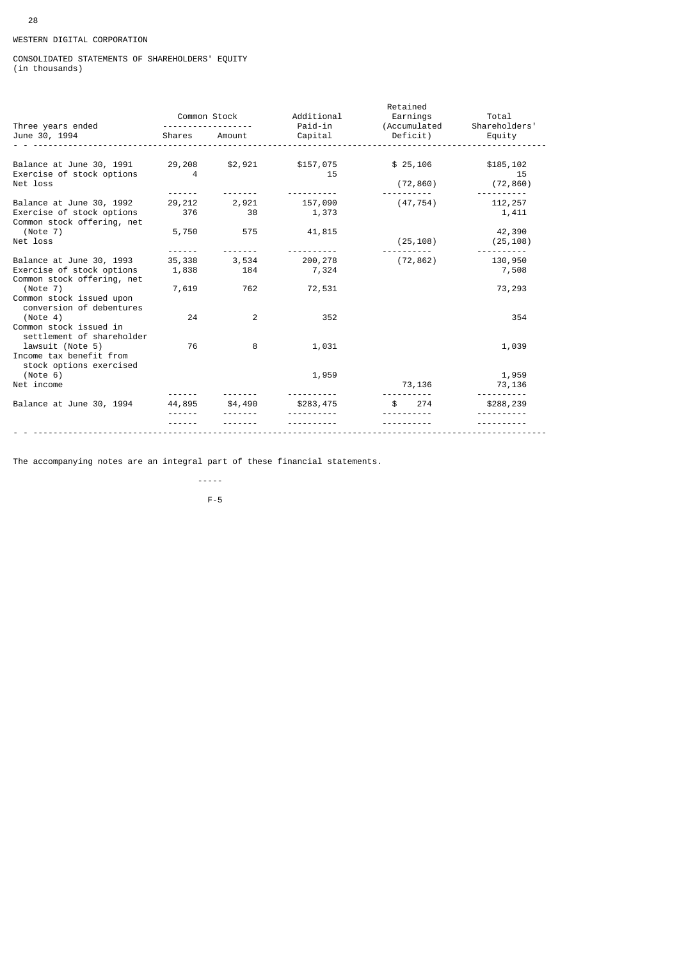# WESTERN DIGITAL CORPORATION

# CONSOLIDATED STATEMENTS OF SHAREHOLDERS' EQUITY (in thousands)

|                                                                                             |                                                                                                                           |              | Additional       | Retained                 | Total               |
|---------------------------------------------------------------------------------------------|---------------------------------------------------------------------------------------------------------------------------|--------------|------------------|--------------------------|---------------------|
| Three years ended                                                                           |                                                                                                                           | Common Stock | Paid-in          | Earnings<br>(Accumulated | Shareholders'       |
| June 30, 1994                                                                               | Shares                                                                                                                    | Amount       | Capital          | Deficit)                 | Equity              |
| Balance at June 30, 1991                                                                    | 29,208                                                                                                                    | \$2,921      | \$157,075        | \$25,106                 | \$185,102           |
| Exercise of stock options<br>Net loss                                                       | 4                                                                                                                         |              | 15               | (72, 860)                | 15<br>(72, 860)     |
|                                                                                             | $\frac{1}{2} \frac{1}{2} \frac{1}{2} \frac{1}{2} \frac{1}{2} \frac{1}{2} \frac{1}{2} \frac{1}{2} \frac{1}{2} \frac{1}{2}$ |              |                  |                          |                     |
| Balance at June 30, 1992<br>Exercise of stock options<br>Common stock offering, net         | 29,212<br>376                                                                                                             | 2,921<br>38  | 157,090<br>1,373 | (47, 754)                | 112,257<br>1,411    |
| (Note 7)<br>Net loss                                                                        | 5,750                                                                                                                     | 575          | 41,815           | (25, 108)                | 42,390<br>(25, 108) |
| Balance at June 30, 1993                                                                    | 35,338                                                                                                                    | 3,534        | 200,278          | (72, 862)                | 130,950             |
| Exercise of stock options<br>Common stock offering, net                                     | 1,838                                                                                                                     | 184          | 7,324            |                          | 7,508               |
| (Note 7)<br>Common stock issued upon                                                        | 7,619                                                                                                                     | 762          | 72,531           |                          | 73,293              |
| conversion of debentures<br>(Note 4)<br>Common stock issued in<br>settlement of shareholder | 24                                                                                                                        | 2            | 352              |                          | 354                 |
| lawsuit (Note 5)<br>Income tax benefit from<br>stock options exercised                      | 76                                                                                                                        | 8            | 1,031            |                          | 1,039               |
| (Note 6)                                                                                    |                                                                                                                           |              | 1,959            |                          | 1,959               |
| Net income                                                                                  |                                                                                                                           |              |                  | 73,136                   | 73,136              |
| Balance at June 30, 1994                                                                    | 44,895                                                                                                                    | \$4,490      | \$283,475        | 274                      | \$288,239           |
|                                                                                             |                                                                                                                           |              |                  |                          |                     |
|                                                                                             |                                                                                                                           |              |                  |                          |                     |

The accompanying notes are an integral part of these financial statements.

 ----- F-5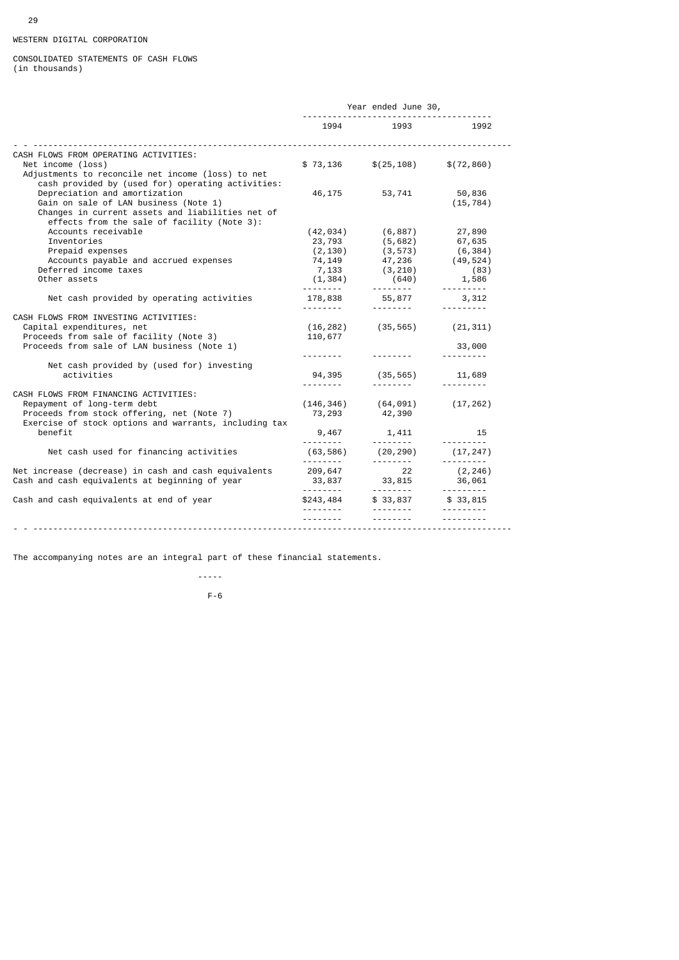# WESTERN DIGITAL CORPORATION

## CONSOLIDATED STATEMENTS OF CASH FLOWS (in thousands)

|                                                                                                                                                                                                                                | Year ended June 30,                                                              |                                                                                                     |                                                |
|--------------------------------------------------------------------------------------------------------------------------------------------------------------------------------------------------------------------------------|----------------------------------------------------------------------------------|-----------------------------------------------------------------------------------------------------|------------------------------------------------|
|                                                                                                                                                                                                                                |                                                                                  | 1994 1993                                                                                           | 1992                                           |
| CASH FLOWS FROM OPERATING ACTIVITIES:<br>Net income (loss)<br>Adjustments to reconcile net income (loss) to net                                                                                                                | \$73,136                                                                         | \$(25, 108)                                                                                         | \$(72, 860)                                    |
| cash provided by (used for) operating activities:<br>Depreciation and amortization<br>Gain on sale of LAN business (Note 1)<br>Changes in current assets and liabilities net of<br>effects from the sale of facility (Note 3): |                                                                                  | 46, 175 53, 741                                                                                     | 50,836<br>(15, 784)                            |
| Accounts receivable<br>Inventories<br>Prepaid expenses<br>Accounts payable and accrued expenses<br>Deferred income taxes<br>Other assets                                                                                       | (42, 034)<br>23,793<br>(2, 130)<br>74,149<br>7,133<br>(1, 384)<br>. <sub>.</sub> | (6, 887)<br>(5,682)<br>$(3, 573)$ (6,384)<br>47,236<br>(3, 210)<br>(640)<br><u> - - - - - - - -</u> | 27,890<br>67,635<br>(49, 524)<br>(83)<br>1,586 |
| Net cash provided by operating activities                                                                                                                                                                                      | <u>.</u>                                                                         | 178,838 55,877                                                                                      | 3,312                                          |
| CASH FLOWS FROM INVESTING ACTIVITIES:<br>Capital expenditures, net<br>Proceeds from sale of facility (Note 3)<br>Proceeds from sale of LAN business (Note 1)                                                                   | 110,677                                                                          | $(16, 282)$ $(35, 565)$ $(21, 311)$                                                                 | 33,000                                         |
| Net cash provided by (used for) investing<br>activities                                                                                                                                                                        | 94,395<br>---------                                                              | (35, 565)                                                                                           | 11,689<br><u>.</u>                             |
| CASH FLOWS FROM FINANCING ACTIVITIES:<br>Repayment of long-term debt<br>Proceeds from stock offering, net (Note 7)<br>Exercise of stock options and warrants, including tax                                                    | (146, 346)<br>73,293                                                             | (64, 091)<br>42,390                                                                                 | (17, 262)                                      |
| benefit                                                                                                                                                                                                                        | 9,467                                                                            | 1,411<br><u>.</u>                                                                                   | 15                                             |
| Net cash used for financing activities                                                                                                                                                                                         | (63, 586)                                                                        | (20,290)                                                                                            | (17, 247)<br><u>.</u>                          |
| Net increase (decrease) in cash and cash equivalents<br>Cash and cash equivalents at beginning of year                                                                                                                         | 209,647<br>33,837<br><u> - - - - - - - -</u>                                     | <u>.</u><br>22<br>33,815<br><u>.</u>                                                                | (2, 246)<br>36,061<br><u>.</u>                 |
| Cash and cash equivalents at end of year                                                                                                                                                                                       | \$243,484                                                                        | \$33,837                                                                                            | \$33,815                                       |
|                                                                                                                                                                                                                                |                                                                                  |                                                                                                     |                                                |

The accompanying notes are an integral part of these financial statements.

 ----- F-6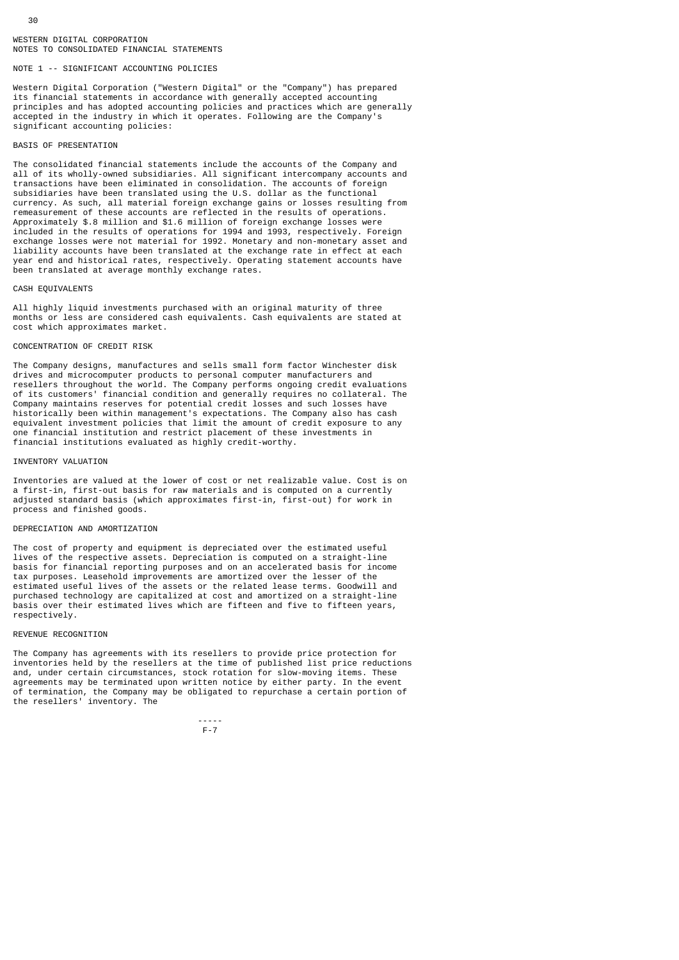# NOTE 1 -- SIGNIFICANT ACCOUNTING POLICIES

Western Digital Corporation ("Western Digital" or the "Company") has prepared its financial statements in accordance with generally accepted accounting principles and has adopted accounting policies and practices which are generally accepted in the industry in which it operates. Following are the Company's significant accounting policies:

# BASIS OF PRESENTATION

30

The consolidated financial statements include the accounts of the Company and all of its wholly-owned subsidiaries. All significant intercompany accounts and transactions have been eliminated in consolidation. The accounts of foreign subsidiaries have been translated using the U.S. dollar as the functional currency. As such, all material foreign exchange gains or losses resulting from remeasurement of these accounts are reflected in the results of operations. Approximately \$.8 million and \$1.6 million of foreign exchange losses were included in the results of operations for 1994 and 1993, respectively. Foreign exchange losses were not material for 1992. Monetary and non-monetary asset and liability accounts have been translated at the exchange rate in effect at each year end and historical rates, respectively. Operating statement accounts have been translated at average monthly exchange rates.

#### CASH EQUIVALENTS

All highly liquid investments purchased with an original maturity of three months or less are considered cash equivalents. Cash equivalents are stated at cost which approximates market.

# CONCENTRATION OF CREDIT RISK

The Company designs, manufactures and sells small form factor Winchester disk drives and microcomputer products to personal computer manufacturers and resellers throughout the world. The Company performs ongoing credit evaluations of its customers' financial condition and generally requires no collateral. The Company maintains reserves for potential credit losses and such losses have historically been within management's expectations. The Company also has cash equivalent investment policies that limit the amount of credit exposure to any one financial institution and restrict placement of these investments in financial institutions evaluated as highly credit-worthy.

# INVENTORY VALUATION

Inventories are valued at the lower of cost or net realizable value. Cost is on a first-in, first-out basis for raw materials and is computed on a currently adjusted standard basis (which approximates first-in, first-out) for work in process and finished goods.

# DEPRECIATION AND AMORTIZATION

The cost of property and equipment is depreciated over the estimated useful lives of the respective assets. Depreciation is computed on a straight-line basis for financial reporting purposes and on an accelerated basis for income tax purposes. Leasehold improvements are amortized over the lesser of the estimated useful lives of the assets or the related lease terms. Goodwill and purchased technology are capitalized at cost and amortized on a straight-line basis over their estimated lives which are fifteen and five to fifteen years, respectively.

# REVENUE RECOGNITION

The Company has agreements with its resellers to provide price protection for inventories held by the resellers at the time of published list price reductions and, under certain circumstances, stock rotation for slow-moving items. These agreements may be terminated upon written notice by either party. In the event of termination, the Company may be obligated to repurchase a certain portion of the resellers' inventory. The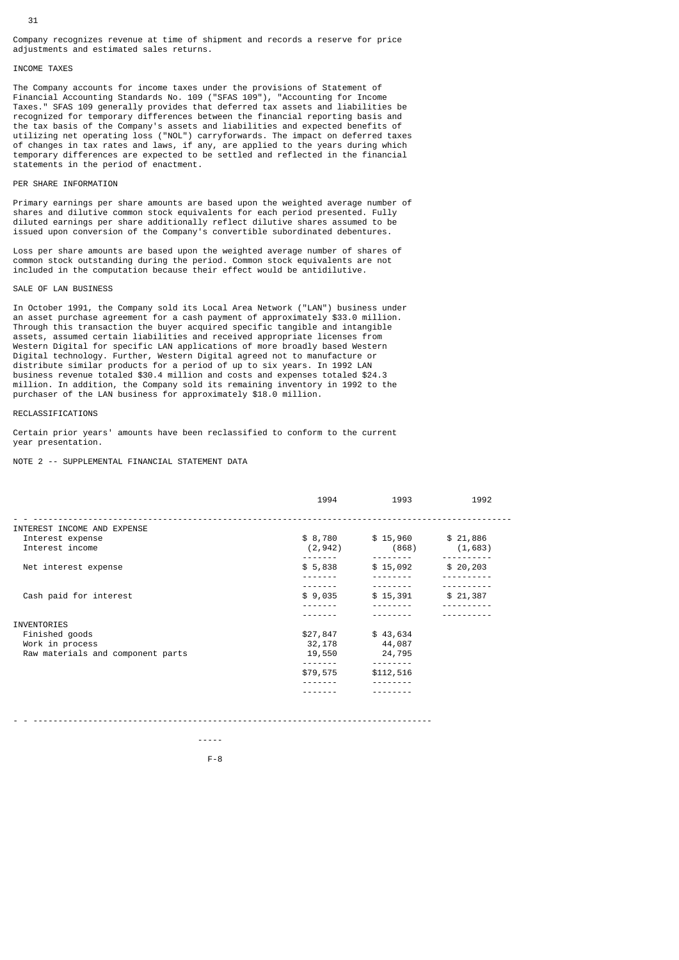Company recognizes revenue at time of shipment and records a reserve for price adjustments and estimated sales returns.

# INCOME TAXES

The Company accounts for income taxes under the provisions of Statement of Financial Accounting Standards No. 109 ("SFAS 109"), "Accounting for Income Taxes." SFAS 109 generally provides that deferred tax assets and liabilities be recognized for temporary differences between the financial reporting basis and the tax basis of the Company's assets and liabilities and expected benefits of utilizing net operating loss ("NOL") carryforwards. The impact on deferred taxes of changes in tax rates and laws, if any, are applied to the years during which temporary differences are expected to be settled and reflected in the financial statements in the period of enactment.

# PER SHARE INFORMATION

Primary earnings per share amounts are based upon the weighted average number of shares and dilutive common stock equivalents for each period presented. Fully diluted earnings per share additionally reflect dilutive shares assumed to be issued upon conversion of the Company's convertible subordinated debentures.

Loss per share amounts are based upon the weighted average number of shares of common stock outstanding during the period. Common stock equivalents are not included in the computation because their effect would be antidilutive.

#### SALE OF LAN BUSINESS

In October 1991, the Company sold its Local Area Network ("LAN") business under an asset purchase agreement for a cash payment of approximately \$33.0 million. Through this transaction the buyer acquired specific tangible and intangible assets, assumed certain liabilities and received appropriate licenses from Western Digital for specific LAN applications of more broadly based Western Digital technology. Further, Western Digital agreed not to manufacture or distribute similar products for a period of up to six years. In 1992 LAN business revenue totaled \$30.4 million and costs and expenses totaled \$24.3 million. In addition, the Company sold its remaining inventory in 1992 to the purchaser of the LAN business for approximately \$18.0 million.

# RECLASSIFICATIONS

Certain prior years' amounts have been reclassified to conform to the current year presentation.

NOTE 2 -- SUPPLEMENTAL FINANCIAL STATEMENT DATA

|                                     | 1994     | 1993                                              | 1992     |
|-------------------------------------|----------|---------------------------------------------------|----------|
| INTEREST INCOME AND EXPENSE         |          |                                                   |          |
| Interest expense<br>Interest income | (2, 942) | $$8,780$ $$15,960$ $$21,886$<br>(868)<br>-------- | (1,683)  |
| Net interest expense                | \$5,838  | \$15,092                                          | \$20,203 |
|                                     |          |                                                   |          |
| Cash paid for interest              | \$9,035  | \$15,391                                          | \$21,387 |
| <b>INVENTORIES</b>                  |          |                                                   |          |
| Finished goods                      | \$27,847 | \$43,634                                          |          |
| Work in process                     | 32,178   | 44,087                                            |          |
| Raw materials and component parts   | 19,550   | 24,795                                            |          |
|                                     |          |                                                   |          |
|                                     | \$79,575 | \$112,516                                         |          |
|                                     |          |                                                   |          |
|                                     |          |                                                   |          |
|                                     |          |                                                   |          |

- - --------------------------------------------------------------------------------

-----

F-8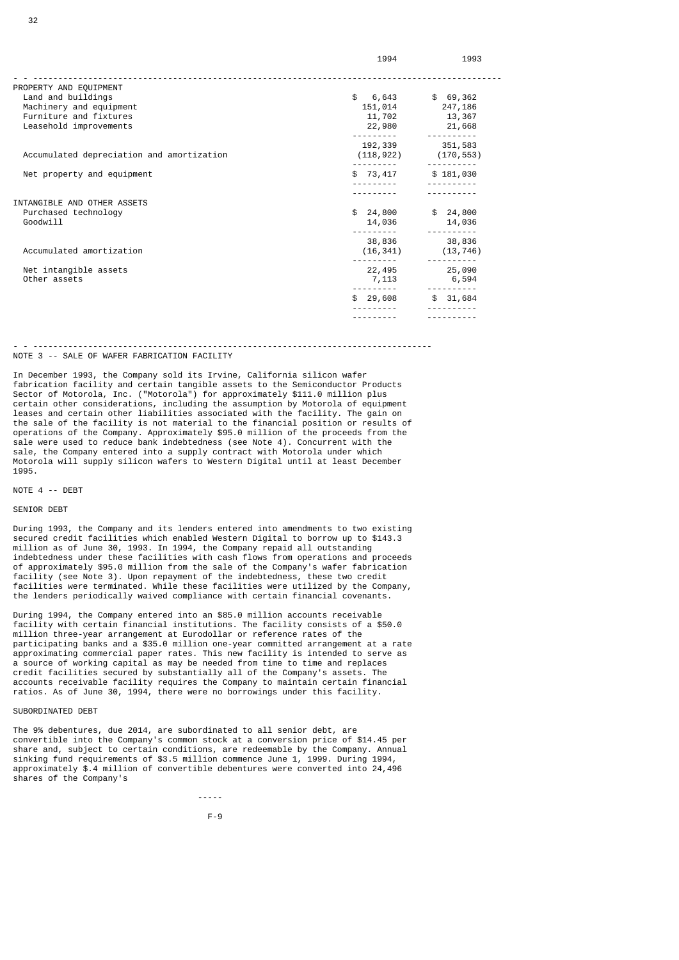|                                           | 1994        | 1993                      |
|-------------------------------------------|-------------|---------------------------|
| PROPERTY AND EQUIPMENT                    |             |                           |
| Land and buildings                        | \$<br>6,643 | \$69,362                  |
| Machinery and equipment                   | 151,014     | 247,186                   |
| Furniture and fixtures                    | 11,702      | 13,367                    |
| Leasehold improvements                    | 22,980      | 21,668                    |
|                                           |             |                           |
|                                           | 192,339     | 351,583                   |
| Accumulated depreciation and amortization |             | $(118, 922)$ $(170, 553)$ |
| Net property and equipment                | \$73,417    | \$181,030                 |
|                                           |             |                           |
|                                           |             |                           |
| INTANGIBLE AND OTHER ASSETS               |             |                           |
| Purchased technology                      | \$24,800    | \$24,800                  |
| Goodwill                                  | 14,036      | 14,036                    |
|                                           |             |                           |
|                                           | 38,836      | 38,836                    |
| Accumulated amortization                  | (16, 341)   | (13, 746)                 |
|                                           |             |                           |

 --------- ----------  $\frac{1}{3}$  29,608  $\frac{1}{3}$  31,684

- - --------------------------------------------------------------------------------

Net intangible assets 22,495 25,090<br>Other assets 22,495 25,090<br> $\frac{1}{7}$ ,113 6,594 Other assets 6,594 and the contract of the contract of the contract of the contract of the contract of the contract of the contract of the contract of the contract of the contract of the contract of the contract of the con

 --------- ---------- --------- ----------

# NOTE 3 -- SALE OF WAFER FABRICATION FACILITY

In December 1993, the Company sold its Irvine, California silicon wafer fabrication facility and certain tangible assets to the Semiconductor Products Sector of Motorola, Inc. ("Motorola") for approximately \$111.0 million plus certain other considerations, including the assumption by Motorola of equipment leases and certain other liabilities associated with the facility. The gain on the sale of the facility is not material to the financial position or results of operations of the Company. Approximately \$95.0 million of the proceeds from the sale were used to reduce bank indebtedness (see Note 4). Concurrent with the sale, the Company entered into a supply contract with Motorola under which Motorola will supply silicon wafers to Western Digital until at least December 1995.

#### NOTE 4 -- DEBT

# SENIOR DEBT

During 1993, the Company and its lenders entered into amendments to two existing secured credit facilities which enabled Western Digital to borrow up to \$143.3 million as of June 30, 1993. In 1994, the Company repaid all outstanding indebtedness under these facilities with cash flows from operations and proceeds of approximately \$95.0 million from the sale of the Company's wafer fabrication facility (see Note 3). Upon repayment of the indebtedness, these two credit facilities were terminated. While these facilities were utilized by the Company, the lenders periodically waived compliance with certain financial covenants.

During 1994, the Company entered into an \$85.0 million accounts receivable facility with certain financial institutions. The facility consists of a \$50.0 million three-year arrangement at Eurodollar or reference rates of the participating banks and a \$35.0 million one-year committed arrangement at a rate approximating commercial paper rates. This new facility is intended to serve as a source of working capital as may be needed from time to time and replaces credit facilities secured by substantially all of the Company's assets. The accounts receivable facility requires the Company to maintain certain financial ratios. As of June 30, 1994, there were no borrowings under this facility.

# SUBORDINATED DEBT

-----

The 9% debentures, due 2014, are subordinated to all senior debt, are convertible into the Company's common stock at a conversion price of \$14.45 per share and, subject to certain conditions, are redeemable by the Company. Annual sinking fund requirements of \$3.5 million commence June 1, 1999. During 1994, approximately \$.4 million of convertible debentures were converted into 24,496 shares of the Company's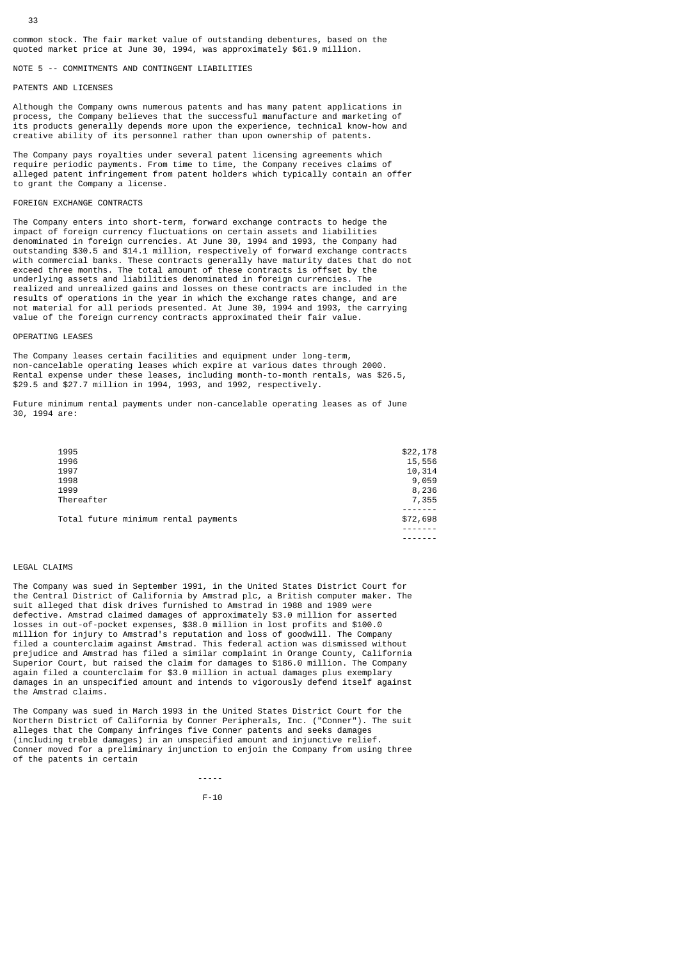# NOTE 5 -- COMMITMENTS AND CONTINGENT LIABILITIES

# PATENTS AND LICENSES

33

Although the Company owns numerous patents and has many patent applications in process, the Company believes that the successful manufacture and marketing of its products generally depends more upon the experience, technical know-how and creative ability of its personnel rather than upon ownership of patents.

The Company pays royalties under several patent licensing agreements which require periodic payments. From time to time, the Company receives claims of alleged patent infringement from patent holders which typically contain an offer to grant the Company a license.

# FOREIGN EXCHANGE CONTRACTS

The Company enters into short-term, forward exchange contracts to hedge the impact of foreign currency fluctuations on certain assets and liabilities denominated in foreign currencies. At June 30, 1994 and 1993, the Company had outstanding \$30.5 and \$14.1 million, respectively of forward exchange contracts with commercial banks. These contracts generally have maturity dates that do not exceed three months. The total amount of these contracts is offset by the underlying assets and liabilities denominated in foreign currencies. The realized and unrealized gains and losses on these contracts are included in the results of operations in the year in which the exchange rates change, and are not material for all periods presented. At June 30, 1994 and 1993, the carrying value of the foreign currency contracts approximated their fair value.

#### OPERATING LEASES

The Company leases certain facilities and equipment under long-term, non-cancelable operating leases which expire at various dates through 2000. Rental expense under these leases, including month-to-month rentals, was \$26.5, \$29.5 and \$27.7 million in 1994, 1993, and 1992, respectively.

Future minimum rental payments under non-cancelable operating leases as of June 30, 1994 are:

| 1995                                 | \$22,178 |
|--------------------------------------|----------|
| 1996                                 | 15,556   |
| 1997                                 | 10,314   |
| 1998                                 | 9,059    |
| 1999                                 | 8,236    |
| Thereafter                           | 7,355    |
| Total future minimum rental payments | \$72,698 |

-------

# LEGAL CLAIMS

The Company was sued in September 1991, in the United States District Court for the Central District of California by Amstrad plc, a British computer maker. The suit alleged that disk drives furnished to Amstrad in 1988 and 1989 were defective. Amstrad claimed damages of approximately \$3.0 million for asserted losses in out-of-pocket expenses, \$38.0 million in lost profits and \$100.0 million for injury to Amstrad's reputation and loss of goodwill. The Company filed a counterclaim against Amstrad. This federal action was dismissed without prejudice and Amstrad has filed a similar complaint in Orange County, California Superior Court, but raised the claim for damages to \$186.0 million. The Company again filed a counterclaim for \$3.0 million in actual damages plus exemplary damages in an unspecified amount and intends to vigorously defend itself against the Amstrad claims.

The Company was sued in March 1993 in the United States District Court for the Northern District of California by Conner Peripherals, Inc. ("Conner"). The suit alleges that the Company infringes five Conner patents and seeks damages (including treble damages) in an unspecified amount and injunctive relief. Conner moved for a preliminary injunction to enjoin the Company from using three of the patents in certain

F-10

-----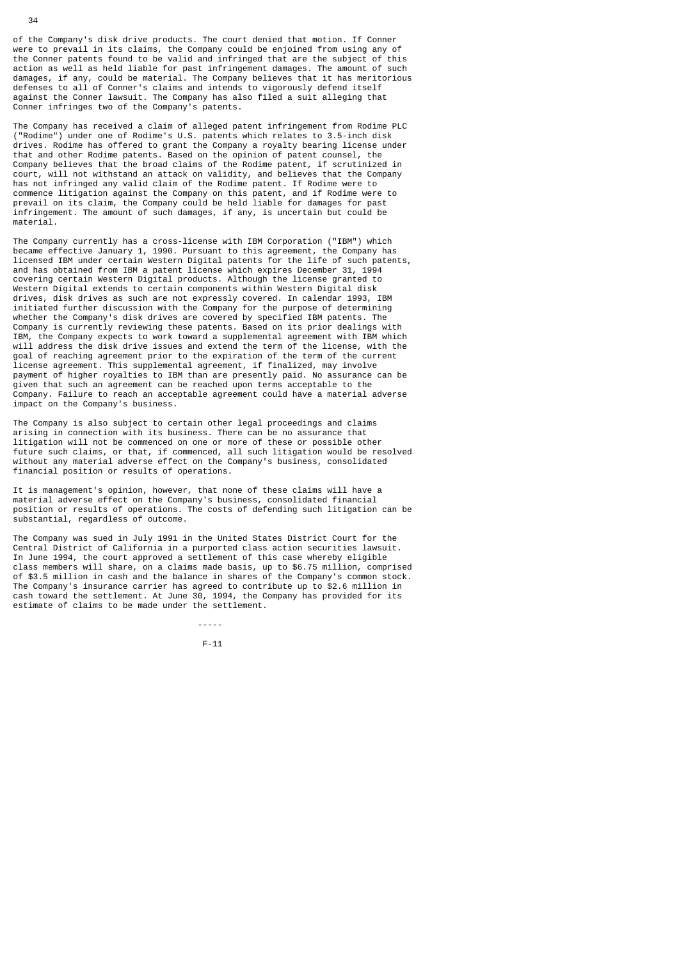of the Company's disk drive products. The court denied that motion. If Conner were to prevail in its claims, the Company could be enjoined from using any of the Conner patents found to be valid and infringed that are the subject of this action as well as held liable for past infringement damages. The amount of such damages, if any, could be material. The Company believes that it has meritorious defenses to all of Conner's claims and intends to vigorously defend itself against the Conner lawsuit. The Company has also filed a suit alleging that Conner infringes two of the Company's patents.

The Company has received a claim of alleged patent infringement from Rodime PLC ("Rodime") under one of Rodime's U.S. patents which relates to 3.5-inch disk drives. Rodime has offered to grant the Company a royalty bearing license under that and other Rodime patents. Based on the opinion of patent counsel, the Company believes that the broad claims of the Rodime patent, if scrutinized in court, will not withstand an attack on validity, and believes that the Company has not infringed any valid claim of the Rodime patent. If Rodime were to commence litigation against the Company on this patent, and if Rodime were to prevail on its claim, the Company could be held liable for damages for past infringement. The amount of such damages, if any, is uncertain but could be material.

The Company currently has a cross-license with IBM Corporation ("IBM") which became effective January 1, 1990. Pursuant to this agreement, the Company has licensed IBM under certain Western Digital patents for the life of such patents, and has obtained from IBM a patent license which expires December 31, 1994 covering certain Western Digital products. Although the license granted to Western Digital extends to certain components within Western Digital disk drives, disk drives as such are not expressly covered. In calendar 1993, IBM initiated further discussion with the Company for the purpose of determining whether the Company's disk drives are covered by specified IBM patents. The Company is currently reviewing these patents. Based on its prior dealings with IBM, the Company expects to work toward a supplemental agreement with IBM which will address the disk drive issues and extend the term of the license, with the goal of reaching agreement prior to the expiration of the term of the current license agreement. This supplemental agreement, if finalized, may involve payment of higher royalties to IBM than are presently paid. No assurance can be given that such an agreement can be reached upon terms acceptable to the Company. Failure to reach an acceptable agreement could have a material adverse impact on the Company's business.

The Company is also subject to certain other legal proceedings and claims arising in connection with its business. There can be no assurance that litigation will not be commenced on one or more of these or possible other future such claims, or that, if commenced, all such litigation would be resolved without any material adverse effect on the Company's business, consolidated financial position or results of operations.

It is management's opinion, however, that none of these claims will have a material adverse effect on the Company's business, consolidated financial position or results of operations. The costs of defending such litigation can be substantial, regardless of outcome.

The Company was sued in July 1991 in the United States District Court for the Central District of California in a purported class action securities lawsuit. In June 1994, the court approved a settlement of this case whereby eligible class members will share, on a claims made basis, up to \$6.75 million, comprised of \$3.5 million in cash and the balance in shares of the Company's common stock. The Company's insurance carrier has agreed to contribute up to \$2.6 million in cash toward the settlement. At June 30, 1994, the Company has provided for its estimate of claims to be made under the settlement.

F-11

-----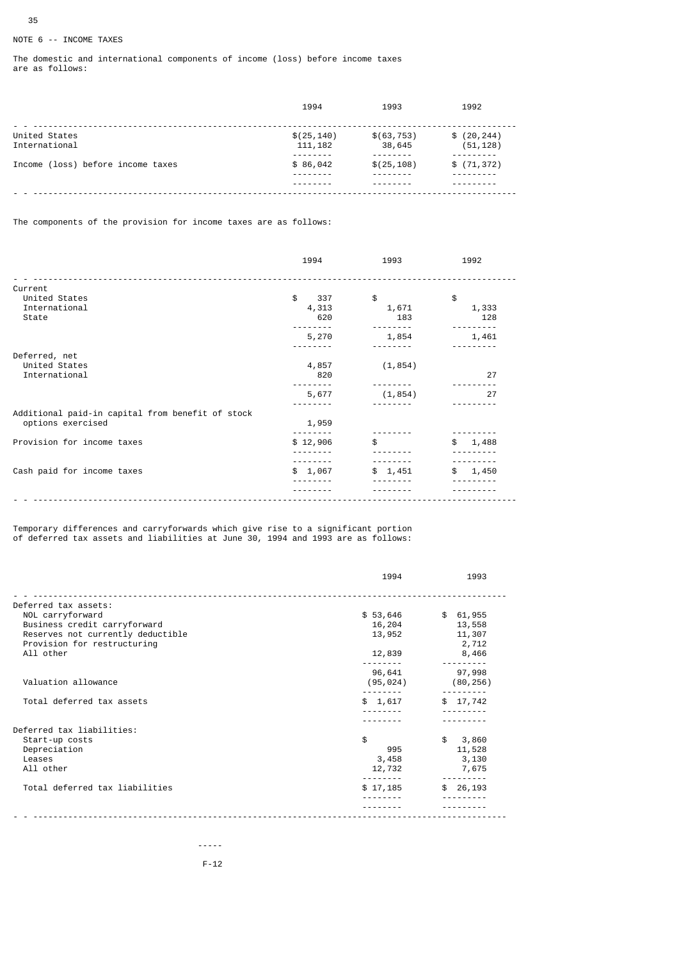# NOTE 6 -- INCOME TAXES

The domestic and international components of income (loss) before income taxes are as follows:

|                                   | 1994                    | 1993                  | 1992                     |
|-----------------------------------|-------------------------|-----------------------|--------------------------|
| United States<br>International    | \$(25, 140)<br>111, 182 | \$(63, 753)<br>38,645 | \$(20, 244)<br>(51, 128) |
| Income (loss) before income taxes | \$86,042                | \$(25, 108)           | \$(71, 372)              |
|                                   |                         |                       |                          |

The components of the provision for income taxes are as follows:

|                                                  | 1994      | 1993     | 1992        |
|--------------------------------------------------|-----------|----------|-------------|
| Current                                          |           |          |             |
| United States                                    | \$<br>337 | \$       | \$          |
| International                                    | 4,313     | 1,671    | 1,333       |
| State                                            | 620       | 183      | 128         |
|                                                  | 5,270     | 1,854    | 1,461       |
|                                                  |           |          |             |
| Deferred, net                                    |           |          |             |
| United States                                    | 4,857     | (1, 854) |             |
| International                                    | 820       |          | 27          |
|                                                  |           |          |             |
|                                                  | 5,677     | (1, 854) | 27          |
|                                                  |           |          |             |
| Additional paid-in capital from benefit of stock |           |          |             |
| options exercised                                | 1,959     |          |             |
| Provision for income taxes                       | \$12,906  | \$       | \$<br>1,488 |
|                                                  |           |          |             |
|                                                  |           |          |             |
| Cash paid for income taxes                       | \$1,067   | \$1,451  | 1,450<br>\$ |
|                                                  |           |          |             |
|                                                  |           |          |             |
|                                                  |           |          |             |

Temporary differences and carryforwards which give rise to a significant portion of deferred tax assets and liabilities at June 30, 1994 and 1993 are as follows:

|                                   | 1994      | 1993        |
|-----------------------------------|-----------|-------------|
| Deferred tax assets:              |           |             |
| NOL carryforward                  | \$53,646  | \$61,955    |
| Business credit carryforward      | 16,204    | 13,558      |
| Reserves not currently deductible | 13,952    | 11,307      |
| Provision for restructuring       |           | 2,712       |
| All other                         | 12,839    | 8,466       |
|                                   | 96,641    | 97,998      |
| Valuation allowance               | (95, 024) | (80, 256)   |
|                                   |           |             |
| Total deferred tax assets         | \$1,617   | \$17,742    |
|                                   |           |             |
| Deferred tax liabilities:         |           |             |
| Start-up costs                    | \$        | \$<br>3,860 |
| Depreciation                      | 995       | 11,528      |
| Leases                            | 3,458     | 3,130       |
| All other                         | 12,732    | 7,675       |
| Total deferred tax liabilities    | \$17,185  | \$26,193    |
|                                   |           |             |
|                                   |           |             |

 ----- F-12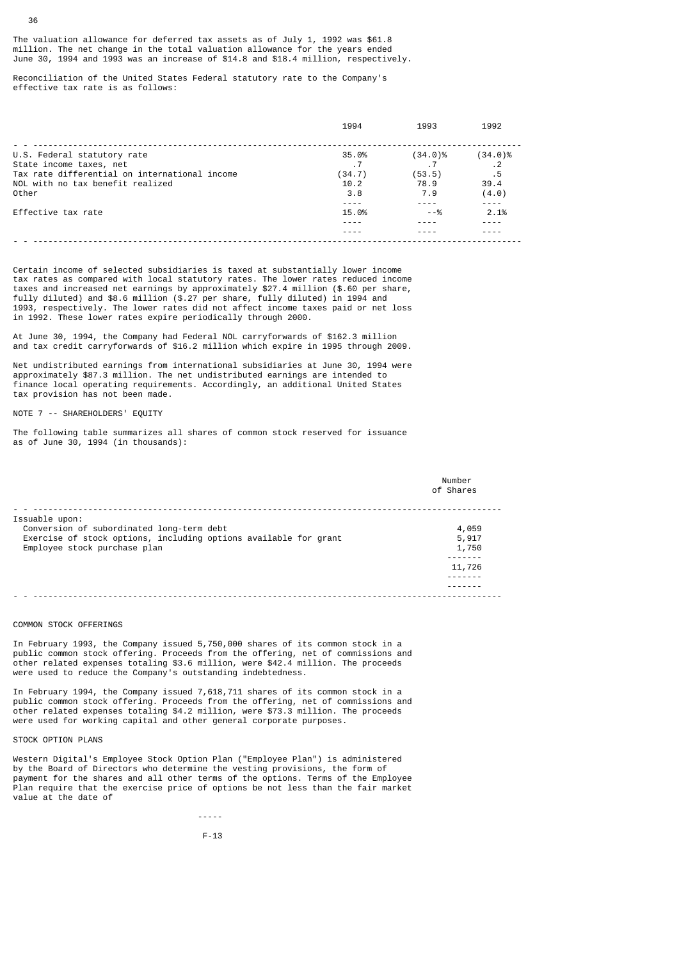The valuation allowance for deferred tax assets as of July 1, 1992 was \$61.8 million. The net change in the total valuation allowance for the years ended June 30, 1994 and 1993 was an increase of \$14.8 and \$18.4 million, respectively.

Reconciliation of the United States Federal statutory rate to the Company's effective tax rate is as follows:

|                                               | 1994   | 1993       | 1992       |
|-----------------------------------------------|--------|------------|------------|
|                                               |        |            |            |
| U.S. Federal statutory rate                   | 35.0%  | $(34.0)\%$ | $(34.0)\%$ |
| State income taxes, net                       |        |            | $\cdot$ 2  |
| Tax rate differential on international income | (34.7) | (53.5)     | .5         |
| NOL with no tax benefit realized              | 10.2   | 78.9       | 39.4       |
| Other                                         | 3.8    | 7.9        | (4.0)      |
|                                               |        |            |            |
| Effective tax rate                            | 15.0%  | --%        | 2.1%       |
|                                               |        |            |            |
|                                               |        |            |            |
|                                               |        |            |            |

Certain income of selected subsidiaries is taxed at substantially lower income tax rates as compared with local statutory rates. The lower rates reduced income taxes and increased net earnings by approximately \$27.4 million (\$.60 per share, fully diluted) and \$8.6 million (\$.27 per share, fully diluted) in 1994 and 1993, respectively. The lower rates did not affect income taxes paid or net loss in 1992. These lower rates expire periodically through 2000.

At June 30, 1994, the Company had Federal NOL carryforwards of \$162.3 million and tax credit carryforwards of \$16.2 million which expire in 1995 through 2009.

Net undistributed earnings from international subsidiaries at June 30, 1994 were approximately \$87.3 million. The net undistributed earnings are intended to finance local operating requirements. Accordingly, an additional United States tax provision has not been made.

NOTE 7 -- SHAREHOLDERS' EQUITY

The following table summarizes all shares of common stock reserved for issuance as of June  $30$ , 1994 (in thousands):

|                                                                  | Number<br>of Shares |
|------------------------------------------------------------------|---------------------|
| Issuable upon:                                                   |                     |
| Conversion of subordinated long-term debt                        | 4,059               |
| Exercise of stock options, including options available for grant | 5,917               |
| Employee stock purchase plan                                     | 1,750               |
|                                                                  |                     |
|                                                                  | 11,726              |
|                                                                  |                     |
|                                                                  |                     |
|                                                                  |                     |

# COMMON STOCK OFFERINGS

In February 1993, the Company issued 5,750,000 shares of its common stock in a public common stock offering. Proceeds from the offering, net of commissions and other related expenses totaling \$3.6 million, were \$42.4 million. The proceeds were used to reduce the Company's outstanding indebtedness.

In February 1994, the Company issued 7,618,711 shares of its common stock in a public common stock offering. Proceeds from the offering, net of commissions and other related expenses totaling \$4.2 million, were \$73.3 million. The proceeds were used for working capital and other general corporate purposes.

#### STOCK OPTION PLANS

-----

Western Digital's Employee Stock Option Plan ("Employee Plan") is administered by the Board of Directors who determine the vesting provisions, the form of payment for the shares and all other terms of the options. Terms of the Employee Plan require that the exercise price of options be not less than the fair market value at the date of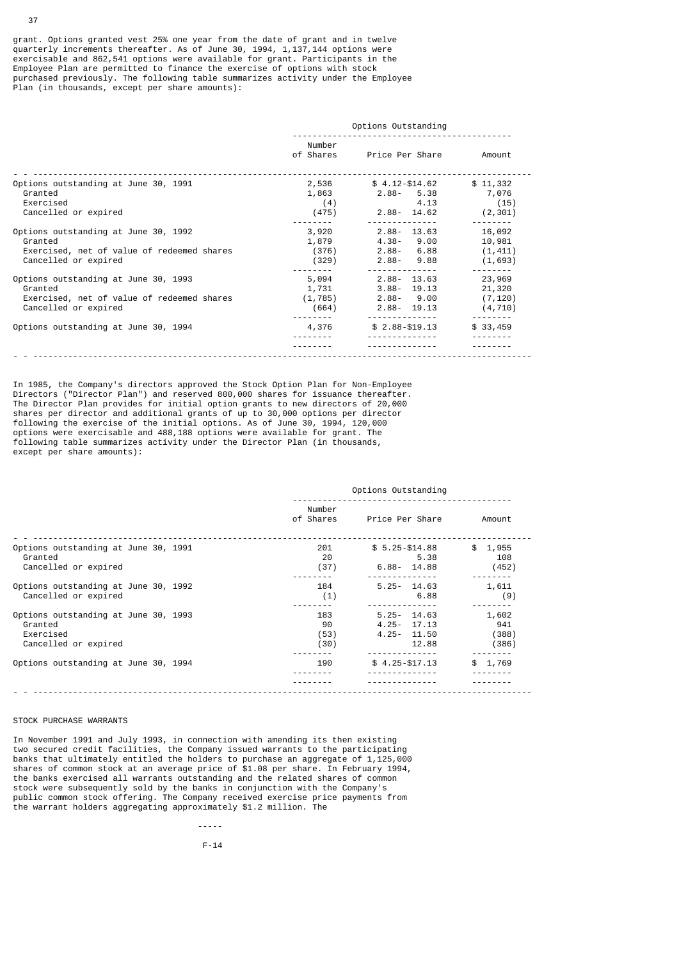grant. Options granted vest 25% one year from the date of grant and in twelve quarterly increments thereafter. As of June 30, 1994, 1,137,144 options were exercisable and 862,541 options were available for grant. Participants in the Employee Plan are permitted to finance the exercise of options with stock purchased previously. The following table summarizes activity under the Employee Plan (in thousands, except per share amounts):

|                                                                                                                       | Options Outstanding                 |                                                                   |                                          |  |
|-----------------------------------------------------------------------------------------------------------------------|-------------------------------------|-------------------------------------------------------------------|------------------------------------------|--|
|                                                                                                                       | Number<br>of Shares                 | Price Per Share                                                   | Amount                                   |  |
| Options outstanding at June 30, 1991<br>Granted<br>Exercised<br>Cancelled or expired                                  | 2,536<br>1,863<br>(4)<br>(475)      | $$4.12 - $14.62$<br>$2.88 - 5.38$<br>4.13<br>2.88- 14.62          | \$11,332<br>7,076<br>(15)<br>(2, 301)    |  |
| Options outstanding at June 30, 1992<br>Granted<br>Exercised, net of value of redeemed shares<br>Cancelled or expired | 3,920<br>1,879<br>(376)<br>(329)    | $2.88 - 13.63$<br>$4.38 - 9.00$<br>$2.88 - 6.88$<br>$2.88 - 9.88$ | 16,092<br>10,981<br>(1, 411)<br>(1,693)  |  |
| Options outstanding at June 30, 1993<br>Granted<br>Exercised, net of value of redeemed shares<br>Cancelled or expired | 5,094<br>1,731<br>(1, 785)<br>(664) | $2.88 - 13.63$<br>$3.88 - 19.13$<br>2.88-9.00<br>2.88- 19.13      | 23,969<br>21,320<br>(7, 120)<br>(4, 710) |  |
| Options outstanding at June 30, 1994                                                                                  | 4,376                               | $$2.88 - $19.13$                                                  | \$33,459                                 |  |
|                                                                                                                       |                                     |                                                                   |                                          |  |

In 1985, the Company's directors approved the Stock Option Plan for Non-Employee Directors ("Director Plan") and reserved 800,000 shares for issuance thereafter. The Director Plan provides for initial option grants to new directors of 20,000 shares per director and additional grants of up to 30,000 options per director following the exercise of the initial options. As of June 30, 1994, 120,000 options were exercisable and 488,188 options were available for grant. The following table summarizes activity under the Director Plan (in thousands, except per share amounts):

| Options Outstanding       |                                                             |                                |  |
|---------------------------|-------------------------------------------------------------|--------------------------------|--|
| Number<br>of Shares       | Price Per Share                                             | Amount                         |  |
| 201<br>20<br>(37)         | $$5.25 - $14.88$<br>5.38<br>$6.88 - 14.88$                  | \$1,955<br>108<br>(452)        |  |
| 184<br>(1)                | $5.25 - 14.63$<br>6.88                                      | 1,611<br>(9)                   |  |
| 183<br>90<br>(53)<br>(30) | $5.25 - 14.63$<br>$4.25 - 17.13$<br>$4.25 - 11.50$<br>12.88 | 1,602<br>941<br>(388)<br>(386) |  |
| 190                       | $$4.25 - $17.13$                                            | \$1,769                        |  |
|                           |                                                             |                                |  |

# STOCK PURCHASE WARRANTS

-----

In November 1991 and July 1993, in connection with amending its then existing two secured credit facilities, the Company issued warrants to the participating banks that ultimately entitled the holders to purchase an aggregate of 1,125,000 shares of common stock at an average price of \$1.08 per share. In February 1994, the banks exercised all warrants outstanding and the related shares of common stock were subsequently sold by the banks in conjunction with the Company's public common stock offering. The Company received exercise price payments from the warrant holders aggregating approximately \$1.2 million. The

F-14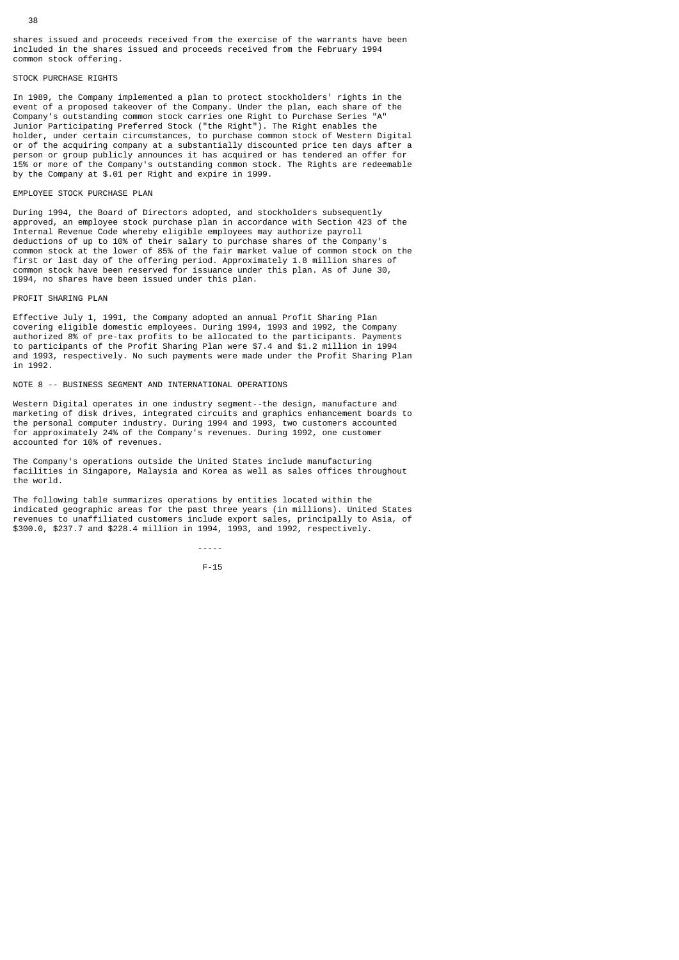shares issued and proceeds received from the exercise of the warrants have been included in the shares issued and proceeds received from the February 1994 common stock offering.

#### STOCK PURCHASE RIGHTS

In 1989, the Company implemented a plan to protect stockholders' rights in the event of a proposed takeover of the Company. Under the plan, each share of the Company's outstanding common stock carries one Right to Purchase Series "A" Junior Participating Preferred Stock ("the Right"). The Right enables the holder, under certain circumstances, to purchase common stock of Western Digital or of the acquiring company at a substantially discounted price ten days after a person or group publicly announces it has acquired or has tendered an offer for 15% or more of the Company's outstanding common stock. The Rights are redeemable by the Company at \$.01 per Right and expire in 1999.

# EMPLOYEE STOCK PURCHASE PLAN

During 1994, the Board of Directors adopted, and stockholders subsequently approved, an employee stock purchase plan in accordance with Section 423 of the Internal Revenue Code whereby eligible employees may authorize payroll deductions of up to 10% of their salary to purchase shares of the Company's common stock at the lower of 85% of the fair market value of common stock on the first or last day of the offering period. Approximately 1.8 million shares of common stock have been reserved for issuance under this plan. As of June 30, 1994, no shares have been issued under this plan.

#### PROFIT SHARING PLAN

Effective July 1, 1991, the Company adopted an annual Profit Sharing Plan covering eligible domestic employees. During 1994, 1993 and 1992, the Company authorized 8% of pre-tax profits to be allocated to the participants. Payments to participants of the Profit Sharing Plan were \$7.4 and \$1.2 million in 1994 and 1993, respectively. No such payments were made under the Profit Sharing Plan in 1992.

NOTE 8 -- BUSINESS SEGMENT AND INTERNATIONAL OPERATIONS

F-15

Western Digital operates in one industry segment--the design, manufacture and marketing of disk drives, integrated circuits and graphics enhancement boards to the personal computer industry. During 1994 and 1993, two customers accounted for approximately 24% of the Company's revenues. During 1992, one customer accounted for 10% of revenues.

The Company's operations outside the United States include manufacturing facilities in Singapore, Malaysia and Korea as well as sales offices throughout the world.

The following table summarizes operations by entities located within the indicated geographic areas for the past three years (in millions). United States revenues to unaffiliated customers include export sales, principally to Asia, of \$300.0, \$237.7 and \$228.4 million in 1994, 1993, and 1992, respectively.

-----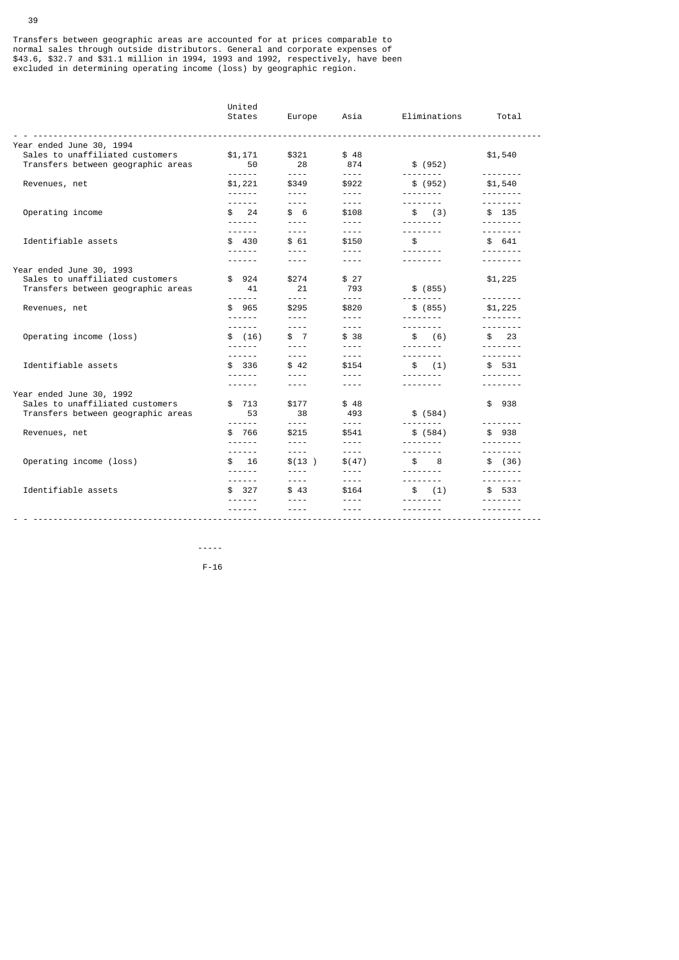Transfers between geographic areas are accounted for at prices comparable to normal sales through outside distributors. General and corporate expenses of \$43.6, \$32.7 and \$31.1 million in 1994, 1993 and 1992, respectively, have been excluded in determining operating income (loss) by geographic region.

|                                                                                                   | United<br>States                  | Europe                               | Asia                                                                                                                                                                                                                                                                                                                                                                                         | Eliminations                         | Total                    |
|---------------------------------------------------------------------------------------------------|-----------------------------------|--------------------------------------|----------------------------------------------------------------------------------------------------------------------------------------------------------------------------------------------------------------------------------------------------------------------------------------------------------------------------------------------------------------------------------------------|--------------------------------------|--------------------------|
| Year ended June 30, 1994                                                                          |                                   |                                      |                                                                                                                                                                                                                                                                                                                                                                                              |                                      |                          |
| Sales to unaffiliated customers<br>Transfers between geographic areas                             | \$1,171<br>50<br><u>.</u>         | \$321<br>28<br>$\frac{1}{2}$         | \$48<br>874<br>$\omega$ $\omega$ $\omega$ $\omega$                                                                                                                                                                                                                                                                                                                                           | \$ (952)<br><u>.</u>                 | \$1,540<br>.             |
| Revenues, net                                                                                     | \$1,221<br>------                 | \$349<br>$- - - - -$                 | \$922<br>$- - - -$                                                                                                                                                                                                                                                                                                                                                                           | \$ (952)<br><u>.</u>                 | \$1,540<br>.             |
| Operating income                                                                                  | ------<br>24<br>\$<br>- - - - - - | $\frac{1}{2}$<br>\$6<br>$- - - -$    | $\frac{1}{2} \frac{1}{2} \frac{1}{2} \frac{1}{2} \frac{1}{2} \frac{1}{2} \frac{1}{2} \frac{1}{2}$<br>\$108<br>$\frac{1}{2}$                                                                                                                                                                                                                                                                  | <u>.</u><br>\$ (3)<br><u>.</u>       | <u>.</u><br>\$ 135       |
| Identifiable assets                                                                               | ------<br>\$430<br>- - - - - -    | $\frac{1}{2}$<br>\$61<br>$- - - - -$ | $- - - -$<br>\$150<br>$- - - -$                                                                                                                                                                                                                                                                                                                                                              | <u>.</u><br>\$                       | \$641                    |
|                                                                                                   | - - - - - -                       | $- - - -$                            | $- - - -$                                                                                                                                                                                                                                                                                                                                                                                    | --------                             | - - - - - - - -          |
| Year ended June 30, 1993<br>Sales to unaffiliated customers<br>Transfers between geographic areas | \$924<br>41                       | \$274<br>21                          | \$ 27<br>793                                                                                                                                                                                                                                                                                                                                                                                 | \$ (855)                             | \$1,225                  |
| Revenues, net                                                                                     | ------<br>\$965<br>- - - - - -    | $- - - -$<br>\$295<br>$- - - - -$    | $\frac{1}{2}$<br>\$820<br>$\frac{1}{2}$                                                                                                                                                                                                                                                                                                                                                      | --------<br>\$ (855)<br>--------     | .<br>\$1,225<br>.        |
| Operating income (loss)                                                                           | ------<br>\$ (16)                 | $- - - - -$<br>\$7<br>$- - - -$      | $\sim$ $\sim$ $\sim$ $\sim$<br>\$38<br>$- - - -$                                                                                                                                                                                                                                                                                                                                             | <u>.</u><br>\$ (6)                   | .<br>$\frac{1}{2}$<br>.  |
| Identifiable assets                                                                               | .<br>\$ 336<br>------             | $- - - -$<br>\$42<br>$- - - -$       | $- - - -$<br>\$154<br>$- - - -$                                                                                                                                                                                                                                                                                                                                                              | <u>.</u><br>\$ (1)<br><u>.</u>       | .<br>\$531               |
|                                                                                                   | - - - - - -                       | ----                                 | ----                                                                                                                                                                                                                                                                                                                                                                                         | --------                             |                          |
| Year ended June 30, 1992<br>Sales to unaffiliated customers<br>Transfers between geographic areas | \$ 713<br>53                      | \$177<br>38                          | \$48<br>493                                                                                                                                                                                                                                                                                                                                                                                  | \$ (584)                             | \$<br>938                |
| Revenues, net                                                                                     | <u>.</u><br>\$766<br>- - - - - -  | $- - - -$<br>\$215<br>$- - - -$      | $\sim$ $\sim$ $\sim$ $\sim$<br>\$541<br>$- - - - -$                                                                                                                                                                                                                                                                                                                                          | \$ (584)<br>--------                 | \$938<br>.               |
| Operating income (loss)                                                                           | .<br>16<br>\$<br>. <b>.</b>       | $- - - -$<br>\$(13)<br>$\frac{1}{2}$ | $\sim$ $\sim$ $\sim$ $\sim$<br>\$(47)<br>$- - - -$                                                                                                                                                                                                                                                                                                                                           | .<br>$\frac{1}{2}$<br>8<br>--------- | <u>.</u><br>\$ (36)      |
| Identifiable assets                                                                               | ------<br>\$327                   | $- - - - -$<br>\$43                  | $\frac{1}{2}$<br>\$164                                                                                                                                                                                                                                                                                                                                                                       | --------<br>\$ (1)                   | - - - - - - - -<br>\$533 |
|                                                                                                   |                                   | $- - - -$                            | $\frac{1}{2} \frac{1}{2} \frac{1}{2} \frac{1}{2} \frac{1}{2} \frac{1}{2} \frac{1}{2} \frac{1}{2} \frac{1}{2} \frac{1}{2} \frac{1}{2} \frac{1}{2} \frac{1}{2} \frac{1}{2} \frac{1}{2} \frac{1}{2} \frac{1}{2} \frac{1}{2} \frac{1}{2} \frac{1}{2} \frac{1}{2} \frac{1}{2} \frac{1}{2} \frac{1}{2} \frac{1}{2} \frac{1}{2} \frac{1}{2} \frac{1}{2} \frac{1}{2} \frac{1}{2} \frac{1}{2} \frac{$ |                                      |                          |

 ----- F-16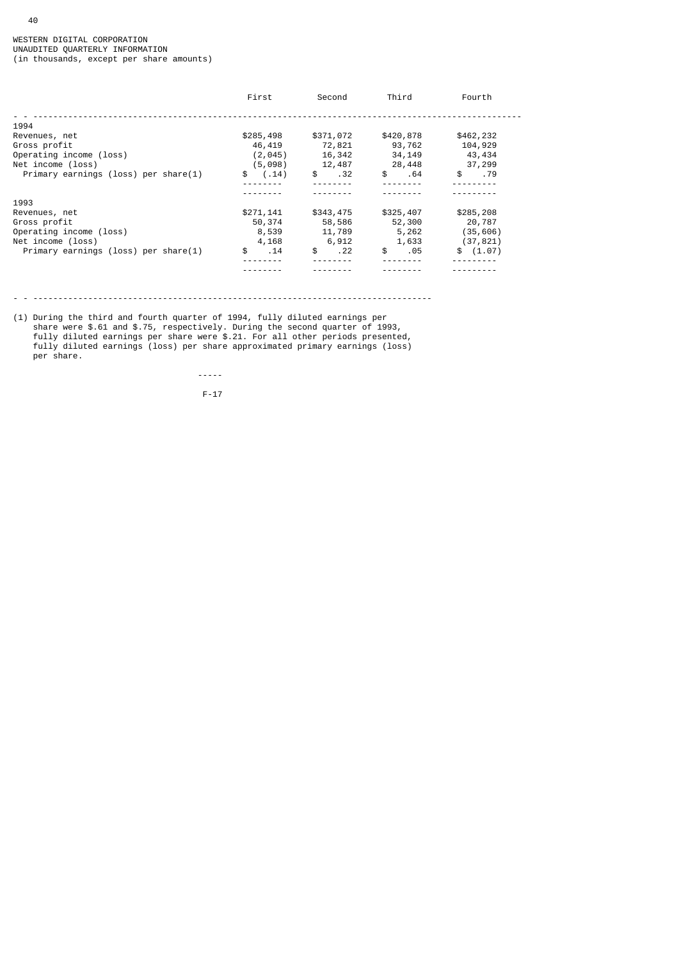|                                      | First       | Second              | Third     | Fourth    |
|--------------------------------------|-------------|---------------------|-----------|-----------|
| 1994                                 |             |                     |           |           |
| Revenues, net                        | \$285,498   | \$371,072           | \$420,878 | \$462,232 |
| Gross profit                         | 46,419      | 72,821              | 93,762    | 104,929   |
| Operating income (loss)              | (2, 045)    | 16,342              | 34,149    | 43,434    |
| Net income (loss)                    | (5,098)     | 12,487              | 28,448    | 37,299    |
| Primary earnings (loss) per share(1) | (.14)<br>\$ | $\mathsf{s}$<br>.32 | \$<br>.64 | \$<br>.79 |
|                                      |             |                     |           |           |
|                                      |             |                     |           |           |
| 1993                                 |             |                     |           |           |
| Revenues, net                        | \$271,141   | \$343,475           | \$325,407 | \$285,208 |
| Gross profit                         | 50,374      | 58,586              | 52,300    | 20,787    |
| Operating income (loss)              | 8,539       | 11,789              | 5,262     | (35, 606) |
| Net income (loss)                    | 4,168       | 6,912               | 1,633     | (37, 821) |
| Primary earnings (loss) per share(1) | \$<br>.14   | \$<br>.22           | \$<br>.05 | \$(1.07)  |
|                                      |             |                     |           |           |
|                                      |             |                     |           |           |

- - --------------------------------------------------------------------------------

(1) During the third and fourth quarter of 1994, fully diluted earnings per share were \$.61 and \$.75, respectively. During the second quarter of 1993, fully diluted earnings per share were \$.21. For all other periods presented, fully diluted earnings (loss) per share approximated primary earnings (loss) per share.

 ----- F-17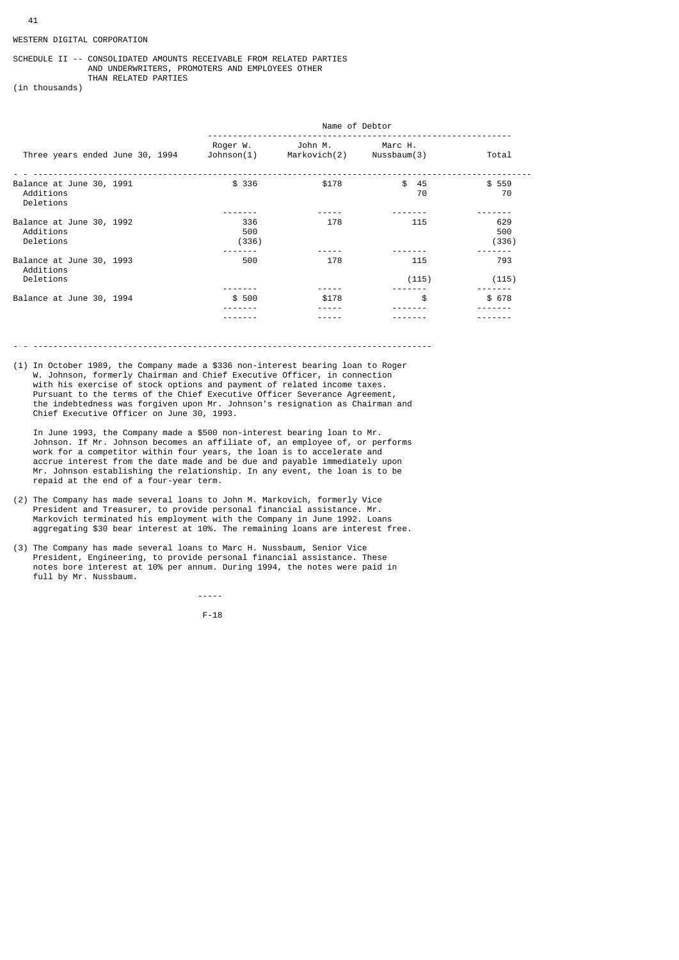## WESTERN DIGITAL CORPORATION

## SCHEDULE II -- CONSOLIDATED AMOUNTS RECEIVABLE FROM RELATED PARTIES AND UNDERWRITERS, PROMOTERS AND EMPLOYEES OTHER THAN RELATED PARTIES

(in thousands)

|                                                    |                        | Name of Debtor          |                        |                     |  |
|----------------------------------------------------|------------------------|-------------------------|------------------------|---------------------|--|
| Three years ended June 30, 1994                    | Roger W.<br>Johnson(1) | John M.<br>Markovich(2) | Marc H.<br>Nussbaum(3) | Total               |  |
| Balance at June 30, 1991<br>Additions<br>Deletions | \$336                  | \$178                   | \$<br>45<br>70         | \$559<br>70         |  |
| Balance at June 30, 1992<br>Additions<br>Deletions | 336<br>500<br>(336)    | 178                     | 115                    | 629<br>500<br>(336) |  |
| Balance at June 30, 1993<br>Additions<br>Deletions | 500                    | 178                     | 115<br>(115)           | 793<br>(115)        |  |
| Balance at June 30, 1994                           | \$500                  | \$178                   | \$                     | \$678               |  |

- - --------------------------------------------------------------------------------

(1) In October 1989, the Company made a \$336 non-interest bearing loan to Roger W. Johnson, formerly Chairman and Chief Executive Officer, in connection with his exercise of stock options and payment of related income taxes. Pursuant to the terms of the Chief Executive Officer Severance Agreement, the indebtedness was forgiven upon Mr. Johnson's resignation as Chairman and Chief Executive Officer on June 30, 1993.

 In June 1993, the Company made a \$500 non-interest bearing loan to Mr. Johnson. If Mr. Johnson becomes an affiliate of, an employee of, or performs work for a competitor within four years, the loan is to accelerate and accrue interest from the date made and be due and payable immediately upon Mr. Johnson establishing the relationship. In any event, the loan is to be repaid at the end of a four-year term.

- (2) The Company has made several loans to John M. Markovich, formerly Vice President and Treasurer, to provide personal financial assistance. Mr. Markovich terminated his employment with the Company in June 1992. Loans aggregating \$30 bear interest at 10%. The remaining loans are interest free.
- (3) The Company has made several loans to Marc H. Nussbaum, Senior Vice President, Engineering, to provide personal financial assistance. These notes bore interest at 10% per annum. During 1994, the notes were paid in full by Mr. Nussbaum.

-----

F-18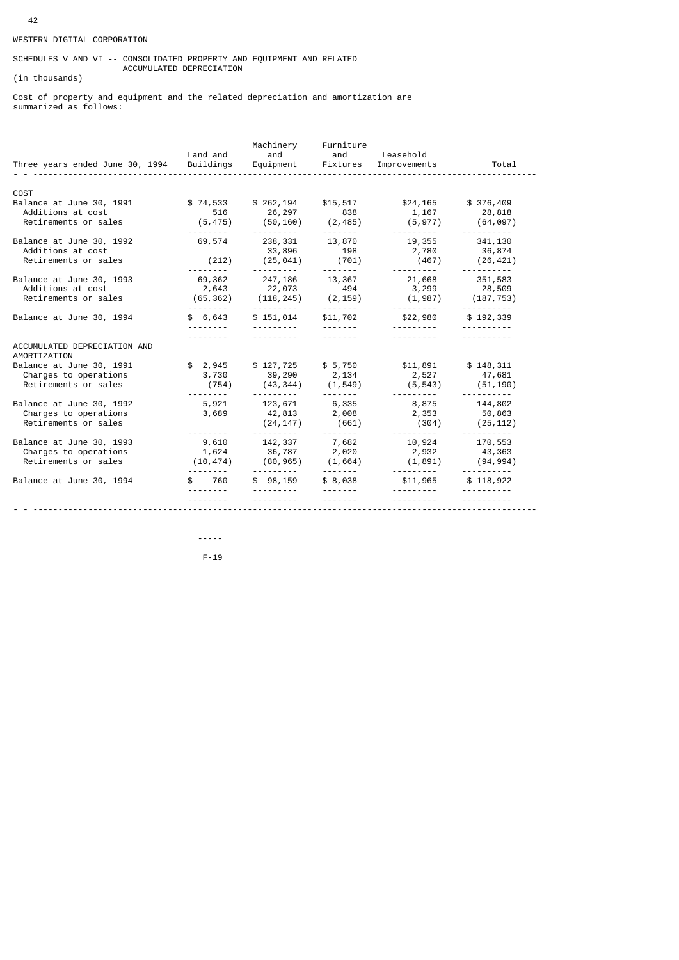# WESTERN DIGITAL CORPORATION

## SCHEDULES V AND VI -- CONSOLIDATED PROPERTY AND EQUIPMENT AND RELATED ACCUMULATED DEPRECIATION

(in thousands)

Cost of property and equipment and the related depreciation and amortization are summarized as follows:

| Three years ended June 30, 1994 Buildings    | Land and             | Machinery<br>Equipment Fixtures | Furniture<br>and and Leasehold    | Improvements                          | Total                                  |
|----------------------------------------------|----------------------|---------------------------------|-----------------------------------|---------------------------------------|----------------------------------------|
|                                              |                      |                                 |                                   |                                       |                                        |
| COST                                         |                      |                                 |                                   |                                       |                                        |
| Balance at June 30, 1991                     | \$74,533<br>516      | \$262,194                       | \$15,517<br>838                   | \$24,165                              | \$376,409                              |
| Additions at cost<br>Retirements or sales    | (5, 475)             | 26,297<br>(50, 160)             | (2, 485)                          | 1,167<br>(5, 977)                     | 28,818<br>(64, 097)                    |
|                                              |                      | ----------                      |                                   | ----------                            | ----------                             |
| Balance at June 30, 1992                     | 69,574               | 238,331                         | 13,870                            | 19,355 341,130                        |                                        |
| Additions at cost                            |                      | 33,896                          | 198                               | 2,780                                 | 36,874                                 |
| Retirements or sales                         | (212)<br><b></b>     | (25, 041)<br><u>.</u> .         | (701)                             | (467)<br>----------                   | (26, 421)<br><u> - - - - - - - - -</u> |
| Balance at June 30, 1993                     | 69,362               | 247,186                         | 13,367                            | 21,668 351,583                        |                                        |
| Additions at cost                            | 2,643                | 22,073                          | 494                               |                                       | 3, 299 28, 509                         |
| Retirements or sales                         | (65, 362)            | (118, 245)                      | (2, 159)                          | (1,987)                               | (187, 753)                             |
| Balance at June 30, 1994                     | ---------<br>\$6,643 | \$151,014                       | <u> - - - - - - -</u><br>\$11,702 | <u> - - - - - - - - -</u><br>\$22,980 | <u>.</u><br>\$192,339                  |
|                                              | .                    | <u>.</u>                        | <u>.</u>                          | <u> - - - - - - - - -</u>             |                                        |
|                                              | <u>.</u>             | <u>.</u>                        | <u>.</u>                          | <u> - - - - - - - - -</u>             |                                        |
| ACCUMULATED DEPRECIATION AND<br>AMORTIZATION |                      |                                 |                                   |                                       |                                        |
| Balance at June 30, 1991                     | \$2,945              | \$127,725                       |                                   | $$5,750$ $$11,891$ $$148,311$         |                                        |
| Charges to operations                        | 3,730                | 39,290 2,134                    |                                   | 2,527                                 | 47,681                                 |
| Retirements or sales                         | (754)                | (43, 344)                       | (1, 549)                          | (5, 543)                              | (51,190)                               |
| Balance at June 30, 1992                     | 5,921                | ----------<br>123,671           | --------<br>6,335                 | .<br>8,875                            | 144,802                                |
| Charges to operations                        | 3,689                | 42,813                          | 2,008                             | 2,353                                 | 50,863                                 |
| Retirements or sales                         |                      | (24, 147)                       | (661)                             | (304)                                 | (25, 112)                              |
| Balance at June 30, 1993                     | <u>.</u><br>9,610    | 142,337 7,682                   |                                   | 10,924                                | 170,553                                |
| Charges to operations                        | 1,624                | 36,787 2,020                    |                                   | 2,932                                 | 43,363                                 |
| Retirements or sales                         | (10, 474)            | $(80, 965)$ $(1, 664)$          |                                   | (1, 891)                              | (94,994)                               |
| Balance at June 30, 1994                     | ---------<br>760     | ----------<br>\$98,159          | \$8,038                           | <u>.</u> .<br>\$11,965                | \$118,922                              |
|                                              | <u>.</u>             |                                 | <u>.</u> .                        | <u>.</u> .                            |                                        |
|                                              |                      |                                 |                                   |                                       |                                        |

 ----- F-19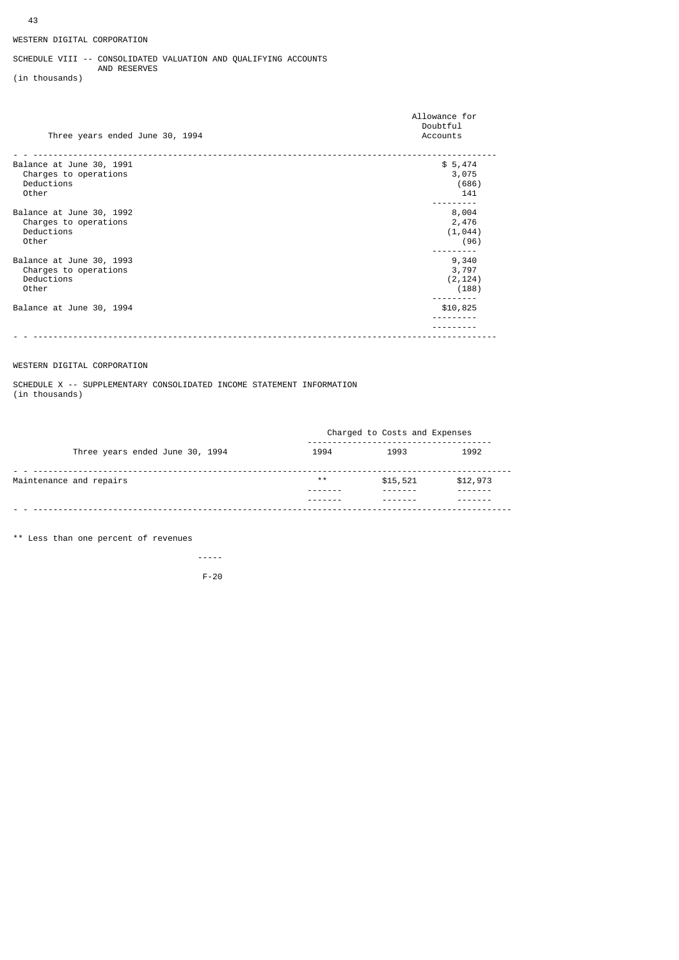# SCHEDULE VIII -- CONSOLIDATED VALUATION AND QUALIFYING ACCOUNTS AND RESERVES

(in thousands)

| Three years ended June 30, 1994 | Allowance for<br>Doubtful<br>Accounts |
|---------------------------------|---------------------------------------|
| Balance at June 30, 1991        | \$5,474                               |
| Charges to operations           | 3,075                                 |
| Deductions                      | (686)                                 |
| Other                           | 141                                   |
| Balance at June 30, 1992        | 8,004                                 |
| Charges to operations           | 2,476                                 |
| Deductions                      | (1, 044)                              |
| Other                           | (96)                                  |
| Balance at June 30, 1993        | 9,340                                 |
| Charges to operations           | 3,797                                 |
| Deductions                      | (2, 124)                              |
| Other                           | (188)                                 |
| Balance at June 30, 1994        | \$10,825                              |
|                                 |                                       |

# WESTERN DIGITAL CORPORATION

SCHEDULE X -- SUPPLEMENTARY CONSOLIDATED INCOME STATEMENT INFORMATION (in thousands)

|                                 | Charged to Costs and Expenses |          |          |  |  |
|---------------------------------|-------------------------------|----------|----------|--|--|
| Three years ended June 30, 1994 | 1994                          | 1993     | 1992     |  |  |
| Maintenance and repairs         | $* *$                         | \$15,521 | \$12,973 |  |  |
|                                 |                               |          |          |  |  |

\*\* Less than one percent of revenues

 ----- F-20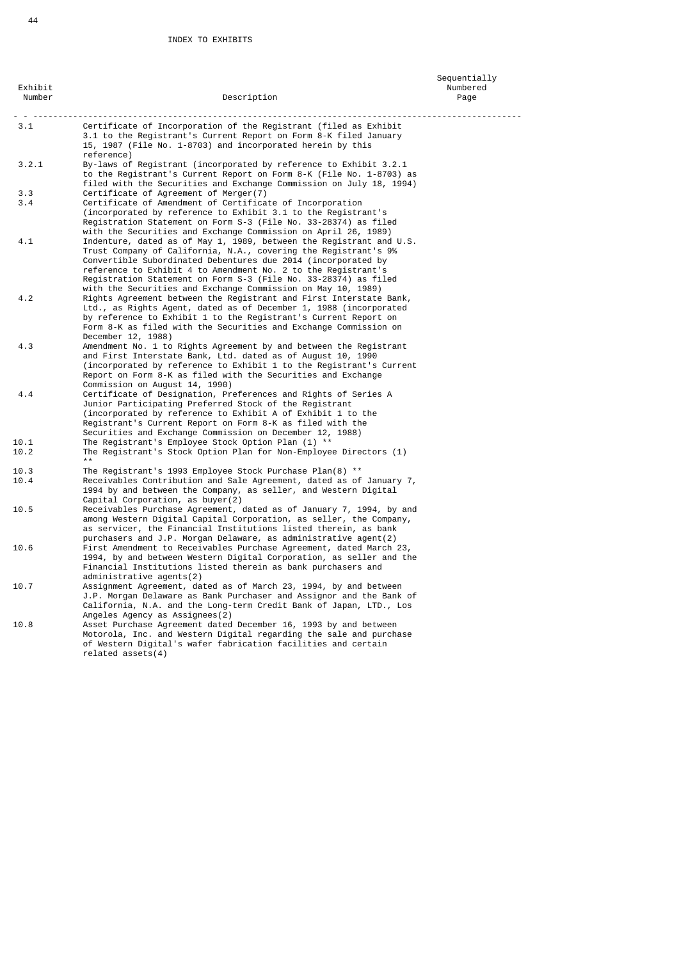| Exhibit<br>Number | Description                                                                                                                                                                                                                                                                                                                                                                                                 | Sequentially<br>Numbered<br>Page |
|-------------------|-------------------------------------------------------------------------------------------------------------------------------------------------------------------------------------------------------------------------------------------------------------------------------------------------------------------------------------------------------------------------------------------------------------|----------------------------------|
| 3.1               | Certificate of Incorporation of the Registrant (filed as Exhibit<br>3.1 to the Registrant's Current Report on Form 8-K filed January<br>15, 1987 (File No. 1-8703) and incorporated herein by this<br>reference)                                                                                                                                                                                            |                                  |
| 3.2.1             | By-laws of Registrant (incorporated by reference to Exhibit 3.2.1<br>to the Registrant's Current Report on Form 8-K (File No. 1-8703) as<br>filed with the Securities and Exchange Commission on July 18, 1994)                                                                                                                                                                                             |                                  |
| 3.3<br>3.4        | Certificate of Agreement of Merger(7)<br>Certificate of Amendment of Certificate of Incorporation<br>(incorporated by reference to Exhibit 3.1 to the Registrant's<br>Registration Statement on Form S-3 (File No. 33-28374) as filed<br>with the Securities and Exchange Commission on April 26, 1989)                                                                                                     |                                  |
| 4.1               | Indenture, dated as of May 1, 1989, between the Registrant and U.S.<br>Trust Company of California, N.A., covering the Registrant's 9%<br>Convertible Subordinated Debentures due 2014 (incorporated by<br>reference to Exhibit 4 to Amendment No. 2 to the Registrant's<br>Registration Statement on Form S-3 (File No. 33-28374) as filed<br>with the Securities and Exchange Commission on May 10, 1989) |                                  |
| 4.2               | Rights Agreement between the Registrant and First Interstate Bank,<br>Ltd., as Rights Agent, dated as of December 1, 1988 (incorporated<br>by reference to Exhibit 1 to the Registrant's Current Report on<br>Form 8-K as filed with the Securities and Exchange Commission on<br>December 12, 1988)                                                                                                        |                                  |
| 4.3               | Amendment No. 1 to Rights Agreement by and between the Registrant<br>and First Interstate Bank, Ltd. dated as of August 10, 1990<br>(incorporated by reference to Exhibit 1 to the Registrant's Current<br>Report on Form 8-K as filed with the Securities and Exchange<br>Commission on August 14, 1990)                                                                                                   |                                  |
| 4.4               | Certificate of Designation, Preferences and Rights of Series A<br>Junior Participating Preferred Stock of the Registrant<br>(incorporated by reference to Exhibit A of Exhibit 1 to the<br>Registrant's Current Report on Form 8-K as filed with the<br>Securities and Exchange Commission on December 12, 1988)                                                                                            |                                  |
| 10.1<br>10.2      | The Registrant's Employee Stock Option Plan (1) **<br>The Registrant's Stock Option Plan for Non-Employee Directors (1)<br>$* *$                                                                                                                                                                                                                                                                            |                                  |
| 10.3<br>10.4      | The Registrant's 1993 Employee Stock Purchase Plan(8) $**$<br>Receivables Contribution and Sale Agreement, dated as of January 7,<br>1994 by and between the Company, as seller, and Western Digital<br>Capital Corporation, as buyer(2)                                                                                                                                                                    |                                  |
| 10.5              | Receivables Purchase Agreement, dated as of January 7, 1994, by and<br>among Western Digital Capital Corporation, as seller, the Company,<br>as servicer, the Financial Institutions listed therein, as bank<br>purchasers and J.P. Morgan Delaware, as administrative agent(2)                                                                                                                             |                                  |
| 10.6              | First Amendment to Receivables Purchase Agreement, dated March 23,<br>1994, by and between Western Digital Corporation, as seller and the<br>Financial Institutions listed therein as bank purchasers and<br>administrative agents(2)                                                                                                                                                                       |                                  |
| 10.7              | Assignment Agreement, dated as of March 23, 1994, by and between<br>J.P. Morgan Delaware as Bank Purchaser and Assignor and the Bank of<br>California, N.A. and the Long-term Credit Bank of Japan, LTD., Los<br>Angeles Agency as Assignees(2)                                                                                                                                                             |                                  |
| 10.8              | Asset Purchase Agreement dated December 16, 1993 by and between<br>Motorola, Inc. and Western Digital regarding the sale and purchase<br>of Western Digital's wafer fabrication facilities and certain<br>$related$ assets $(4)$                                                                                                                                                                            |                                  |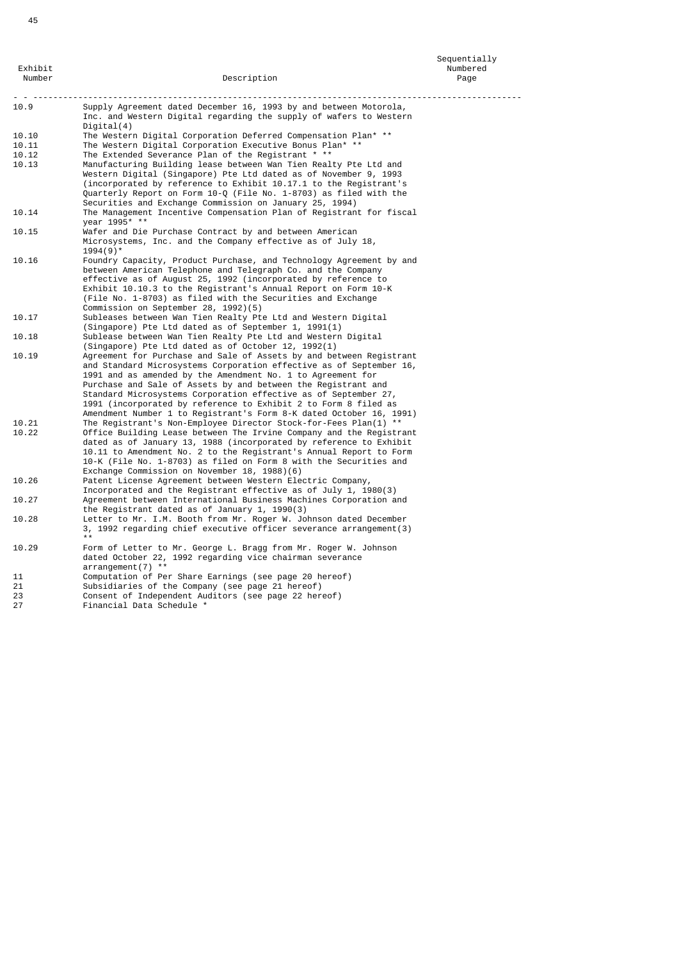27 Financial Data Schedule \*

| Number | Description                                                                      | Page |
|--------|----------------------------------------------------------------------------------|------|
| 10.9   | Supply Agreement dated December 16, 1993 by and between Motorola,                |      |
|        | Inc. and Western Digital regarding the supply of wafers to Western<br>Digital(4) |      |
| 10.10  | The Western Digital Corporation Deferred Compensation Plan* **                   |      |
| 10.11  | The Western Digital Corporation Executive Bonus Plan* **                         |      |
| 10.12  | The Extended Severance Plan of the Registrant * **                               |      |
| 10.13  | Manufacturing Building lease between Wan Tien Realty Pte Ltd and                 |      |
|        | Western Digital (Singapore) Pte Ltd dated as of November 9, 1993                 |      |
|        | (incorporated by reference to Exhibit 10.17.1 to the Registrant's                |      |
|        | Quarterly Report on Form 10-Q (File No. 1-8703) as filed with the                |      |
|        | Securities and Exchange Commission on January 25, 1994)                          |      |
| 10.14  | The Management Incentive Compensation Plan of Registrant for fiscal              |      |
|        | vear 1995* **                                                                    |      |
| 10.15  | Wafer and Die Purchase Contract by and between American                          |      |
|        | Microsystems, Inc. and the Company effective as of July 18,                      |      |
|        | $1994(9)$ <sup>*</sup>                                                           |      |
| 10.16  | Foundry Capacity, Product Purchase, and Technology Agreement by and              |      |
|        | between American Telephone and Telegraph Co. and the Company                     |      |
|        | effective as of August 25, 1992 (incorporated by reference to                    |      |
|        | Exhibit 10.10.3 to the Registrant's Annual Report on Form 10-K                   |      |
|        | (File No. 1-8703) as filed with the Securities and Exchange                      |      |
|        | Commission on September 28, 1992)(5)                                             |      |
| 10.17  | Subleases between Wan Tien Realty Pte Ltd and Western Digital                    |      |
|        | (Singapore) Pte Ltd dated as of September 1, 1991(1)                             |      |
| 10.18  | Sublease between Wan Tien Realty Pte Ltd and Western Digital                     |      |
|        | (Singapore) Pte Ltd dated as of October 12, 1992(1)                              |      |
| 10.19  | Agreement for Purchase and Sale of Assets by and between Registrant              |      |
|        | and Standard Microsystems Corporation effective as of September 16,              |      |
|        | 1991 and as amended by the Amendment No. 1 to Agreement for                      |      |
|        | Purchase and Sale of Assets by and between the Registrant and                    |      |
|        | Standard Microsystems Corporation effective as of September 27,                  |      |
|        | 1991 (incorporated by reference to Exhibit 2 to Form 8 filed as                  |      |
|        | Amendment Number 1 to Registrant's Form 8-K dated October 16, 1991)              |      |
| 10.21  | The Registrant's Non-Employee Director Stock-for-Fees Plan(1) **                 |      |
| 10.22  | Office Building Lease between The Irvine Company and the Registrant              |      |
|        | dated as of January 13, 1988 (incorporated by reference to Exhibit               |      |
|        | 10.11 to Amendment No. 2 to the Registrant's Annual Report to Form               |      |
|        | 10-K (File No. 1-8703) as filed on Form 8 with the Securities and                |      |
|        | Exchange Commission on November 18, 1988)(6)                                     |      |
| 10.26  | Patent License Agreement between Western Electric Company,                       |      |
|        | Incorporated and the Registrant effective as of July 1, 1980(3)                  |      |
| 10.27  | Agreement between International Business Machines Corporation and                |      |
|        | the Registrant dated as of January 1, 1990(3)                                    |      |
| 10.28  | Letter to Mr. I.M. Booth from Mr. Roger W. Johnson dated December                |      |
|        | 3, 1992 regarding chief executive officer severance arrangement(3)               |      |
|        |                                                                                  |      |
| 10.29  | Form of Letter to Mr. George L. Bragg from Mr. Roger W. Johnson                  |      |
|        | dated October 22, 1992 regarding vice chairman severance                         |      |
|        | arrangement(7) **                                                                |      |
| 11     | Computation of Per Share Earnings (see page 20 hereof)                           |      |
| 21     | Subsidiaries of the Company (see page 21 hereof)                                 |      |
| 23     | Consent of Independent Auditors (see page 22 hereof)                             |      |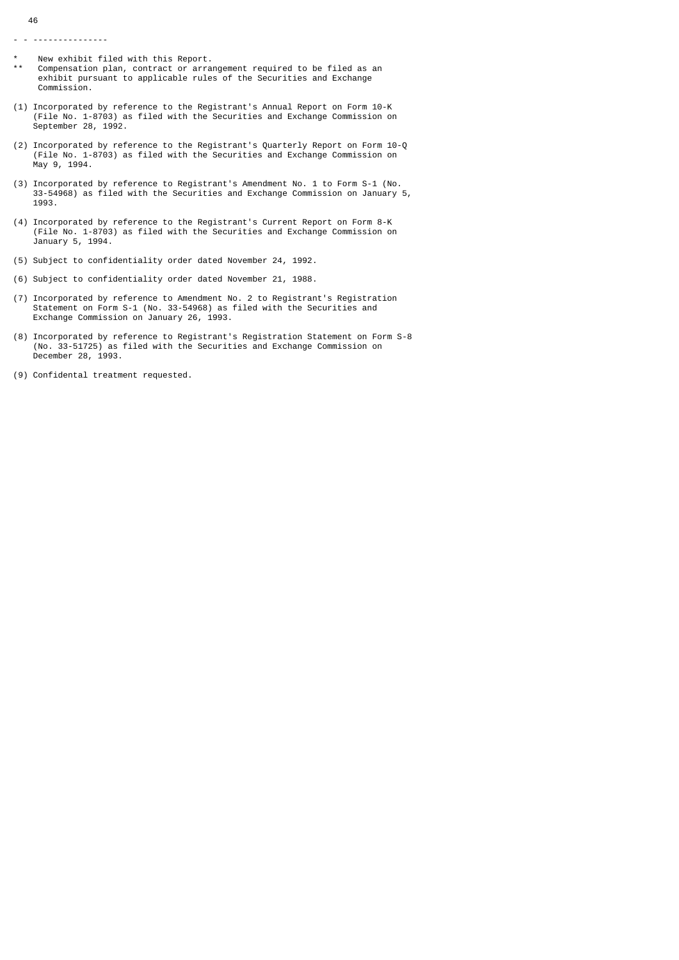- - ---------------

- \* New exhibit filed with this Report.
- Compensation plan, contract or arrangement required to be filed as an exhibit pursuant to applicable rules of the Securities and Exchange Commission.
- (1) Incorporated by reference to the Registrant's Annual Report on Form 10-K (File No. 1-8703) as filed with the Securities and Exchange Commission on September 28, 1992.
- (2) Incorporated by reference to the Registrant's Quarterly Report on Form 10-Q (File No. 1-8703) as filed with the Securities and Exchange Commission on May 9, 1994.
- (3) Incorporated by reference to Registrant's Amendment No. 1 to Form S-1 (No. 33-54968) as filed with the Securities and Exchange Commission on January 5, 1993.
- (4) Incorporated by reference to the Registrant's Current Report on Form 8-K (File No. 1-8703) as filed with the Securities and Exchange Commission on January 5, 1994.
- (5) Subject to confidentiality order dated November 24, 1992.
- (6) Subject to confidentiality order dated November 21, 1988.
- (7) Incorporated by reference to Amendment No. 2 to Registrant's Registration Statement on Form S-1 (No. 33-54968) as filed with the Securities and Exchange Commission on January 26, 1993.
- (8) Incorporated by reference to Registrant's Registration Statement on Form S-8 (No. 33-51725) as filed with the Securities and Exchange Commission on December 28, 1993.
- (9) Confidental treatment requested.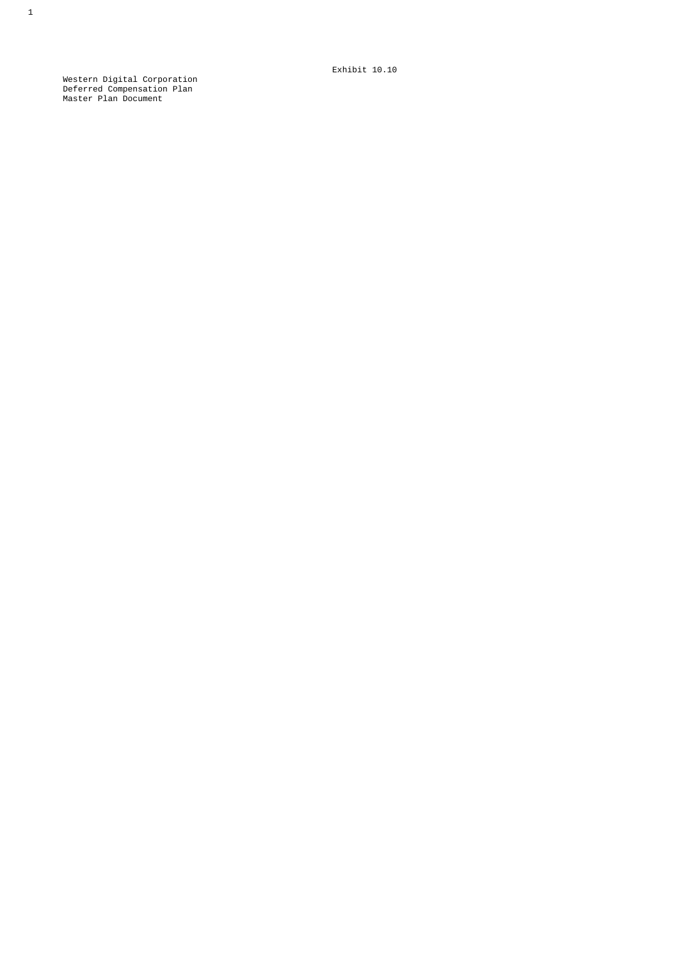Exhibit 10.10

 Western Digital Corporation Deferred Compensation Plan Master Plan Document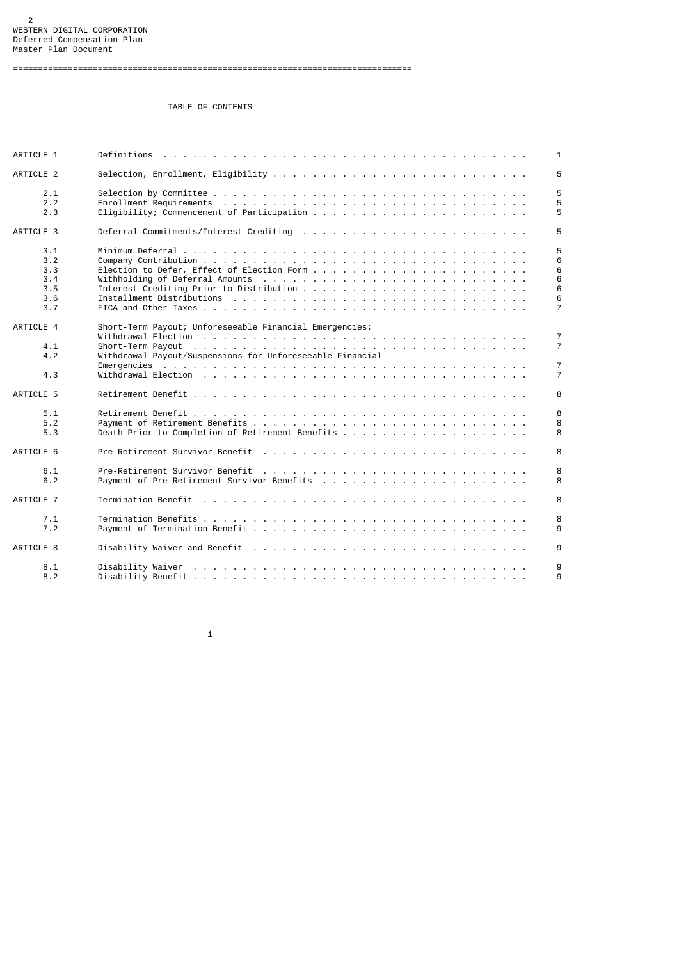TABLE OF CONTENTS

| ARTICLE 1  | 1                                                                         |
|------------|---------------------------------------------------------------------------|
| ARTICLE 2  | 5                                                                         |
| 2.1        | 5                                                                         |
| 2.2<br>2.3 | 5<br>5                                                                    |
|            |                                                                           |
| ARTICLE 3  | 5                                                                         |
| 3.1        | 5                                                                         |
| 3.2        | 6                                                                         |
| 3.3        | 6                                                                         |
| 3.4        | 6                                                                         |
| 3.5        | 6                                                                         |
| 3.6        | 6                                                                         |
| 3.7        | $\overline{7}$                                                            |
| ARTICLE 4  | Short-Term Payout; Unforeseeable Financial Emergencies:<br>$\overline{7}$ |
| 4.1        | $\overline{7}$                                                            |
| 4.2        | Withdrawal Payout/Suspensions for Unforeseeable Financial                 |
|            | $\overline{7}$                                                            |
| 4.3        | $\overline{7}$                                                            |
|            |                                                                           |
| ARTICLE 5  | 8                                                                         |
| 5.1        | 8                                                                         |
| 5.2        | 8                                                                         |
| 5.3        | 8                                                                         |
|            |                                                                           |
| ARTICLE 6  | 8                                                                         |
| 6.1        | 8                                                                         |
| 6.2        | 8                                                                         |
|            |                                                                           |
| ARTICLE 7  | 8                                                                         |
| 7.1        | 8                                                                         |
| 7.2        | 9                                                                         |
|            |                                                                           |
| ARTICLE 8  | 9                                                                         |
| 8.1        | 9                                                                         |
| 8.2        | 9                                                                         |
|            |                                                                           |

i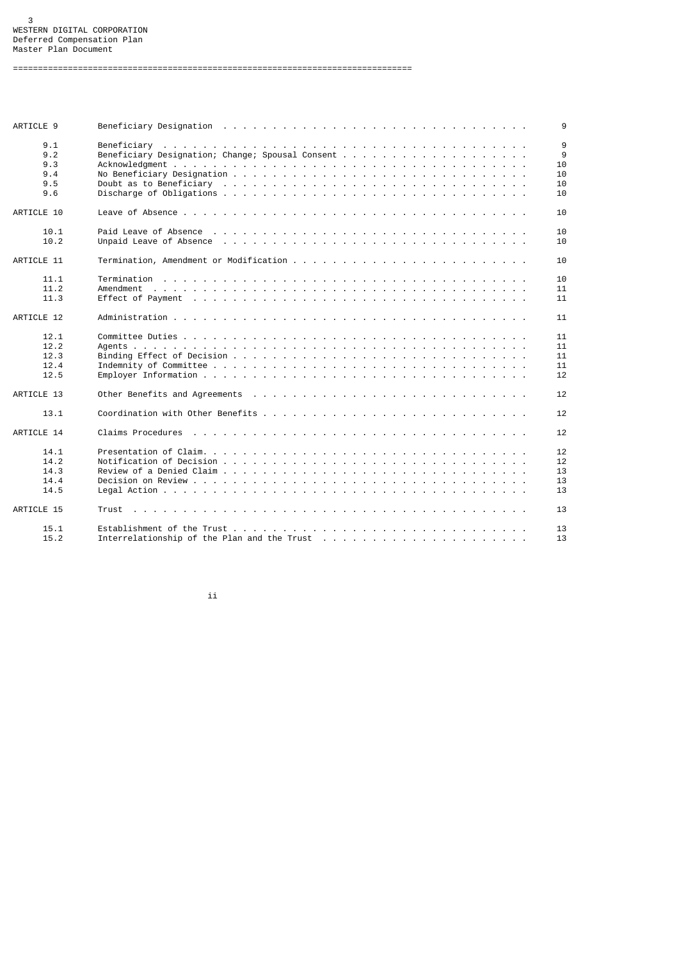ARTICLE 9 Beneficiary Designation . . . . . . . . . . . . . . . . . . . . . . . . . . . . . . . 9 9.1 Beneficiary . . . . . . . . . . . . . . . . . . . . . . . . . . . . . . . . . . . . . 9 9.2 Beneficiary Designation; Change; Spousal Consent . . . . . . . . . . . . . . . . . . . 9 9.3 Acknowledgment . . . . . . . . . . . . . . . . . . . . . . . . . . . . . . . . . . . . 10 9.4 No Beneficiary Designation . . . . . . . . . . . . . . . . . . . . . . . . . . . . . . 10 9.5 Doubt as to Beneficiary . . . . . . . . . . . . . . . . . . . . . . . . . . . . . . . 10 9.6 Discharge of Obligations . . . . . . . . . . . . . . . . . . . . . . . . . . . . . . . 10 ARTICLE 10 Leave of Absence . . . . . . . . . . . . . . . . . . . . . . . . . . . . . . . . . . . 10 10.1 Paid Leave of Absence . . . . . . . . . . . . . . . . . . . . . . . . . . . . . . . . 10 10.2 Unpaid Leave of Absence . . . . . . . . . . . . . . . . . . . . . . . . . . . . . . . 10 ARTICLE 11 Termination, Amendment or Modification . . . . . . . . . . . . . . . . . . . . . . . . 10 11.1 Termination . . . . . . . . . . . . . . . . . . . . . . . . . . . . . . . . . . . . . 10 11.2 Amendment . . . . . . . . . . . . . . . . . . . . . . . . . . . . . . . . . . . . . . 11 11.3 Effect of Payment . . . . . . . . . . . . . . . . . . . . . . . . . . . . . . . . . . 11 ARTICLE 12 Administration . . . . . . . . . . . . . . . . . . . . . . . . . . . . . . . . . . . . 11 12.1 Committee Duties . . . . . . . . . . . . . . . . . . . . . . . . . . . . . . . . . . . 11 12.2 Agents . . . . . . . . . . . . . . . . . . . . . . . . . . . . . . . . . . . . . . . . 11 12.3 Binding Effect of Decision . . . . . . . . . . . . . . . . . . . . . . . . . . . . . . 11 12.4 Indemnity of Committee . . . . . . . . . . . . . . . . . . . . . . . . . . . . . . . . 11 12.5 Employer Information . . . . . . . . . . . . . . . . . . . . . . . . . . . . . . . . . 12 ARTICLE 13 Other Benefits and Agreements . . . . . . . . . . . . . . . . . . . . . . . . . . . . 12 13.1 Coordination with Other Benefits . . . . . . . . . . . . . . . . . . . . . . . . . . . 12 ARTICLE 14 Claims Procedures . . . . . . . . . . . . . . . . . . . . . . . . . . . . . . . . . . 12 14.1 Presentation of Claim. . . . . . . . . . . . . . . . . . . . . . . . . . . . . . . . . 12 14.2 Notification of Decision . . . . . . . . . . . . . . . . . . . . . . . . . . . . . . . 12 14.3 Review of a Denied Claim . . . . . . . . . . . . . . . . . . . . . . . . . . . . . . . 13 14.4 Decision on Review . . . . . . . . . . . . . . . . . . . . . . . . . . . . . . . . . . 13 14.5 Legal Action . . . . . . . . . . . . . . . . . . . . . . . . . . . . . . . . . . . . . 13 ARTICLE 15 Trust . . . . . . . . . . . . . . . . . . . . . . . . . . . . . . . . . . . . . . . . 13 15.1 Establishment of the Trust . . . . . . . . . . . . . . . . . . . . . . . . . . . . . . 13 15.2 Interrelationship of the Plan and the Trust . . . . . . . . . . . . . . . . . . . . . 13

ii

================================================================================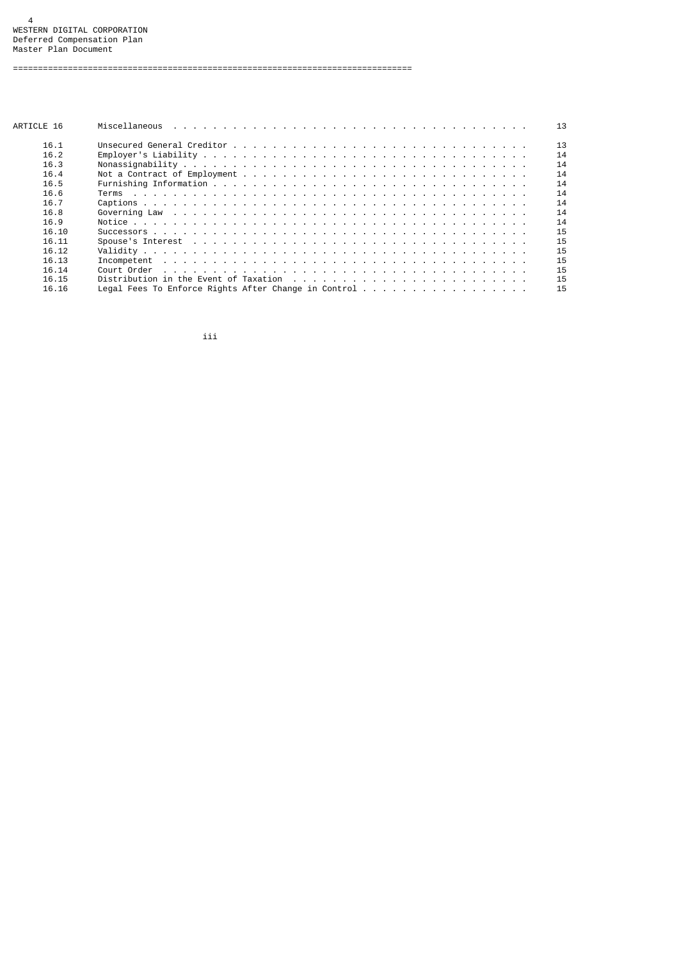| ARTICLE 16 |                                                                                                                         | 13 |
|------------|-------------------------------------------------------------------------------------------------------------------------|----|
| 16.1       |                                                                                                                         | 13 |
| 16.2       |                                                                                                                         | 14 |
| 16.3       |                                                                                                                         | 14 |
| 16.4       |                                                                                                                         | 14 |
| 16.5       |                                                                                                                         | 14 |
| 16.6       | Terms<br>and a company of the company of the company of the company of the company of the company of the company of the | 14 |
| 16.7       |                                                                                                                         | 14 |
| 16.8       | Governing Law research research research research research research research research research research research        | 14 |
| 16.9       |                                                                                                                         | 14 |
| 16.10      |                                                                                                                         | 15 |
| 16.11      |                                                                                                                         | 15 |
| 16.12      |                                                                                                                         | 15 |
| 16.13      |                                                                                                                         | 15 |
| 16.14      |                                                                                                                         | 15 |
| 16.15      |                                                                                                                         | 15 |
| 16.16      | Legal Fees To Enforce Rights After Change in Control                                                                    | 15 |

iii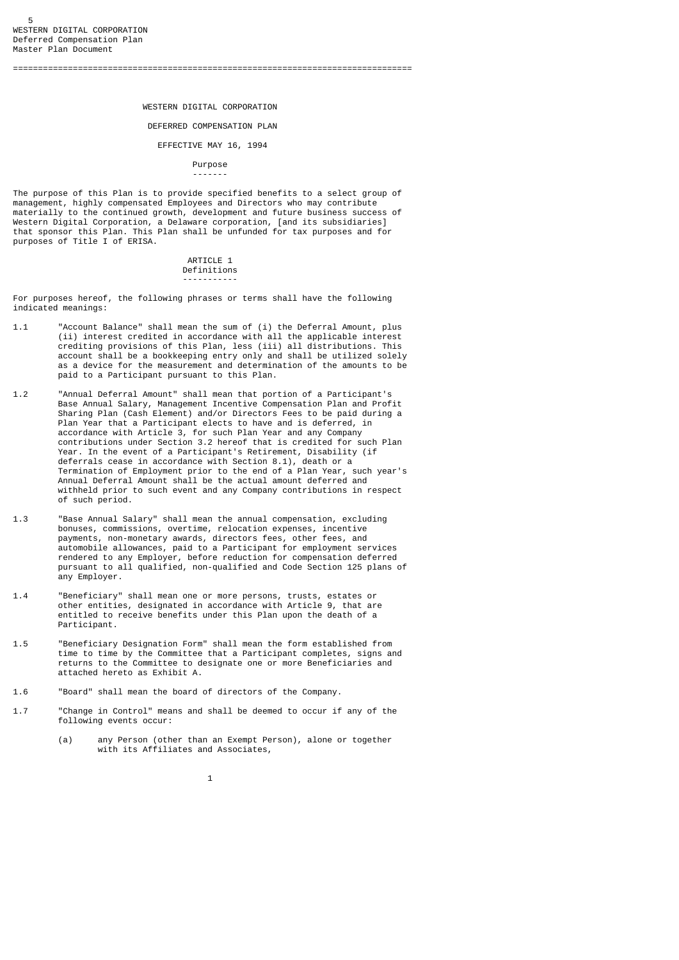## WESTERN DIGITAL CORPORATION

#### DEFERRED COMPENSATION PLAN

# EFFECTIVE MAY 16, 1994

#### Purpose -------

The purpose of this Plan is to provide specified benefits to a select group of management, highly compensated Employees and Directors who may contribute materially to the continued growth, development and future business success of Western Digital Corporation, a Delaware corporation, [and its subsidiaries] that sponsor this Plan. This Plan shall be unfunded for tax purposes and for purposes of Title I of ERISA.

### ARTICLE 1 Definitions -----------

For purposes hereof, the following phrases or terms shall have the following indicated meanings:

- 1.1 "Account Balance" shall mean the sum of (i) the Deferral Amount, plus (ii) interest credited in accordance with all the applicable interest crediting provisions of this Plan, less (iii) all distributions. This account shall be a bookkeeping entry only and shall be utilized solely as a device for the measurement and determination of the amounts to be paid to a Participant pursuant to this Plan.
- 1.2 "Annual Deferral Amount" shall mean that portion of a Participant's Base Annual Salary, Management Incentive Compensation Plan and Profit Sharing Plan (Cash Element) and/or Directors Fees to be paid during a Plan Year that a Participant elects to have and is deferred, in accordance with Article 3, for such Plan Year and any Company contributions under Section 3.2 hereof that is credited for such Plan Year. In the event of a Participant's Retirement, Disability (if deferrals cease in accordance with Section 8.1), death or a Termination of Employment prior to the end of a Plan Year, such year's Annual Deferral Amount shall be the actual amount deferred and withheld prior to such event and any Company contributions in respect of such period.
- 1.3 "Base Annual Salary" shall mean the annual compensation, excluding bonuses, commissions, overtime, relocation expenses, incentive payments, non-monetary awards, directors fees, other fees, and automobile allowances, paid to a Participant for employment services rendered to any Employer, before reduction for compensation deferred pursuant to all qualified, non-qualified and Code Section 125 plans of any Employer.
- 1.4 "Beneficiary" shall mean one or more persons, trusts, estates or other entities, designated in accordance with Article 9, that are entitled to receive benefits under this Plan upon the death of a Participant.
- 1.5 "Beneficiary Designation Form" shall mean the form established from time to time by the Committee that a Participant completes, signs and returns to the Committee to designate one or more Beneficiaries and attached hereto as Exhibit A.
- 1.6 "Board" shall mean the board of directors of the Company.
- 1.7 "Change in Control" means and shall be deemed to occur if any of the following events occur:
	- (a) any Person (other than an Exempt Person), alone or together with its Affiliates and Associates,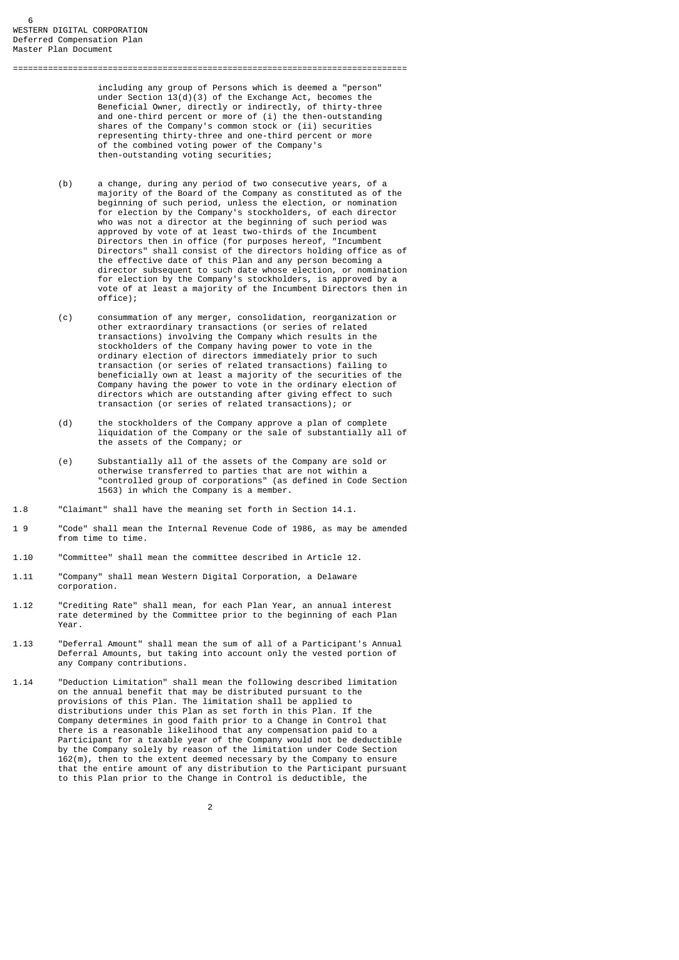including any group of Persons which is deemed a "person" under Section 13(d)(3) of the Exchange Act, becomes the Beneficial Owner, directly or indirectly, of thirty-three and one-third percent or more of (i) the then-outstanding shares of the Company's common stock or (ii) securities representing thirty-three and one-third percent or more of the combined voting power of the Company's then-outstanding voting securities;

===============================================================================

- (b) a change, during any period of two consecutive years, of a majority of the Board of the Company as constituted as of the beginning of such period, unless the election, or nomination for election by the Company's stockholders, of each director who was not a director at the beginning of such period was approved by vote of at least two-thirds of the Incumbent Directors then in office (for purposes hereof, "Incumbent Directors" shall consist of the directors holding office as of the effective date of this Plan and any person becoming a director subsequent to such date whose election, or nomination for election by the Company's stockholders, is approved by a vote of at least a majority of the Incumbent Directors then in office);
- (c) consummation of any merger, consolidation, reorganization or other extraordinary transactions (or series of related transactions) involving the Company which results in the stockholders of the Company having power to vote in the ordinary election of directors immediately prior to such transaction (or series of related transactions) failing to beneficially own at least a majority of the securities of the Company having the power to vote in the ordinary election of directors which are outstanding after giving effect to such transaction (or series of related transactions); or
	- (d) the stockholders of the Company approve a plan of complete liquidation of the Company or the sale of substantially all of the assets of the Company; or
	- (e) Substantially all of the assets of the Company are sold or otherwise transferred to parties that are not within a "controlled group of corporations" (as defined in Code Section 1563) in which the Company is a member.
- 1.8 "Claimant" shall have the meaning set forth in Section 14.1.
- 1 9 "Code" shall mean the Internal Revenue Code of 1986, as may be amended from time to time.
- 1.10 "Committee" shall mean the committee described in Article 12.
- 1.11 "Company" shall mean Western Digital Corporation, a Delaware corporation.
- 1.12 "Crediting Rate" shall mean, for each Plan Year, an annual interest rate determined by the Committee prior to the beginning of each Plan Year.
- 1.13 "Deferral Amount" shall mean the sum of all of a Participant's Annual Deferral Amounts, but taking into account only the vested portion of any Company contributions.
- 1.14 "Deduction Limitation" shall mean the following described limitation on the annual benefit that may be distributed pursuant to the provisions of this Plan. The limitation shall be applied to distributions under this Plan as set forth in this Plan. If the Company determines in good faith prior to a Change in Control that there is a reasonable likelihood that any compensation paid to a Participant for a taxable year of the Company would not be deductible by the Company solely by reason of the limitation under Code Section 162(m), then to the extent deemed necessary by the Company to ensure that the entire amount of any distribution to the Participant pursuant to this Plan prior to the Change in Control is deductible, the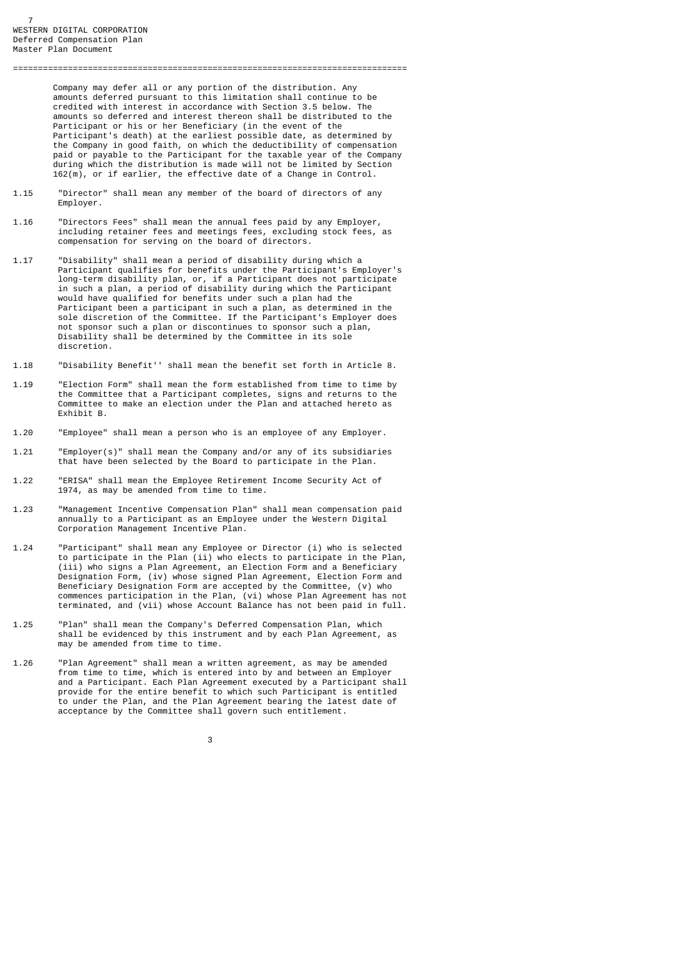Company may defer all or any portion of the distribution. Any amounts deferred pursuant to this limitation shall continue to be credited with interest in accordance with Section 3.5 below. The amounts so deferred and interest thereon shall be distributed to the Participant or his or her Beneficiary (in the event of the Participant's death) at the earliest possible date, as determined by the Company in good faith, on which the deductibility of compensation paid or payable to the Participant for the taxable year of the Company during which the distribution is made will not be limited by Section 162(m), or if earlier, the effective date of a Change in Control.

===============================================================================

- $1.15$ "Director" shall mean any member of the board of directors of any Employer.
- 1.16 "Directors Fees" shall mean the annual fees paid by any Employer, including retainer fees and meetings fees, excluding stock fees, as compensation for serving on the board of directors.
- 1.17 "Disability" shall mean a period of disability during which a Participant qualifies for benefits under the Participant's Employer's long-term disability plan, or, if a Participant does not participate in such a plan, a period of disability during which the Participant would have qualified for benefits under such a plan had the Participant been a participant in such a plan, as determined in the sole discretion of the Committee. If the Participant's Employer does not sponsor such a plan or discontinues to sponsor such a plan, Disability shall be determined by the Committee in its sole discretion.
- 1.18 "Disability Benefit'' shall mean the benefit set forth in Article 8.
- 1.19 "Election Form" shall mean the form established from time to time by the Committee that a Participant completes, signs and returns to the Committee to make an election under the Plan and attached hereto as Exhibit B.
- 1.20 "Employee" shall mean a person who is an employee of any Employer.
- 1.21 "Employer(s)" shall mean the Company and/or any of its subsidiaries that have been selected by the Board to participate in the Plan.
- 1.22 "ERISA" shall mean the Employee Retirement Income Security Act of 1974, as may be amended from time to time.
- 1.23 "Management Incentive Compensation Plan" shall mean compensation paid annually to a Participant as an Employee under the Western Digital Corporation Management Incentive Plan.
- 1.24 "Participant" shall mean any Employee or Director (i) who is selected to participate in the Plan (ii) who elects to participate in the Plan, (iii) who signs a Plan Agreement, an Election Form and a Beneficiary Designation Form, (iv) whose signed Plan Agreement, Election Form and Beneficiary Designation Form are accepted by the Committee, (v) who commences participation in the Plan, (vi) whose Plan Agreement has not terminated, and (vii) whose Account Balance has not been paid in full.
- 1.25 "Plan" shall mean the Company's Deferred Compensation Plan, which shall be evidenced by this instrument and by each Plan Agreement, as may be amended from time to time.
- 1.26 "Plan Agreement" shall mean a written agreement, as may be amended from time to time, which is entered into by and between an Employer and a Participant. Each Plan Agreement executed by a Participant shall provide for the entire benefit to which such Participant is entitled to under the Plan, and the Plan Agreement bearing the latest date of acceptance by the Committee shall govern such entitlement.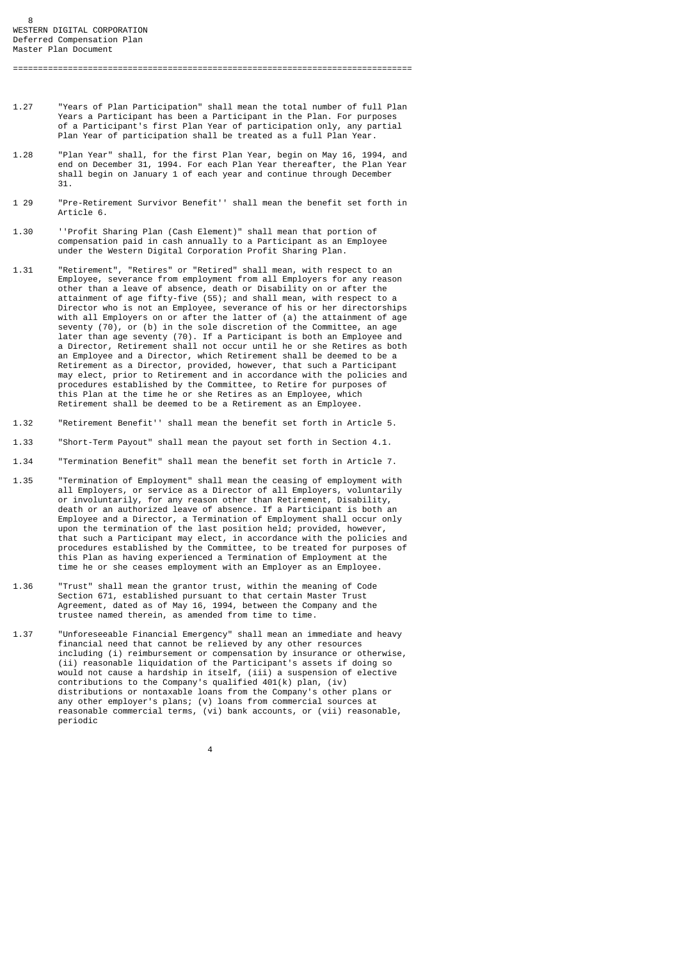1.27 "Years of Plan Participation" shall mean the total number of full Plan Years a Participant has been a Participant in the Plan. For purposes of a Participant's first Plan Year of participation only, any partial Plan Year of participation shall be treated as a full Plan Year.

================================================================================

- 1.28 "Plan Year" shall, for the first Plan Year, begin on May 16, 1994, and end on December 31, 1994. For each Plan Year thereafter, the Plan Year shall begin on January 1 of each year and continue through December 31.
- 1 29 "Pre-Retirement Survivor Benefit'' shall mean the benefit set forth in Article 6.
- 1.30 ''Profit Sharing Plan (Cash Element)" shall mean that portion of compensation paid in cash annually to a Participant as an Employee under the Western Digital Corporation Profit Sharing Plan.
- 1.31 "Retirement", "Retires" or "Retired" shall mean, with respect to an Employee, severance from employment from all Employers for any reason other than a leave of absence, death or Disability on or after the attainment of age fifty-five (55); and shall mean, with respect to a Director who is not an Employee, severance of his or her directorships with all Employers on or after the latter of (a) the attainment of age seventy  $(70)$ , or (b) in the sole discretion of the Committee, an age later than age seventy (70). If a Participant is both an Employee and a Director, Retirement shall not occur until he or she Retires as both an Employee and a Director, which Retirement shall be deemed to be a Retirement as a Director, provided, however, that such a Participant may elect, prior to Retirement and in accordance with the policies and procedures established by the Committee, to Retire for purposes of this Plan at the time he or she Retires as an Employee, which Retirement shall be deemed to be a Retirement as an Employee.
- 1.32 "Retirement Benefit'' shall mean the benefit set forth in Article 5.
- 1.33 "Short-Term Payout" shall mean the payout set forth in Section 4.1.
- 1.34 "Termination Benefit" shall mean the benefit set forth in Article 7.
- 1.35 "Termination of Employment" shall mean the ceasing of employment with all Employers, or service as a Director of all Employers, voluntarily or involuntarily, for any reason other than Retirement, Disability, death or an authorized leave of absence. If a Participant is both an Employee and a Director, a Termination of Employment shall occur only upon the termination of the last position held; provided, however, that such a Participant may elect, in accordance with the policies and procedures established by the Committee, to be treated for purposes of this Plan as having experienced a Termination of Employment at the time he or she ceases employment with an Employer as an Employee.
- 1.36 "Trust" shall mean the grantor trust, within the meaning of Code Section 671, established pursuant to that certain Master Trust Agreement, dated as of May 16, 1994, between the Company and the trustee named therein, as amended from time to time.
- 1.37 "Unforeseeable Financial Emergency" shall mean an immediate and heavy financial need that cannot be relieved by any other resources including (i) reimbursement or compensation by insurance or otherwise, (ii) reasonable liquidation of the Participant's assets if doing so would not cause a hardship in itself, (iii) a suspension of elective contributions to the Company's qualified 401(k) plan, (iv) distributions or nontaxable loans from the Company's other plans or any other employer's plans; (v) loans from commercial sources at reasonable commercial terms, (vi) bank accounts, or (vii) reasonable, periodic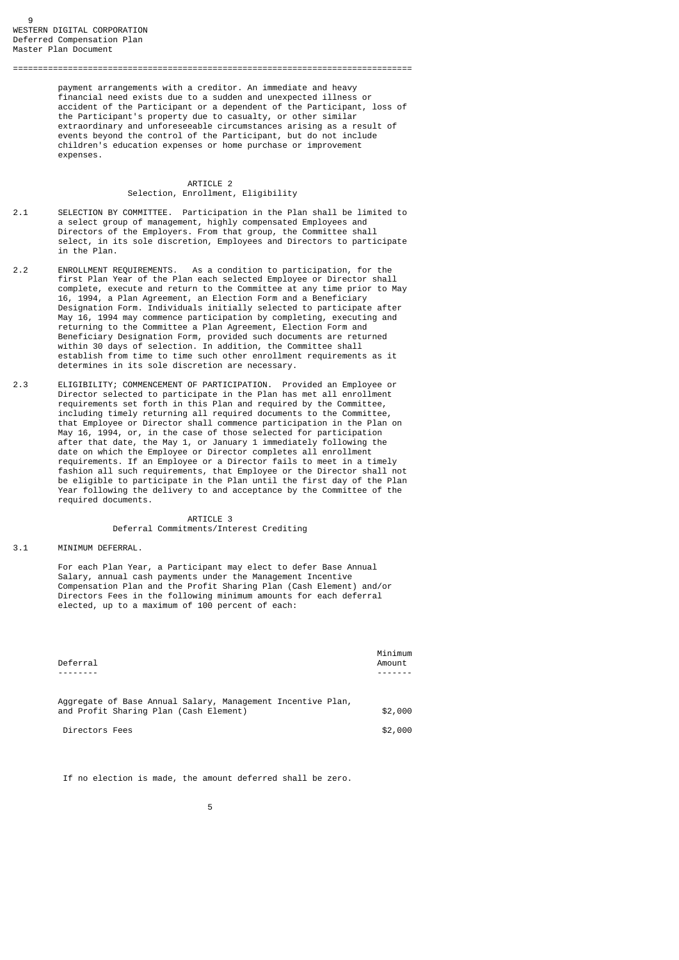payment arrangements with a creditor. An immediate and heavy financial need exists due to a sudden and unexpected illness or accident of the Participant or a dependent of the Participant, loss of the Participant's property due to casualty, or other similar extraordinary and unforeseeable circumstances arising as a result of events beyond the control of the Participant, but do not include children's education expenses or home purchase or improvement expenses.

# ARTICLE 2 Selection, Enrollment, Eligibility

================================================================================

- 2.1 SELECTION BY COMMITTEE. Participation in the Plan shall be limited to a select group of management, highly compensated Employees and Directors of the Employers. From that group, the Committee shall select, in its sole discretion, Employees and Directors to participate in the Plan.
- 2.2 ENROLLMENT REQUIREMENTS. As a condition to participation, for the first Plan Year of the Plan each selected Employee or Director shall complete, execute and return to the Committee at any time prior to May 16, 1994, a Plan Agreement, an Election Form and a Beneficiary Designation Form. Individuals initially selected to participate after May 16, 1994 may commence participation by completing, executing and returning to the Committee a Plan Agreement, Election Form and Beneficiary Designation Form, provided such documents are returned within 30 days of selection. In addition, the Committee shall establish from time to time such other enrollment requirements as it determines in its sole discretion are necessary.
- 2.3 ELIGIBILITY; COMMENCEMENT OF PARTICIPATION. Provided an Employee or Director selected to participate in the Plan has met all enrollment requirements set forth in this Plan and required by the Committee, including timely returning all required documents to the Committee, that Employee or Director shall commence participation in the Plan on May 16, 1994, or, in the case of those selected for participation after that date, the May 1, or January 1 immediately following the date on which the Employee or Director completes all enrollment requirements. If an Employee or a Director fails to meet in a timely fashion all such requirements, that Employee or the Director shall not be eligible to participate in the Plan until the first day of the Plan Year following the delivery to and acceptance by the Committee of the required documents.

## ARTICLE 3 Deferral Commitments/Interest Crediting

#### 3.1 MINIMUM DEFERRAL.

 For each Plan Year, a Participant may elect to defer Base Annual Salary, annual cash payments under the Management Incentive Compensation Plan and the Profit Sharing Plan (Cash Element) and/or Directors Fees in the following minimum amounts for each deferral elected, up to a maximum of 100 percent of each:

| Deferral                                                    | Minimum<br>Amount |
|-------------------------------------------------------------|-------------------|
|                                                             |                   |
| Aggregate of Base Annual Salary, Management Incentive Plan, |                   |
| and Profit Sharing Plan (Cash Element)                      | \$2,000           |
| Directors Fees                                              | \$2,000           |

If no election is made, the amount deferred shall be zero.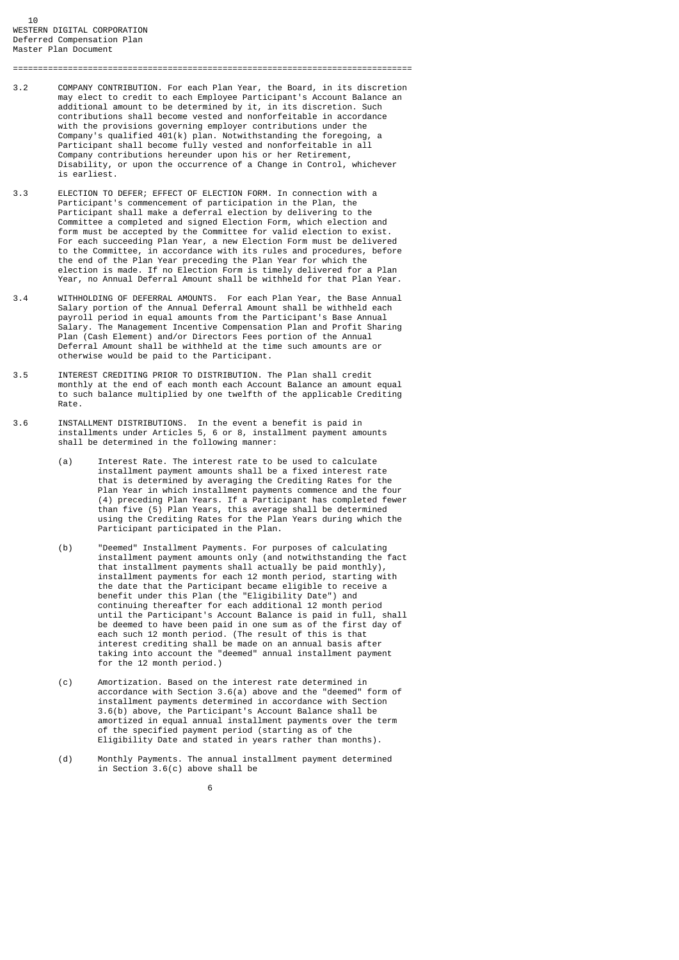3.2 COMPANY CONTRIBUTION. For each Plan Year, the Board, in its discretion may elect to credit to each Employee Participant's Account Balance an additional amount to be determined by it, in its discretion. Such contributions shall become vested and nonforfeitable in accordance with the provisions governing employer contributions under the Company's qualified 401(k) plan. Notwithstanding the foregoing, a Participant shall become fully vested and nonforfeitable in all Company contributions hereunder upon his or her Retirement, Disability, or upon the occurrence of a Change in Control, whichever is earliest.

================================================================================

- 3.3 ELECTION TO DEFER; EFFECT OF ELECTION FORM. In connection with a Participant's commencement of participation in the Plan, the Participant shall make a deferral election by delivering to the Committee a completed and signed Election Form, which election and form must be accepted by the Committee for valid election to exist. For each succeeding Plan Year, a new Election Form must be delivered to the Committee, in accordance with its rules and procedures, before the end of the Plan Year preceding the Plan Year for which the election is made. If no Election Form is timely delivered for a Plan Year, no Annual Deferral Amount shall be withheld for that Plan Year.
- 3.4 WITHHOLDING OF DEFERRAL AMOUNTS. For each Plan Year, the Base Annual Salary portion of the Annual Deferral Amount shall be withheld each payroll period in equal amounts from the Participant's Base Annual Salary. The Management Incentive Compensation Plan and Profit Sharing Plan (Cash Element) and/or Directors Fees portion of the Annual Deferral Amount shall be withheld at the time such amounts are or otherwise would be paid to the Participant.
- 3.5 INTEREST CREDITING PRIOR TO DISTRIBUTION. The Plan shall credit monthly at the end of each month each Account Balance an amount equal to such balance multiplied by one twelfth of the applicable Crediting Rate.
- 3.6 INSTALLMENT DISTRIBUTIONS. In the event a benefit is paid in installments under Articles 5, 6 or 8, installment payment amounts shall be determined in the following manner:
- (a) Interest Rate. The interest rate to be used to calculate installment payment amounts shall be a fixed interest rate that is determined by averaging the Crediting Rates for the Plan Year in which installment payments commence and the four (4) preceding Plan Years. If a Participant has completed fewer than five (5) Plan Years, this average shall be determined using the Crediting Rates for the Plan Years during which the Participant participated in the Plan.
- (b) "Deemed" Installment Payments. For purposes of calculating installment payment amounts only (and notwithstanding the fact that installment payments shall actually be paid monthly), installment payments for each 12 month period, starting with the date that the Participant became eligible to receive a benefit under this Plan (the "Eligibility Date") and continuing thereafter for each additional 12 month period until the Participant's Account Balance is paid in full, shall be deemed to have been paid in one sum as of the first day of each such 12 month period. (The result of this is that interest crediting shall be made on an annual basis after taking into account the "deemed" annual installment payment for the 12 month period.)
- (c) Amortization. Based on the interest rate determined in accordance with Section 3.6(a) above and the "deemed" form of installment payments determined in accordance with Section 3.6(b) above, the Participant's Account Balance shall be amortized in equal annual installment payments over the term of the specified payment period (starting as of the Eligibility Date and stated in years rather than months).
	- (d) Monthly Payments. The annual installment payment determined in Section 3.6(c) above shall be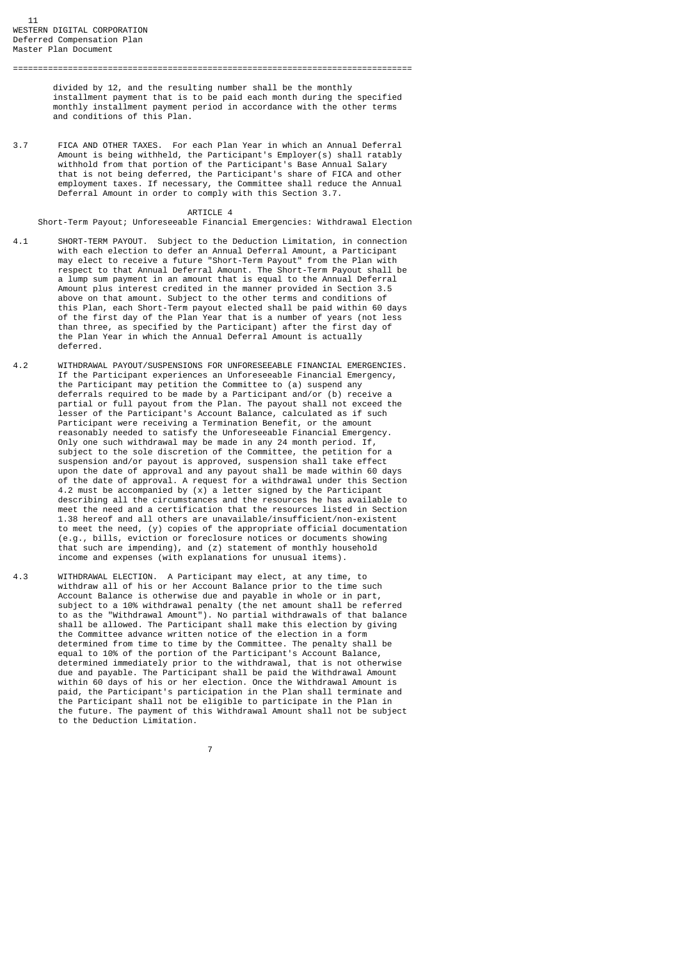divided by 12, and the resulting number shall be the monthly installment payment that is to be paid each month during the specified monthly installment payment period in accordance with the other terms and conditions of this Plan.

================================================================================

3.7 FICA AND OTHER TAXES. For each Plan Year in which an Annual Deferral Amount is being withheld, the Participant's Employer(s) shall ratably withhold from that portion of the Participant's Base Annual Salary that is not being deferred, the Participant's share of FICA and other employment taxes. If necessary, the Committee shall reduce the Annual Deferral Amount in order to comply with this Section 3.7.

#### ARTICLE 4

Short-Term Payout; Unforeseeable Financial Emergencies: Withdrawal Election

- 4.1 SHORT-TERM PAYOUT. Subject to the Deduction Limitation, in connection with each election to defer an Annual Deferral Amount, a Participant may elect to receive a future "Short-Term Payout" from the Plan with respect to that Annual Deferral Amount. The Short-Term Payout shall be a lump sum payment in an amount that is equal to the Annual Deferral Amount plus interest credited in the manner provided in Section 3.5 above on that amount. Subject to the other terms and conditions of this Plan, each Short-Term payout elected shall be paid within 60 days of the first day of the Plan Year that is a number of years (not less than three, as specified by the Participant) after the first day of the Plan Year in which the Annual Deferral Amount is actually deferred.
- 4.2 WITHDRAWAL PAYOUT/SUSPENSIONS FOR UNFORESEEABLE FINANCIAL EMERGENCIES. If the Participant experiences an Unforeseeable Financial Emergency, the Participant may petition the Committee to (a) suspend any deferrals required to be made by a Participant and/or (b) receive a partial or full payout from the Plan. The payout shall not exceed the lesser of the Participant's Account Balance, calculated as if such Participant were receiving a Termination Benefit, or the amount reasonably needed to satisfy the Unforeseeable Financial Emergency. Only one such withdrawal may be made in any 24 month period. If, subject to the sole discretion of the Committee, the petition for a suspension and/or payout is approved, suspension shall take effect upon the date of approval and any payout shall be made within 60 days of the date of approval. A request for a withdrawal under this Section 4.2 must be accompanied by (x) a letter signed by the Participant describing all the circumstances and the resources he has available to meet the need and a certification that the resources listed in Section 1.38 hereof and all others are unavailable/insufficient/non-existent to meet the need, (y) copies of the appropriate official documentation (e.g., bills, eviction or foreclosure notices or documents showing that such are impending), and (z) statement of monthly household income and expenses (with explanations for unusual items).
- 4.3 WITHDRAWAL ELECTION. A Participant may elect, at any time, to withdraw all of his or her Account Balance prior to the time such Account Balance is otherwise due and payable in whole or in part, subject to a 10% withdrawal penalty (the net amount shall be referred to as the "Withdrawal Amount"). No partial withdrawals of that balance shall be allowed. The Participant shall make this election by giving the Committee advance written notice of the election in a form determined from time to time by the Committee. The penalty shall be equal to 10% of the portion of the Participant's Account Balance, determined immediately prior to the withdrawal, that is not otherwise due and payable. The Participant shall be paid the Withdrawal Amount within 60 days of his or her election. Once the Withdrawal Amount is paid, the Participant's participation in the Plan shall terminate and the Participant shall not be eligible to participate in the Plan in the future. The payment of this Withdrawal Amount shall not be subject to the Deduction Limitation.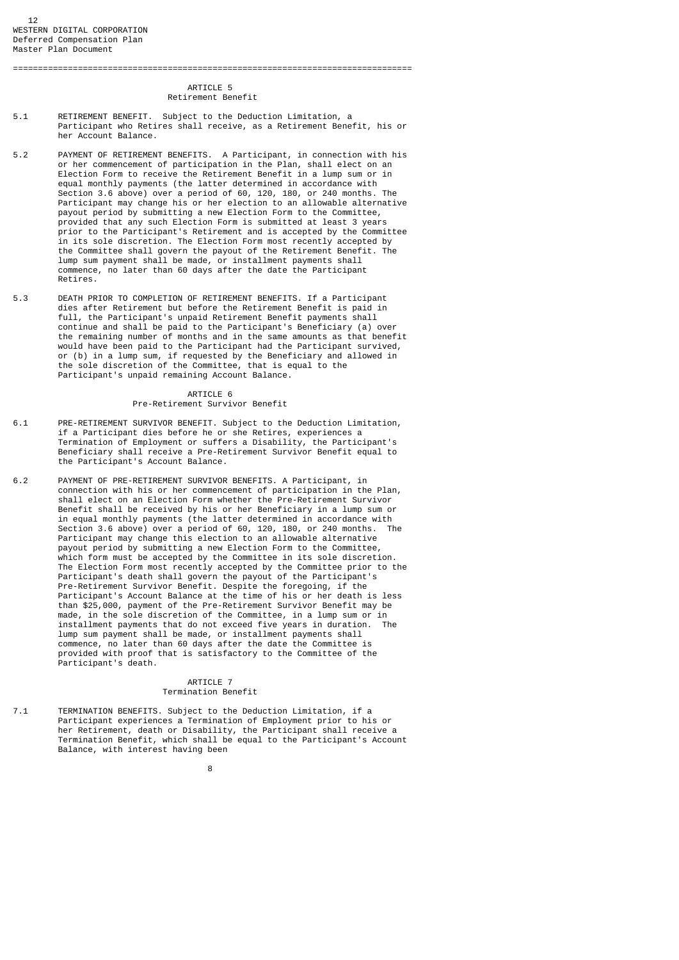#### ARTICLE 5 Retirement Benefit

================================================================================

- 5.1 RETIREMENT BENEFIT. Subject to the Deduction Limitation, a Participant who Retires shall receive, as a Retirement Benefit, his or her Account Balance.
- 5.2 PAYMENT OF RETIREMENT BENEFITS. A Participant, in connection with his or her commencement of participation in the Plan, shall elect on an Election Form to receive the Retirement Benefit in a lump sum or in equal monthly payments (the latter determined in accordance with Section 3.6 above) over a period of 60, 120, 180, or 240 months. The Participant may change his or her election to an allowable alternative payout period by submitting a new Election Form to the Committee, provided that any such Election Form is submitted at least 3 years prior to the Participant's Retirement and is accepted by the Committee in its sole discretion. The Election Form most recently accepted by the Committee shall govern the payout of the Retirement Benefit. The lump sum payment shall be made, or installment payments shall commence, no later than 60 days after the date the Participant Retires.
- 5.3 DEATH PRIOR TO COMPLETION OF RETIREMENT BENEFITS. If a Participant dies after Retirement but before the Retirement Benefit is paid in full, the Participant's unpaid Retirement Benefit payments shall continue and shall be paid to the Participant's Beneficiary (a) over the remaining number of months and in the same amounts as that benefit would have been paid to the Participant had the Participant survived, or (b) in a lump sum, if requested by the Beneficiary and allowed in the sole discretion of the Committee, that is equal to the Participant's unpaid remaining Account Balance.

# ARTICLE 6

# Pre-Retirement Survivor Benefit

- 6.1 PRE-RETIREMENT SURVIVOR BENEFIT. Subject to the Deduction Limitation, if a Participant dies before he or she Retires, experiences a Termination of Employment or suffers a Disability, the Participant's Beneficiary shall receive a Pre-Retirement Survivor Benefit equal to the Participant's Account Balance.
- 6.2 PAYMENT OF PRE-RETIREMENT SURVIVOR BENEFITS. A Participant, in connection with his or her commencement of participation in the Plan, shall elect on an Election Form whether the Pre-Retirement Survivor Benefit shall be received by his or her Beneficiary in a lump sum or in equal monthly payments (the latter determined in accordance with<br>Section 3.6 above) over a neriod of 60, 120, 180, or 240 months. The Section 3.6 above) over a period of 60, 120, 180, or 240 months. Participant may change this election to an allowable alternative payout period by submitting a new Election Form to the Committee, which form must be accepted by the Committee in its sole discretion. The Election Form most recently accepted by the Committee prior to the Participant's death shall govern the payout of the Participant's Pre-Retirement Survivor Benefit. Despite the foregoing, if the Participant's Account Balance at the time of his or her death is less than \$25,000, payment of the Pre-Retirement Survivor Benefit may be made, in the sole discretion of the Committee, in a lump sum or in installment payments that do not exceed five years in duration. The lump sum payment shall be made, or installment payments shall commence, no later than 60 days after the date the Committee is provided with proof that is satisfactory to the Committee of the Participant's death.

## ARTICLE 7 Termination Benefit

 $7.1$ TERMINATION BENEFITS. Subject to the Deduction Limitation, if a Participant experiences a Termination of Employment prior to his or her Retirement, death or Disability, the Participant shall receive a Termination Benefit, which shall be equal to the Participant's Account Balance, with interest having been

e a construction de la construction de la construction de la construction de la construction de la constructio<br>En 1980, en 1980, en 1980, en 1980, en 1980, en 1980, en 1980, en 1980, en 1980, en 1980, en 1980, en 1980, en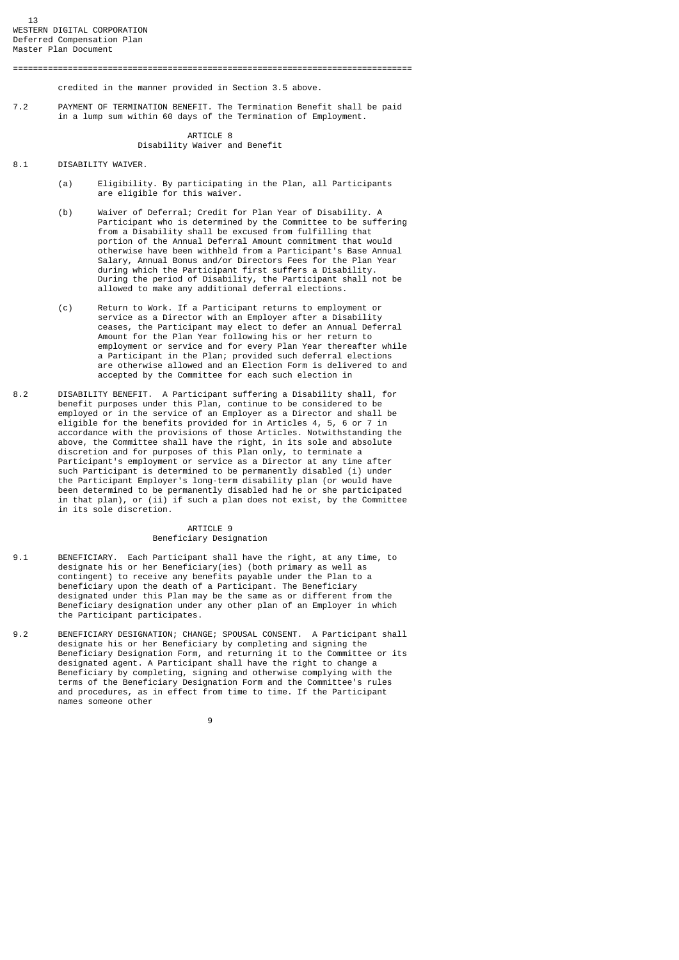credited in the manner provided in Section 3.5 above.

7.2 PAYMENT OF TERMINATION BENEFIT. The Termination Benefit shall be paid in a lump sum within 60 days of the Termination of Employment.

## ARTICLE 8 Disability Waiver and Benefit

- 8.1 DISABILITY WAIVER.
	- (a) Eligibility. By participating in the Plan, all Participants are eligible for this waiver.
- (b) Waiver of Deferral; Credit for Plan Year of Disability. A Participant who is determined by the Committee to be suffering from a Disability shall be excused from fulfilling that portion of the Annual Deferral Amount commitment that would otherwise have been withheld from a Participant's Base Annual Salary, Annual Bonus and/or Directors Fees for the Plan Year during which the Participant first suffers a Disability. During the period of Disability, the Participant shall not be allowed to make any additional deferral elections.
	- (c) Return to Work. If a Participant returns to employment or service as a Director with an Employer after a Disability ceases, the Participant may elect to defer an Annual Deferral Amount for the Plan Year following his or her return to employment or service and for every Plan Year thereafter while a Participant in the Plan; provided such deferral elections are otherwise allowed and an Election Form is delivered to and accepted by the Committee for each such election in
- 8.2 DISABILITY BENEFIT. A Participant suffering a Disability shall, for benefit purposes under this Plan, continue to be considered to be employed or in the service of an Employer as a Director and shall be eligible for the benefits provided for in Articles 4, 5, 6 or 7 in accordance with the provisions of those Articles. Notwithstanding the above, the Committee shall have the right, in its sole and absolute discretion and for purposes of this Plan only, to terminate a Participant's employment or service as a Director at any time after such Participant is determined to be permanently disabled (i) under the Participant Employer's long-term disability plan (or would have been determined to be permanently disabled had he or she participated in that plan), or (ii) if such a plan does not exist, by the Committee in its sole discretion.

## ARTICLE 9 Beneficiary Designation

- $9.1$ BENEFICIARY. Each Participant shall have the right, at any time, to designate his or her Beneficiary(ies) (both primary as well as contingent) to receive any benefits payable under the Plan to a beneficiary upon the death of a Participant. The Beneficiary designated under this Plan may be the same as or different from the Beneficiary designation under any other plan of an Employer in which the Participant participates.
- 9.2 BENEFICIARY DESIGNATION; CHANGE; SPOUSAL CONSENT. A Participant shall designate his or her Beneficiary by completing and signing the Beneficiary Designation Form, and returning it to the Committee or its designated agent. A Participant shall have the right to change a Beneficiary by completing, signing and otherwise complying with the terms of the Beneficiary Designation Form and the Committee's rules and procedures, as in effect from time to time. If the Participant names someone other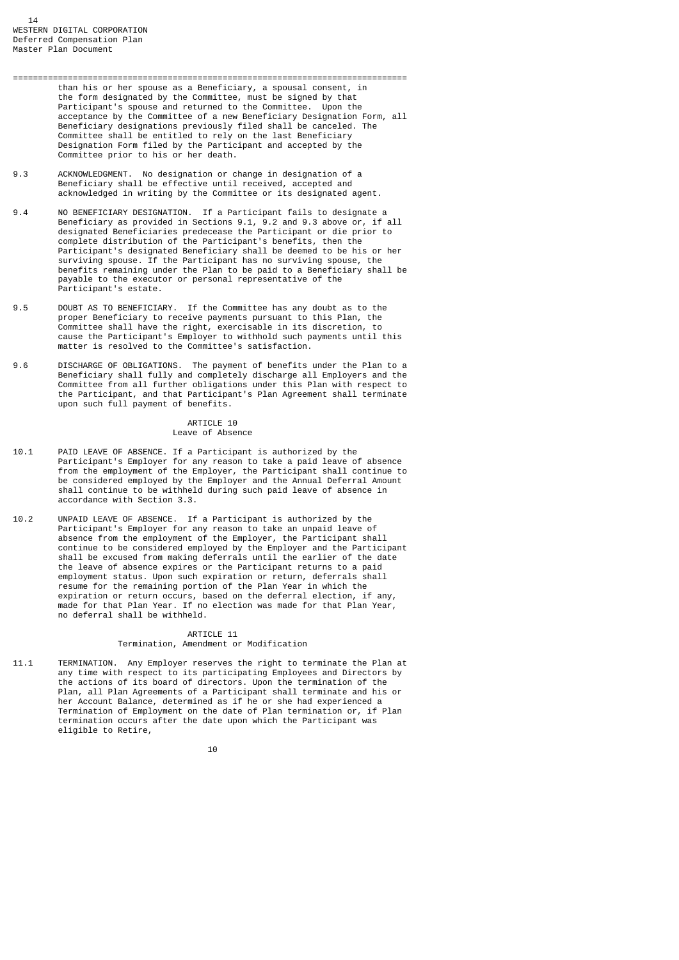- =============================================================================== than his or her spouse as a Beneficiary, a spousal consent, in the form designated by the Committee, must be signed by that Participant's spouse and returned to the Committee. Upon the acceptance by the Committee of a new Beneficiary Designation Form, all Beneficiary designations previously filed shall be canceled. The Committee shall be entitled to rely on the last Beneficiary Designation Form filed by the Participant and accepted by the Committee prior to his or her death.
- 9.3 ACKNOWLEDGMENT. No designation or change in designation of a Beneficiary shall be effective until received, accepted and acknowledged in writing by the Committee or its designated agent.
- 9.4 NO BENEFICIARY DESIGNATION. If a Participant fails to designate a Beneficiary as provided in Sections 9.1, 9.2 and 9.3 above or, if all designated Beneficiaries predecease the Participant or die prior to complete distribution of the Participant's benefits, then the Participant's designated Beneficiary shall be deemed to be his or her surviving spouse. If the Participant has no surviving spouse, the benefits remaining under the Plan to be paid to a Beneficiary shall be payable to the executor or personal representative of the Participant's estate.
- 9.5 DOUBT AS TO BENEFICIARY. If the Committee has any doubt as to the proper Beneficiary to receive payments pursuant to this Plan, the Committee shall have the right, exercisable in its discretion, to cause the Participant's Employer to withhold such payments until this matter is resolved to the Committee's satisfaction.
- 9.6 DISCHARGE OF OBLIGATIONS. The payment of benefits under the Plan to a Beneficiary shall fully and completely discharge all Employers and the Committee from all further obligations under this Plan with respect to the Participant, and that Participant's Plan Agreement shall terminate upon such full payment of benefits.

#### ARTICLE 10 Leave of Absence

- $10.1$ 10.1 PAID LEAVE OF ABSENCE. If a Participant is authorized by the Participant's Employer for any reason to take a paid leave of absence from the employment of the Employer, the Participant shall continue to be considered employed by the Employer and the Annual Deferral Amount shall continue to be withheld during such paid leave of absence in accordance with Section 3.3.
- 10.2 UNPAID LEAVE OF ABSENCE. If a Participant is authorized by the Participant's Employer for any reason to take an unpaid leave of absence from the employment of the Employer, the Participant shall continue to be considered employed by the Employer and the Participant shall be excused from making deferrals until the earlier of the date the leave of absence expires or the Participant returns to a paid employment status. Upon such expiration or return, deferrals shall resume for the remaining portion of the Plan Year in which the expiration or return occurs, based on the deferral election, if any, made for that Plan Year. If no election was made for that Plan Year, no deferral shall be withheld.

## ARTICLE 11

# Termination, Amendment or Modification

 $11.1$ TERMINATION. Any Employer reserves the right to terminate the Plan at any time with respect to its participating Employees and Directors by the actions of its board of directors. Upon the termination of the Plan, all Plan Agreements of a Participant shall terminate and his or her Account Balance, determined as if he or she had experienced a Termination of Employment on the date of Plan termination or, if Plan termination occurs after the date upon which the Participant was eligible to Retire,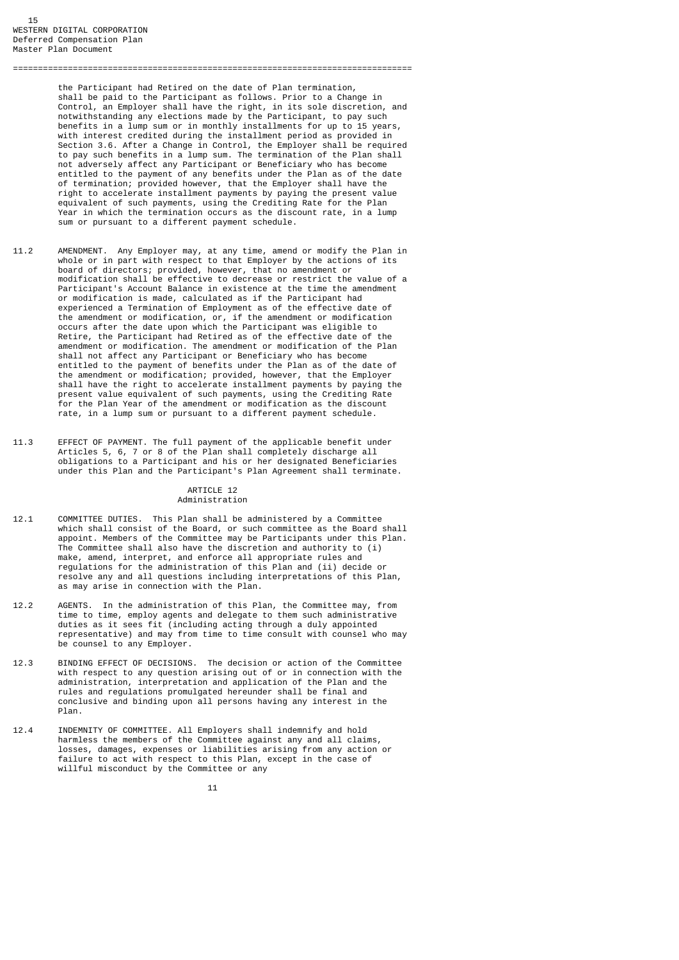the Participant had Retired on the date of Plan termination, shall be paid to the Participant as follows. Prior to a Change in Control, an Employer shall have the right, in its sole discretion, and notwithstanding any elections made by the Participant, to pay such benefits in a lump sum or in monthly installments for up to 15 years, with interest credited during the installment period as provided in Section 3.6. After a Change in Control, the Employer shall be required to pay such benefits in a lump sum. The termination of the Plan shall not adversely affect any Participant or Beneficiary who has become entitled to the payment of any benefits under the Plan as of the date of termination; provided however, that the Employer shall have the right to accelerate installment payments by paying the present value equivalent of such payments, using the Crediting Rate for the Plan Year in which the termination occurs as the discount rate, in a lump sum or pursuant to a different payment schedule.

================================================================================

- 11.2 AMENDMENT. Any Employer may, at any time, amend or modify the Plan in whole or in part with respect to that Employer by the actions of its board of directors; provided, however, that no amendment or modification shall be effective to decrease or restrict the value of a Participant's Account Balance in existence at the time the amendment or modification is made, calculated as if the Participant had experienced a Termination of Employment as of the effective date of the amendment or modification, or, if the amendment or modification occurs after the date upon which the Participant was eligible to Retire, the Participant had Retired as of the effective date of the amendment or modification. The amendment or modification of the Plan shall not affect any Participant or Beneficiary who has become entitled to the payment of benefits under the Plan as of the date of the amendment or modification; provided, however, that the Employer shall have the right to accelerate installment payments by paying the present value equivalent of such payments, using the Crediting Rate for the Plan Year of the amendment or modification as the discount rate, in a lump sum or pursuant to a different payment schedule.
- 11.3 EFFECT OF PAYMENT. The full payment of the applicable benefit under Articles 5, 6, 7 or 8 of the Plan shall completely discharge all obligations to a Participant and his or her designated Beneficiaries under this Plan and the Participant's Plan Agreement shall terminate.

#### ARTICLE 12 Administration

- 12.1 COMMITTEE DUTIES. This Plan shall be administered by a Committee which shall consist of the Board, or such committee as the Board shall appoint. Members of the Committee may be Participants under this Plan. The Committee shall also have the discretion and authority to (i) make, amend, interpret, and enforce all appropriate rules and regulations for the administration of this Plan and (ii) decide or resolve any and all questions including interpretations of this Plan, as may arise in connection with the Plan.
- 12.2 AGENTS. In the administration of this Plan, the Committee may, from time to time, employ agents and delegate to them such administrative duties as it sees fit (including acting through a duly appointed representative) and may from time to time consult with counsel who may be counsel to any Employer.
- 12.3 BINDING EFFECT OF DECISIONS. The decision or action of the Committee with respect to any question arising out of or in connection with the administration, interpretation and application of the Plan and the rules and regulations promulgated hereunder shall be final and conclusive and binding upon all persons having any interest in the Plan.
- 12.4 INDEMNITY OF COMMITTEE. All Employers shall indemnify and hold harmless the members of the Committee against any and all claims, losses, damages, expenses or liabilities arising from any action or failure to act with respect to this Plan, except in the case of willful misconduct by the Committee or any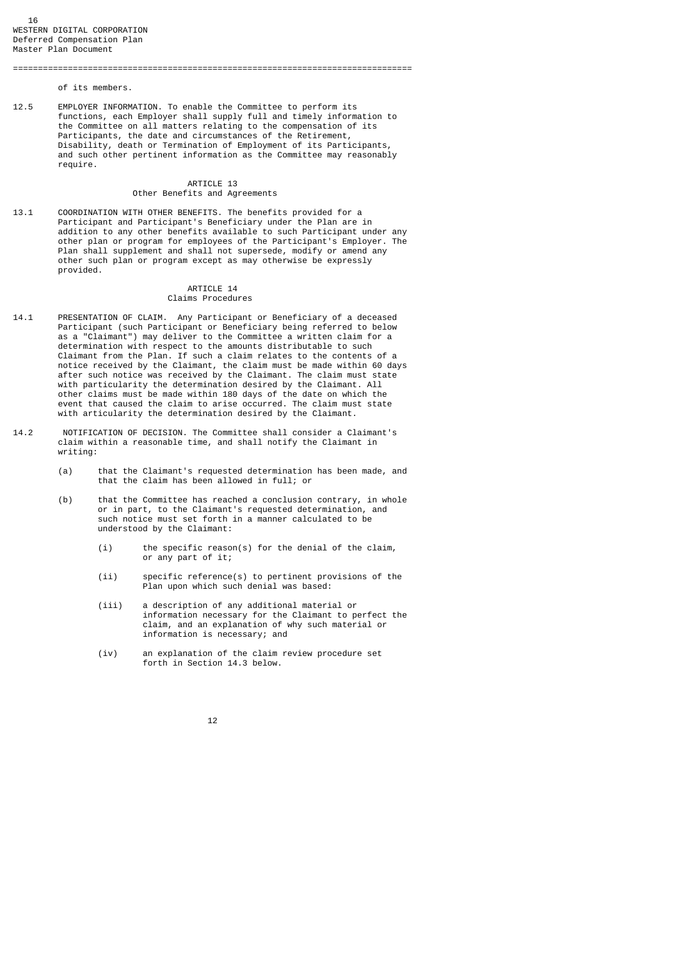of its members.

12.5 EMPLOYER INFORMATION. To enable the Committee to perform its functions, each Employer shall supply full and timely information to the Committee on all matters relating to the compensation of its Participants, the date and circumstances of the Retirement, Disability, death or Termination of Employment of its Participants, and such other pertinent information as the Committee may reasonably require.

================================================================================

## ARTICLE 13 Other Benefits and Agreements

13.1 COORDINATION WITH OTHER BENEFITS. The benefits provided for a Participant and Participant's Beneficiary under the Plan are in addition to any other benefits available to such Participant under any other plan or program for employees of the Participant's Employer. The Plan shall supplement and shall not supersede, modify or amend any other such plan or program except as may otherwise be expressly provided.

# ARTICLE 14

# Claims Procedures

- 14.1 PRESENTATION OF CLAIM. Any Participant or Beneficiary of a deceased Participant (such Participant or Beneficiary being referred to below as a "Claimant") may deliver to the Committee a written claim for a determination with respect to the amounts distributable to such Claimant from the Plan. If such a claim relates to the contents of a notice received by the Claimant, the claim must be made within 60 days after such notice was received by the Claimant. The claim must state with particularity the determination desired by the Claimant. All other claims must be made within 180 days of the date on which the event that caused the claim to arise occurred. The claim must state with articularity the determination desired by the Claimant.
- 14.2 NOTIFICATION OF DECISION. The Committee shall consider a Claimant's claim within a reasonable time, and shall notify the Claimant in writing:
	- (a) that the Claimant's requested determination has been made, and that the claim has been allowed in full; or
	- (b) that the Committee has reached a conclusion contrary, in whole or in part, to the Claimant's requested determination, and such notice must set forth in a manner calculated to be understood by the Claimant:
		- (i) the specific reason(s) for the denial of the claim, or any part of it;
		- (ii) specific reference(s) to pertinent provisions of the Plan upon which such denial was based:
		- (iii) a description of any additional material or information necessary for the Claimant to perfect the claim, and an explanation of why such material or information is necessary; and
		- (iv) an explanation of the claim review procedure set forth in Section 14.3 below.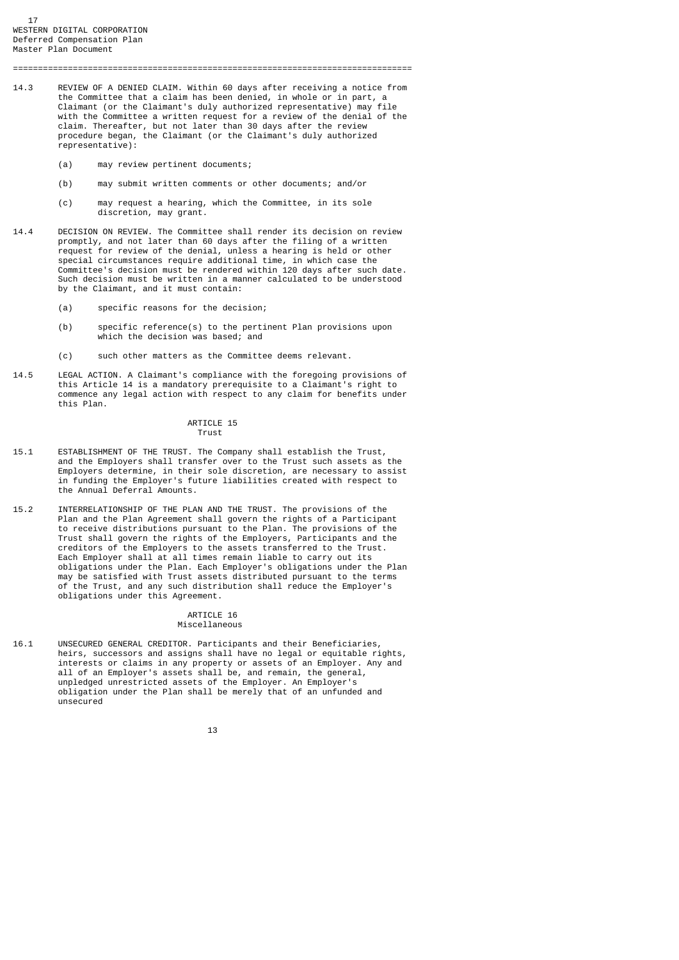17 WESTERN DIGITAL CORPORATION Deferred Compensation Plan Master Plan Document

14.3 REVIEW OF A DENIED CLAIM. Within 60 days after receiving a notice from the Committee that a claim has been denied, in whole or in part, a Claimant (or the Claimant's duly authorized representative) may file with the Committee a written request for a review of the denial of the claim. Thereafter, but not later than 30 days after the review procedure began, the Claimant (or the Claimant's duly authorized representative):

================================================================================

- (a) may review pertinent documents;
- (b) may submit written comments or other documents; and/or
- (c) may request a hearing, which the Committee, in its sole discretion, may grant.
- 14.4 DECISION ON REVIEW. The Committee shall render its decision on review promptly, and not later than 60 days after the filing of a written request for review of the denial, unless a hearing is held or other special circumstances require additional time, in which case the Committee's decision must be rendered within 120 days after such date. Such decision must be written in a manner calculated to be understood by the Claimant, and it must contain:
	- (a) specific reasons for the decision;
	- (b) specific reference(s) to the pertinent Plan provisions upon which the decision was based; and
	- (c) such other matters as the Committee deems relevant.
- 14.5 LEGAL ACTION. A Claimant's compliance with the foregoing provisions of this Article 14 is a mandatory prerequisite to a Claimant's right to commence any legal action with respect to any claim for benefits under this Plan.

#### ARTICLE 15 Trust

- 15.1 ESTABLISHMENT OF THE TRUST. The Company shall establish the Trust, and the Employers shall transfer over to the Trust such assets as the Employers determine, in their sole discretion, are necessary to assist in funding the Employer's future liabilities created with respect to the Annual Deferral Amounts.
- 15.2 INTERRELATIONSHIP OF THE PLAN AND THE TRUST. The provisions of the Plan and the Plan Agreement shall govern the rights of a Participant to receive distributions pursuant to the Plan. The provisions of the Trust shall govern the rights of the Employers, Participants and the creditors of the Employers to the assets transferred to the Trust. Each Employer shall at all times remain liable to carry out its obligations under the Plan. Each Employer's obligations under the Plan may be satisfied with Trust assets distributed pursuant to the terms of the Trust, and any such distribution shall reduce the Employer's obligations under this Agreement.

#### ARTICLE 16 Miscellaneous

16.1 UNSECURED GENERAL CREDITOR. Participants and their Beneficiaries, heirs, successors and assigns shall have no legal or equitable rights, interests or claims in any property or assets of an Employer. Any and all of an Employer's assets shall be, and remain, the general, unpledged unrestricted assets of the Employer. An Employer's obligation under the Plan shall be merely that of an unfunded and unsecured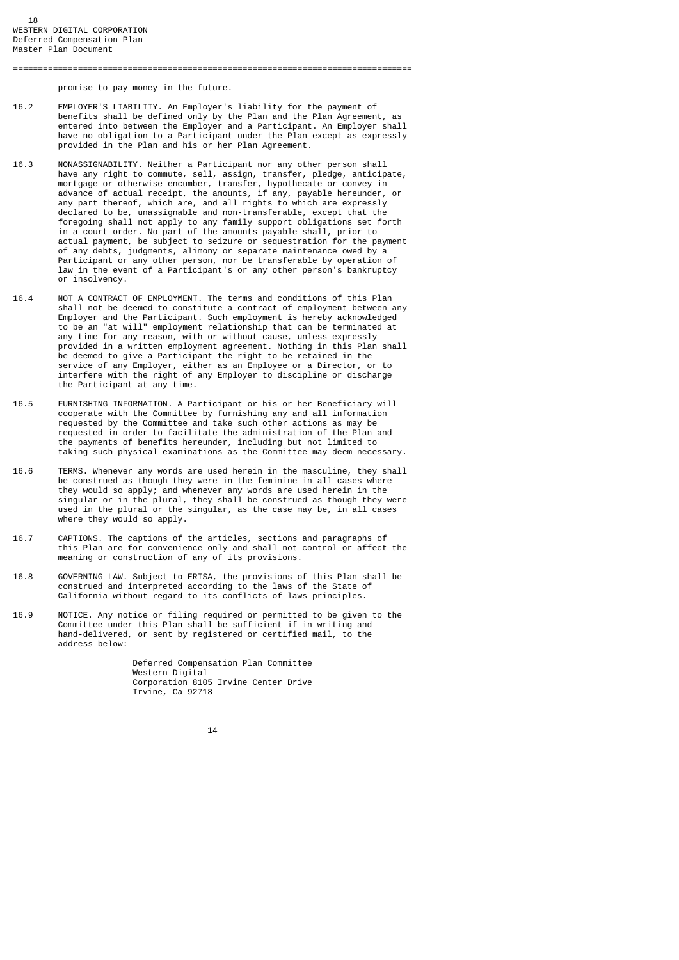promise to pay money in the future.

16.2 EMPLOYER'S LIABILITY. An Employer's liability for the payment of benefits shall be defined only by the Plan and the Plan Agreement, as entered into between the Employer and a Participant. An Employer shall have no obligation to a Participant under the Plan except as expressly provided in the Plan and his or her Plan Agreement.

================================================================================

- 16.3 NONASSIGNABILITY. Neither a Participant nor any other person shall have any right to commute, sell, assign, transfer, pledge, anticipate, mortgage or otherwise encumber, transfer, hypothecate or convey in advance of actual receipt, the amounts, if any, payable hereunder, or any part thereof, which are, and all rights to which are expressly declared to be, unassignable and non-transferable, except that the foregoing shall not apply to any family support obligations set forth in a court order. No part of the amounts payable shall, prior to actual payment, be subject to seizure or sequestration for the payment of any debts, judgments, alimony or separate maintenance owed by a Participant or any other person, nor be transferable by operation of law in the event of a Participant's or any other person's bankruptcy or insolvency.
- 16.4 NOT A CONTRACT OF EMPLOYMENT. The terms and conditions of this Plan shall not be deemed to constitute a contract of employment between any Employer and the Participant. Such employment is hereby acknowledged to be an "at will" employment relationship that can be terminated at any time for any reason, with or without cause, unless expressly provided in a written employment agreement. Nothing in this Plan shall be deemed to give a Participant the right to be retained in the service of any Employer, either as an Employee or a Director, or to interfere with the right of any Employer to discipline or discharge the Participant at any time.
- 16.5 FURNISHING INFORMATION. A Participant or his or her Beneficiary will cooperate with the Committee by furnishing any and all information requested by the Committee and take such other actions as may be requested in order to facilitate the administration of the Plan and the payments of benefits hereunder, including but not limited to taking such physical examinations as the Committee may deem necessary.
- 16.6 TERMS. Whenever any words are used herein in the masculine, they shall be construed as though they were in the feminine in all cases where they would so apply; and whenever any words are used herein in the singular or in the plural, they shall be construed as though they were used in the plural or the singular, as the case may be, in all cases where they would so apply.
- 16.7 CAPTIONS. The captions of the articles, sections and paragraphs of this Plan are for convenience only and shall not control or affect the meaning or construction of any of its provisions.
- 16.8 GOVERNING LAW. Subject to ERISA, the provisions of this Plan shall be construed and interpreted according to the laws of the State of California without regard to its conflicts of laws principles.
- 16.9 NOTICE. Any notice or filing required or permitted to be given to the Committee under this Plan shall be sufficient if in writing and hand-delivered, or sent by registered or certified mail, to the address below:

 Deferred Compensation Plan Committee Western Digital Corporation 8105 Irvine Center Drive Irvine, Ca 92718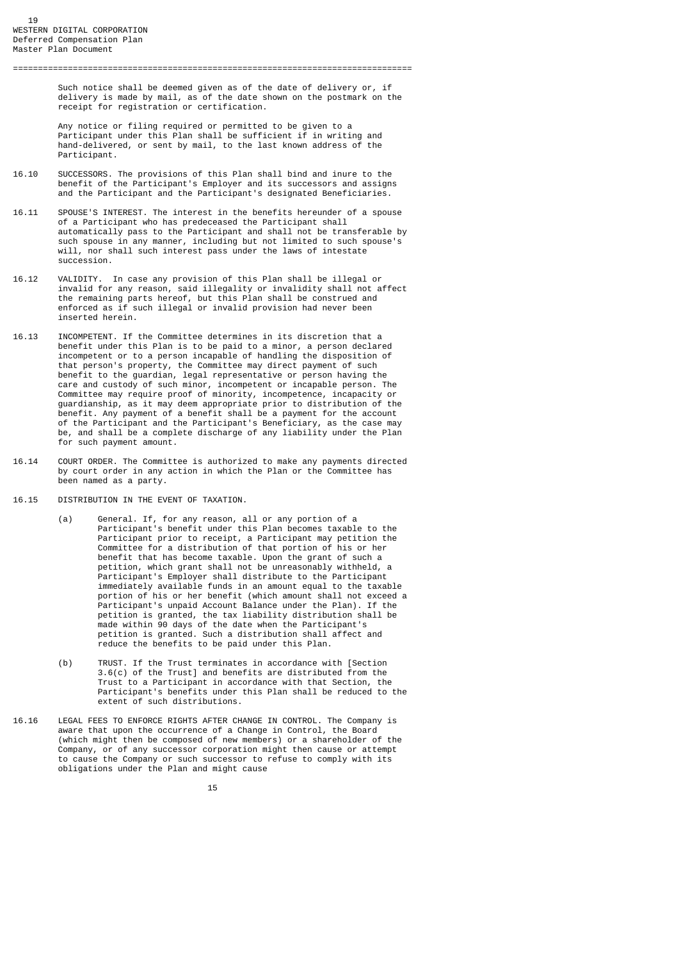Such notice shall be deemed given as of the date of delivery or, if delivery is made by mail, as of the date shown on the postmark on the receipt for registration or certification.

 Any notice or filing required or permitted to be given to a Participant under this Plan shall be sufficient if in writing and hand-delivered, or sent by mail, to the last known address of the Participant.

================================================================================

- 16.10 SUCCESSORS. The provisions of this Plan shall bind and inure to the benefit of the Participant's Employer and its successors and assigns and the Participant and the Participant's designated Beneficiaries.
- 16.11 SPOUSE'S INTEREST. The interest in the benefits hereunder of a spouse of a Participant who has predeceased the Participant shall automatically pass to the Participant and shall not be transferable by such spouse in any manner, including but not limited to such spouse's will, nor shall such interest pass under the laws of intestate succession.
- 16.12 VALIDITY. In case any provision of this Plan shall be illegal or invalid for any reason, said illegality or invalidity shall not affect the remaining parts hereof, but this Plan shall be construed and enforced as if such illegal or invalid provision had never been inserted herein.
- 16.13 INCOMPETENT. If the Committee determines in its discretion that a benefit under this Plan is to be paid to a minor, a person declared incompetent or to a person incapable of handling the disposition of that person's property, the Committee may direct payment of such benefit to the guardian, legal representative or person having the care and custody of such minor, incompetent or incapable person. The Committee may require proof of minority, incompetence, incapacity or guardianship, as it may deem appropriate prior to distribution of the benefit. Any payment of a benefit shall be a payment for the account of the Participant and the Participant's Beneficiary, as the case may be, and shall be a complete discharge of any liability under the Plan for such payment amount.
- 16.14 COURT ORDER. The Committee is authorized to make any payments directed by court order in any action in which the Plan or the Committee has been named as a party.
- 16.15 DISTRIBUTION IN THE EVENT OF TAXATION.
- (a) General. If, for any reason, all or any portion of a Participant's benefit under this Plan becomes taxable to the Participant prior to receipt, a Participant may petition the Committee for a distribution of that portion of his or her benefit that has become taxable. Upon the grant of such a petition, which grant shall not be unreasonably withheld, a Participant's Employer shall distribute to the Participant immediately available funds in an amount equal to the taxable portion of his or her benefit (which amount shall not exceed a Participant's unpaid Account Balance under the Plan). If the petition is granted, the tax liability distribution shall be made within 90 days of the date when the Participant's petition is granted. Such a distribution shall affect and reduce the benefits to be paid under this Plan.
	- (b) TRUST. If the Trust terminates in accordance with [Section 3.6(c) of the Trust] and benefits are distributed from the Trust to a Participant in accordance with that Section, the Participant's benefits under this Plan shall be reduced to the extent of such distributions.
- 16.16 LEGAL FEES TO ENFORCE RIGHTS AFTER CHANGE IN CONTROL. The Company is aware that upon the occurrence of a Change in Control, the Board (which might then be composed of new members) or a shareholder of the Company, or of any successor corporation might then cause or attempt to cause the Company or such successor to refuse to comply with its obligations under the Plan and might cause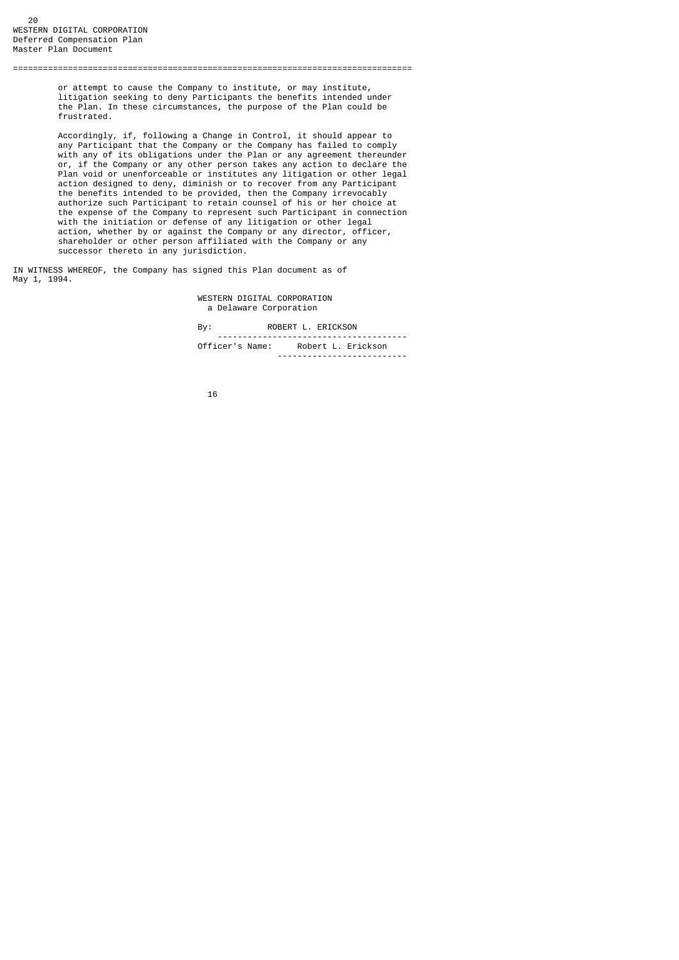or attempt to cause the Company to institute, or may institute, litigation seeking to deny Participants the benefits intended under the Plan. In these circumstances, the purpose of the Plan could be frustrated.

================================================================================

 Accordingly, if, following a Change in Control, it should appear to any Participant that the Company or the Company has failed to comply with any of its obligations under the Plan or any agreement thereunder or, if the Company or any other person takes any action to declare the Plan void or unenforceable or institutes any litigation or other legal action designed to deny, diminish or to recover from any Participant the benefits intended to be provided, then the Company irrevocably authorize such Participant to retain counsel of his or her choice at the expense of the Company to represent such Participant in connection with the initiation or defense of any litigation or other legal action, whether by or against the Company or any director, officer, shareholder or other person affiliated with the Company or any successor thereto in any jurisdiction.

IN WITNESS WHEREOF, the Company has signed this Plan document as of May 1, 1994.

> WESTERN DIGITAL CORPORATION a Delaware Corporation

By: ROBERT L. ERICKSON

|                    | <br>---            |
|--------------------|--------------------|
| Officer's<br>Name: | Robert L. Erickson |
|                    |                    |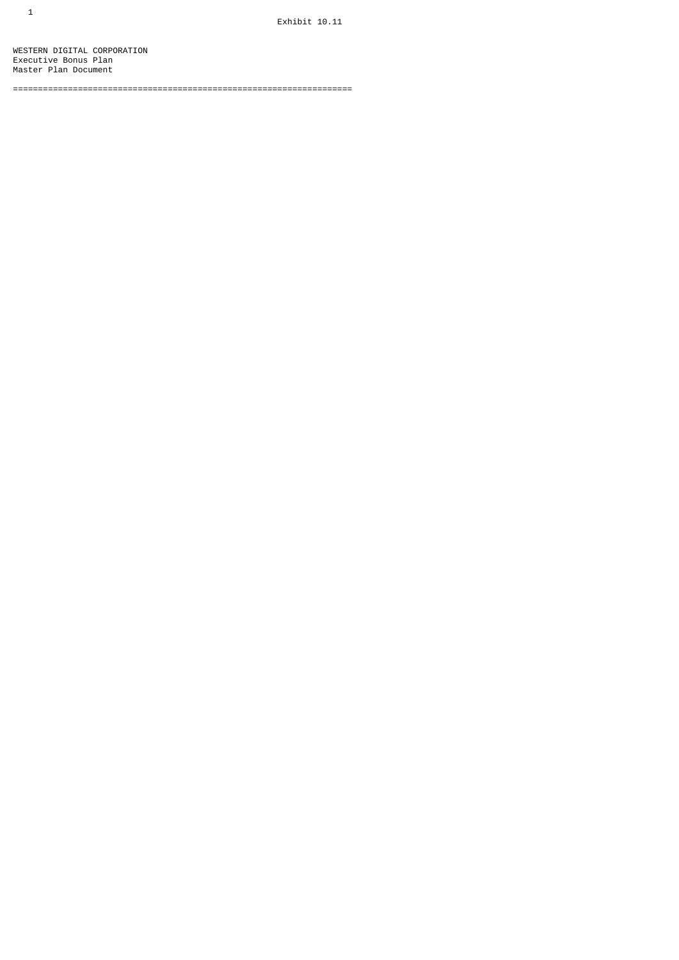WESTERN DIGITAL CORPORATION Executive Bonus Plan Master Plan Document

====================================================================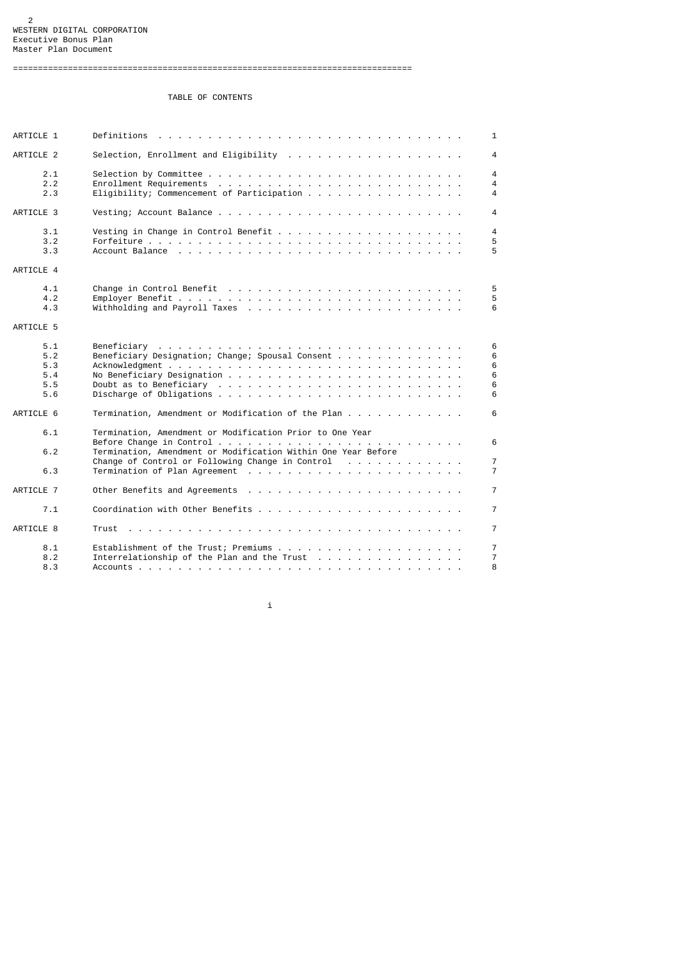# TABLE OF CONTENTS

| ARTICLE 1                              | $\mathbf{1}$                                                                                                                                                       |  |
|----------------------------------------|--------------------------------------------------------------------------------------------------------------------------------------------------------------------|--|
| ARTICLE 2                              | 4                                                                                                                                                                  |  |
| 2.1<br>2.2<br>2.3                      | 4<br>4<br>Eligibility; Commencement of Participation $\ldots$ ,<br>4                                                                                               |  |
| ARTICLE 3                              | 4                                                                                                                                                                  |  |
| 3.1<br>3.2<br>3.3                      | 4<br>5<br>5                                                                                                                                                        |  |
| ARTICLE 4                              |                                                                                                                                                                    |  |
| 4.1<br>4.2<br>4.3                      | 5<br>5<br>6                                                                                                                                                        |  |
| ARTICLE 5                              |                                                                                                                                                                    |  |
| 5.1<br>5.2<br>5.3<br>5.4<br>5.5<br>5.6 | 6<br>Beneficiary Designation; Change; Spousal Consent<br>6<br>6<br>6<br>6<br>6                                                                                     |  |
| ARTICLE 6                              | Termination, Amendment or Modification of the Plan<br>6                                                                                                            |  |
| 6.1<br>6.2<br>6.3                      | Termination, Amendment or Modification Prior to One Year<br>6<br>Termination, Amendment or Modification Within One Year Before<br>$\overline{7}$<br>$\overline{7}$ |  |
| ARTICLE 7                              | $\overline{7}$                                                                                                                                                     |  |
| 7.1                                    | $\overline{7}$                                                                                                                                                     |  |
| ARTICLE 8                              | $\overline{7}$                                                                                                                                                     |  |
| 8.1<br>8.2<br>8.3                      | $\overline{7}$<br>$\overline{7}$<br>8                                                                                                                              |  |

i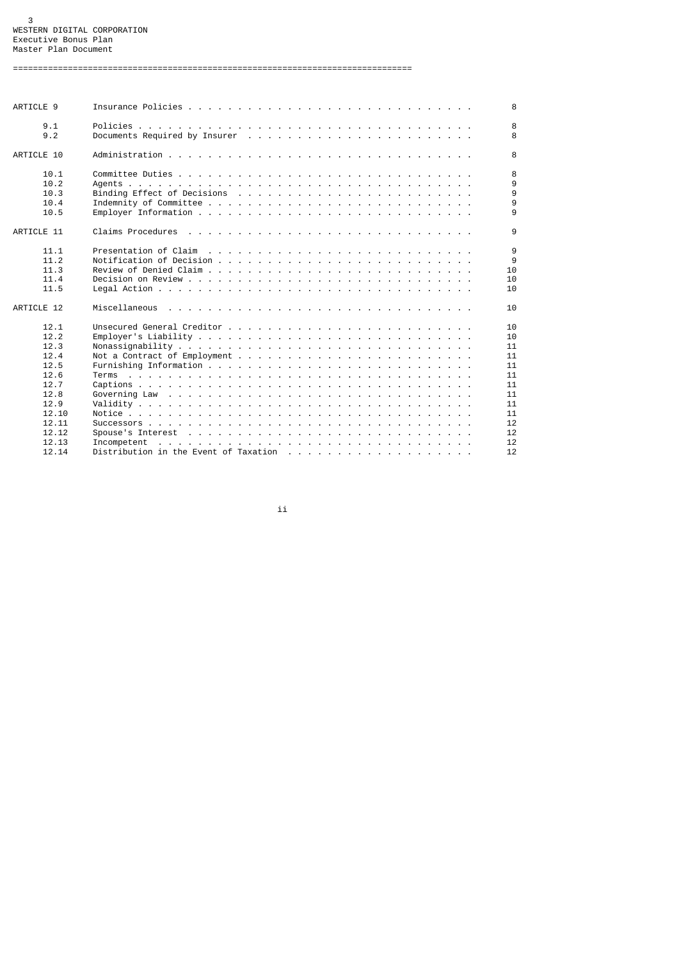#### 3 WESTERN DIGITAL CORPORATION Executive Bonus Plan Master Plan Document

================================================================================

| ARTICLE 9  |                                                                                                                 |  |  |  |  |  |  |  |  | 8  |
|------------|-----------------------------------------------------------------------------------------------------------------|--|--|--|--|--|--|--|--|----|
| 9.1        |                                                                                                                 |  |  |  |  |  |  |  |  | 8  |
| 9.2        |                                                                                                                 |  |  |  |  |  |  |  |  | 8  |
| ARTICLE 10 |                                                                                                                 |  |  |  |  |  |  |  |  | 8  |
| 10.1       |                                                                                                                 |  |  |  |  |  |  |  |  | 8  |
| 10.2       |                                                                                                                 |  |  |  |  |  |  |  |  | 9  |
| 10.3       |                                                                                                                 |  |  |  |  |  |  |  |  | 9  |
| 10.4       |                                                                                                                 |  |  |  |  |  |  |  |  | 9  |
| 10.5       |                                                                                                                 |  |  |  |  |  |  |  |  | 9  |
| ARTICLE 11 |                                                                                                                 |  |  |  |  |  |  |  |  | 9  |
|            |                                                                                                                 |  |  |  |  |  |  |  |  |    |
| 11.1       |                                                                                                                 |  |  |  |  |  |  |  |  | 9  |
| 11.2       |                                                                                                                 |  |  |  |  |  |  |  |  | 9  |
| 11.3       |                                                                                                                 |  |  |  |  |  |  |  |  | 10 |
| 11.4       |                                                                                                                 |  |  |  |  |  |  |  |  | 10 |
| 11.5       |                                                                                                                 |  |  |  |  |  |  |  |  | 10 |
|            |                                                                                                                 |  |  |  |  |  |  |  |  |    |
| ARTICLE 12 |                                                                                                                 |  |  |  |  |  |  |  |  | 10 |
| 12.1       |                                                                                                                 |  |  |  |  |  |  |  |  | 10 |
| 12.2       |                                                                                                                 |  |  |  |  |  |  |  |  | 10 |
| 12.3       |                                                                                                                 |  |  |  |  |  |  |  |  | 11 |
| 12.4       |                                                                                                                 |  |  |  |  |  |  |  |  | 11 |
| 12.5       |                                                                                                                 |  |  |  |  |  |  |  |  | 11 |
| 12.6       |                                                                                                                 |  |  |  |  |  |  |  |  | 11 |
| 12.7       |                                                                                                                 |  |  |  |  |  |  |  |  | 11 |
| 12.8       | Governing Law responses responses responses responses a material contract to the contract of the Cover of the C |  |  |  |  |  |  |  |  | 11 |
| 12.9       |                                                                                                                 |  |  |  |  |  |  |  |  | 11 |
| 12.10      |                                                                                                                 |  |  |  |  |  |  |  |  | 11 |
| 12.11      |                                                                                                                 |  |  |  |  |  |  |  |  | 12 |
| 12.12      |                                                                                                                 |  |  |  |  |  |  |  |  | 12 |
| 12.13      |                                                                                                                 |  |  |  |  |  |  |  |  |    |
|            |                                                                                                                 |  |  |  |  |  |  |  |  | 12 |

ii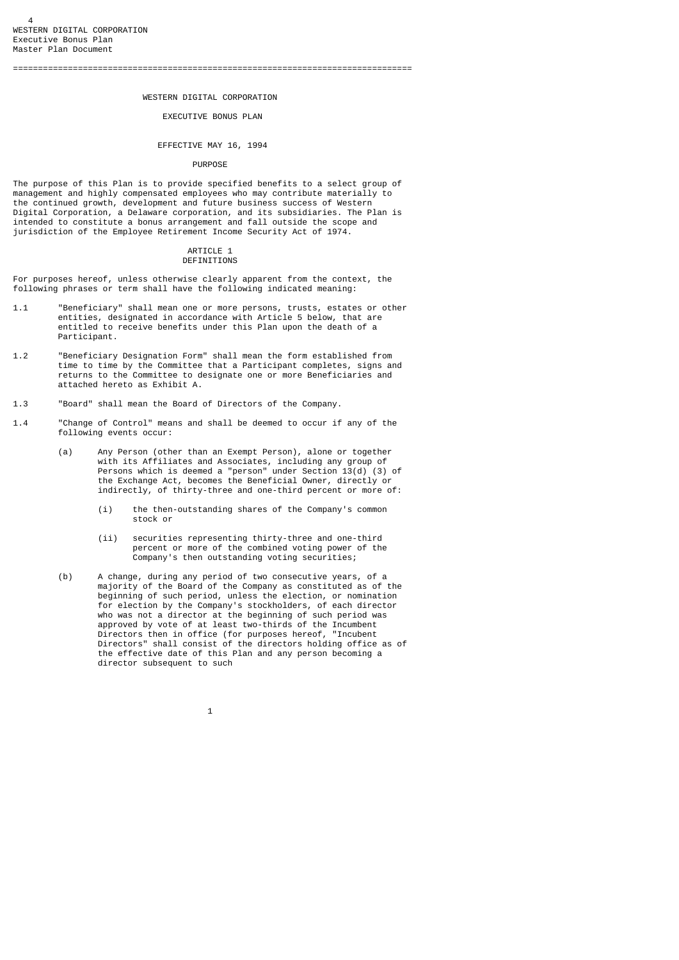## WESTERN DIGITAL CORPORATION

# EXECUTIVE BONUS PLAN

# EFFECTIVE MAY 16, 1994

#### PURPOSE

The purpose of this Plan is to provide specified benefits to a select group of management and highly compensated employees who may contribute materially to the continued growth, development and future business success of Western Digital Corporation, a Delaware corporation, and its subsidiaries. The Plan is intended to constitute a bonus arrangement and fall outside the scope and jurisdiction of the Employee Retirement Income Security Act of 1974.

#### ARTICLE 1 **DEFINITIONS**

For purposes hereof, unless otherwise clearly apparent from the context, the following phrases or term shall have the following indicated meaning:

- 1.1 "Beneficiary" shall mean one or more persons, trusts, estates or other entities, designated in accordance with Article 5 below, that are entitled to receive benefits under this Plan upon the death of a Participant.
- 1.2 "Beneficiary Designation Form" shall mean the form established from time to time by the Committee that a Participant completes, signs and returns to the Committee to designate one or more Beneficiaries and attached hereto as Exhibit A.
- 1.3 "Board" shall mean the Board of Directors of the Company.
- 1.4 "Change of Control" means and shall be deemed to occur if any of the following events occur:
- (a) Any Person (other than an Exempt Person), alone or together with its Affiliates and Associates, including any group of Persons which is deemed a "person" under Section 13(d) (3) of the Exchange Act, becomes the Beneficial Owner, directly or indirectly, of thirty-three and one-third percent or more of:
	- (i) the then-outstanding shares of the Company's common stock or
	- (ii) securities representing thirty-three and one-third percent or more of the combined voting power of the Company's then outstanding voting securities;
- (b) A change, during any period of two consecutive years, of a majority of the Board of the Company as constituted as of the beginning of such period, unless the election, or nomination for election by the Company's stockholders, of each director who was not a director at the beginning of such period was approved by vote of at least two-thirds of the Incumbent Directors then in office (for purposes hereof, "Incubent Directors" shall consist of the directors holding office as of the effective date of this Plan and any person becoming a director subsequent to such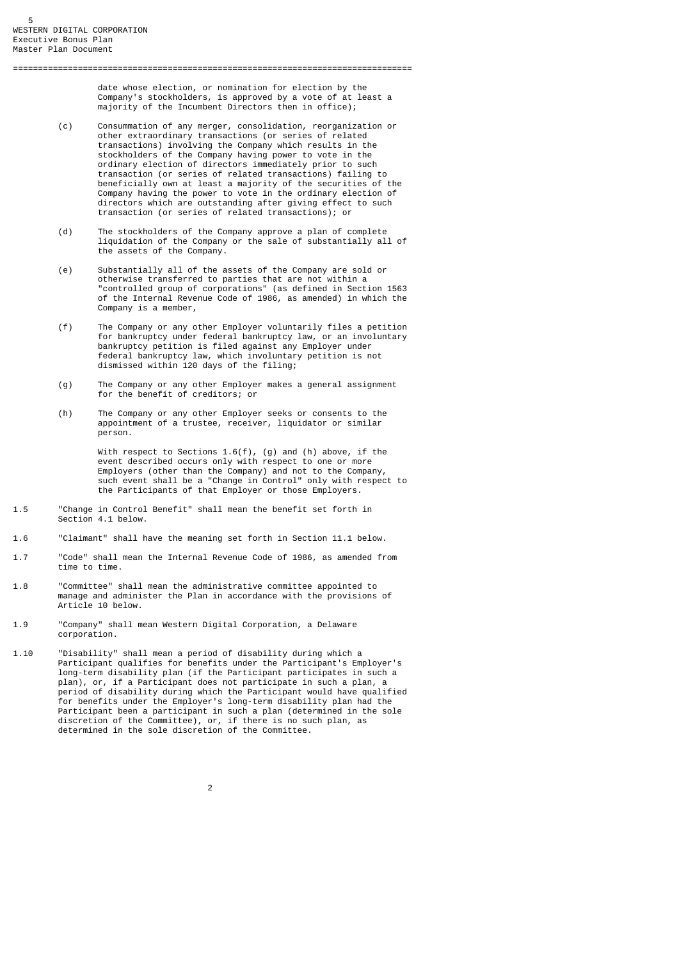date whose election, or nomination for election by the Company's stockholders, is approved by a vote of at least a majority of the Incumbent Directors then in office);

 (c) Consummation of any merger, consolidation, reorganization or other extraordinary transactions (or series of related transactions) involving the Company which results in the stockholders of the Company having power to vote in the ordinary election of directors immediately prior to such transaction (or series of related transactions) failing to beneficially own at least a majority of the securities of the Company having the power to vote in the ordinary election of directors which are outstanding after giving effect to such transaction (or series of related transactions); or

================================================================================

- (d) The stockholders of the Company approve a plan of complete liquidation of the Company or the sale of substantially all of the assets of the Company.
- (e) Substantially all of the assets of the Company are sold or otherwise transferred to parties that are not within a "controlled group of corporations" (as defined in Section 1563 of the Internal Revenue Code of 1986, as amended) in which the Company is a member,
	- (f) The Company or any other Employer voluntarily files a petition for bankruptcy under federal bankruptcy law, or an involuntary bankruptcy petition is filed against any Employer under federal bankruptcy law, which involuntary petition is not dismissed within 120 days of the filing;
- (g) The Company or any other Employer makes a general assignment for the benefit of creditors; or
	- (h) The Company or any other Employer seeks or consents to the appointment of a trustee, receiver, liquidator or similar person.

 With respect to Sections 1.6(f), (g) and (h) above, if the event described occurs only with respect to one or more Employers (other than the Company) and not to the Company, such event shall be a "Change in Control" only with respect to the Participants of that Employer or those Employers.

- 1.5 "Change in Control Benefit" shall mean the benefit set forth in Section 4.1 below.
- 1.6 "Claimant" shall have the meaning set forth in Section 11.1 below.
- 1.7 "Code" shall mean the Internal Revenue Code of 1986, as amended from time to time.
- 1.8 "Committee" shall mean the administrative committee appointed to manage and administer the Plan in accordance with the provisions of Article 10 below.
- 1.9 "Company" shall mean Western Digital Corporation, a Delaware corporation.
- 1.10 "Disability" shall mean a period of disability during which a Participant qualifies for benefits under the Participant's Employer's long-term disability plan (if the Participant participates in such a plan), or, if a Participant does not participate in such a plan, a period of disability during which the Participant would have qualified for benefits under the Employer's long-term disability plan had the Participant been a participant in such a plan (determined in the sole discretion of the Committee), or, if there is no such plan, as determined in the sole discretion of the Committee.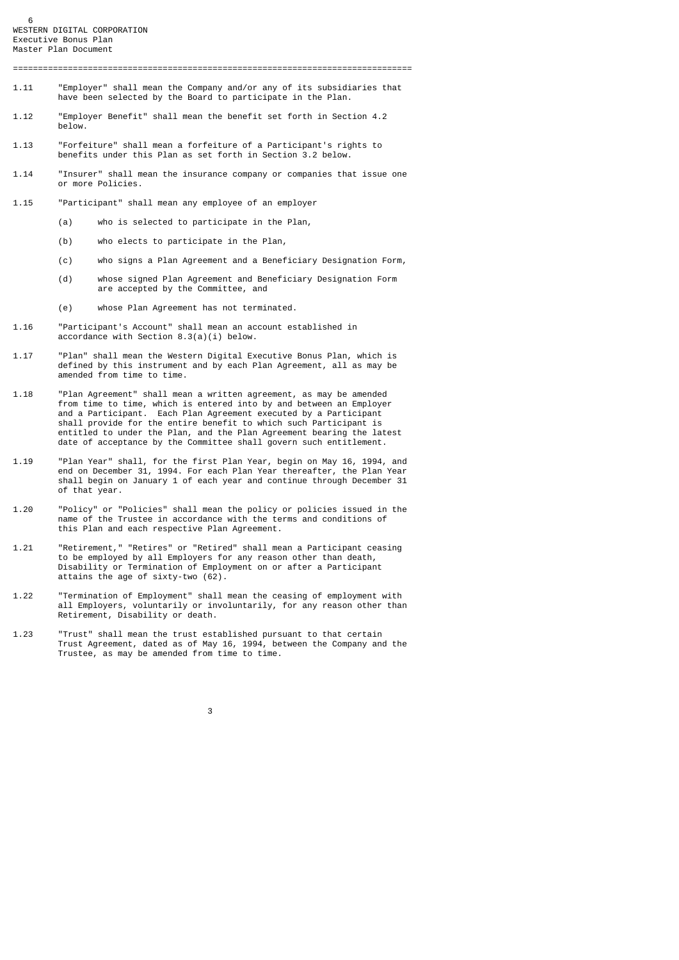- 1.11 "Employer" shall mean the Company and/or any of its subsidiaries that have been selected by the Board to participate in the Plan.
- 1.12 "Employer Benefit" shall mean the benefit set forth in Section 4.2 below.
- 1.13 "Forfeiture" shall mean a forfeiture of a Participant's rights to benefits under this Plan as set forth in Section 3.2 below.
- 1.14 "Insurer" shall mean the insurance company or companies that issue one or more Policies.
- 1.15 "Participant" shall mean any employee of an employer
	- (a) who is selected to participate in the Plan,
	- (b) who elects to participate in the Plan,
	- (c) who signs a Plan Agreement and a Beneficiary Designation Form,
	- (d) whose signed Plan Agreement and Beneficiary Designation Form are accepted by the Committee, and
	- (e) whose Plan Agreement has not terminated.
- 1.16 "Participant's Account" shall mean an account established in accordance with Section 8.3(a)(i) below.
- 1.17 "Plan" shall mean the Western Digital Executive Bonus Plan, which is defined by this instrument and by each Plan Agreement, all as may be amended from time to time.
- 1.18 "Plan Agreement" shall mean a written agreement, as may be amended from time to time, which is entered into by and between an Employer and a Participant. Each Plan Agreement executed by a Participant shall provide for the entire benefit to which such Participant is entitled to under the Plan, and the Plan Agreement bearing the latest date of acceptance by the Committee shall govern such entitlement.
- 1.19 "Plan Year" shall, for the first Plan Year, begin on May 16, 1994, and end on December 31, 1994. For each Plan Year thereafter, the Plan Year shall begin on January 1 of each year and continue through December 31 of that year.
- 1.20 "Policy" or "Policies" shall mean the policy or policies issued in the name of the Trustee in accordance with the terms and conditions of this Plan and each respective Plan Agreement.
- 1.21 "Retirement," "Retires" or "Retired" shall mean a Participant ceasing to be employed by all Employers for any reason other than death, Disability or Termination of Employment on or after a Participant attains the age of sixty-two (62).
- 1.22 "Termination of Employment" shall mean the ceasing of employment with all Employers, voluntarily or involuntarily, for any reason other than Retirement, Disability or death.
- 1.23 "Trust" shall mean the trust established pursuant to that certain Trust Agreement, dated as of May 16, 1994, between the Company and the Trustee, as may be amended from time to time.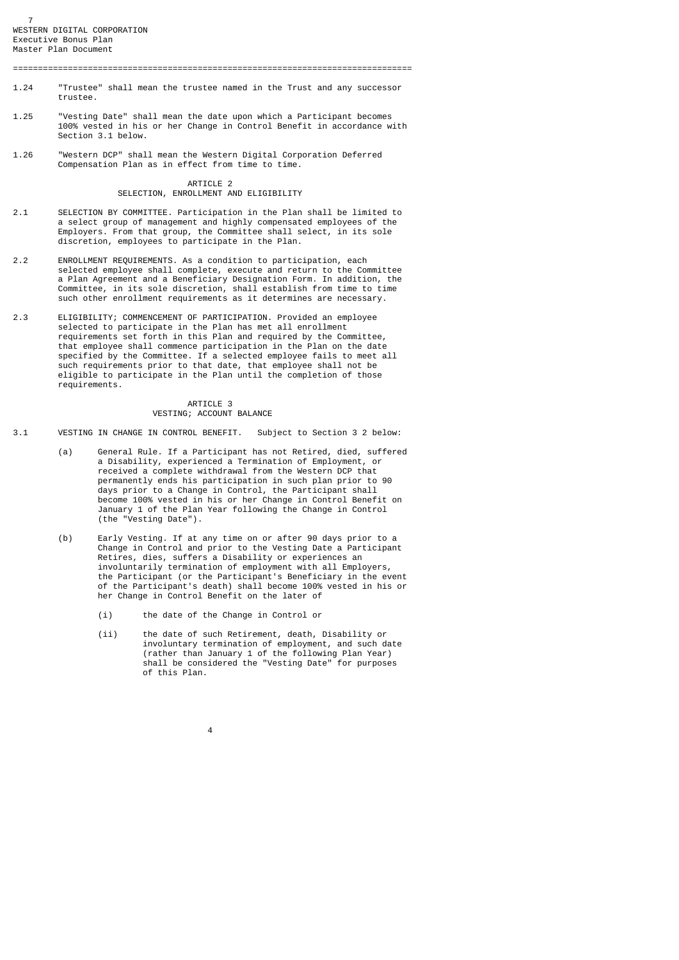7 WESTERN DIGITAL CORPORATION Executive Bonus Plan Master Plan Document

================================================================================

- 1.24 "Trustee" shall mean the trustee named in the Trust and any successor trustee.
- 1.25 "Vesting Date" shall mean the date upon which a Participant becomes 100% vested in his or her Change in Control Benefit in accordance with Section 3.1 below.
- 1.26 "Western DCP" shall mean the Western Digital Corporation Deferred Compensation Plan as in effect from time to time.

## ARTICLE 2 SELECTION, ENROLLMENT AND ELIGIBILITY

- 2.1 SELECTION BY COMMITTEE. Participation in the Plan shall be limited to a select group of management and highly compensated employees of the Employers. From that group, the Committee shall select, in its sole discretion, employees to participate in the Plan.
- 2.2 ENROLLMENT REQUIREMENTS. As a condition to participation, each selected employee shall complete, execute and return to the Committee a Plan Agreement and a Beneficiary Designation Form. In addition, the Committee, in its sole discretion, shall establish from time to time such other enrollment requirements as it determines are necessary.
- 2.3 ELIGIBILITY; COMMENCEMENT OF PARTICIPATION. Provided an employee selected to participate in the Plan has met all enrollment requirements set forth in this Plan and required by the Committee, that employee shall commence participation in the Plan on the date specified by the Committee. If a selected employee fails to meet all such requirements prior to that date, that employee shall not be eligible to participate in the Plan until the completion of those requirements.

# ARTICLE 3 VESTING; ACCOUNT BALANCE

- 3.1 VESTING IN CHANGE IN CONTROL BENEFIT. Subject to Section 3 2 below:
	- (a) General Rule. If a Participant has not Retired, died, suffered a Disability, experienced a Termination of Employment, or received a complete withdrawal from the Western DCP that permanently ends his participation in such plan prior to 90 days prior to a Change in Control, the Participant shall become 100% vested in his or her Change in Control Benefit on January 1 of the Plan Year following the Change in Control (the "Vesting Date").
	- (b) Early Vesting. If at any time on or after 90 days prior to a Change in Control and prior to the Vesting Date a Participant Retires, dies, suffers a Disability or experiences an involuntarily termination of employment with all Employers, the Participant (or the Participant's Beneficiary in the event of the Participant's death) shall become 100% vested in his or her Change in Control Benefit on the later of
		- (i) the date of the Change in Control or

4

 (ii) the date of such Retirement, death, Disability or involuntary termination of employment, and such date (rather than January 1 of the following Plan Year) shall be considered the "Vesting Date" for purposes of this Plan.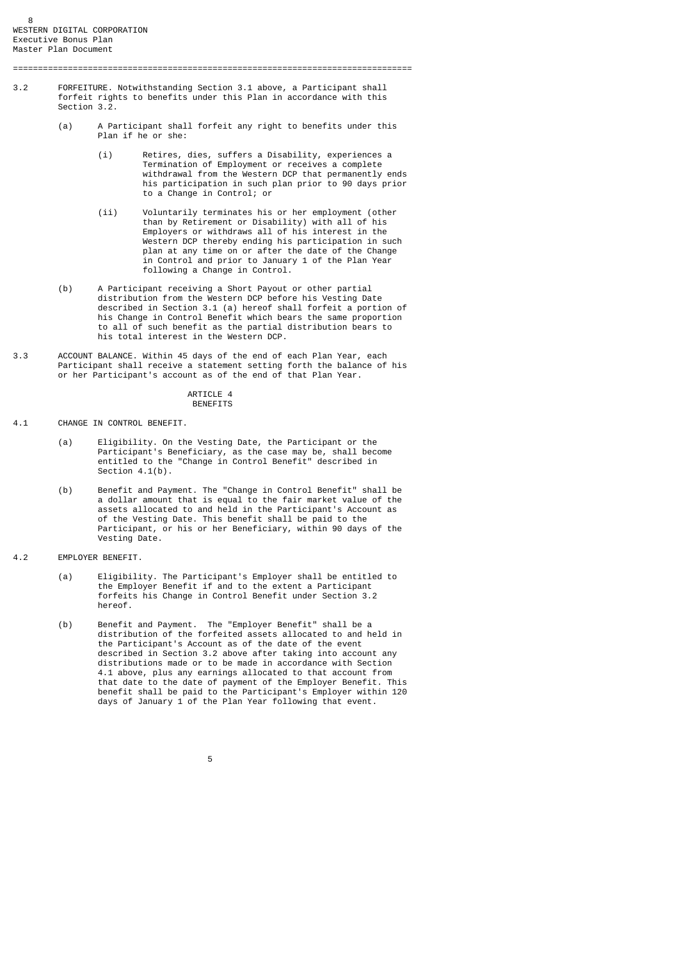3.2 FORFEITURE. Notwithstanding Section 3.1 above, a Participant shall forfeit rights to benefits under this Plan in accordance with this Section 3.2.

================================================================================

- (a) A Participant shall forfeit any right to benefits under this Plan if he or she:
- (i) Retires, dies, suffers a Disability, experiences a Termination of Employment or receives a complete withdrawal from the Western DCP that permanently ends his participation in such plan prior to 90 days prior to a Change in Control; or
- (ii) Voluntarily terminates his or her employment (other than by Retirement or Disability) with all of his Employers or withdraws all of his interest in the Western DCP thereby ending his participation in such plan at any time on or after the date of the Change in Control and prior to January 1 of the Plan Year following a Change in Control.
- (b) A Participant receiving a Short Payout or other partial distribution from the Western DCP before his Vesting Date described in Section 3.1 (a) hereof shall forfeit a portion of his Change in Control Benefit which bears the same proportion to all of such benefit as the partial distribution bears to his total interest in the Western DCP.
- 3.3 ACCOUNT BALANCE. Within 45 days of the end of each Plan Year, each Participant shall receive a statement setting forth the balance of his or her Participant's account as of the end of that Plan Year.

## ARTICLE 4 BENEFITS

4.1 CHANGE IN CONTROL BENEFIT.

- (a) Eligibility. On the Vesting Date, the Participant or the Participant's Beneficiary, as the case may be, shall become entitled to the "Change in Control Benefit" described in Section 4.1(b).
	- (b) Benefit and Payment. The "Change in Control Benefit" shall be a dollar amount that is equal to the fair market value of the assets allocated to and held in the Participant's Account as of the Vesting Date. This benefit shall be paid to the Participant, or his or her Beneficiary, within 90 days of the Vesting Date.
- 4.2 EMPLOYER BENEFIT.
	- (a) Eligibility. The Participant's Employer shall be entitled to the Employer Benefit if and to the extent a Participant forfeits his Change in Control Benefit under Section 3.2 hereof.
- (b) Benefit and Payment. The "Employer Benefit" shall be a distribution of the forfeited assets allocated to and held in the Participant's Account as of the date of the event described in Section 3.2 above after taking into account any distributions made or to be made in accordance with Section 4.1 above, plus any earnings allocated to that account from that date to the date of payment of the Employer Benefit. This benefit shall be paid to the Participant's Employer within 120 days of January 1 of the Plan Year following that event.

 $\sim$  5  $\sim$  5  $\sim$  5  $\sim$  5  $\sim$  5  $\sim$  5  $\sim$  5  $\sim$  5  $\sim$  5  $\sim$  5  $\sim$  5  $\sim$  5  $\sim$  5  $\sim$  5  $\sim$  5  $\sim$  5  $\sim$  5  $\sim$  5  $\sim$  5  $\sim$  5  $\sim$  5  $\sim$  5  $\sim$  5  $\sim$  5  $\sim$  5  $\sim$  5  $\sim$  5  $\sim$  5  $\sim$  5  $\sim$  5  $\sim$  5  $\sim$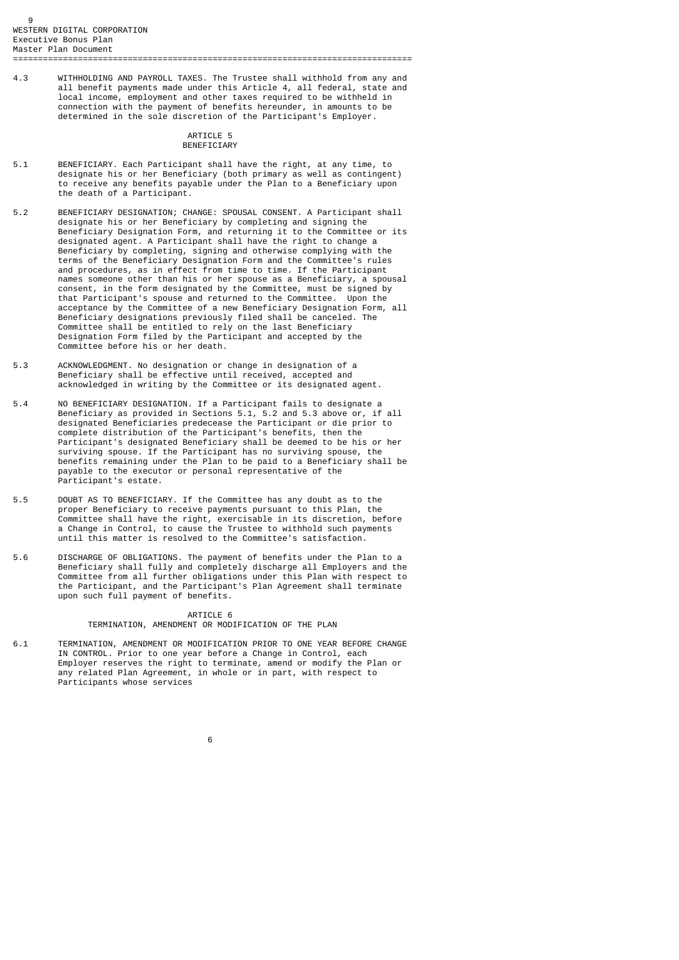4.3 WITHHOLDING AND PAYROLL TAXES. The Trustee shall withhold from any and all benefit payments made under this Article 4, all federal, state and local income, employment and other taxes required to be withheld in connection with the payment of benefits hereunder, in amounts to be determined in the sole discretion of the Participant's Employer.

## ARTICLE 5 **BENEFICIARY**

- 5.1 BENEFICIARY. Each Participant shall have the right, at any time, to designate his or her Beneficiary (both primary as well as contingent) to receive any benefits payable under the Plan to a Beneficiary upon the death of a Participant.
- 5.2 BENEFICIARY DESIGNATION; CHANGE: SPOUSAL CONSENT. A Participant shall designate his or her Beneficiary by completing and signing the Beneficiary Designation Form, and returning it to the Committee or its designated agent. A Participant shall have the right to change a Beneficiary by completing, signing and otherwise complying with the terms of the Beneficiary Designation Form and the Committee's rules and procedures, as in effect from time to time. If the Participant names someone other than his or her spouse as a Beneficiary, a spousal consent, in the form designated by the Committee, must be signed by that Participant's spouse and returned to the Committee. Upon the acceptance by the Committee of a new Beneficiary Designation Form, all Beneficiary designations previously filed shall be canceled. The Committee shall be entitled to rely on the last Beneficiary Designation Form filed by the Participant and accepted by the Committee before his or her death.
- 5.3 ACKNOWLEDGMENT. No designation or change in designation of a Beneficiary shall be effective until received, accepted and acknowledged in writing by the Committee or its designated agent.
- 5.4 NO BENEFICIARY DESIGNATION. If a Participant fails to designate a Beneficiary as provided in Sections 5.1, 5.2 and 5.3 above or, if all designated Beneficiaries predecease the Participant or die prior to complete distribution of the Participant's benefits, then the Participant's designated Beneficiary shall be deemed to be his or her surviving spouse. If the Participant has no surviving spouse, the benefits remaining under the Plan to be paid to a Beneficiary shall be payable to the executor or personal representative of the Participant's estate.
- 5.5 DOUBT AS TO BENEFICIARY. If the Committee has any doubt as to the proper Beneficiary to receive payments pursuant to this Plan, the Committee shall have the right, exercisable in its discretion, before a Change in Control, to cause the Trustee to withhold such payments until this matter is resolved to the Committee's satisfaction.
- 5.6 DISCHARGE OF OBLIGATIONS. The payment of benefits under the Plan to a Beneficiary shall fully and completely discharge all Employers and the Committee from all further obligations under this Plan with respect to the Participant, and the Participant's Plan Agreement shall terminate upon such full payment of benefits.

# **ARTICLE 6**

TERMINATION, AMENDMENT OR MODIFICATION OF THE PLAN

6.1 TERMINATION, AMENDMENT OR MODIFICATION PRIOR TO ONE YEAR BEFORE CHANGE IN CONTROL. Prior to one year before a Change in Control, each Employer reserves the right to terminate, amend or modify the Plan or any related Plan Agreement, in whole or in part, with respect to Participants whose services

 $\sim$  6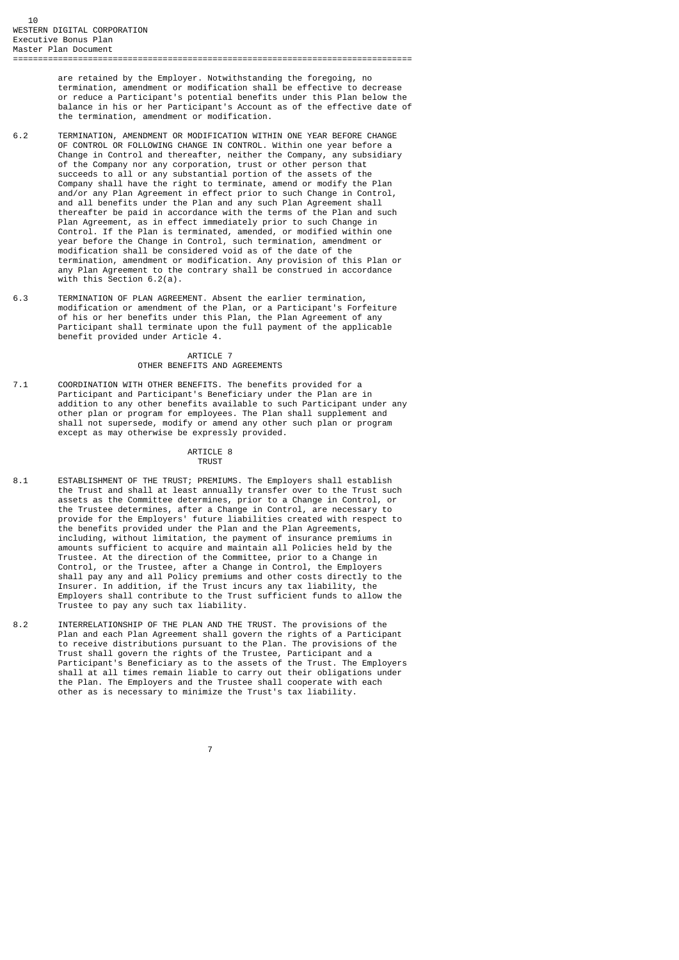are retained by the Employer. Notwithstanding the foregoing, no termination, amendment or modification shall be effective to decrease or reduce a Participant's potential benefits under this Plan below the balance in his or her Participant's Account as of the effective date of the termination, amendment or modification.

- 6.2 TERMINATION, AMENDMENT OR MODIFICATION WITHIN ONE YEAR BEFORE CHANGE OF CONTROL OR FOLLOWING CHANGE IN CONTROL. Within one year before a Change in Control and thereafter, neither the Company, any subsidiary of the Company nor any corporation, trust or other person that succeeds to all or any substantial portion of the assets of the Company shall have the right to terminate, amend or modify the Plan and/or any Plan Agreement in effect prior to such Change in Control, and all benefits under the Plan and any such Plan Agreement shall thereafter be paid in accordance with the terms of the Plan and such Plan Agreement, as in effect immediately prior to such Change in Control. If the Plan is terminated, amended, or modified within one year before the Change in Control, such termination, amendment or modification shall be considered void as of the date of the termination, amendment or modification. Any provision of this Plan or any Plan Agreement to the contrary shall be construed in accordance with this Section 6.2(a).
- 6.3 TERMINATION OF PLAN AGREEMENT. Absent the earlier termination, modification or amendment of the Plan, or a Participant's Forfeiture of his or her benefits under this Plan, the Plan Agreement of any Participant shall terminate upon the full payment of the applicable benefit provided under Article 4.

# ARTICLE 7 OTHER BENEFITS AND AGREEMENTS

7.1 COORDINATION WITH OTHER BENEFITS. The benefits provided for a Participant and Participant's Beneficiary under the Plan are in addition to any other benefits available to such Participant under any other plan or program for employees. The Plan shall supplement and shall not supersede, modify or amend any other such plan or program except as may otherwise be expressly provided.

# ARTICLE 8 **TRUST TRUST**

- 8.1 ESTABLISHMENT OF THE TRUST; PREMIUMS. The Employers shall establish the Trust and shall at least annually transfer over to the Trust such assets as the Committee determines, prior to a Change in Control, or the Trustee determines, after a Change in Control, are necessary to provide for the Employers' future liabilities created with respect to the benefits provided under the Plan and the Plan Agreements, including, without limitation, the payment of insurance premiums in amounts sufficient to acquire and maintain all Policies held by the Trustee. At the direction of the Committee, prior to a Change in Control, or the Trustee, after a Change in Control, the Employers shall pay any and all Policy premiums and other costs directly to the Insurer. In addition, if the Trust incurs any tax liability, the Employers shall contribute to the Trust sufficient funds to allow the Trustee to pay any such tax liability.
- 8.2 INTERRELATIONSHIP OF THE PLAN AND THE TRUST. The provisions of the Plan and each Plan Agreement shall govern the rights of a Participant to receive distributions pursuant to the Plan. The provisions of the Trust shall govern the rights of the Trustee, Participant and a Participant's Beneficiary as to the assets of the Trust. The Employers shall at all times remain liable to carry out their obligations under the Plan. The Employers and the Trustee shall cooperate with each other as is necessary to minimize the Trust's tax liability.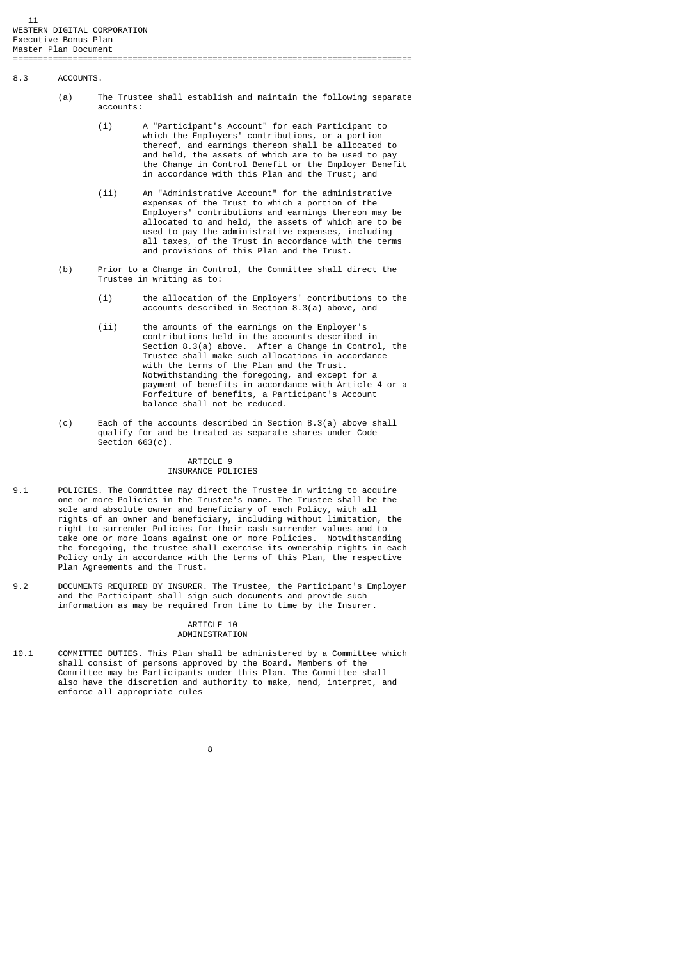#### 8.3 ACCOUNTS.

- (a) The Trustee shall establish and maintain the following separate accounts:
- (i) A "Participant's Account" for each Participant to which the Employers' contributions, or a portion thereof, and earnings thereon shall be allocated to and held, the assets of which are to be used to pay the Change in Control Benefit or the Employer Benefit in accordance with this Plan and the Trust; and
- (ii) An "Administrative Account" for the administrative expenses of the Trust to which a portion of the Employers' contributions and earnings thereon may be allocated to and held, the assets of which are to be used to pay the administrative expenses, including all taxes, of the Trust in accordance with the terms and provisions of this Plan and the Trust.
	- (b) Prior to a Change in Control, the Committee shall direct the Trustee in writing as to:
		- (i) the allocation of the Employers' contributions to the accounts described in Section 8.3(a) above, and
		- (ii) the amounts of the earnings on the Employer's contributions held in the accounts described in Section 8.3(a) above. After a Change in Control, the Trustee shall make such allocations in accordance with the terms of the Plan and the Trust. Notwithstanding the foregoing, and except for a payment of benefits in accordance with Article 4 or a Forfeiture of benefits, a Participant's Account balance shall not be reduced.
	- (c) Each of the accounts described in Section 8.3(a) above shall qualify for and be treated as separate shares under Code Section 663(c).

## ARTICLE 9 INSURANCE POLICIES

- 9.1 POLICIES. The Committee may direct the Trustee in writing to acquire one or more Policies in the Trustee's name. The Trustee shall be the sole and absolute owner and beneficiary of each Policy, with all rights of an owner and beneficiary, including without limitation, the right to surrender Policies for their cash surrender values and to take one or more loans against one or more Policies. Notwithstanding the foregoing, the trustee shall exercise its ownership rights in each Policy only in accordance with the terms of this Plan, the respective Plan Agreements and the Trust.
- 9.2 DOCUMENTS REQUIRED BY INSURER. The Trustee, the Participant's Employer and the Participant shall sign such documents and provide such information as may be required from time to time by the Insurer.

## ARTICLE 10 ADMINISTRATION

10.1 COMMITTEE DUTIES. This Plan shall be administered by a Committee which shall consist of persons approved by the Board. Members of the Committee may be Participants under this Plan. The Committee shall also have the discretion and authority to make, mend, interpret, and enforce all appropriate rules

en andere de la provincia de la provincia de la provincia de la provincia de la provincia de la provincia del<br>En 1888, en 1888, en 1888, en 1888, en 1888, en 1888, en 1888, en 1888, en 1888, en 1888, en 1888, en 1888, en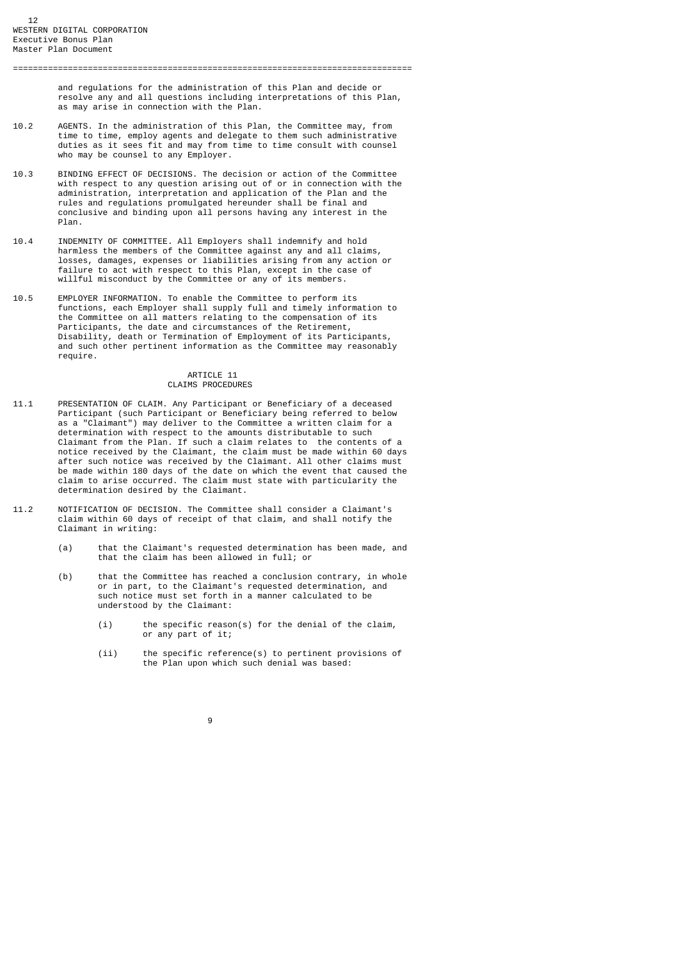and regulations for the administration of this Plan and decide or

 resolve any and all questions including interpretations of this Plan, as may arise in connection with the Plan.

================================================================================

- 10.2 AGENTS. In the administration of this Plan, the Committee may, from time to time, employ agents and delegate to them such administrative duties as it sees fit and may from time to time consult with counsel who may be counsel to any Employer.
- 10.3 BINDING EFFECT OF DECISIONS. The decision or action of the Committee with respect to any question arising out of or in connection with the administration, interpretation and application of the Plan and the rules and regulations promulgated hereunder shall be final and conclusive and binding upon all persons having any interest in the Plan.
- 10.4 INDEMNITY OF COMMITTEE. All Employers shall indemnify and hold harmless the members of the Committee against any and all claims, losses, damages, expenses or liabilities arising from any action or failure to act with respect to this Plan, except in the case of willful misconduct by the Committee or any of its members.
- 10.5 EMPLOYER INFORMATION. To enable the Committee to perform its functions, each Employer shall supply full and timely information to the Committee on all matters relating to the compensation of its Participants, the date and circumstances of the Retirement, Disability, death or Termination of Employment of its Participants, and such other pertinent information as the Committee may reasonably require.

# ARTICLE 11 CLAIMS PROCEDURES

- 11.1 PRESENTATION OF CLAIM. Any Participant or Beneficiary of a deceased Participant (such Participant or Beneficiary being referred to below as a "Claimant") may deliver to the Committee a written claim for a determination with respect to the amounts distributable to such Claimant from the Plan. If such a claim relates to the contents of a notice received by the Claimant, the claim must be made within 60 days after such notice was received by the Claimant. All other claims must be made within 180 days of the date on which the event that caused the claim to arise occurred. The claim must state with particularity the determination desired by the Claimant.
- 11.2 NOTIFICATION OF DECISION. The Committee shall consider a Claimant's claim within 60 days of receipt of that claim, and shall notify the Claimant in writing:

- (a) that the Claimant's requested determination has been made, and that the claim has been allowed in full; or
- (b) that the Committee has reached a conclusion contrary, in whole or in part, to the Claimant's requested determination, and such notice must set forth in a manner calculated to be understood by the Claimant:
	- (i) the specific reason(s) for the denial of the claim, or any part of it;
	- (ii) the specific reference(s) to pertinent provisions of the Plan upon which such denial was based: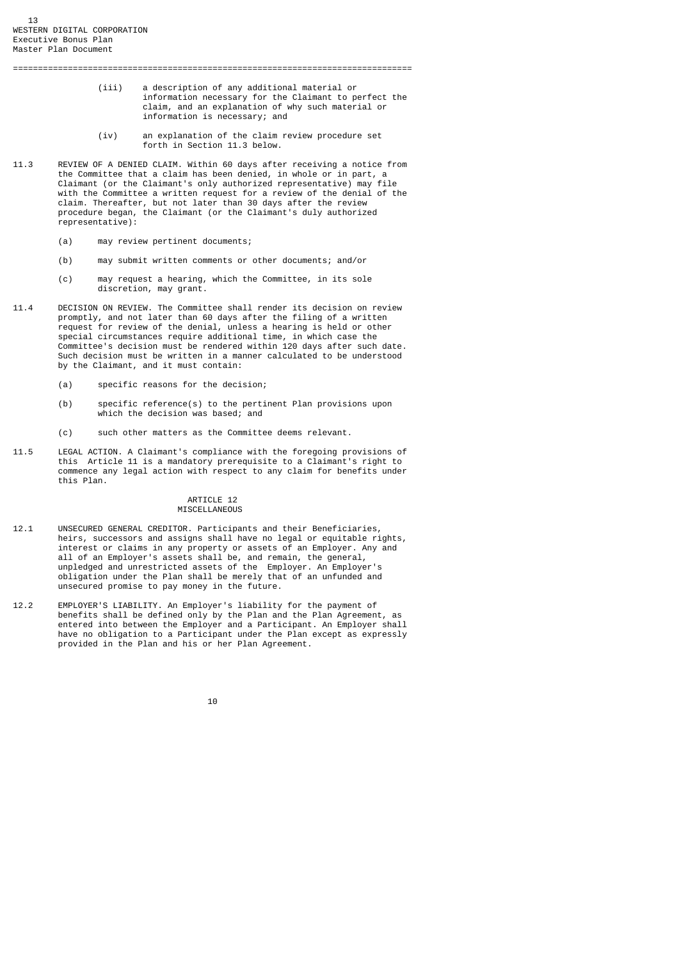(iii) a description of any additional material or information necessary for the Claimant to perfect the claim, and an explanation of why such material or information is necessary; and

- (iv) an explanation of the claim review procedure set forth in Section 11.3 below.
- 11.3 REVIEW OF A DENIED CLAIM. Within 60 days after receiving a notice from the Committee that a claim has been denied, in whole or in part, a Claimant (or the Claimant's only authorized representative) may file with the Committee a written request for a review of the denial of the claim. Thereafter, but not later than 30 days after the review procedure began, the Claimant (or the Claimant's duly authorized representative):

================================================================================

- (a) may review pertinent documents;
- (b) may submit written comments or other documents; and/or
- (c) may request a hearing, which the Committee, in its sole discretion, may grant.
- 11.4 DECISION ON REVIEW. The Committee shall render its decision on review promptly, and not later than 60 days after the filing of a written request for review of the denial, unless a hearing is held or other special circumstances require additional time, in which case the Committee's decision must be rendered within 120 days after such date. Such decision must be written in a manner calculated to be understood by the Claimant, and it must contain:
	- (a) specific reasons for the decision;
	- (b) specific reference(s) to the pertinent Plan provisions upon which the decision was based; and
	- (c) such other matters as the Committee deems relevant.
- 11.5 LEGAL ACTION. A Claimant's compliance with the foregoing provisions of this Article 11 is a mandatory prerequisite to a Claimant's right to commence any legal action with respect to any claim for benefits under this Plan.

#### ARTICLE 12 MISCELLANEOUS

- 12.1 UNSECURED GENERAL CREDITOR. Participants and their Beneficiaries, heirs, successors and assigns shall have no legal or equitable rights, interest or claims in any property or assets of an Employer. Any and all of an Employer's assets shall be, and remain, the general, unpledged and unrestricted assets of the Employer. An Employer's obligation under the Plan shall be merely that of an unfunded and unsecured promise to pay money in the future.
- 12.2 EMPLOYER'S LIABILITY. An Employer's liability for the payment of benefits shall be defined only by the Plan and the Plan Agreement, as entered into between the Employer and a Participant. An Employer shall have no obligation to a Participant under the Plan except as expressly provided in the Plan and his or her Plan Agreement.

|  |  | 10 |
|--|--|----|
|  |  |    |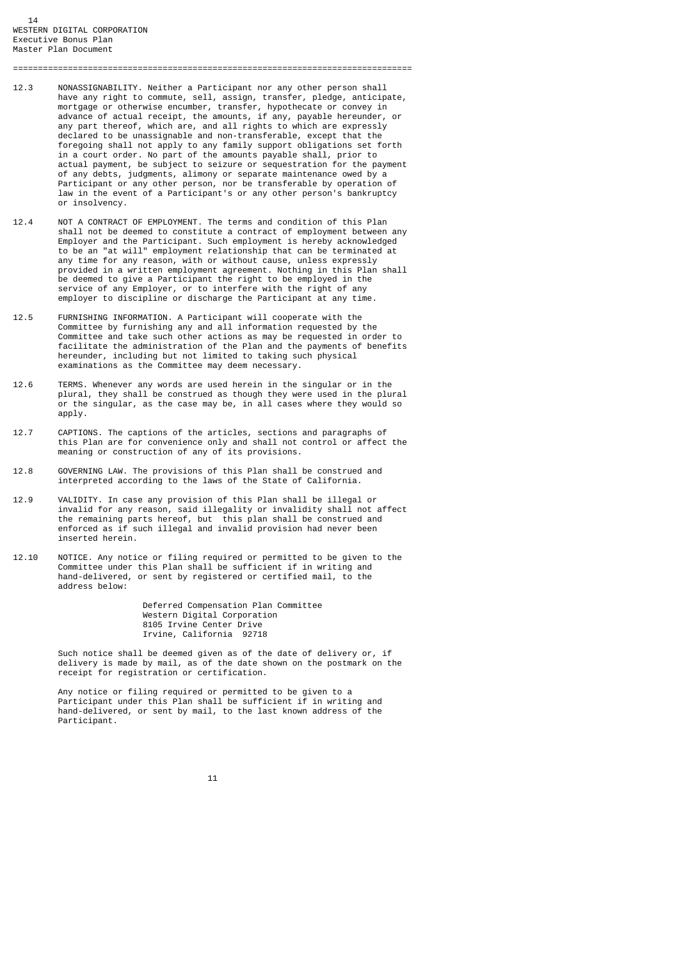12.3 NONASSIGNABILITY. Neither a Participant nor any other person shall have any right to commute, sell, assign, transfer, pledge, anticipate, mortgage or otherwise encumber, transfer, hypothecate or convey in advance of actual receipt, the amounts, if any, payable hereunder, or any part thereof, which are, and all rights to which are expressly declared to be unassignable and non-transferable, except that the foregoing shall not apply to any family support obligations set forth in a court order. No part of the amounts payable shall, prior to actual payment, be subject to seizure or sequestration for the payment of any debts, judgments, alimony or separate maintenance owed by a Participant or any other person, nor be transferable by operation of law in the event of a Participant's or any other person's bankruptcy or insolvency.

================================================================================

- 12.4 NOT A CONTRACT OF EMPLOYMENT. The terms and condition of this Plan shall not be deemed to constitute a contract of employment between any Employer and the Participant. Such employment is hereby acknowledged to be an "at will" employment relationship that can be terminated at any time for any reason, with or without cause, unless expressly provided in a written employment agreement. Nothing in this Plan shall be deemed to give a Participant the right to be employed in the service of any Employer, or to interfere with the right of any employer to discipline or discharge the Participant at any time.
- 12.5 FURNISHING INFORMATION. A Participant will cooperate with the Committee by furnishing any and all information requested by the Committee and take such other actions as may be requested in order to facilitate the administration of the Plan and the payments of benefits hereunder, including but not limited to taking such physical examinations as the Committee may deem necessary.
- 12.6 TERMS. Whenever any words are used herein in the singular or in the plural, they shall be construed as though they were used in the plural or the singular, as the case may be, in all cases where they would so apply.
- 12.7 CAPTIONS. The captions of the articles, sections and paragraphs of this Plan are for convenience only and shall not control or affect the meaning or construction of any of its provisions.
- 12.8 GOVERNING LAW. The provisions of this Plan shall be construed and interpreted according to the laws of the State of California.
- 12.9 VALIDITY. In case any provision of this Plan shall be illegal or invalid for any reason, said illegality or invalidity shall not affect the remaining parts hereof, but this plan shall be construed and enforced as if such illegal and invalid provision had never been inserted herein.
- 12.10 NOTICE. Any notice or filing required or permitted to be given to the Committee under this Plan shall be sufficient if in writing and hand-delivered, or sent by registered or certified mail, to the address below:

 Deferred Compensation Plan Committee Western Digital Corporation 8105 Irvine Center Drive Irvine, California 92718

 Such notice shall be deemed given as of the date of delivery or, if delivery is made by mail, as of the date shown on the postmark on the receipt for registration or certification.

 Any notice or filing required or permitted to be given to a Participant under this Plan shall be sufficient if in writing and hand-delivered, or sent by mail, to the last known address of the Participant.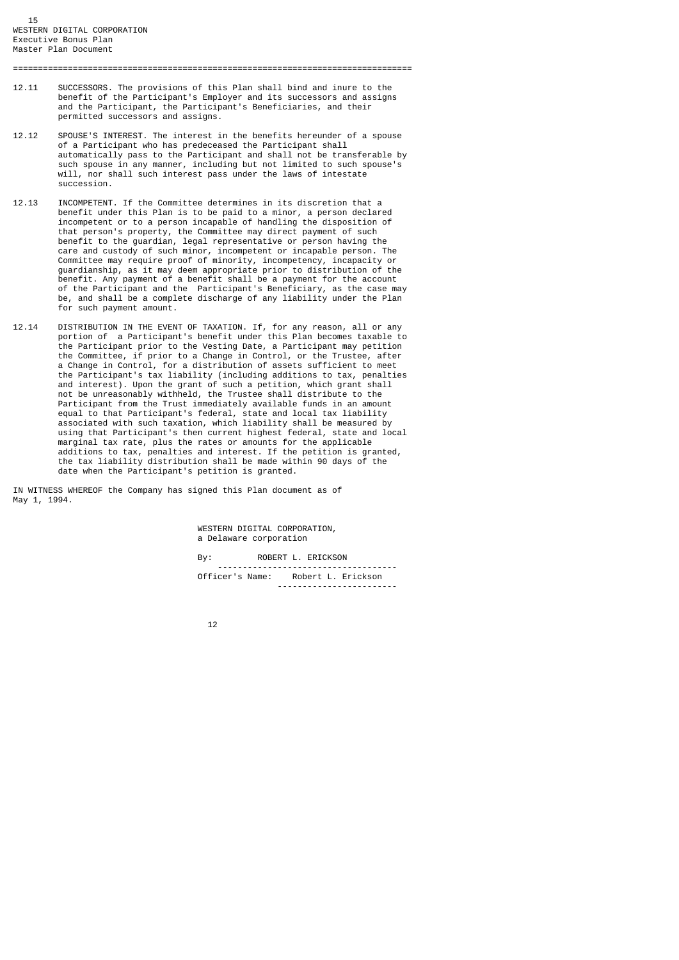12.11 SUCCESSORS. The provisions of this Plan shall bind and inure to the benefit of the Participant's Employer and its successors and assigns and the Participant, the Participant's Beneficiaries, and their permitted successors and assigns.

================================================================================

- 12.12 SPOUSE'S INTEREST. The interest in the benefits hereunder of a spouse of a Participant who has predeceased the Participant shall automatically pass to the Participant and shall not be transferable by such spouse in any manner, including but not limited to such spouse's will, nor shall such interest pass under the laws of intestate succession.
- 12.13 INCOMPETENT. If the Committee determines in its discretion that a benefit under this Plan is to be paid to a minor, a person declared incompetent or to a person incapable of handling the disposition of that person's property, the Committee may direct payment of such benefit to the guardian, legal representative or person having the care and custody of such minor, incompetent or incapable person. The Committee may require proof of minority, incompetency, incapacity or guardianship, as it may deem appropriate prior to distribution of the benefit. Any payment of a benefit shall be a payment for the account of the Participant and the Participant's Beneficiary, as the case may be, and shall be a complete discharge of any liability under the Plan for such payment amount.
- 12.14 DISTRIBUTION IN THE EVENT OF TAXATION. If, for any reason, all or any portion of a Participant's benefit under this Plan becomes taxable to the Participant prior to the Vesting Date, a Participant may petition the Committee, if prior to a Change in Control, or the Trustee, after a Change in Control, for a distribution of assets sufficient to meet the Participant's tax liability (including additions to tax, penalties and interest). Upon the grant of such a petition, which grant shall not be unreasonably withheld, the Trustee shall distribute to the Participant from the Trust immediately available funds in an amount equal to that Participant's federal, state and local tax liability associated with such taxation, which liability shall be measured by using that Participant's then current highest federal, state and local marginal tax rate, plus the rates or amounts for the applicable additions to tax, penalties and interest. If the petition is granted, the tax liability distribution shall be made within 90 days of the date when the Participant's petition is granted.

IN WITNESS WHEREOF the Company has signed this Plan document as of May 1, 1994.

> WESTERN DIGITAL CORPORATION, a Delaware corporation

 By: ROBERT L. ERICKSON ------------------------------------ Officer's Name: Robert L. Erickson ------------------------

12 and 12 and 12 and 12 and 12 and 12 and 12 and 12 and 12 and 12 and 12 and 12 and 12 and 12 and 12 and 12 an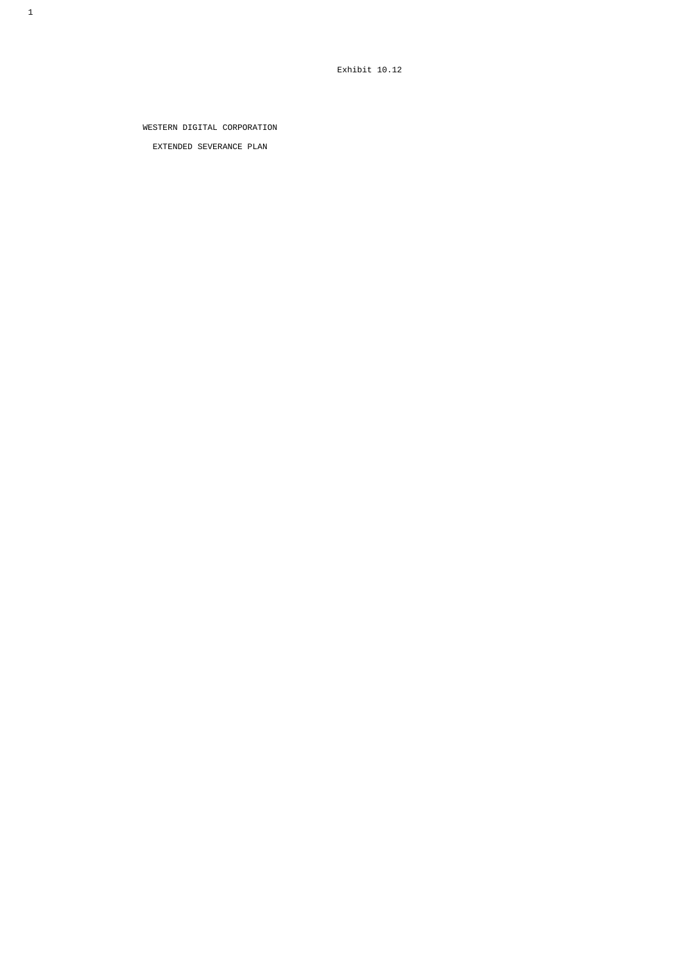WESTERN DIGITAL CORPORATION EXTENDED SEVERANCE PLAN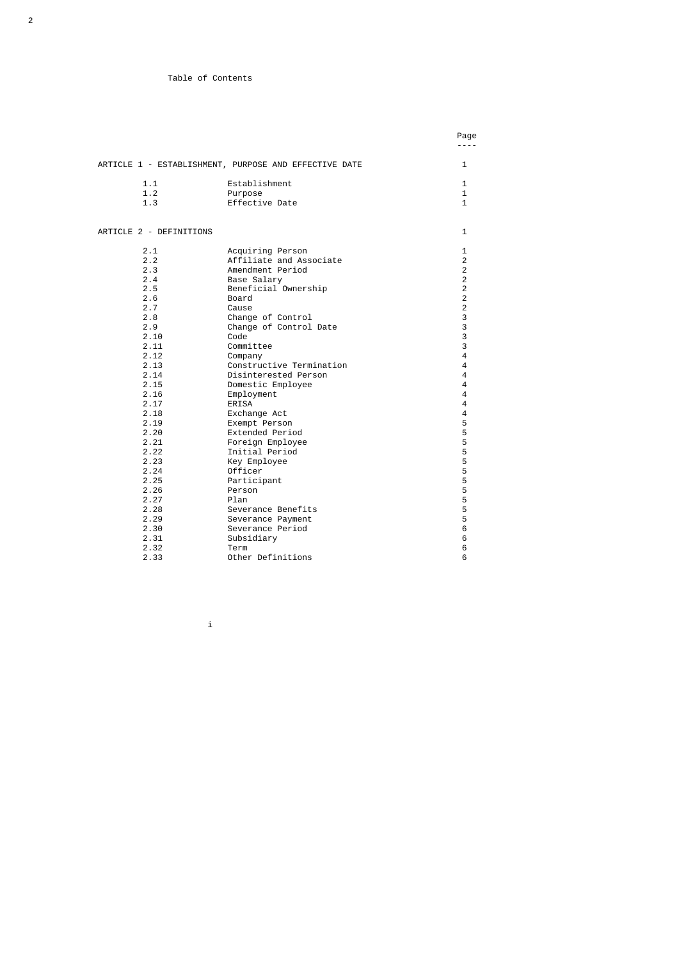# Table of Contents

|                         |                                                       | Page<br>----   |
|-------------------------|-------------------------------------------------------|----------------|
|                         |                                                       |                |
|                         | ARTICLE 1 - ESTABLISHMENT, PURPOSE AND EFFECTIVE DATE | 1              |
| 1.1                     | Establishment                                         | 1              |
| 1.2                     | Purpose                                               | $\mathbf{1}$   |
| 1.3                     | Effective Date                                        | $\mathbf{1}$   |
| ARTICLE 2 - DEFINITIONS |                                                       | 1              |
| 2.1                     | Acquiring Person                                      | 1              |
| 2.2                     | Affiliate and Associate                               | 2              |
| 2.3                     | Amendment Period                                      | $\overline{2}$ |
| 2.4                     | Base Salary                                           | $\overline{2}$ |
| 2.5                     | Beneficial Ownership                                  | 2              |
| 2.6                     | Board                                                 | $\overline{2}$ |
| 2.7                     | Cause                                                 | $\overline{c}$ |
| 2.8                     | Change of Control                                     | 3              |
| 2.9                     | Change of Control Date                                | 3              |
| 2.10                    | Code                                                  | 3              |
| 2.11                    | Committee                                             | 3              |
| 2.12                    | Company                                               | 4              |
| 2.13                    | Constructive Termination                              | 4              |
| 2.14                    | Disinterested Person                                  | 4              |
| 2.15                    | Domestic Employee                                     | 4              |
| 2.16                    | Employment                                            | 4              |
| 2.17                    | <b>ERISA</b>                                          | 4              |
| 2.18                    | Exchange Act                                          | 4              |
| 2.19                    | Exempt Person                                         | 5              |
| 2.20                    | Extended Period                                       | 5              |
| 2.21                    | Foreign Employee                                      | 5              |
| 2.22                    | Initial Period                                        | 5              |
| 2.23                    | Key Employee                                          | 5              |
| 2.24                    | Officer                                               | 5              |
| 2.25                    | Participant                                           | 5              |
| 2.26                    | Person                                                | 5              |
| 2.27                    | Plan                                                  | 5              |
| 2.28                    | Severance Benefits                                    | 5              |
| 2.29                    | Severance Payment                                     | 5              |
| 2.30                    | Severance Period                                      | 6              |
| 2.31                    | Subsidiary                                            | 6              |
| 2.32                    | Term                                                  | 6              |
| 2.33                    | Other Definitions                                     | 6              |

i i standardi i standardi i standardi i standardi i standardi i standardi i standardi i standardi i standardi<br>I standardi i standardi i standardi i standardi i standardi i standardi i standardi i standardi i standardi i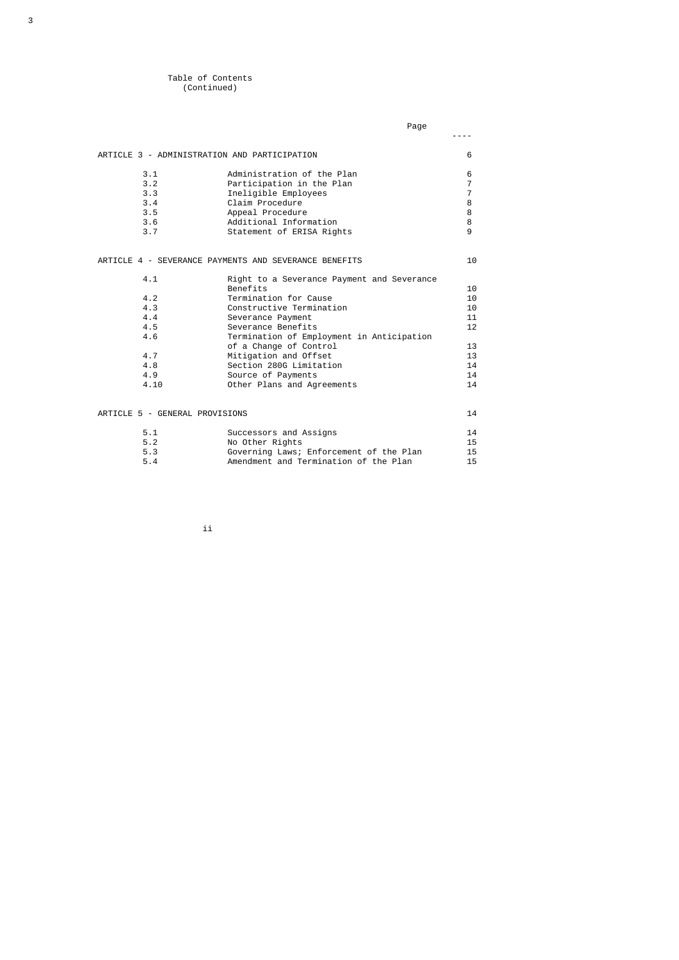# Table of Contents (Continued)

|                                | Page                                                  |                |
|--------------------------------|-------------------------------------------------------|----------------|
|                                |                                                       |                |
|                                | ARTICLE 3 - ADMINISTRATION AND PARTICIPATION          | 6              |
| 3.1                            | Administration of the Plan                            | 6              |
| 3.2                            | Participation in the Plan                             | $\overline{7}$ |
| 3.3                            | Ineligible Employees                                  | $\overline{7}$ |
| 3.4                            | Claim Procedure                                       | 8              |
| 3.5                            | Appeal Procedure                                      | 8              |
| 3.6                            | Additional Information                                | 8              |
| 3.7                            | Statement of ERISA Rights                             | 9              |
|                                | ARTICLE 4 - SEVERANCE PAYMENTS AND SEVERANCE BENEFITS | 10             |
| 4.1                            | Right to a Severance Payment and Severance            |                |
|                                | Benefits                                              | 10             |
| 4.2                            | Termination for Cause                                 | 10             |
| 4.3                            | Constructive Termination                              | 10             |
| 4.4                            | Severance Payment                                     | 11             |
| 4.5                            | Severance Benefits                                    | 12             |
| 4.6                            | Termination of Employment in Anticipation             |                |
|                                | of a Change of Control                                | 13             |
| 4.7                            | Mitigation and Offset                                 | 13             |
| 4.8                            | Section 280G Limitation                               | 14             |
| 4.9                            | Source of Payments                                    | 14             |
| 4.10                           | Other Plans and Agreements                            | 14             |
| ARTICLE 5 - GENERAL PROVISIONS |                                                       | 14             |
|                                |                                                       |                |
| 5.1                            | Successors and Assigns                                | 14             |
| 5.2                            | No Other Rights                                       | 15             |
| 5.3                            | Governing Laws; Enforcement of the Plan               | 15             |
| 5.4                            | Amendment and Termination of the Plan                 | 15             |

ii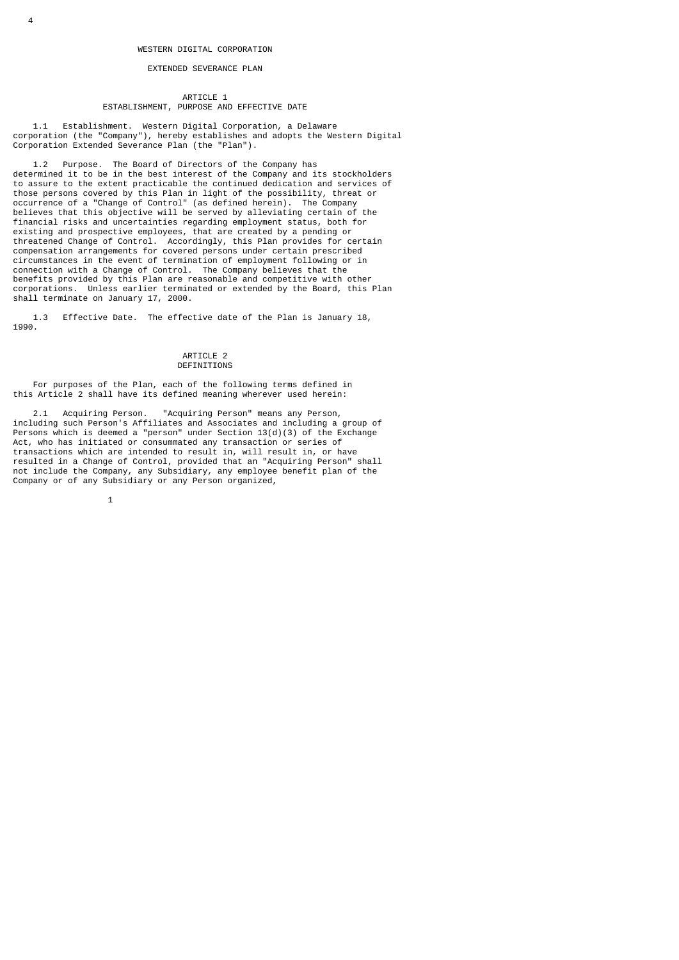# EXTENDED SEVERANCE PLAN

#### **ARTICLE 1** ESTABLISHMENT, PURPOSE AND EFFECTIVE DATE

 1.1 Establishment. Western Digital Corporation, a Delaware corporation (the "Company"), hereby establishes and adopts the Western Digital Corporation Extended Severance Plan (the "Plan").

 1.2 Purpose. The Board of Directors of the Company has determined it to be in the best interest of the Company and its stockholders to assure to the extent practicable the continued dedication and services of those persons covered by this Plan in light of the possibility, threat or occurrence of a "Change of Control" (as defined herein). The Company believes that this objective will be served by alleviating certain of the financial risks and uncertainties regarding employment status, both for existing and prospective employees, that are created by a pending or threatened Change of Control. Accordingly, this Plan provides for certain compensation arrangements for covered persons under certain prescribed circumstances in the event of termination of employment following or in connection with a Change of Control. The Company believes that the benefits provided by this Plan are reasonable and competitive with other corporations. Unless earlier terminated or extended by the Board, this Plan shall terminate on January 17, 2000.

 1.3 Effective Date. The effective date of the Plan is January 18, 1990.

## ARTICLE 2 DEFINITIONS

 For purposes of the Plan, each of the following terms defined in this Article 2 shall have its defined meaning wherever used herein:

 2.1 Acquiring Person. "Acquiring Person" means any Person, including such Person's Affiliates and Associates and including a group of Persons which is deemed a "person" under Section 13(d)(3) of the Exchange Act, who has initiated or consummated any transaction or series of transactions which are intended to result in, will result in, or have resulted in a Change of Control, provided that an "Acquiring Person" shall not include the Company, any Subsidiary, any employee benefit plan of the Company or of any Subsidiary or any Person organized,

 $\sim$  1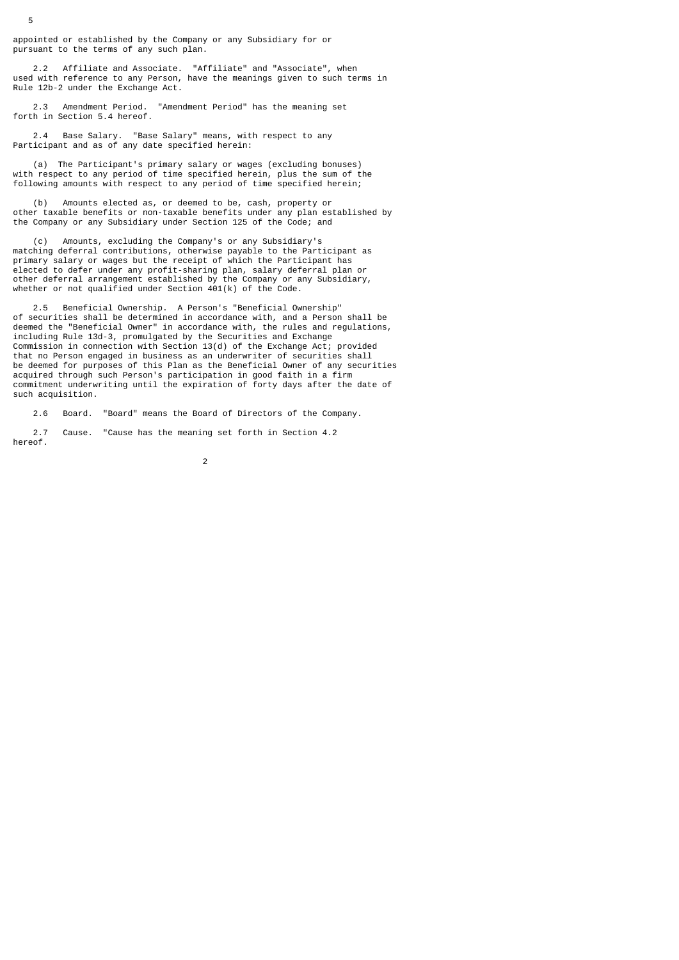appointed or established by the Company or any Subsidiary for or pursuant to the terms of any such plan.

5

 2.2 Affiliate and Associate. "Affiliate" and "Associate", when used with reference to any Person, have the meanings given to such terms in Rule 12b-2 under the Exchange Act.

 2.3 Amendment Period. "Amendment Period" has the meaning set forth in Section 5.4 hereof.

 2.4 Base Salary. "Base Salary" means, with respect to any Participant and as of any date specified herein:

 (a) The Participant's primary salary or wages (excluding bonuses) with respect to any period of time specified herein, plus the sum of the following amounts with respect to any period of time specified herein;

 (b) Amounts elected as, or deemed to be, cash, property or other taxable benefits or non-taxable benefits under any plan established by the Company or any Subsidiary under Section 125 of the Code; and

 (c) Amounts, excluding the Company's or any Subsidiary's matching deferral contributions, otherwise payable to the Participant as primary salary or wages but the receipt of which the Participant has elected to defer under any profit-sharing plan, salary deferral plan or other deferral arrangement established by the Company or any Subsidiary, whether or not qualified under Section  $401(k)$  of the Code.

 2.5 Beneficial Ownership. A Person's "Beneficial Ownership" of securities shall be determined in accordance with, and a Person shall be deemed the "Beneficial Owner" in accordance with, the rules and regulations, including Rule 13d-3, promulgated by the Securities and Exchange Commission in connection with Section 13(d) of the Exchange Act; provided that no Person engaged in business as an underwriter of securities shall be deemed for purposes of this Plan as the Beneficial Owner of any securities acquired through such Person's participation in good faith in a firm commitment underwriting until the expiration of forty days after the date of such acquisition.

2.6 Board. "Board" means the Board of Directors of the Company.

 2.7 Cause. "Cause has the meaning set forth in Section 4.2 hereof.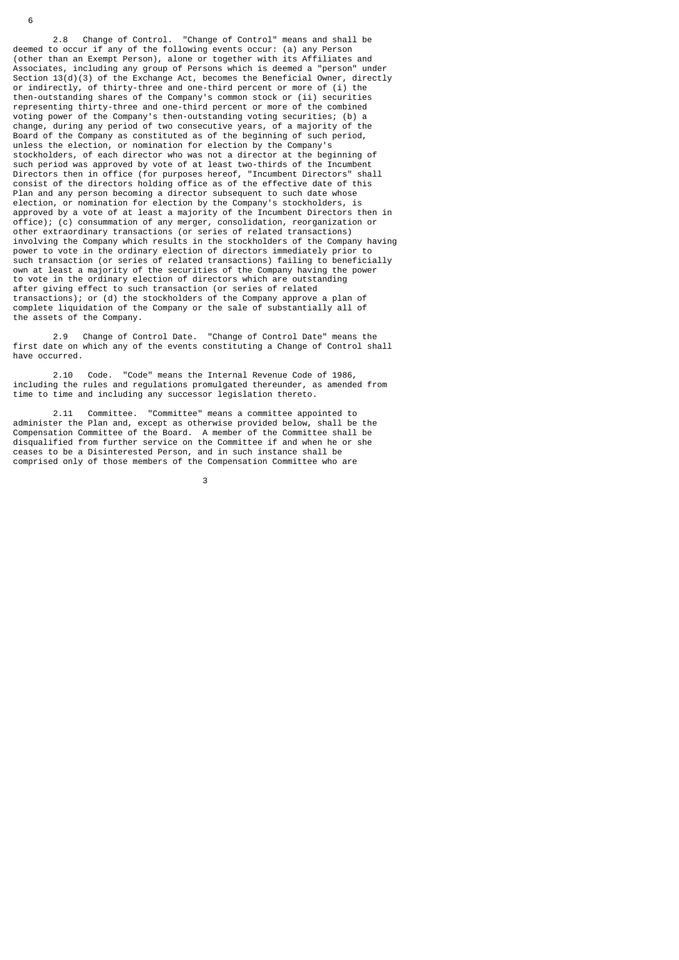2.8 Change of Control. "Change of Control" means and shall be deemed to occur if any of the following events occur: (a) any Person (other than an Exempt Person), alone or together with its Affiliates and Associates, including any group of Persons which is deemed a "person" under Section 13(d)(3) of the Exchange Act, becomes the Beneficial Owner, directly or indirectly, of thirty-three and one-third percent or more of (i) the then-outstanding shares of the Company's common stock or (ii) securities representing thirty-three and one-third percent or more of the combined voting power of the Company's then-outstanding voting securities; (b) a change, during any period of two consecutive years, of a majority of the Board of the Company as constituted as of the beginning of such period, unless the election, or nomination for election by the Company's stockholders, of each director who was not a director at the beginning of such period was approved by vote of at least two-thirds of the Incumbent Directors then in office (for purposes hereof, "Incumbent Directors" shall consist of the directors holding office as of the effective date of this Plan and any person becoming a director subsequent to such date whose election, or nomination for election by the Company's stockholders, is approved by a vote of at least a majority of the Incumbent Directors then in office); (c) consummation of any merger, consolidation, reorganization or other extraordinary transactions (or series of related transactions) involving the Company which results in the stockholders of the Company having power to vote in the ordinary election of directors immediately prior to such transaction (or series of related transactions) failing to beneficially own at least a majority of the securities of the Company having the power to vote in the ordinary election of directors which are outstanding after giving effect to such transaction (or series of related transactions); or (d) the stockholders of the Company approve a plan of complete liquidation of the Company or the sale of substantially all of the assets of the Company.

 2.9 Change of Control Date. "Change of Control Date" means the first date on which any of the events constituting a Change of Control shall have occurred.

 2.10 Code. "Code" means the Internal Revenue Code of 1986, including the rules and regulations promulgated thereunder, as amended from time to time and including any successor legislation thereto.

 2.11 Committee. "Committee" means a committee appointed to administer the Plan and, except as otherwise provided below, shall be the Compensation Committee of the Board. A member of the Committee shall be disqualified from further service on the Committee if and when he or she ceases to be a Disinterested Person, and in such instance shall be comprised only of those members of the Compensation Committee who are

 $\sim$  3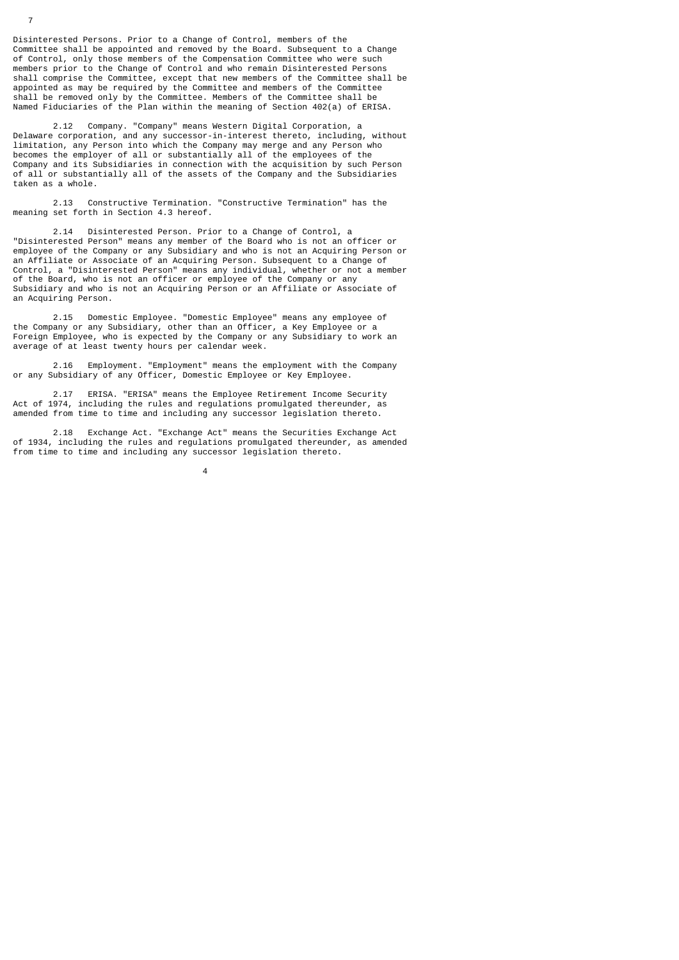Disinterested Persons. Prior to a Change of Control, members of the Committee shall be appointed and removed by the Board. Subsequent to a Change of Control, only those members of the Compensation Committee who were such members prior to the Change of Control and who remain Disinterested Persons shall comprise the Committee, except that new members of the Committee shall be appointed as may be required by the Committee and members of the Committee shall be removed only by the Committee. Members of the Committee shall be Named Fiduciaries of the Plan within the meaning of Section 402(a) of ERISA.

 2.12 Company. "Company" means Western Digital Corporation, a Delaware corporation, and any successor-in-interest thereto, including, without limitation, any Person into which the Company may merge and any Person who becomes the employer of all or substantially all of the employees of the Company and its Subsidiaries in connection with the acquisition by such Person of all or substantially all of the assets of the Company and the Subsidiaries taken as a whole.

 2.13 Constructive Termination. "Constructive Termination" has the meaning set forth in Section 4.3 hereof.

 2.14 Disinterested Person. Prior to a Change of Control, a "Disinterested Person" means any member of the Board who is not an officer or employee of the Company or any Subsidiary and who is not an Acquiring Person or an Affiliate or Associate of an Acquiring Person. Subsequent to a Change of Control, a "Disinterested Person" means any individual, whether or not a member of the Board, who is not an officer or employee of the Company or any Subsidiary and who is not an Acquiring Person or an Affiliate or Associate of an Acquiring Person.

 2.15 Domestic Employee. "Domestic Employee" means any employee of the Company or any Subsidiary, other than an Officer, a Key Employee or a Foreign Employee, who is expected by the Company or any Subsidiary to work an average of at least twenty hours per calendar week.

 2.16 Employment. "Employment" means the employment with the Company or any Subsidiary of any Officer, Domestic Employee or Key Employee.

 2.17 ERISA. "ERISA" means the Employee Retirement Income Security Act of 1974, including the rules and regulations promulgated thereunder, as amended from time to time and including any successor legislation thereto.

 2.18 Exchange Act. "Exchange Act" means the Securities Exchange Act of 1934, including the rules and regulations promulgated thereunder, as amended from time to time and including any successor legislation thereto.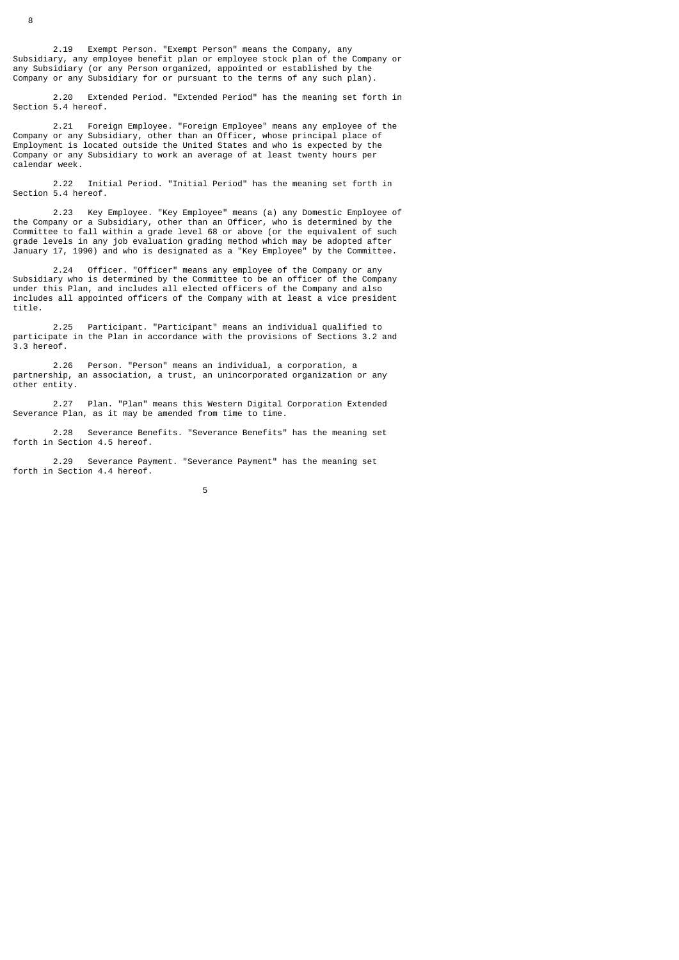2.19 Exempt Person. "Exempt Person" means the Company, any Subsidiary, any employee benefit plan or employee stock plan of the Company or any Subsidiary (or any Person organized, appointed or established by the Company or any Subsidiary for or pursuant to the terms of any such plan).

 2.20 Extended Period. "Extended Period" has the meaning set forth in Section 5.4 hereof.

 2.21 Foreign Employee. "Foreign Employee" means any employee of the Company or any Subsidiary, other than an Officer, whose principal place of Employment is located outside the United States and who is expected by the Company or any Subsidiary to work an average of at least twenty hours per calendar week.

 2.22 Initial Period. "Initial Period" has the meaning set forth in Section 5.4 hereof.

 2.23 Key Employee. "Key Employee" means (a) any Domestic Employee of the Company or a Subsidiary, other than an Officer, who is determined by the Committee to fall within a grade level 68 or above (or the equivalent of such grade levels in any job evaluation grading method which may be adopted after January 17, 1990) and who is designated as a "Key Employee" by the Committee.

 2.24 Officer. "Officer" means any employee of the Company or any Subsidiary who is determined by the Committee to be an officer of the Company under this Plan, and includes all elected officers of the Company and also includes all appointed officers of the Company with at least a vice president title.

 2.25 Participant. "Participant" means an individual qualified to participate in the Plan in accordance with the provisions of Sections 3.2 and 3.3 hereof.

 2.26 Person. "Person" means an individual, a corporation, a partnership, an association, a trust, an unincorporated organization or any other entity.

 2.27 Plan. "Plan" means this Western Digital Corporation Extended Severance Plan, as it may be amended from time to time.

 2.28 Severance Benefits. "Severance Benefits" has the meaning set forth in Section 4.5 hereof.

 2.29 Severance Payment. "Severance Payment" has the meaning set forth in Section 4.4 hereof.

 $5<sub>5</sub>$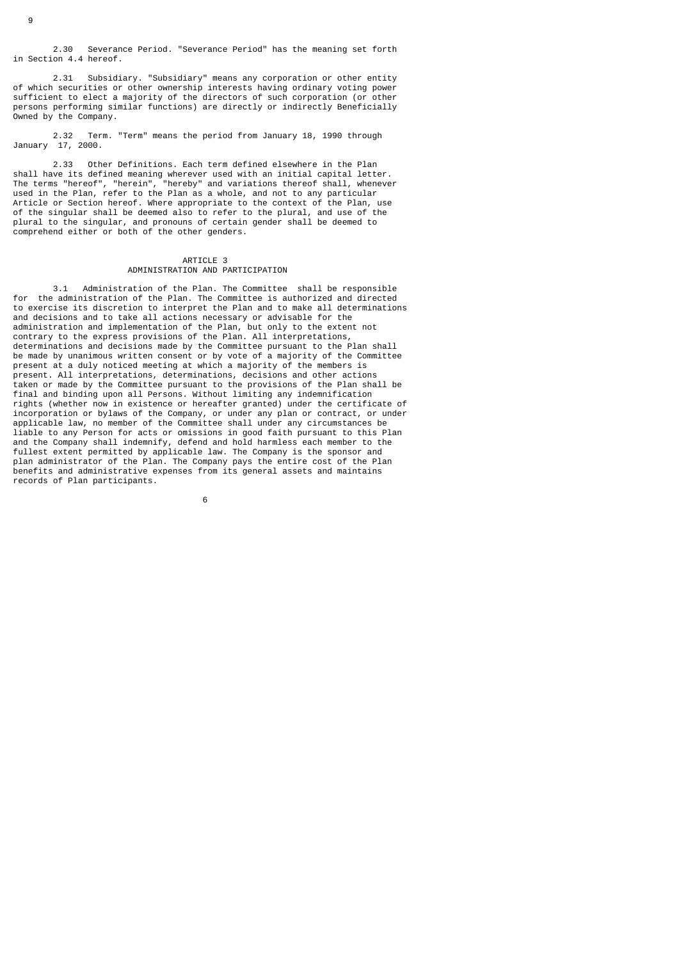2.30 Severance Period. "Severance Period" has the meaning set forth in Section 4.4 hereof.

 2.31 Subsidiary. "Subsidiary" means any corporation or other entity of which securities or other ownership interests having ordinary voting power sufficient to elect a majority of the directors of such corporation (or other persons performing similar functions) are directly or indirectly Beneficially Owned by the Company.

 2.32 Term. "Term" means the period from January 18, 1990 through January 17, 2000.

 2.33 Other Definitions. Each term defined elsewhere in the Plan shall have its defined meaning wherever used with an initial capital letter. The terms "hereof", "herein", "hereby" and variations thereof shall, whenever used in the Plan, refer to the Plan as a whole, and not to any particular Article or Section hereof. Where appropriate to the context of the Plan, use of the singular shall be deemed also to refer to the plural, and use of the plural to the singular, and pronouns of certain gender shall be deemed to comprehend either or both of the other genders.

## ARTICLE 3 ADMINISTRATION AND PARTICIPATION

 3.1 Administration of the Plan. The Committee shall be responsible for the administration of the Plan. The Committee is authorized and directed to exercise its discretion to interpret the Plan and to make all determinations and decisions and to take all actions necessary or advisable for the administration and implementation of the Plan, but only to the extent not contrary to the express provisions of the Plan. All interpretations, determinations and decisions made by the Committee pursuant to the Plan shall be made by unanimous written consent or by vote of a majority of the Committee present at a duly noticed meeting at which a majority of the members is present. All interpretations, determinations, decisions and other actions taken or made by the Committee pursuant to the provisions of the Plan shall be final and binding upon all Persons. Without limiting any indemnification rights (whether now in existence or hereafter granted) under the certificate of incorporation or bylaws of the Company, or under any plan or contract, or under applicable law, no member of the Committee shall under any circumstances be liable to any Person for acts or omissions in good faith pursuant to this Plan and the Company shall indemnify, defend and hold harmless each member to the fullest extent permitted by applicable law. The Company is the sponsor and plan administrator of the Plan. The Company pays the entire cost of the Plan benefits and administrative expenses from its general assets and maintains records of Plan participants.

 $\sim$  6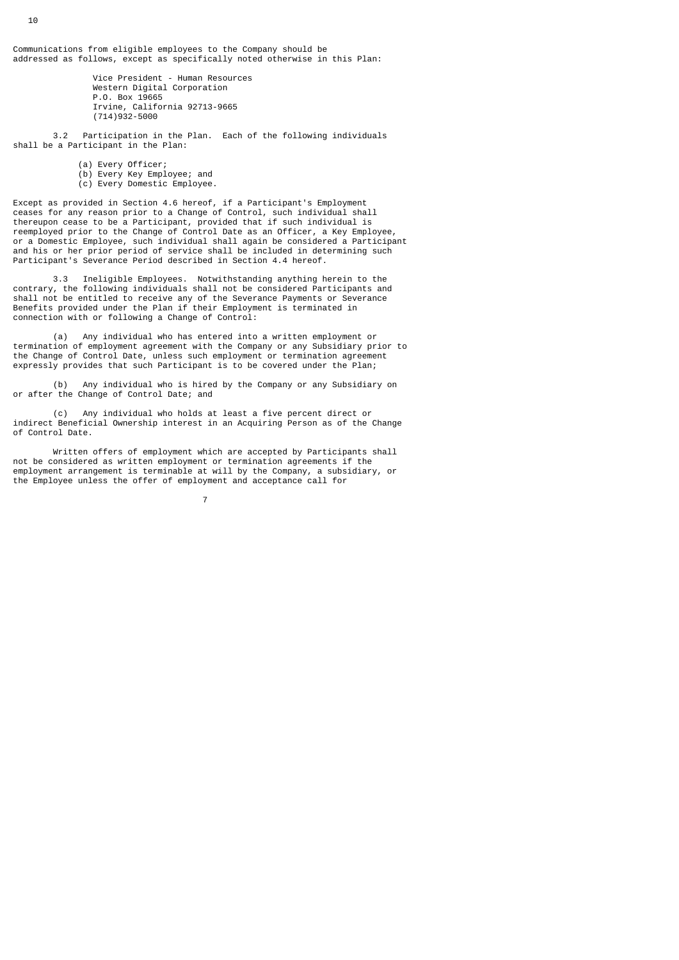Communications from eligible employees to the Company should be addressed as follows, except as specifically noted otherwise in this Plan:

> Vice President - Human Resources Western Digital Corporation P.O. Box 19665 Irvine, California 92713-9665 (714)932-5000

 3.2 Participation in the Plan. Each of the following individuals shall be a Participant in the Plan:

(a) Every Officer;

7

- (b) Every Key Employee; and
- (c) Every Domestic Employee.

Except as provided in Section 4.6 hereof, if a Participant's Employment ceases for any reason prior to a Change of Control, such individual shall thereupon cease to be a Participant, provided that if such individual is reemployed prior to the Change of Control Date as an Officer, a Key Employee, or a Domestic Employee, such individual shall again be considered a Participant and his or her prior period of service shall be included in determining such Participant's Severance Period described in Section 4.4 hereof.

 3.3 Ineligible Employees. Notwithstanding anything herein to the contrary, the following individuals shall not be considered Participants and shall not be entitled to receive any of the Severance Payments or Severance Benefits provided under the Plan if their Employment is terminated in connection with or following a Change of Control:

 (a) Any individual who has entered into a written employment or termination of employment agreement with the Company or any Subsidiary prior to the Change of Control Date, unless such employment or termination agreement expressly provides that such Participant is to be covered under the Plan;

Any individual who is hired by the Company or any Subsidiary on (b) Any individual who is hire<br>or after the Change of Control Date; and

 (c) Any individual who holds at least a five percent direct or indirect Beneficial Ownership interest in an Acquiring Person as of the Change of Control Date.

 Written offers of employment which are accepted by Participants shall not be considered as written employment or termination agreements if the employment arrangement is terminable at will by the Company, a subsidiary, or the Employee unless the offer of employment and acceptance call for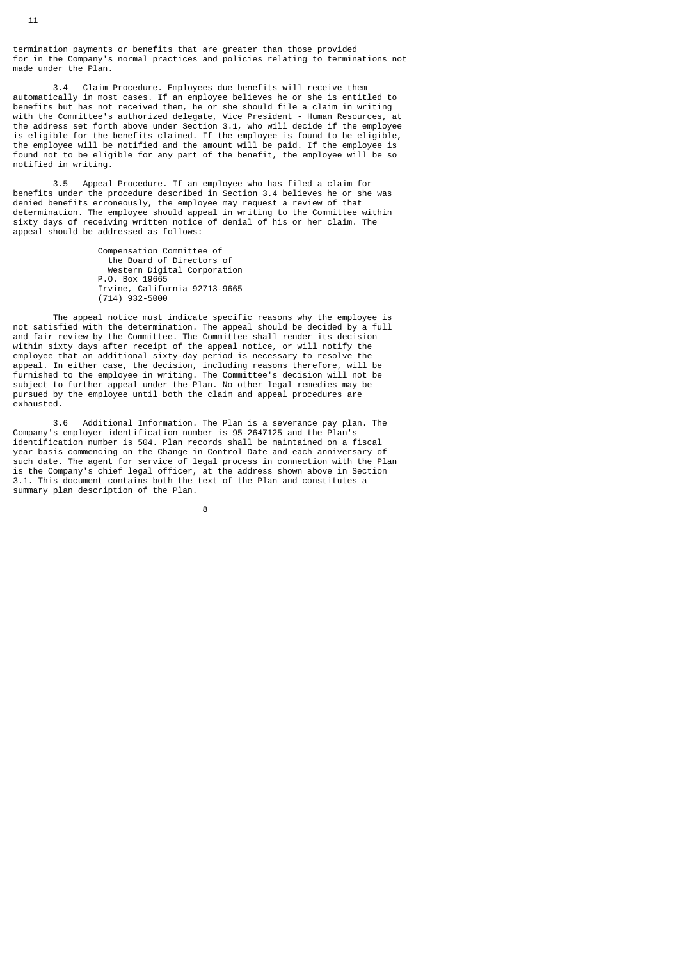termination payments or benefits that are greater than those provided for in the Company's normal practices and policies relating to terminations not made under the Plan.

 3.4 Claim Procedure. Employees due benefits will receive them automatically in most cases. If an employee believes he or she is entitled to benefits but has not received them, he or she should file a claim in writing with the Committee's authorized delegate, Vice President - Human Resources, at the address set forth above under Section 3.1, who will decide if the employee is eligible for the benefits claimed. If the employee is found to be eligible, the employee will be notified and the amount will be paid. If the employee is found not to be eligible for any part of the benefit, the employee will be so notified in writing.

 3.5 Appeal Procedure. If an employee who has filed a claim for benefits under the procedure described in Section 3.4 believes he or she was denied benefits erroneously, the employee may request a review of that determination. The employee should appeal in writing to the Committee within sixty days of receiving written notice of denial of his or her claim. The appeal should be addressed as follows:

> Compensation Committee of the Board of Directors of Western Digital Corporation P.O. Box 19665 Irvine, California 92713-9665 (714) 932-5000

 The appeal notice must indicate specific reasons why the employee is not satisfied with the determination. The appeal should be decided by a full and fair review by the Committee. The Committee shall render its decision within sixty days after receipt of the appeal notice, or will notify the employee that an additional sixty-day period is necessary to resolve the appeal. In either case, the decision, including reasons therefore, will be furnished to the employee in writing. The Committee's decision will not be subject to further appeal under the Plan. No other legal remedies may be pursued by the employee until both the claim and appeal procedures are exhausted.

 3.6 Additional Information. The Plan is a severance pay plan. The Company's employer identification number is 95-2647125 and the Plan's identification number is 504. Plan records shall be maintained on a fiscal year basis commencing on the Change in Control Date and each anniversary of such date. The agent for service of legal process in connection with the Plan is the Company's chief legal officer, at the address shown above in Section 3.1. This document contains both the text of the Plan and constitutes a summary plan description of the Plan.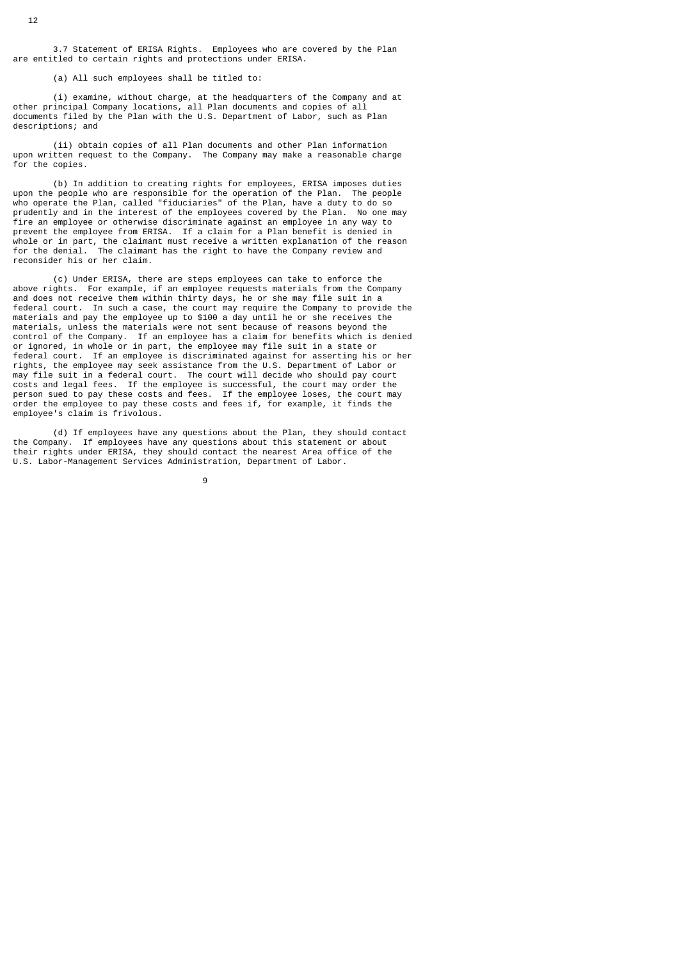3.7 Statement of ERISA Rights. Employees who are covered by the Plan are entitled to certain rights and protections under ERISA.

(a) All such employees shall be titled to:

 (i) examine, without charge, at the headquarters of the Company and at other principal Company locations, all Plan documents and copies of all documents filed by the Plan with the U.S. Department of Labor, such as Plan descriptions; and

 (ii) obtain copies of all Plan documents and other Plan information upon written request to the Company. The Company may make a reasonable charge for the copies.

 (b) In addition to creating rights for employees, ERISA imposes duties upon the people who are responsible for the operation of the Plan. The people who operate the Plan, called "fiduciaries" of the Plan, have a duty to do so prudently and in the interest of the employees covered by the Plan. No one may fire an employee or otherwise discriminate against an employee in any way to prevent the employee from ERISA. If a claim for a Plan benefit is denied in whole or in part, the claimant must receive a written explanation of the reason for the denial. The claimant has the right to have the Company review and reconsider his or her claim.

 (c) Under ERISA, there are steps employees can take to enforce the above rights. For example, if an employee requests materials from the Company and does not receive them within thirty days, he or she may file suit in a federal court. In such a case, the court may require the Company to provide the materials and pay the employee up to \$100 a day until he or she receives the materials, unless the materials were not sent because of reasons beyond the control of the Company. If an employee has a claim for benefits which is denied or ignored, in whole or in part, the employee may file suit in a state or federal court. If an employee is discriminated against for asserting his or her rights, the employee may seek assistance from the U.S. Department of Labor or may file suit in a federal court. The court will decide who should pay court costs and legal fees. If the employee is successful, the court may order the person sued to pay these costs and fees. If the employee loses, the court may order the employee to pay these costs and fees if, for example, it finds the employee's claim is frivolous.

 (d) If employees have any questions about the Plan, they should contact the Company. If employees have any questions about this statement or about their rights under ERISA, they should contact the nearest Area office of the U.S. Labor-Management Services Administration, Department of Labor.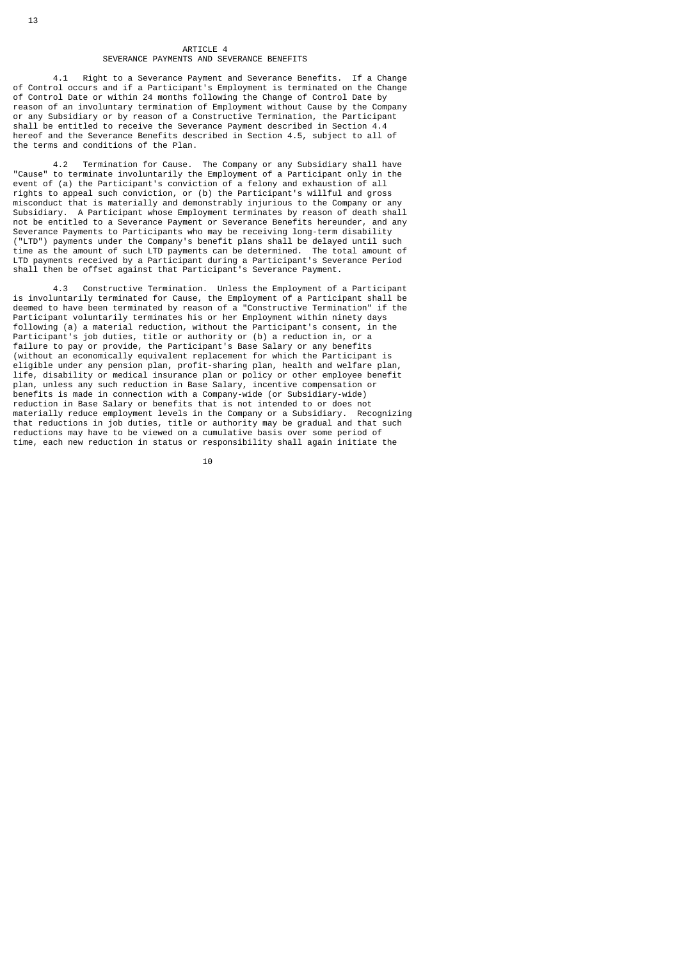## ARTICLE 4 SEVERANCE PAYMENTS AND SEVERANCE BENEFITS

 4.1 Right to a Severance Payment and Severance Benefits. If a Change of Control occurs and if a Participant's Employment is terminated on the Change of Control Date or within 24 months following the Change of Control Date by reason of an involuntary termination of Employment without Cause by the Company or any Subsidiary or by reason of a Constructive Termination, the Participant shall be entitled to receive the Severance Payment described in Section 4.4 hereof and the Severance Benefits described in Section 4.5, subject to all of the terms and conditions of the Plan.

 4.2 Termination for Cause. The Company or any Subsidiary shall have "Cause" to terminate involuntarily the Employment of a Participant only in the event of (a) the Participant's conviction of a felony and exhaustion of all rights to appeal such conviction, or (b) the Participant's willful and gross misconduct that is materially and demonstrably injurious to the Company or any Subsidiary. A Participant whose Employment terminates by reason of death shall not be entitled to a Severance Payment or Severance Benefits hereunder, and any Severance Payments to Participants who may be receiving long-term disability ("LTD") payments under the Company's benefit plans shall be delayed until such time as the amount of such LTD payments can be determined. The total amount of LTD payments received by a Participant during a Participant's Severance Period shall then be offset against that Participant's Severance Payment.

 4.3 Constructive Termination. Unless the Employment of a Participant is involuntarily terminated for Cause, the Employment of a Participant shall be deemed to have been terminated by reason of a "Constructive Termination" if the deemed to have been terminated by reason of a "Constructive Termination" if the Participant voluntarily terminates his or her Employment within ninety days following (a) a material reduction, without the Participant's consent, in the Participant's job duties, title or authority or (b) a reduction in, or a failure to pay or provide, the Participant's Base Salary or any benefits (without an economically equivalent replacement for which the Participant is eligible under any pension plan, profit-sharing plan, health and welfare plan, life, disability or medical insurance plan or policy or other employee benefit plan, unless any such reduction in Base Salary, incentive compensation or benefits is made in connection with a Company-wide (or Subsidiary-wide) reduction in Base Salary or benefits that is not intended to or does not materially reduce employment levels in the Company or a Subsidiary. Recognizing that reductions in job duties, title or authority may be gradual and that such reductions may have to be viewed on a cumulative basis over some period of time, each new reduction in status or responsibility shall again initiate the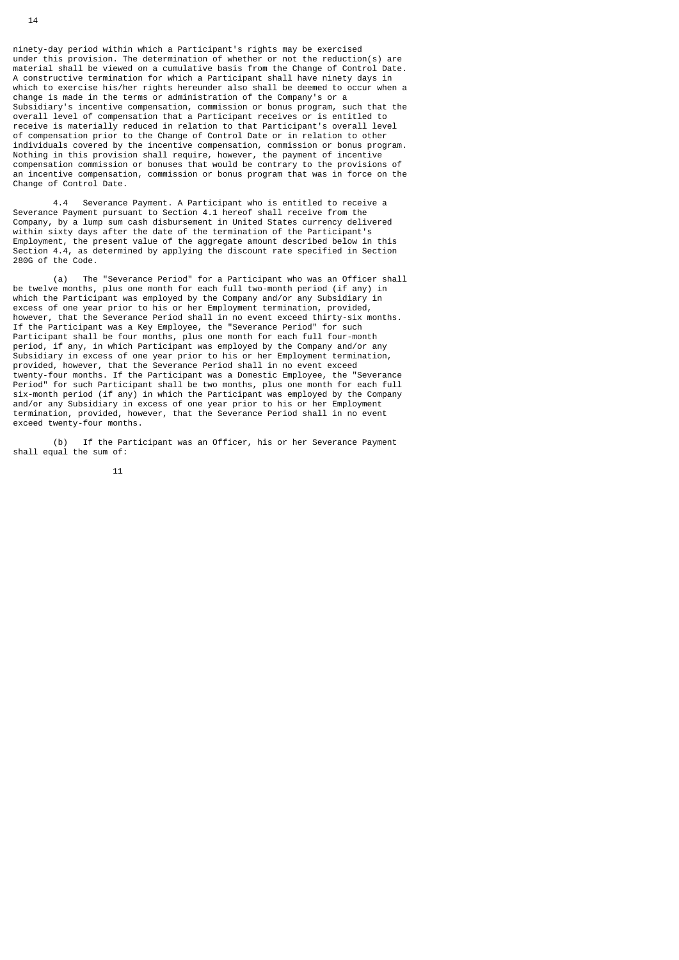ninety-day period within which a Participant's rights may be exercised under this provision. The determination of whether or not the reduction(s) are material shall be viewed on a cumulative basis from the Change of Control Date. A constructive termination for which a Participant shall have ninety days in which to exercise his/her rights hereunder also shall be deemed to occur when a change is made in the terms or administration of the Company's or a Subsidiary's incentive compensation, commission or bonus program, such that the overall level of compensation that a Participant receives or is entitled to receive is materially reduced in relation to that Participant's overall level of compensation prior to the Change of Control Date or in relation to other individuals covered by the incentive compensation, commission or bonus program. Nothing in this provision shall require, however, the payment of incentive compensation commission or bonuses that would be contrary to the provisions of an incentive compensation, commission or bonus program that was in force on the Change of Control Date.

 4.4 Severance Payment. A Participant who is entitled to receive a Severance Payment pursuant to Section 4.1 hereof shall receive from the Company, by a lump sum cash disbursement in United States currency delivered within sixty days after the date of the termination of the Participant's Employment, the present value of the aggregate amount described below in this Section 4.4, as determined by applying the discount rate specified in Section 280G of the Code.

 (a) The "Severance Period" for a Participant who was an Officer shall be twelve months, plus one month for each full two-month period (if any) in which the Participant was employed by the Company and/or any Subsidiary in excess of one year prior to his or her Employment termination, provided, however, that the Severance Period shall in no event exceed thirty-six months. If the Participant was a Key Employee, the "Severance Period" for such Participant shall be four months, plus one month for each full four-month period, if any, in which Participant was employed by the Company and/or any Subsidiary in excess of one year prior to his or her Employment termination, provided, however, that the Severance Period shall in no event exceed twenty-four months. If the Participant was a Domestic Employee, the "Severance Period" for such Participant shall be two months, plus one month for each full six-month period (if any) in which the Participant was employed by the Company and/or any Subsidiary in excess of one year prior to his or her Employment termination, provided, however, that the Severance Period shall in no event exceed twenty-four months.

 (b) If the Participant was an Officer, his or her Severance Payment shall equal the sum of: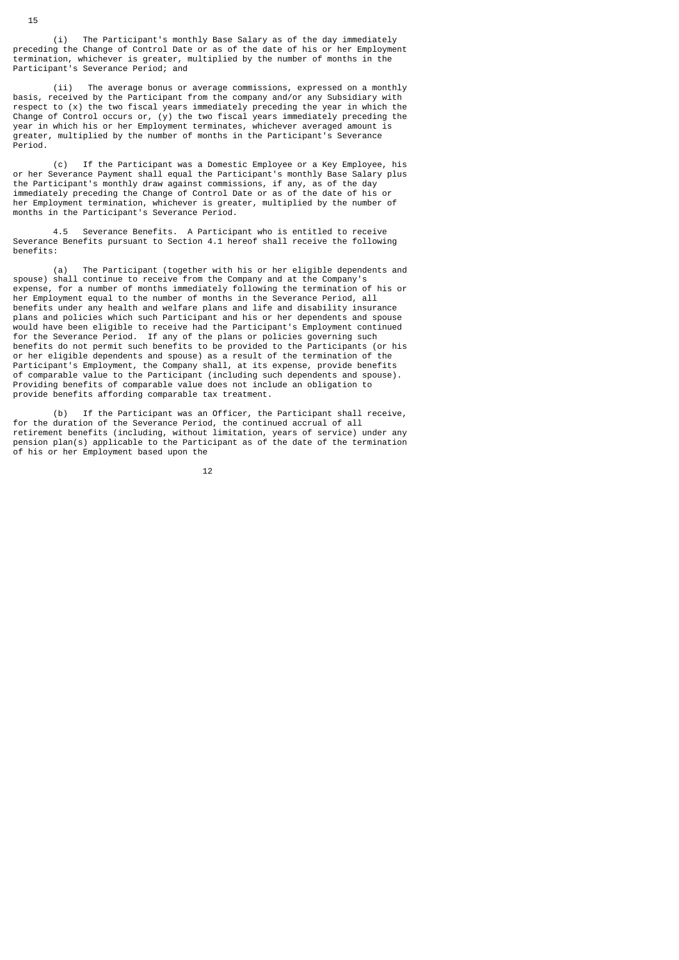(i) The Participant's monthly Base Salary as of the day immediately preceding the Change of Control Date or as of the date of his or her Employment termination, whichever is greater, multiplied by the number of months in the Participant's Severance Period; and

 (ii) The average bonus or average commissions, expressed on a monthly basis, received by the Participant from the company and/or any Subsidiary with respect to (x) the two fiscal years immediately preceding the year in which the Change of Control occurs or, (y) the two fiscal years immediately preceding the year in which his or her Employment terminates, whichever averaged amount is greater, multiplied by the number of months in the Participant's Severance Period.

 (c) If the Participant was a Domestic Employee or a Key Employee, his or her Severance Payment shall equal the Participant's monthly Base Salary plus the Participant's monthly draw against commissions, if any, as of the day immediately preceding the Change of Control Date or as of the date of his or her Employment termination, whichever is greater, multiplied by the number of months in the Participant's Severance Period.

 4.5 Severance Benefits. A Participant who is entitled to receive Severance Benefits pursuant to Section 4.1 hereof shall receive the following benefits:

 (a) The Participant (together with his or her eligible dependents and spouse) shall continue to receive from the Company and at the Company's expense, for a number of months immediately following the termination of his or her Employment equal to the number of months in the Severance Period, all benefits under any health and welfare plans and life and disability insurance plans and policies which such Participant and his or her dependents and spouse would have been eligible to receive had the Participant's Employment continued for the Severance Period. If any of the plans or policies governing such benefits do not permit such benefits to be provided to the Participants (or his or her eligible dependents and spouse) as a result of the termination of the Participant's Employment, the Company shall, at its expense, provide benefits of comparable value to the Participant (including such dependents and spouse). Providing benefits of comparable value does not include an obligation to provide benefits affording comparable tax treatment.

 (b) If the Participant was an Officer, the Participant shall receive, for the duration of the Severance Period, the continued accrual of all retirement benefits (including, without limitation, years of service) under any pension plan(s) applicable to the Participant as of the date of the termination of his or her Employment based upon the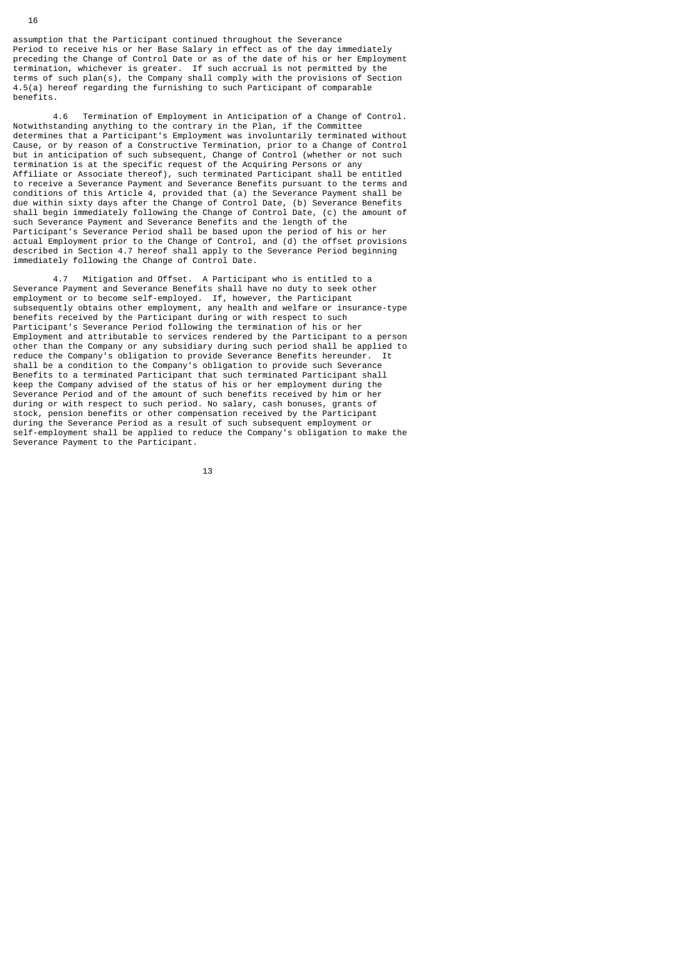assumption that the Participant continued throughout the Severance Period to receive his or her Base Salary in effect as of the day immediately preceding the Change of Control Date or as of the date of his or her Employment termination, whichever is greater. If such accrual is not permitted by the terms of such plan(s), the Company shall comply with the provisions of Section 4.5(a) hereof regarding the furnishing to such Participant of comparable benefits.

 4.6 Termination of Employment in Anticipation of a Change of Control. Notwithstanding anything to the contrary in the Plan, if the Committee determines that a Participant's Employment was involuntarily terminated without Cause, or by reason of a Constructive Termination, prior to a Change of Control but in anticipation of such subsequent, Change of Control (whether or not such termination is at the specific request of the Acquiring Persons or any Affiliate or Associate thereof), such terminated Participant shall be entitled to receive a Severance Payment and Severance Benefits pursuant to the terms and conditions of this Article 4, provided that (a) the Severance Payment shall be due within sixty days after the Change of Control Date, (b) Severance Benefits shall begin immediately following the Change of Control Date, (c) the amount of such Severance Payment and Severance Benefits and the length of the Participant's Severance Period shall be based upon the period of his or her actual Employment prior to the Change of Control, and (d) the offset provisions described in Section 4.7 hereof shall apply to the Severance Period beginning immediately following the Change of Control Date.

 4.7 Mitigation and Offset. A Participant who is entitled to a Severance Payment and Severance Benefits shall have no duty to seek other employment or to become self-employed. If, however, the Participant subsequently obtains other employment, any health and welfare or insurance-type benefits received by the Participant during or with respect to such Participant's Severance Period following the termination of his or her Employment and attributable to services rendered by the Participant to a person other than the Company or any subsidiary during such period shall be applied to reduce the Company's obligation to provide Severance Benefits hereunder. It shall be a condition to the Company's obligation to provide such Severance Benefits to a terminated Participant that such terminated Participant shall keep the Company advised of the status of his or her employment during the Severance Period and of the amount of such benefits received by him or her during or with respect to such period. No salary, cash bonuses, grants of stock, pension benefits or other compensation received by the Participant during the Severance Period as a result of such subsequent employment or self-employment shall be applied to reduce the Company's obligation to make the Severance Payment to the Participant.

<u>13</u>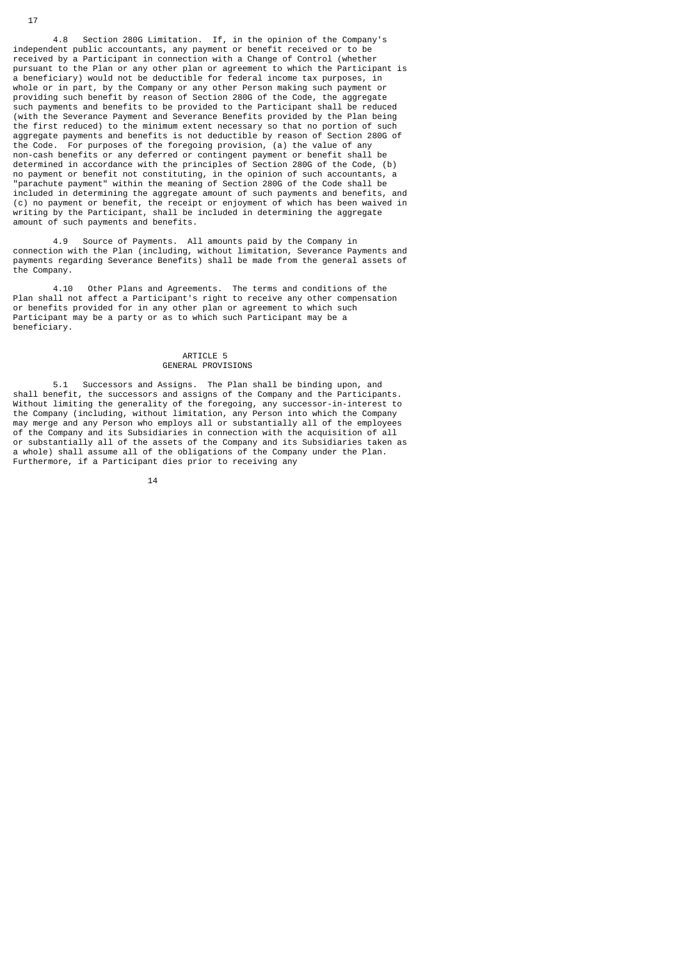4.8 Section 280G Limitation. If, in the opinion of the Company's independent public accountants, any payment or benefit received or to be received by a Participant in connection with a Change of Control (whether pursuant to the Plan or any other plan or agreement to which the Participant is a beneficiary) would not be deductible for federal income tax purposes, in whole or in part, by the Company or any other Person making such payment or providing such benefit by reason of Section 280G of the Code, the aggregate such payments and benefits to be provided to the Participant shall be reduced (with the Severance Payment and Severance Benefits provided by the Plan being the first reduced) to the minimum extent necessary so that no portion of such aggregate payments and benefits is not deductible by reason of Section 280G of the Code. For purposes of the foregoing provision, (a) the value of any non-cash benefits or any deferred or contingent payment or benefit shall be determined in accordance with the principles of Section 280G of the Code, (b) no payment or benefit not constituting, in the opinion of such accountants, a "parachute payment" within the meaning of Section 280G of the Code shall be included in determining the aggregate amount of such payments and benefits, and (c) no payment or benefit, the receipt or enjoyment of which has been waived in writing by the Participant, shall be included in determining the aggregate amount of such payments and benefits.

 4.9 Source of Payments. All amounts paid by the Company in connection with the Plan (including, without limitation, Severance Payments and payments regarding Severance Benefits) shall be made from the general assets of the Company.

 4.10 Other Plans and Agreements. The terms and conditions of the Plan shall not affect a Participant's right to receive any other compensation or benefits provided for in any other plan or agreement to which such Participant may be a party or as to which such Participant may be a beneficiary.

# ARTICLE 5 GENERAL PROVISIONS

 5.1 Successors and Assigns. The Plan shall be binding upon, and shall benefit, the successors and assigns of the Company and the Participants. Without limiting the generality of the foregoing, any successor-in-interest to the Company (including, without limitation, any Person into which the Company may merge and any Person who employs all or substantially all of the employees of the Company and its Subsidiaries in connection with the acquisition of all or substantially all of the assets of the Company and its Subsidiaries taken as a whole) shall assume all of the obligations of the Company under the Plan. Furthermore, if a Participant dies prior to receiving any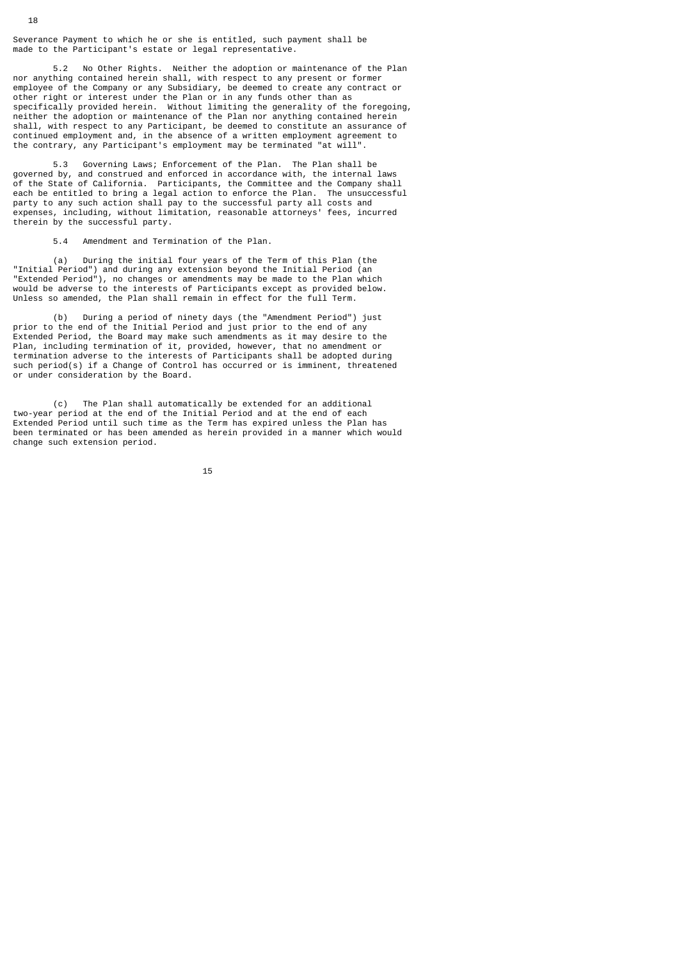Severance Payment to which he or she is entitled, such payment shall be made to the Participant's estate or legal representative.

 5.2 No Other Rights. Neither the adoption or maintenance of the Plan nor anything contained herein shall, with respect to any present or former employee of the Company or any Subsidiary, be deemed to create any contract or other right or interest under the Plan or in any funds other than as specifically provided herein. Without limiting the generality of the foregoing, neither the adoption or maintenance of the Plan nor anything contained herein shall, with respect to any Participant, be deemed to constitute an assurance of continued employment and, in the absence of a written employment agreement to the contrary, any Participant's employment may be terminated "at will".

 5.3 Governing Laws; Enforcement of the Plan. The Plan shall be governed by, and construed and enforced in accordance with, the internal laws of the State of California. Participants, the Committee and the Company shall each be entitled to bring a legal action to enforce the Plan. The unsuccessful party to any such action shall pay to the successful party all costs and expenses, including, without limitation, reasonable attorneys' fees, incurred therein by the successful party.

5.4 Amendment and Termination of the Plan.

 (a) During the initial four years of the Term of this Plan (the "Initial Period") and during any extension beyond the Initial Period (an "Extended Period"), no changes or amendments may be made to the Plan which would be adverse to the interests of Participants except as provided below. Unless so amended, the Plan shall remain in effect for the full Term.

 (b) During a period of ninety days (the "Amendment Period") just prior to the end of the Initial Period and just prior to the end of any Extended Period, the Board may make such amendments as it may desire to the Plan, including termination of it, provided, however, that no amendment or termination adverse to the interests of Participants shall be adopted during such period(s) if a Change of Control has occurred or is imminent, threatened or under consideration by the Board.

 (c) The Plan shall automatically be extended for an additional two-year period at the end of the Initial Period and at the end of each Extended Period until such time as the Term has expired unless the Plan has been terminated or has been amended as herein provided in a manner which would change such extension period.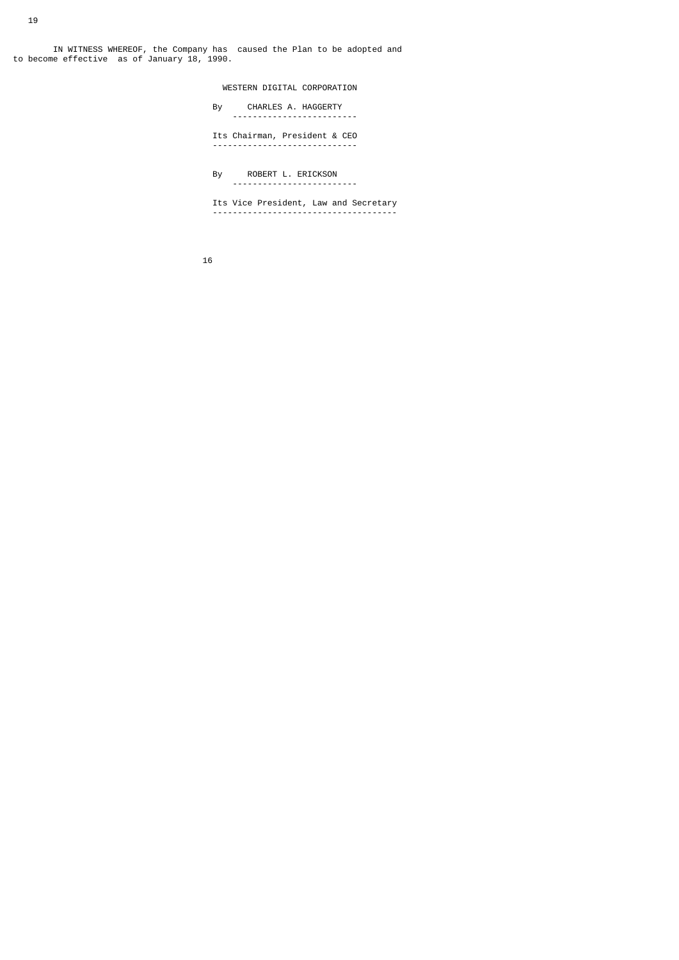IN WITNESS WHEREOF, the Company has caused the Plan to be adopted and to become effective as of January 18, 1990.

 WESTERN DIGITAL CORPORATION By CHARLES A. HAGGERTY ------------------------- Its Chairman, President & CEO ----------------------------- By ROBERT L. ERICKSON ------------------------- Its Vice President, Law and Secretary -------------------------------------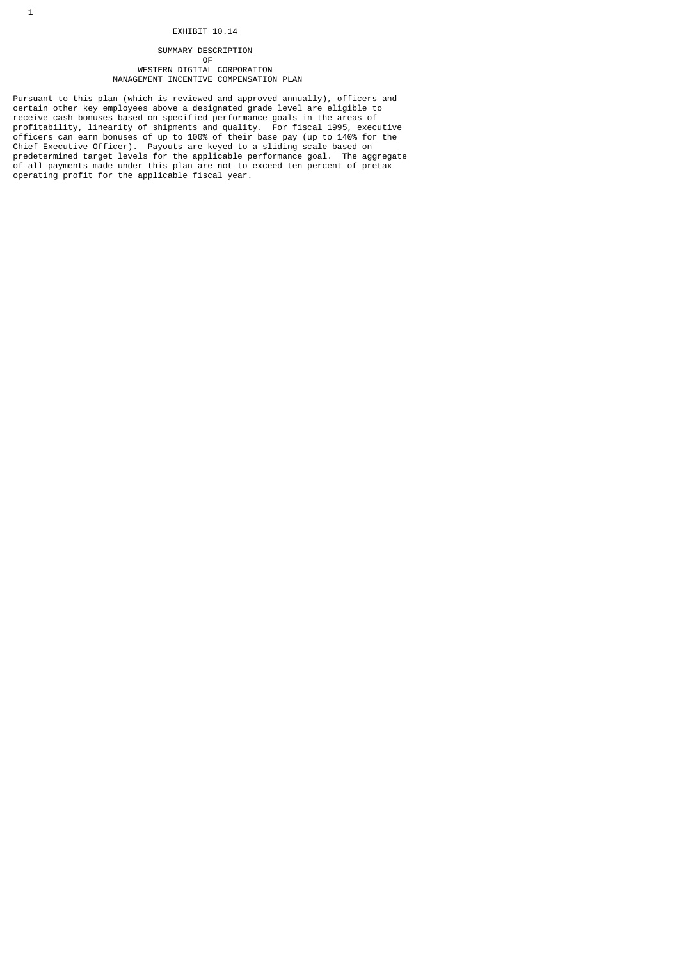# EXHIBIT 10.14

# SUMMARY DESCRIPTION

#### **OF** the contract of the contract of the contract of the contract of the contract of the contract of the contract of the contract of the contract of the contract of the contract of the contract of the contract of the contr WESTERN DIGITAL CORPORATION MANAGEMENT INCENTIVE COMPENSATION PLAN

Pursuant to this plan (which is reviewed and approved annually), officers and certain other key employees above a designated grade level are eligible to receive cash bonuses based on specified performance goals in the areas of profitability, linearity of shipments and quality. For fiscal 1995, executive officers can earn bonuses of up to 100% of their base pay (up to 140% for the Chief Executive Officer). Payouts are keyed to a sliding scale based on predetermined target levels for the applicable performance goal. The aggregate of all payments made under this plan are not to exceed ten percent of pretax operating profit for the applicable fiscal year.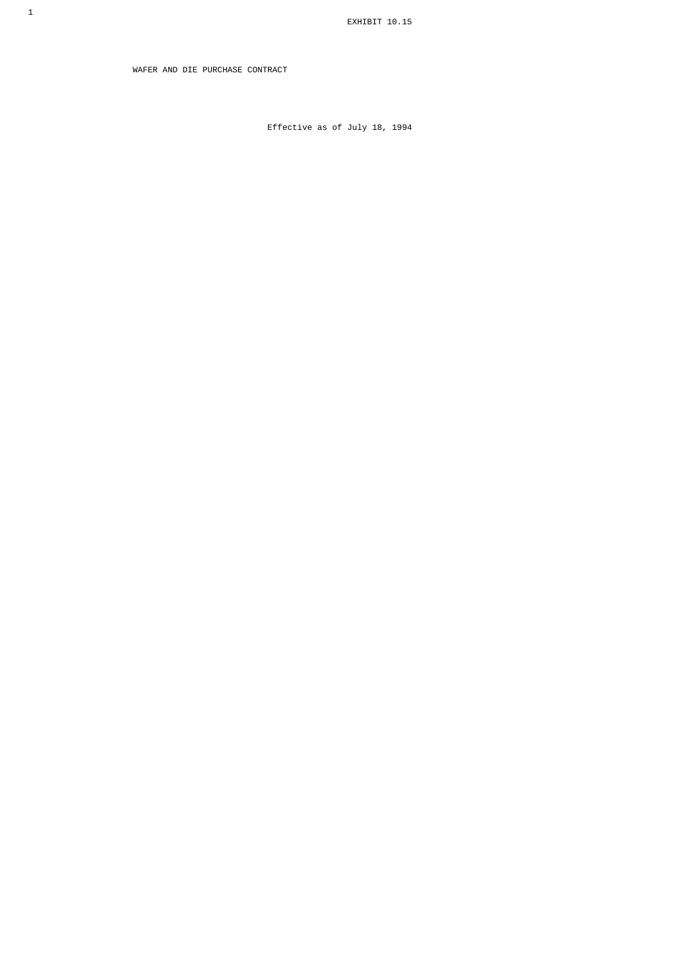WAFER AND DIE PURCHASE CONTRACT

Effective as of July 18, 1994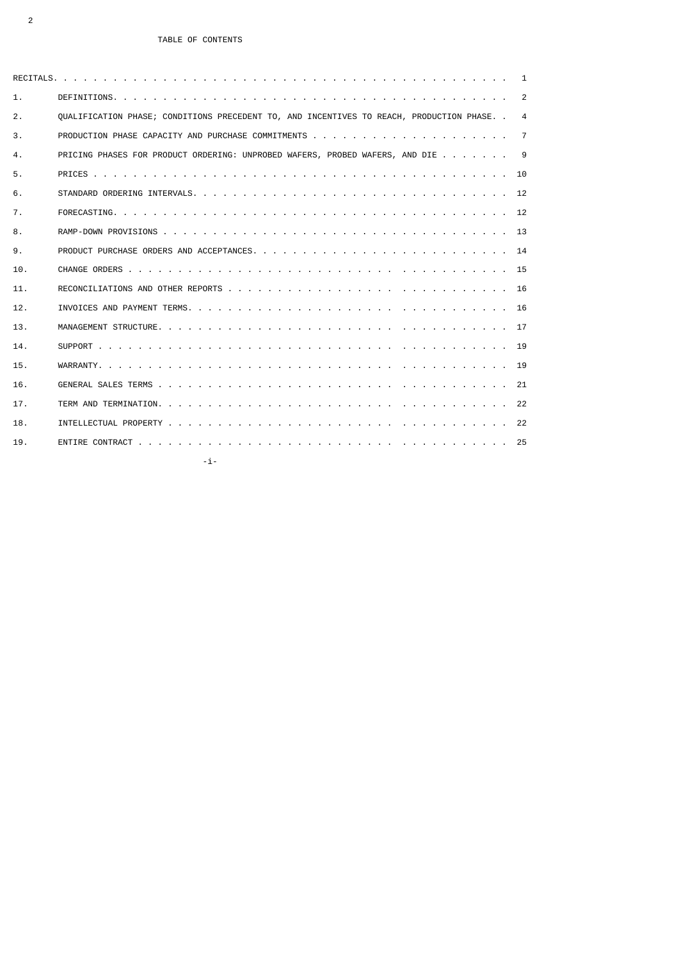|     | 1                                                                                               |
|-----|-------------------------------------------------------------------------------------------------|
| 1.  | 2                                                                                               |
| 2.  | OUALIFICATION PHASE: CONDITIONS PRECEDENT TO, AND INCENTIVES TO REACH, PRODUCTION PHASE, .<br>4 |
| 3.  | 7                                                                                               |
| 4.  | PRICING PHASES FOR PRODUCT ORDERING: UNPROBED WAFERS, PROBED WAFERS, AND DIE<br>-9              |
| 5.  | - 10                                                                                            |
| 6.  |                                                                                                 |
| 7.  | 12                                                                                              |
| 8.  |                                                                                                 |
| 9.  | - 14                                                                                            |
| 10. |                                                                                                 |
| 11. | 16                                                                                              |
| 12. |                                                                                                 |
| 13. |                                                                                                 |
| 14. |                                                                                                 |
| 15. | 19                                                                                              |
| 16. |                                                                                                 |
| 17. |                                                                                                 |
| 18. |                                                                                                 |
| 19. | 25                                                                                              |
|     | -i-                                                                                             |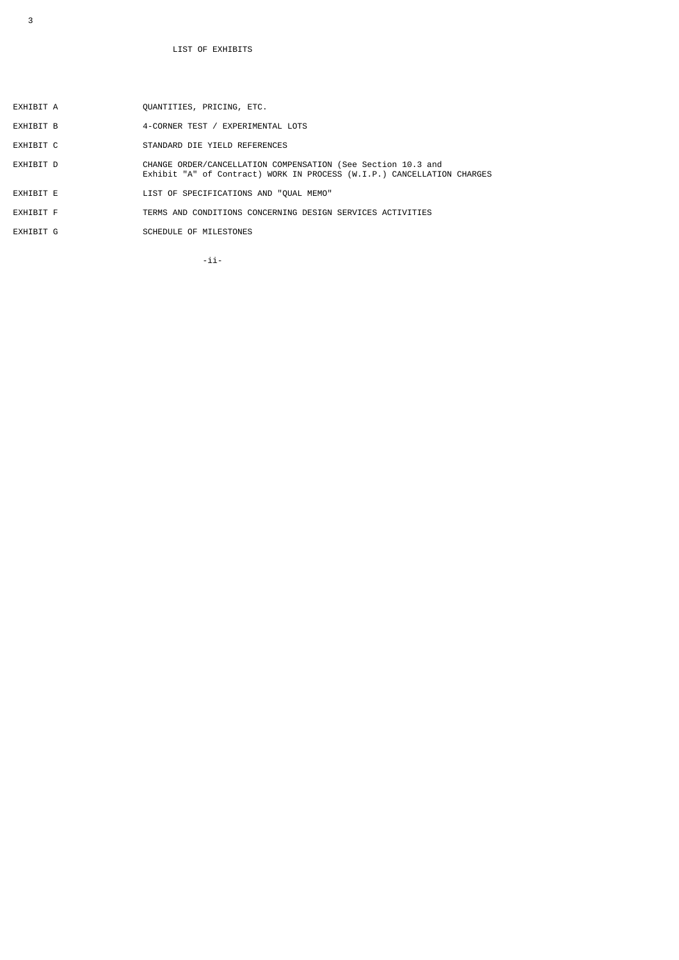- EXHIBIT A QUANTITIES, PRICING, ETC.
- EXHIBIT B  $4$ -CORNER TEST / EXPERIMENTAL LOTS
- EXHIBIT C STANDARD DIE YIELD REFERENCES
- EXHIBIT D CHANGE ORDER/CANCELLATION COMPENSATION (See Section 10.3 and Exhibit "A" of Contract) WORK IN PROCESS (W.I.P.) CANCELLATION CHARGES
- EXHIBIT E LIST OF SPECIFICATIONS AND "QUAL MEMO"
- EXHIBIT F TERMS AND CONDITIONS CONCERNING DESIGN SERVICES ACTIVITIES
- EXHIBIT G SCHEDULE OF MILESTONES

-ii- $\overline{\phantom{a}}$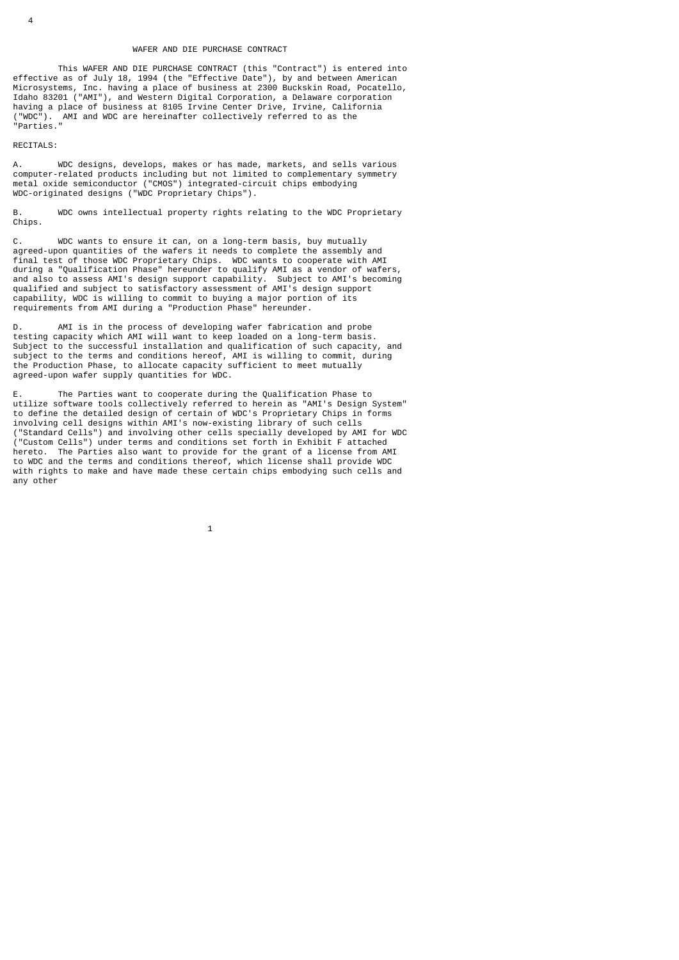# WAFER AND DIE PURCHASE CONTRACT

 This WAFER AND DIE PURCHASE CONTRACT (this "Contract") is entered into effective as of July 18, 1994 (the "Effective Date"), by and between American Microsystems, Inc. having a place of business at 2300 Buckskin Road, Pocatello, Idaho 83201 ("AMI"), and Western Digital Corporation, a Delaware corporation having a place of business at 8105 Irvine Center Drive, Irvine, California ("WDC"). AMI and WDC are hereinafter collectively referred to as the "Parties."

RECITALS:

A. WDC designs, develops, makes or has made, markets, and sells various computer-related products including but not limited to complementary symmetry metal oxide semiconductor ("CMOS") integrated-circuit chips embodying WDC-originated designs ("WDC Proprietary Chips").

B. WDC owns intellectual property rights relating to the WDC Proprietary Chips.

C. WDC wants to ensure it can, on a long-term basis, buy mutually agreed-upon quantities of the wafers it needs to complete the assembly and final test of those WDC Proprietary Chips. WDC wants to cooperate with AMI during a "Qualification Phase" hereunder to qualify AMI as a vendor of wafers, and also to assess AMI's design support capability. Subject to AMI's becoming qualified and subject to satisfactory assessment of AMI's design support capability, WDC is willing to commit to buying a major portion of its requirements from AMI during a "Production Phase" hereunder.

D. AMI is in the process of developing wafer fabrication and probe testing capacity which AMI will want to keep loaded on a long-term basis. Subject to the successful installation and qualification of such capacity, and subject to the terms and conditions hereof, AMI is willing to commit, during the Production Phase, to allocate capacity sufficient to meet mutually agreed-upon wafer supply quantities for WDC.

E. The Parties want to cooperate during the Qualification Phase to utilize software tools collectively referred to herein as "AMI's Design System" to define the detailed design of certain of WDC's Proprietary Chips in forms involving cell designs within AMI's now-existing library of such cells ("Standard Cells") and involving other cells specially developed by AMI for WDC ("Custom Cells") under terms and conditions set forth in Exhibit F attached hereto. The Parties also want to provide for the grant of a license from AMI to WDC and the terms and conditions thereof, which license shall provide WDC with rights to make and have made these certain chips embodying such cells and any other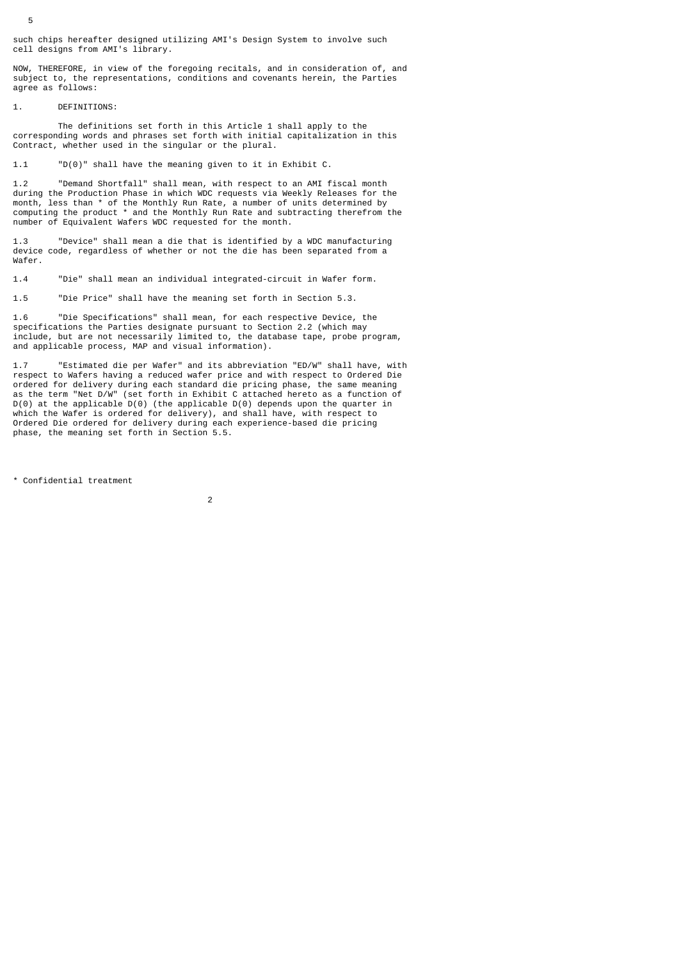such chips hereafter designed utilizing AMI's Design System to involve such cell designs from AMI's library.

NOW, THEREFORE, in view of the foregoing recitals, and in consideration of, and subject to, the representations, conditions and covenants herein, the Parties agree as follows:

1. DEFINITIONS:

 The definitions set forth in this Article 1 shall apply to the corresponding words and phrases set forth with initial capitalization in this Contract, whether used in the singular or the plural.

1.1 "D(0)" shall have the meaning given to it in Exhibit C.

1.2 "Demand Shortfall" shall mean, with respect to an AMI fiscal month during the Production Phase in which WDC requests via Weekly Releases for the month, less than \* of the Monthly Run Rate, a number of units determined by computing the product \* and the Monthly Run Rate and subtracting therefrom the number of Equivalent Wafers WDC requested for the month.

1.3 "Device" shall mean a die that is identified by a WDC manufacturing device code, regardless of whether or not the die has been separated from a Wafer.

1.4 "Die" shall mean an individual integrated-circuit in Wafer form.

1.5 "Die Price" shall have the meaning set forth in Section 5.3.

1.6 "Die Specifications" shall mean, for each respective Device, the specifications the Parties designate pursuant to Section 2.2 (which may include, but are not necessarily limited to, the database tape, probe program, and applicable process, MAP and visual information).

1.7 "Estimated die per Wafer" and its abbreviation "ED/W" shall have, with respect to Wafers having a reduced wafer price and with respect to Ordered Die ordered for delivery during each standard die pricing phase, the same meaning as the term "Net D/W" (set forth in Exhibit C attached hereto as a function of D(0) at the applicable D(0) (the applicable D(0) depends upon the quarter in which the Wafer is ordered for delivery), and shall have, with respect to Ordered Die ordered for delivery during each experience-based die pricing phase, the meaning set forth in Section 5.5.

\* Confidential treatment

2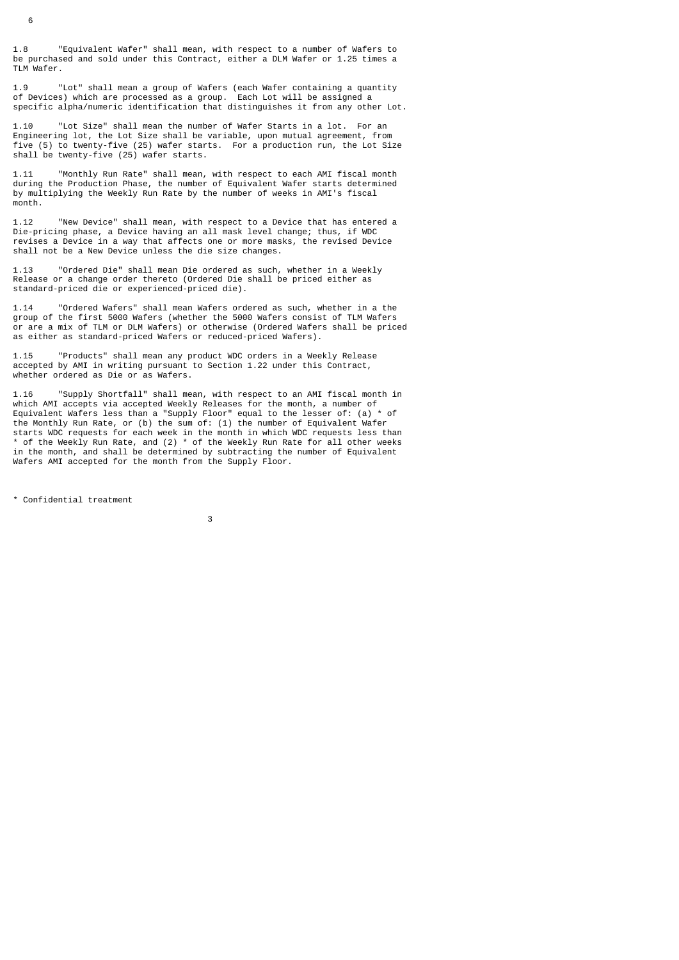1.8 "Equivalent Wafer" shall mean, with respect to a number of Wafers to be purchased and sold under this Contract, either a DLM Wafer or 1.25 times a TLM Wafer.

1.9 "Lot" shall mean a group of Wafers (each Wafer containing a quantity of Devices) which are processed as a group. Each Lot will be assigned a specific alpha/numeric identification that distinguishes it from any other Lot.

1.10 "Lot Size" shall mean the number of Wafer Starts in a lot. For an Engineering lot, the Lot Size shall be variable, upon mutual agreement, from five (5) to twenty-five (25) wafer starts. For a production run, the Lot Size shall be twenty-five (25) wafer starts.

1.11 "Monthly Run Rate" shall mean, with respect to each AMI fiscal month during the Production Phase, the number of Equivalent Wafer starts determined by multiplying the Weekly Run Rate by the number of weeks in AMI's fiscal month.

1.12 "New Device" shall mean, with respect to a Device that has entered a Die-pricing phase, a Device having an all mask level change; thus, if WDC revises a Device in a way that affects one or more masks, the revised Device shall not be a New Device unless the die size changes.

1.13 "Ordered Die" shall mean Die ordered as such, whether in a Weekly Release or a change order thereto (Ordered Die shall be priced either as standard-priced die or experienced-priced die).

1.14 "Ordered Wafers" shall mean Wafers ordered as such, whether in a the group of the first 5000 Wafers (whether the 5000 Wafers consist of TLM Wafers or are a mix of TLM or DLM Wafers) or otherwise (Ordered Wafers shall be priced as either as standard-priced Wafers or reduced-priced Wafers).

1.15 "Products" shall mean any product WDC orders in a Weekly Release accepted by AMI in writing pursuant to Section 1.22 under this Contract, whether ordered as Die or as Wafers.

1.16 "Supply Shortfall" shall mean, with respect to an AMI fiscal month in which AMI accepts via accepted Weekly Releases for the month, a number of Equivalent Wafers less than a "Supply Floor" equal to the lesser of: (a) \* of the Monthly Run Rate, or (b) the sum of: (1) the number of Equivalent Wafer starts WDC requests for each week in the month in which WDC requests less than \* of the Weekly Run Rate, and (2) \* of the Weekly Run Rate for all other weeks in the month, and shall be determined by subtracting the number of Equivalent Wafers AMI accepted for the month from the Supply Floor.

\* Confidential treatment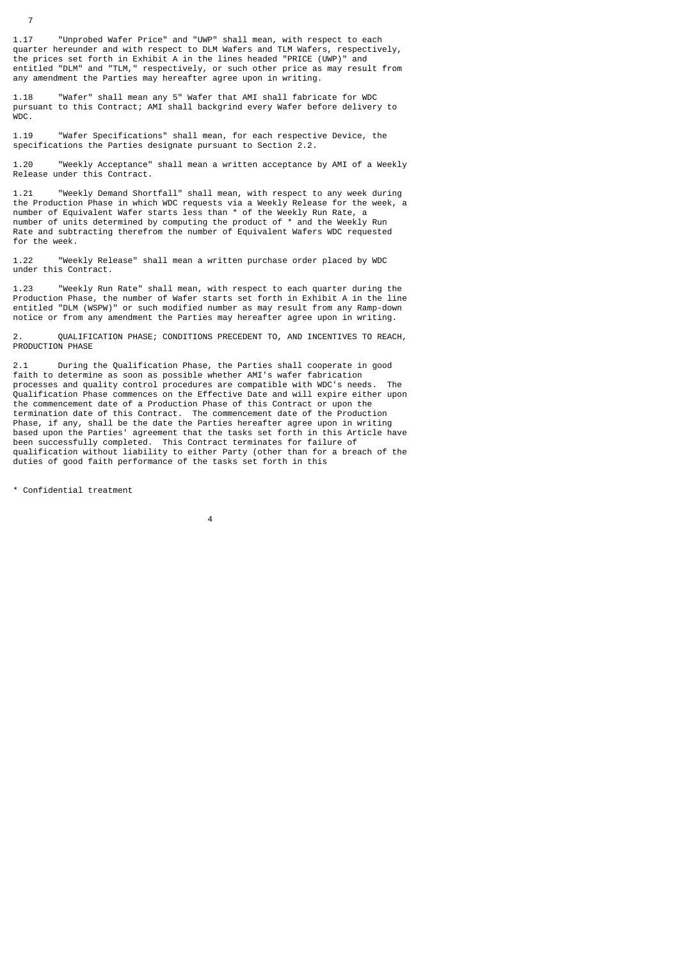1.17 "Unprobed Wafer Price" and "UWP" shall mean, with respect to each quarter hereunder and with respect to DLM Wafers and TLM Wafers, respectively, the prices set forth in Exhibit A in the lines headed "PRICE (UWP)" and entitled "DLM" and "TLM," respectively, or such other price as may result from any amendment the Parties may hereafter agree upon in writing.

1.18 "Wafer" shall mean any 5" Wafer that AMI shall fabricate for WDC pursuant to this Contract; AMI shall backgrind every Wafer before delivery to WDC.

1.19 "Wafer Specifications" shall mean, for each respective Device, the specifications the Parties designate pursuant to Section 2.2.

1.20 "Weekly Acceptance" shall mean a written acceptance by AMI of a Weekly Release under this Contract.

1.21 "Weekly Demand Shortfall" shall mean, with respect to any week during the Production Phase in which WDC requests via a Weekly Release for the week, a number of Equivalent Wafer starts less than \* of the Weekly Run Rate, a number of units determined by computing the product of \* and the Weekly Run Rate and subtracting therefrom the number of Equivalent Wafers WDC requested for the week.

1.22 "Weekly Release" shall mean a written purchase order placed by WDC under this Contract.

1.23 "Weekly Run Rate" shall mean, with respect to each quarter during the Production Phase, the number of Wafer starts set forth in Exhibit A in the line entitled "DLM (WSPW)" or such modified number as may result from any Ramp-down notice or from any amendment the Parties may hereafter agree upon in writing.

2. QUALIFICATION PHASE; CONDITIONS PRECEDENT TO, AND INCENTIVES TO REACH, PRODUCTION PHASE

2.1 During the Qualification Phase, the Parties shall cooperate in good faith to determine as soon as possible whether AMI's wafer fabrication processes and quality control procedures are compatible with WDC's needs. The Qualification Phase commences on the Effective Date and will expire either upon the commencement date of a Production Phase of this Contract or upon the termination date of this Contract. The commencement date of the Production Phase, if any, shall be the date the Parties hereafter agree upon in writing based upon the Parties' agreement that the tasks set forth in this Article have been successfully completed. This Contract terminates for failure of qualification without liability to either Party (other than for a breach of the duties of good faith performance of the tasks set forth in this

\* Confidential treatment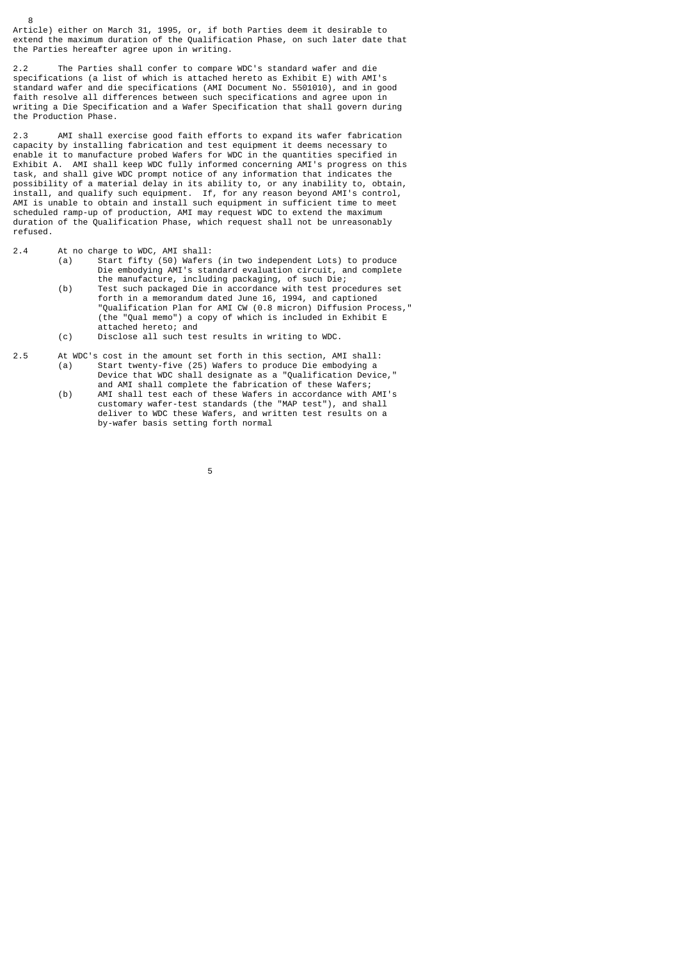Article) either on March 31, 1995, or, if both Parties deem it desirable to extend the maximum duration of the Qualification Phase, on such later date that the Parties hereafter agree upon in writing.

2.2 The Parties shall confer to compare WDC's standard wafer and die specifications (a list of which is attached hereto as Exhibit E) with AMI's standard wafer and die specifications (AMI Document No. 5501010), and in good faith resolve all differences between such specifications and agree upon in writing a Die Specification and a Wafer Specification that shall govern during the Production Phase.

2.3 AMI shall exercise good faith efforts to expand its wafer fabrication capacity by installing fabrication and test equipment it deems necessary to enable it to manufacture probed Wafers for WDC in the quantities specified in Exhibit A. AMI shall keep WDC fully informed concerning AMI's progress on this task, and shall give WDC prompt notice of any information that indicates the possibility of a material delay in its ability to, or any inability to, obtain, install, and qualify such equipment. If, for any reason beyond AMI's control, AMI is unable to obtain and install such equipment in sufficient time to meet scheduled ramp-up of production, AMI may request WDC to extend the maximum duration of the Qualification Phase, which request shall not be unreasonably refused.

2.4 At no charge to WDC, AMI shall:

- (a) Start fifty (50) Wafers (in two independent Lots) to produce Die embodying AMI's standard evaluation circuit, and complete the manufacture, including packaging, of such Die;
- (b) Test such packaged Die in accordance with test procedures set forth in a memorandum dated June 16, 1994, and captioned "Qualification Plan for AMI CW (0.8 micron) Diffusion Process," (the "Qual memo") a copy of which is included in Exhibit E attached hereto; and<br>(c) Disclose all such tes
	- Disclose all such test results in writing to WDC.
- 2.5 At WDC's cost in the amount set forth in this section, AMI shall: (a) Start twenty-five (25) Wafers to produce Die embodying a Device that WDC shall designate as a "Qualification Device,"
- and AMI shall complete the fabrication of these Wafers; (b) AMI shall test each of these Wafers in accordance with AMI's customary wafer-test standards (the "MAP test"), and shall deliver to WDC these Wafers, and written test results on a by-wafer basis setting forth normal
- $\sim$  5  $\sim$  5  $\sim$  5  $\sim$  5  $\sim$  5  $\sim$  5  $\sim$  5  $\sim$  5  $\sim$  5  $\sim$  5  $\sim$  5  $\sim$  5  $\sim$  5  $\sim$  5  $\sim$  5  $\sim$  5  $\sim$  5  $\sim$  5  $\sim$  5  $\sim$  5  $\sim$  5  $\sim$  5  $\sim$  5  $\sim$  5  $\sim$  5  $\sim$  5  $\sim$  5  $\sim$  5  $\sim$  5  $\sim$  5  $\sim$  5  $\sim$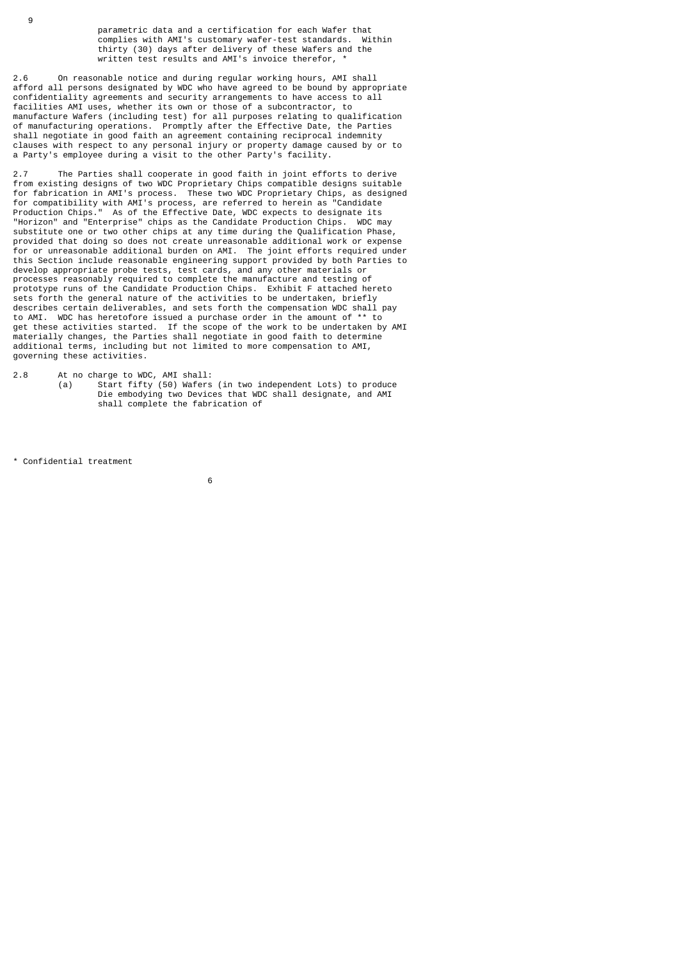parametric data and a certification for each Wafer that complies with AMI's customary wafer-test standards. Within thirty (30) days after delivery of these Wafers and the written test results and AMI's invoice therefor, \*

2.6 On reasonable notice and during regular working hours, AMI shall afford all persons designated by WDC who have agreed to be bound by appropriate confidentiality agreements and security arrangements to have access to all facilities AMI uses, whether its own or those of a subcontractor, to manufacture Wafers (including test) for all purposes relating to qualification of manufacturing operations. Promptly after the Effective Date, the Parties shall negotiate in good faith an agreement containing reciprocal indemnity clauses with respect to any personal injury or property damage caused by or to a Party's employee during a visit to the other Party's facility.

2.7 The Parties shall cooperate in good faith in joint efforts to derive from existing designs of two WDC Proprietary Chips compatible designs suitable for fabrication in AMI's process. These two WDC Proprietary Chips, as designed for compatibility with AMI's process, are referred to herein as "Candidate Production Chips." As of the Effective Date, WDC expects to designate its "Horizon" and "Enterprise" chips as the Candidate Production Chips. WDC may substitute one or two other chips at any time during the Qualification Phase, provided that doing so does not create unreasonable additional work or expense for or unreasonable additional burden on AMI. The joint efforts required under this Section include reasonable engineering support provided by both Parties to develop appropriate probe tests, test cards, and any other materials or processes reasonably required to complete the manufacture and testing of prototype runs of the Candidate Production Chips. Exhibit F attached hereto sets forth the general nature of the activities to be undertaken, briefly describes certain deliverables, and sets forth the compensation WDC shall pay to AMI. WDC has heretofore issued a purchase order in the amount of \*\* to get these activities started. If the scope of the work to be undertaken by AMI materially changes, the Parties shall negotiate in good faith to determine additional terms, including but not limited to more compensation to AMI, governing these activities.

2.8 At no charge to WDC, AMI shall:

 (a) Start fifty (50) Wafers (in two independent Lots) to produce Die embodying two Devices that WDC shall designate, and AMI shall complete the fabrication of

\* Confidential treatment

9

 $\sim$  6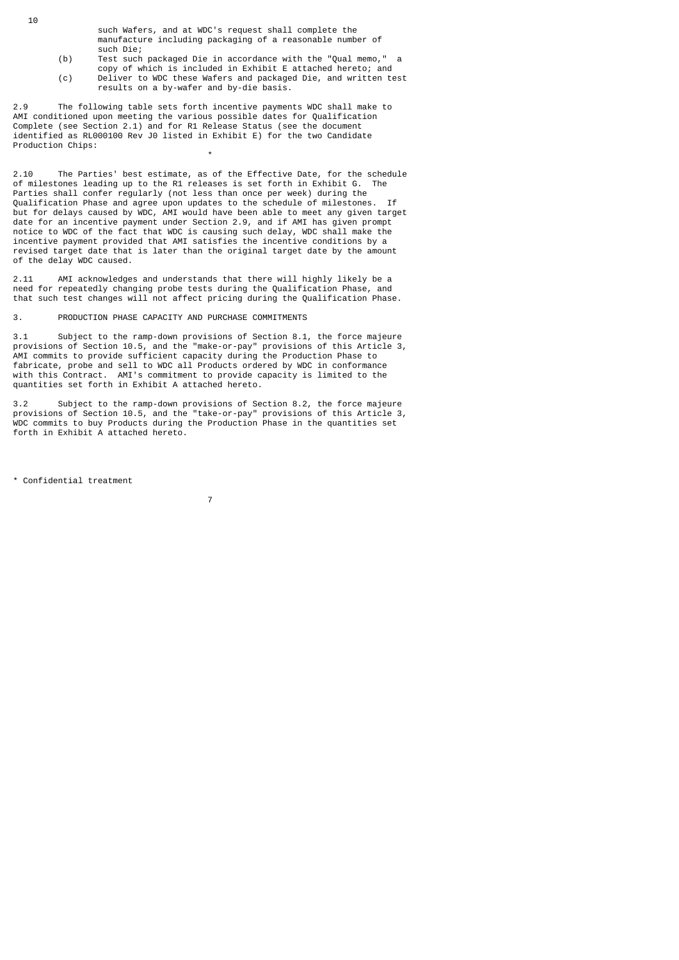- such Wafers, and at WDC's request shall complete the manufacture including packaging of a reasonable number of such Die;<br>(b) Test such
- (b) Test such packaged Die in accordance with the "Qual memo," a copy of which is included in Exhibit E attached hereto; and (c) Deliver to WDC these Wafers and packaged Die, and written test results on a by-wafer and by-die basis.

2.9 The following table sets forth incentive payments WDC shall make to AMI conditioned upon meeting the various possible dates for Qualification Complete (see Section 2.1) and for R1 Release Status (see the document identified as RL000100 Rev J0 listed in Exhibit E) for the two Candidate Production Chips:

2.10 The Parties' best estimate, as of the Effective Date, for the schedule of milestones leading up to the R1 releases is set forth in Exhibit G. The Parties shall confer regularly (not less than once per week) during the Qualification Phase and agree upon updates to the schedule of milestones. but for delays caused by WDC, AMI would have been able to meet any given target date for an incentive payment under Section 2.9, and if AMI has given prompt notice to WDC of the fact that WDC is causing such delay, WDC shall make the incentive payment provided that AMI satisfies the incentive conditions by a revised target date that is later than the original target date by the amount of the delay WDC caused.

2.11 AMI acknowledges and understands that there will highly likely be a need for repeatedly changing probe tests during the Qualification Phase, and that such test changes will not affect pricing during the Qualification Phase.

3. PRODUCTION PHASE CAPACITY AND PURCHASE COMMITMENTS

\*

3.1 Subject to the ramp-down provisions of Section 8.1, the force majeure provisions of Section 10.5, and the "make-or-pay" provisions of this Article 3, AMI commits to provide sufficient capacity during the Production Phase to fabricate, probe and sell to WDC all Products ordered by WDC in conformance with this Contract. AMI's commitment to provide capacity is limited to the quantities set forth in Exhibit A attached hereto.

3.2 Subject to the ramp-down provisions of Section 8.2, the force majeure provisions of Section 10.5, and the "take-or-pay" provisions of this Article 3, WDC commits to buy Products during the Production Phase in the quantities set forth in Exhibit A attached hereto.

\* Confidential treatment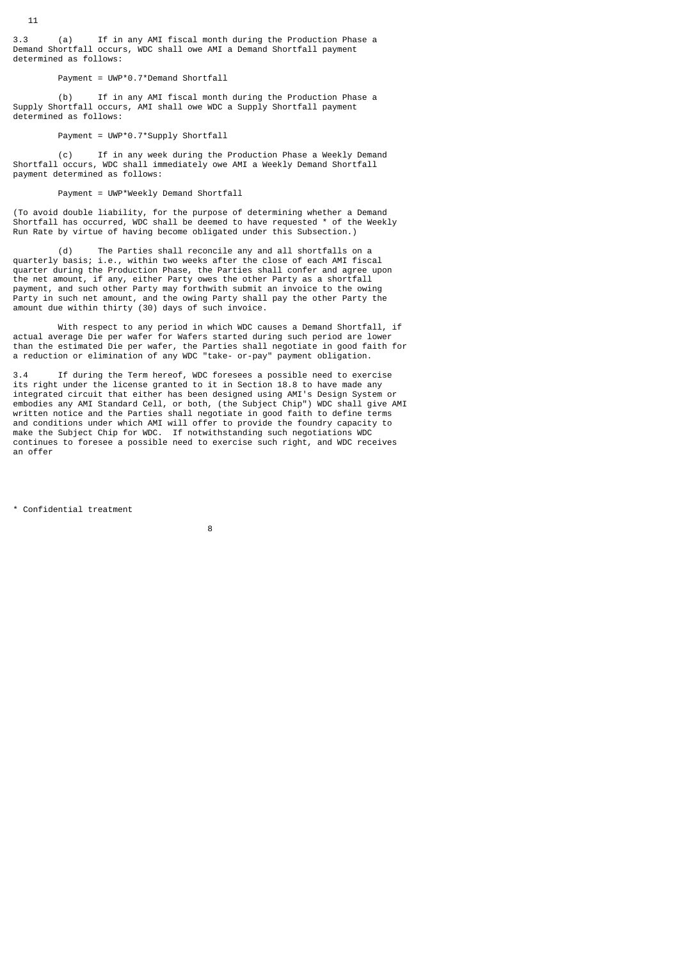3.3 (a) If in any AMI fiscal month during the Production Phase a Demand Shortfall occurs, WDC shall owe AMI a Demand Shortfall payment determined as follows:

## Payment = UWP\*0.7\*Demand Shortfall

 (b) If in any AMI fiscal month during the Production Phase a Supply Shortfall occurs, AMI shall owe WDC a Supply Shortfall payment determined as follows:

## Payment = UWP\*0.7\*Supply Shortfall

 (c) If in any week during the Production Phase a Weekly Demand Shortfall occurs, WDC shall immediately owe AMI a Weekly Demand Shortfall payment determined as follows:

# Payment = UWP\*Weekly Demand Shortfall

(To avoid double liability, for the purpose of determining whether a Demand Shortfall has occurred, WDC shall be deemed to have requested \* of the Weekly Run Rate by virtue of having become obligated under this Subsection.)

 (d) The Parties shall reconcile any and all shortfalls on a quarterly basis; i.e., within two weeks after the close of each AMI fiscal quarter during the Production Phase, the Parties shall confer and agree upon the net amount, if any, either Party owes the other Party as a shortfall payment, and such other Party may forthwith submit an invoice to the owing Party in such net amount, and the owing Party shall pay the other Party the amount due within thirty (30) days of such invoice.

 With respect to any period in which WDC causes a Demand Shortfall, if actual average Die per wafer for Wafers started during such period are lower than the estimated Die per wafer, the Parties shall negotiate in good faith for a reduction or elimination of any WDC "take- or-pay" payment obligation.

3.4 If during the Term hereof, WDC foresees a possible need to exercise its right under the license granted to it in Section 18.8 to have made any integrated circuit that either has been designed using AMI's Design System or embodies any AMI Standard Cell, or both, (the Subject Chip") WDC shall give AMI written notice and the Parties shall negotiate in good faith to define terms and conditions under which AMI will offer to provide the foundry capacity to make the Subject Chip for WDC. If notwithstanding such negotiations WDC continues to foresee a possible need to exercise such right, and WDC receives an offer

\* Confidential treatment

en andere andere andere andere andere andere andere andere andere andere andere andere andere andere andere an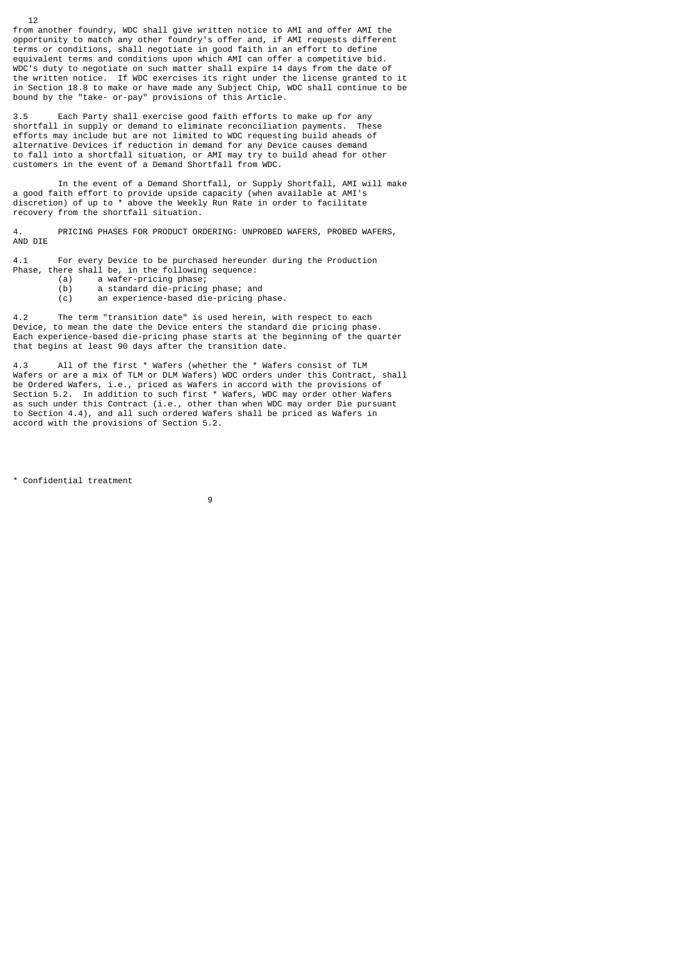from another foundry, WDC shall give written notice to AMI and offer AMI the opportunity to match any other foundry's offer and, if AMI requests different terms or conditions, shall negotiate in good faith in an effort to define equivalent terms and conditions upon which AMI can offer a competitive bid. WDC's duty to negotiate on such matter shall expire 14 days from the date of the written notice. If WDC exercises its right under the license granted to it in Section 18.8 to make or have made any Subject Chip, WDC shall continue to be bound by the "take- or-pay" provisions of this Article.

3.5 Each Party shall exercise good faith efforts to make up for any shortfall in supply or demand to eliminate reconciliation payments. These efforts may include but are not limited to WDC requesting build aheads of alternative Devices if reduction in demand for any Device causes demand to fall into a shortfall situation, or AMI may try to build ahead for other customers in the event of a Demand Shortfall from WDC.

 In the event of a Demand Shortfall, or Supply Shortfall, AMI will make a good faith effort to provide upside capacity (when available at AMI's discretion) of up to \* above the Weekly Run Rate in order to facilitate recovery from the shortfall situation.

4. PRICING PHASES FOR PRODUCT ORDERING: UNPROBED WAFERS, PROBED WAFERS, AND DIE

4.1 For every Device to be purchased hereunder during the Production Phase, there shall be, in the following sequence:

- (a) a wafer-pricing phase;
	- (b) a standard die-pricing phase; and

(c) an experience-based die-pricing phase.

4.2 The term "transition date" is used herein, with respect to each Device, to mean the date the Device enters the standard die pricing phase. Each experience-based die-pricing phase starts at the beginning of the quarter that begins at least 90 days after the transition date.

4.3 All of the first \* Wafers (whether the \* Wafers consist of TLM Wafers or are a mix of TLM or DLM Wafers) WDC orders under this Contract, shall be Ordered Wafers, i.e., priced as Wafers in accord with the provisions of Section 5.2. In addition to such first \* Wafers, WDC may order other Wafers as such under this Contract (i.e., other than when WDC may order Die pursuant to Section 4.4), and all such ordered Wafers shall be priced as Wafers in accord with the provisions of Section 5.2.

\* Confidential treatment

9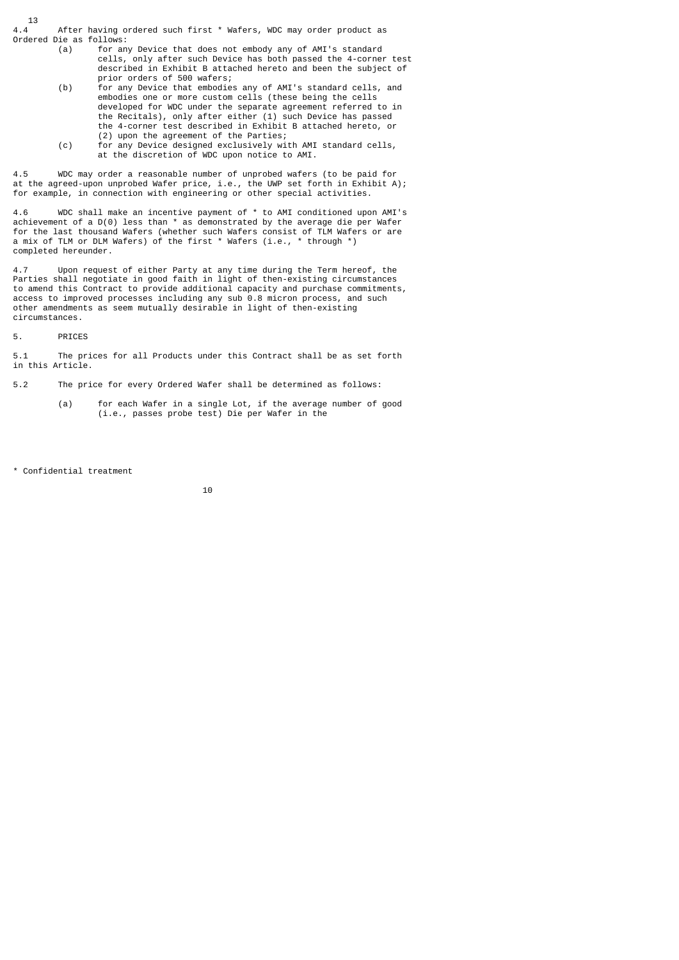$13$ <br>4.4 After having ordered such first \* Wafers, WDC may order product as Ordered Die as follows:

- (a) for any Device that does not embody any of AMI's standard cells, only after such Device has both passed the 4-corner test described in Exhibit B attached hereto and been the subject of prior orders of 500 wafers;
- (b) for any Device that embodies any of AMI's standard cells, and embodies one or more custom cells (these being the cells developed for WDC under the separate agreement referred to in the Recitals), only after either (1) such Device has passed the 4-corner test described in Exhibit B attached hereto, or (2) upon the agreement of the Parties;
- (c) for any Device designed exclusively with AMI standard cells, at the discretion of WDC upon notice to AMI.

4.5 WDC may order a reasonable number of unprobed wafers (to be paid for at the agreed-upon unprobed Wafer price, i.e., the UWP set forth in Exhibit A); for example, in connection with engineering or other special activities.

4.6 WDC shall make an incentive payment of \* to AMI conditioned upon AMI's achievement of a D(0) less than \* as demonstrated by the average die per Wafer for the last thousand Wafers (whether such Wafers consist of TLM Wafers or are a mix of TLM or DLM Wafers) of the first \* Wafers (i.e., \* through \*) completed hereunder.

4.7 Upon request of either Party at any time during the Term hereof, the Parties shall negotiate in good faith in light of then-existing circumstances to amend this Contract to provide additional capacity and purchase commitments, access to improved processes including any sub 0.8 micron process, and such other amendments as seem mutually desirable in light of then-existing circumstances.

5. PRICES

5.1 The prices for all Products under this Contract shall be as set forth in this Article.

5.2 The price for every Ordered Wafer shall be determined as follows:

 (a) for each Wafer in a single Lot, if the average number of good (i.e., passes probe test) Die per Wafer in the

\* Confidential treatment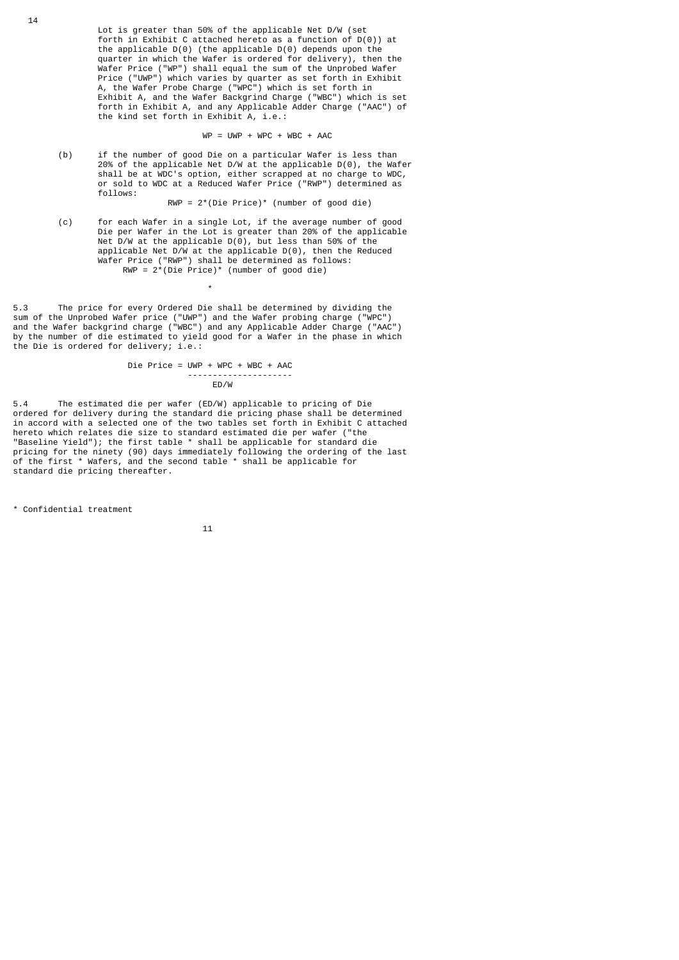Lot is greater than 50% of the applicable Net D/W (set forth in Exhibit C attached hereto as a function of D(0)) at the applicable  $D(\theta)$  (the applicable  $D(\theta)$  depends upon the quarter in which the Wafer is ordered for delivery), then the Wafer Price ("WP") shall equal the sum of the Unprobed Wafer Price ("UWP") which varies by quarter as set forth in Exhibit A, the Wafer Probe Charge ("WPC") which is set forth in Exhibit A, and the Wafer Backgrind Charge ("WBC") which is set forth in Exhibit A, and any Applicable Adder Charge ("AAC") of the kind set forth in Exhibit A, i.e.:

 $WP = UWP + WPC + WBC + AAC$ 

 (b) if the number of good Die on a particular Wafer is less than 20% of the applicable Net D/W at the applicable D(0), the Wafer shall be at WDC's option, either scrapped at no charge to WDC, or sold to WDC at a Reduced Wafer Price ("RWP") determined as follows:

RWP = 2\*(Die Price)\* (number of good die)

 (c) for each Wafer in a single Lot, if the average number of good Die per Wafer in the Lot is greater than 20% of the applicable Net D/W at the applicable D(0), but less than 50% of the applicable Net D/W at the applicable D(0), then the Reduced Wafer Price ("RWP") shall be determined as follows:  $RWP = 2*(Die Price)*$  (number of good die)

5.3 The price for every Ordered Die shall be determined by dividing the sum of the Unprobed Wafer price ("UWP") and the Wafer probing charge ("WPC") and the Wafer backgrind charge ("WBC") and any Applicable Adder Charge ("AAC") by the number of die estimated to yield good for a Wafer in the phase in which the Die is ordered for delivery; i.e.:

 Die Price = UWP + WPC + WBC + AAC ----------------<br>ED/W ED/W

5.4 The estimated die per wafer (ED/W) applicable to pricing of Die ordered for delivery during the standard die pricing phase shall be determined<br>in accord with a selected one of the two tables set forth in Exhibit C attached in accord with a selected one of the two tables set forth in Exhibit C attached hereto which relates die size to standard estimated die per wafer ("the "Baseline Yield"); the first table \* shall be applicable for standard die pricing for the ninety (90) days immediately following the ordering of the last of the first \* Wafers, and the second table \* shall be applicable for standard die pricing thereafter.

\* Confidential treatment

\*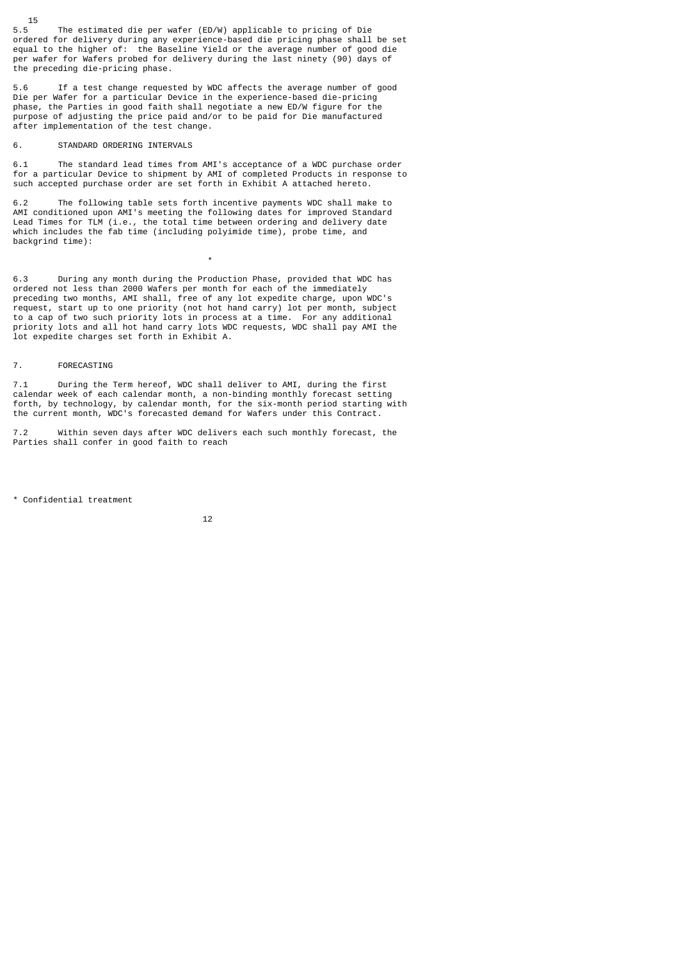$15.5$ The estimated die per wafer (ED/W) applicable to pricing of Die ordered for delivery during any experience-based die pricing phase shall be set equal to the higher of: the Baseline Yield or the average number of good die per wafer for Wafers probed for delivery during the last ninety (90) days of the preceding die-pricing phase.

5.6 If a test change requested by WDC affects the average number of good Die per Wafer for a particular Device in the experience-based die-pricing phase, the Parties in good faith shall negotiate a new ED/W figure for the purpose of adjusting the price paid and/or to be paid for Die manufactured after implementation of the test change.

#### 6. STANDARD ORDERING INTERVALS

\*

6.1 The standard lead times from AMI's acceptance of a WDC purchase order for a particular Device to shipment by AMI of completed Products in response to such accepted purchase order are set forth in Exhibit A attached hereto.

6.2 The following table sets forth incentive payments WDC shall make to AMI conditioned upon AMI's meeting the following dates for improved Standard Lead Times for TLM (i.e., the total time between ordering and delivery date which includes the fab time (including polyimide time), probe time, and backgrind time):

6.3 During any month during the Production Phase, provided that WDC has ordered not less than 2000 Wafers per month for each of the immediately preceding two months, AMI shall, free of any lot expedite charge, upon WDC's request, start up to one priority (not hot hand carry) lot per month, subject to a cap of two such priority lots in process at a time. For any additional priority lots and all hot hand carry lots WDC requests, WDC shall pay AMI the lot expedite charges set forth in Exhibit A.

#### 7. FORECASTING

7.1 During the Term hereof, WDC shall deliver to AMI, during the first calendar week of each calendar month, a non-binding monthly forecast setting forth, by technology, by calendar month, for the six-month period starting with the current month, WDC's forecasted demand for Wafers under this Contract.

7.2 Within seven days after WDC delivers each such monthly forecast, the Parties shall confer in good faith to reach

\* Confidential treatment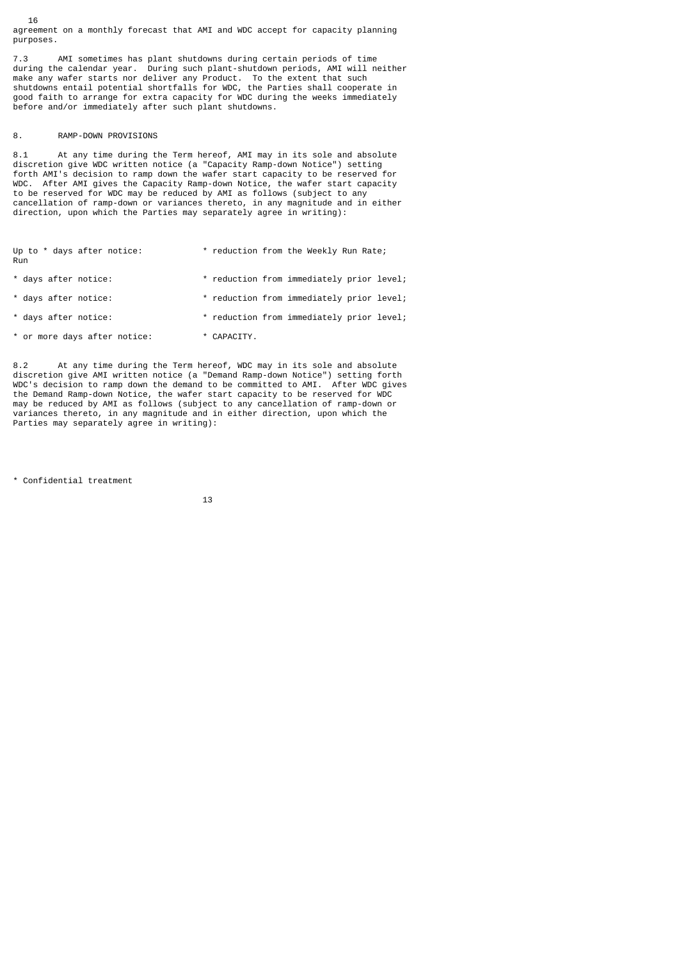agreement on a monthly forecast that AMI and WDC accept for capacity planning purposes.

7.3 AMI sometimes has plant shutdowns during certain periods of time during the calendar year. During such plant-shutdown periods, AMI will neither make any wafer starts nor deliver any Product. To the extent that such shutdowns entail potential shortfalls for WDC, the Parties shall cooperate in good faith to arrange for extra capacity for WDC during the weeks immediately before and/or immediately after such plant shutdowns.

## 8. RAMP-DOWN PROVISIONS

16

8.1 At any time during the Term hereof, AMI may in its sole and absolute discretion give WDC written notice (a "Capacity Ramp-down Notice") setting forth AMI's decision to ramp down the wafer start capacity to be reserved for WDC. After AMI gives the Capacity Ramp-down Notice, the wafer start capacity to be reserved for WDC may be reduced by AMI as follows (subject to any cancellation of ramp-down or variances thereto, in any magnitude and in either direction, upon which the Parties may separately agree in writing):

| Up to * days after notice:<br>Run |             | * reduction from the Weekly Run Rate;     |
|-----------------------------------|-------------|-------------------------------------------|
| * days after notice:              |             | * reduction from immediately prior level; |
| * days after notice:              |             | * reduction from immediately prior level; |
| * days after notice:              |             | * reduction from immediately prior level; |
| * or more days after notice:      | * CAPACITY. |                                           |

8.2 At any time during the Term hereof, WDC may in its sole and absolute discretion give AMI written notice (a "Demand Ramp-down Notice") setting forth<br>WDC's decision to ramp down the demand to be committed to AMI. After WDC gives WDC's decision to ramp down the demand to be committed to AMI. After WDC gives the Demand Ramp-down Notice, the wafer start capacity to be reserved for WDC may be reduced by AMI as follows (subject to any cancellation of ramp-down or variances thereto, in any magnitude and in either direction, upon which the Parties may separately agree in writing):

\* Confidential treatment

$$
\begin{array}{c} 13 \end{array}
$$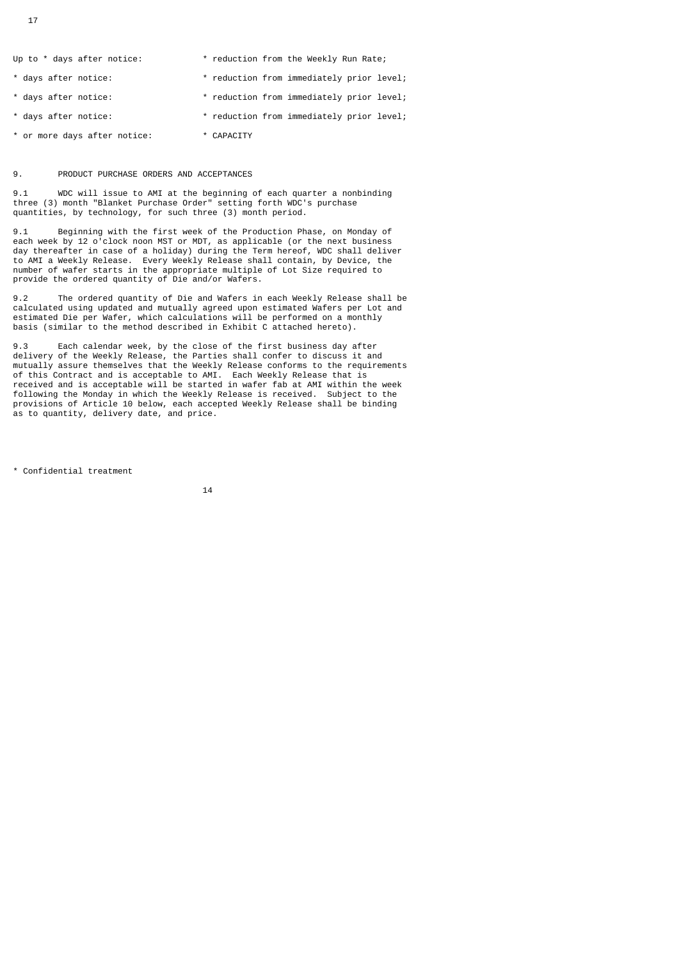| Up to * days after notice:   | * reduction from the Weekly Run Rate;     |
|------------------------------|-------------------------------------------|
| * days after notice:         | * reduction from immediately prior level; |
| * days after notice:         | * reduction from immediately prior level; |
| * days after notice:         | * reduction from immediately prior level; |
| * or more days after notice: | * CAPACITY                                |

## 9. PRODUCT PURCHASE ORDERS AND ACCEPTANCES

9.1 WDC will issue to AMI at the beginning of each quarter a nonbinding three (3) month "Blanket Purchase Order" setting forth WDC's purchase quantities, by technology, for such three (3) month period.

9.1 Beginning with the first week of the Production Phase, on Monday of each week by 12 o'clock noon MST or MDT, as applicable (or the next business day thereafter in case of a holiday) during the Term hereof, WDC shall deliver to AMI a Weekly Release. Every Weekly Release shall contain, by Device, the number of wafer starts in the appropriate multiple of Lot Size required to provide the ordered quantity of Die and/or Wafers.

9.2 The ordered quantity of Die and Wafers in each Weekly Release shall be calculated using updated and mutually agreed upon estimated Wafers per Lot and estimated Die per Wafer, which calculations will be performed on a monthly basis (similar to the method described in Exhibit C attached hereto).

9.3 Each calendar week, by the close of the first business day after delivery of the Weekly Release, the Parties shall confer to discuss it and mutually assure themselves that the Weekly Release conforms to the requirements of this Contract and is acceptable to AMI. Each Weekly Release that is received and is acceptable will be started in wafer fab at AMI within the week following the Monday in which the Weekly Release is received. Subject to the provisions of Article 10 below, each accepted Weekly Release shall be binding as to quantity, delivery date, and price.

\* Confidential treatment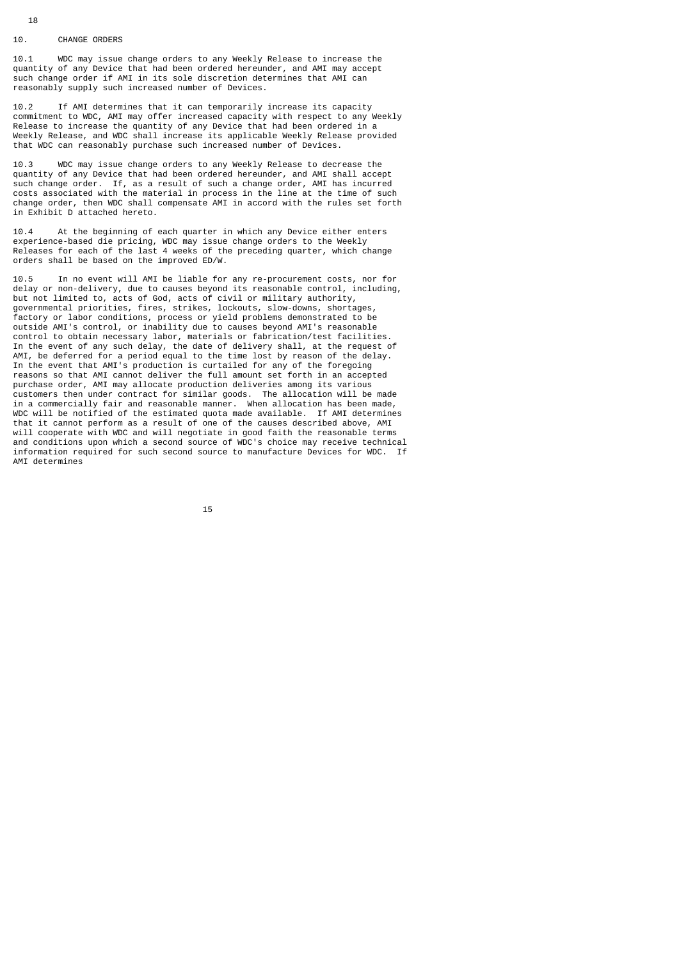#### 10. CHANGE ORDERS

10.1 WDC may issue change orders to any Weekly Release to increase the quantity of any Device that had been ordered hereunder, and AMI may accept such change order if AMI in its sole discretion determines that AMI can reasonably supply such increased number of Devices.

10.2 If AMI determines that it can temporarily increase its capacity commitment to WDC, AMI may offer increased capacity with respect to any Weekly Release to increase the quantity of any Device that had been ordered in a Weekly Release, and WDC shall increase its applicable Weekly Release provided that WDC can reasonably purchase such increased number of Devices.

10.3 WDC may issue change orders to any Weekly Release to decrease the quantity of any Device that had been ordered hereunder, and AMI shall accept such change order. If, as a result of such a change order, AMI has incurred costs associated with the material in process in the line at the time of such change order, then WDC shall compensate AMI in accord with the rules set forth in Exhibit D attached hereto.

10.4 At the beginning of each quarter in which any Device either enters experience-based die pricing, WDC may issue change orders to the Weekly Releases for each of the last 4 weeks of the preceding quarter, which change orders shall be based on the improved ED/W.

10.5 In no event will AMI be liable for any re-procurement costs, nor for delay or non-delivery, due to causes beyond its reasonable control, including, but not limited to, acts of God, acts of civil or military authority, governmental priorities, fires, strikes, lockouts, slow-downs, shortages, factory or labor conditions, process or yield problems demonstrated to be outside AMI's control, or inability due to causes beyond AMI's reasonable control to obtain necessary labor, materials or fabrication/test facilities. In the event of any such delay, the date of delivery shall, at the request of AMI, be deferred for a period equal to the time lost by reason of the delay. In the event that AMI's production is curtailed for any of the foregoing reasons so that AMI cannot deliver the full amount set forth in an accepted purchase order, AMI may allocate production deliveries among its various customers then under contract for similar goods. The allocation will be made in a commercially fair and reasonable manner. When allocation has been made, WDC will be notified of the estimated quota made available. If AMI determines that it cannot perform as a result of one of the causes described above, AMI will cooperate with WDC and will negotiate in good faith the reasonable terms and conditions upon which a second source of WDC's choice may receive technical information required for such second source to manufacture Devices for WDC. If AMI determines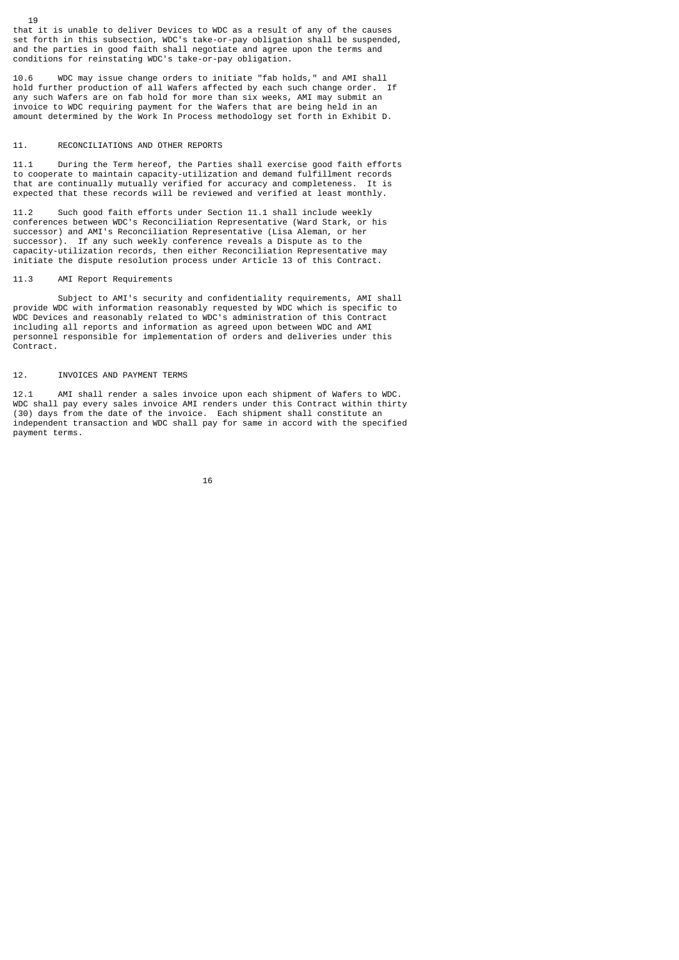that it is unable to deliver Devices to WDC as a result of any of the causes set forth in this subsection, WDC's take-or-pay obligation shall be suspended, and the parties in good faith shall negotiate and agree upon the terms and conditions for reinstating WDC's take-or-pay obligation.

10.6 WDC may issue change orders to initiate "fab holds," and AMI shall hold further production of all Wafers affected by each such change order. If any such Wafers are on fab hold for more than six weeks, AMI may submit an invoice to WDC requiring payment for the Wafers that are being held in an amount determined by the Work In Process methodology set forth in Exhibit D.

## 11. RECONCILIATIONS AND OTHER REPORTS

19

11.1 During the Term hereof, the Parties shall exercise good faith efforts to cooperate to maintain capacity-utilization and demand fulfillment records that are continually mutually verified for accuracy and completeness. It is expected that these records will be reviewed and verified at least monthly.

11.2 Such good faith efforts under Section 11.1 shall include weekly conferences between WDC's Reconciliation Representative (Ward Stark, or his successor) and AMI's Reconciliation Representative (Lisa Aleman, or her successor). If any such weekly conference reveals a Dispute as to the capacity-utilization records, then either Reconciliation Representative may initiate the dispute resolution process under Article 13 of this Contract.

## 11.3 AMI Report Requirements

 Subject to AMI's security and confidentiality requirements, AMI shall provide WDC with information reasonably requested by WDC which is specific to WDC Devices and reasonably related to WDC's administration of this Contract including all reports and information as agreed upon between WDC and AMI personnel responsible for implementation of orders and deliveries under this Contract.

#### 12. INVOICES AND PAYMENT TERMS

12.1 AMI shall render a sales invoice upon each shipment of Wafers to WDC. WDC shall pay every sales invoice AMI renders under this Contract within thirty (30) days from the date of the invoice. Each shipment shall constitute an independent transaction and WDC shall pay for same in accord with the specified payment terms.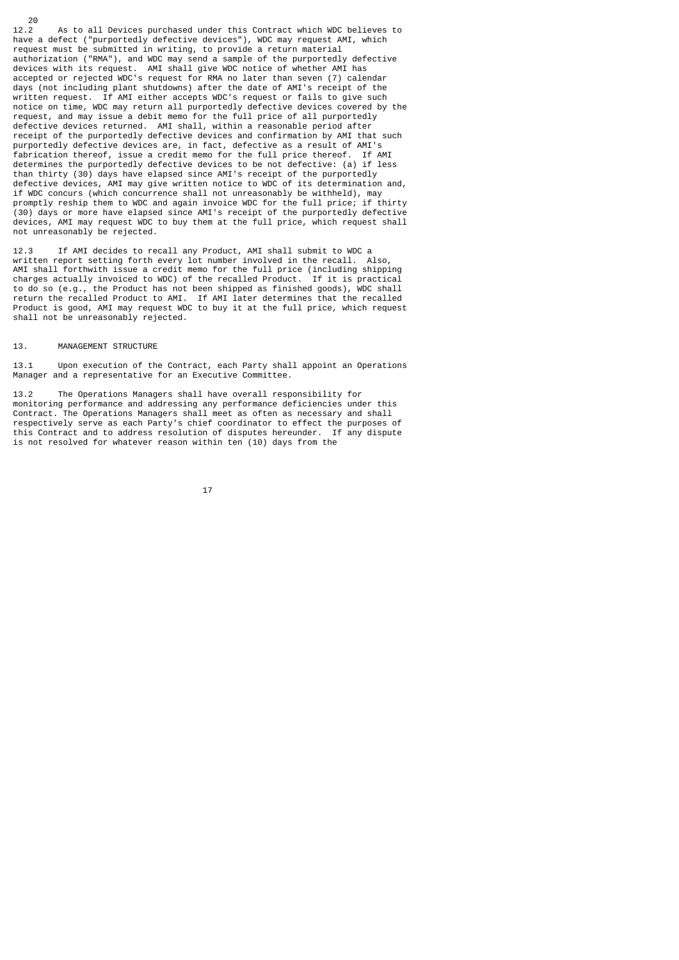$\begin{array}{c} 20 \\ 12.2 \end{array}$ As to all Devices purchased under this Contract which WDC believes to have a defect ("purportedly defective devices"), WDC may request AMI, which request must be submitted in writing, to provide a return material authorization ("RMA"), and WDC may send a sample of the purportedly defective devices with its request. AMI shall give WDC notice of whether AMI has accepted or rejected WDC's request for RMA no later than seven (7) calendar days (not including plant shutdowns) after the date of AMI's receipt of the written request. If AMI either accepts WDC's request or fails to give such notice on time, WDC may return all purportedly defective devices covered by the request, and may issue a debit memo for the full price of all purportedly defective devices returned. AMI shall, within a reasonable period after receipt of the purportedly defective devices and confirmation by AMI that such purportedly defective devices are, in fact, defective as a result of AMI's fabrication thereof, issue a credit memo for the full price thereof. If AMI determines the purportedly defective devices to be not defective: (a) if less than thirty (30) days have elapsed since AMI's receipt of the purportedly defective devices, AMI may give written notice to WDC of its determination and, if WDC concurs (which concurrence shall not unreasonably be withheld), may promptly reship them to WDC and again invoice WDC for the full price; if thirty (30) days or more have elapsed since AMI's receipt of the purportedly defective devices, AMI may request WDC to buy them at the full price, which request shall not unreasonably be rejected.

12.3 If AMI decides to recall any Product, AMI shall submit to WDC a written report setting forth every lot number involved in the recall. Also, AMI shall forthwith issue a credit memo for the full price (including shipping charges actually invoiced to WDC) of the recalled Product. If it is practical to do so (e.g., the Product has not been shipped as finished goods), WDC shall return the recalled Product to AMI. If AMI later determines that the recalled Product is good, AMI may request WDC to buy it at the full price, which request shall not be unreasonably rejected.

## 13. MANAGEMENT STRUCTURE

13.1 Upon execution of the Contract, each Party shall appoint an Operations Manager and a representative for an Executive Committee.

13.2 The Operations Managers shall have overall responsibility for monitoring performance and addressing any performance deficiencies under this Contract. The Operations Managers shall meet as often as necessary and shall respectively serve as each Party's chief coordinator to effect the purposes of this Contract and to address resolution of disputes hereunder. If any dispute is not resolved for whatever reason within ten (10) days from the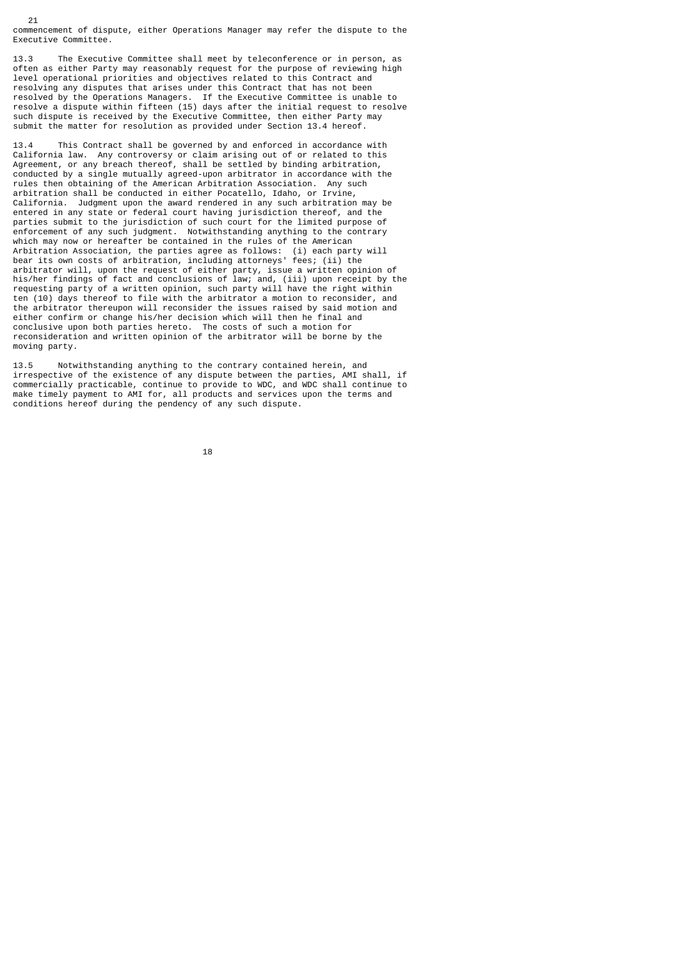commencement of dispute, either Operations Manager may refer the dispute to the Executive Committee.

21

13.3 The Executive Committee shall meet by teleconference or in person, as often as either Party may reasonably request for the purpose of reviewing high level operational priorities and objectives related to this Contract and resolving any disputes that arises under this Contract that has not been resolved by the Operations Managers. If the Executive Committee is unable to resolve a dispute within fifteen (15) days after the initial request to resolve such dispute is received by the Executive Committee, then either Party may submit the matter for resolution as provided under Section 13.4 hereof.

13.4 This Contract shall be governed by and enforced in accordance with California law. Any controversy or claim arising out of or related to this Agreement, or any breach thereof, shall be settled by binding arbitration, conducted by a single mutually agreed-upon arbitrator in accordance with the rules then obtaining of the American Arbitration Association. Any such arbitration shall be conducted in either Pocatello, Idaho, or Irvine, California. Judgment upon the award rendered in any such arbitration may be entered in any state or federal court having jurisdiction thereof, and the parties submit to the jurisdiction of such court for the limited purpose of enforcement of any such judgment. Notwithstanding anything to the contrary which may now or hereafter be contained in the rules of the American Arbitration Association, the parties agree as follows: (i) each party will bear its own costs of arbitration, including attorneys' fees; (ii) the arbitrator will, upon the request of either party, issue a written opinion of his/her findings of fact and conclusions of law; and, (iii) upon receipt by the requesting party of a written opinion, such party will have the right within ten (10) days thereof to file with the arbitrator a motion to reconsider, and the arbitrator thereupon will reconsider the issues raised by said motion and either confirm or change his/her decision which will then he final and conclusive upon both parties hereto. The costs of such a motion for reconsideration and written opinion of the arbitrator will be borne by the moving party.

13.5 Notwithstanding anything to the contrary contained herein, and irrespective of the existence of any dispute between the parties, AMI shall, if commercially practicable, continue to provide to WDC, and WDC shall continue to make timely payment to AMI for, all products and services upon the terms and conditions hereof during the pendency of any such dispute.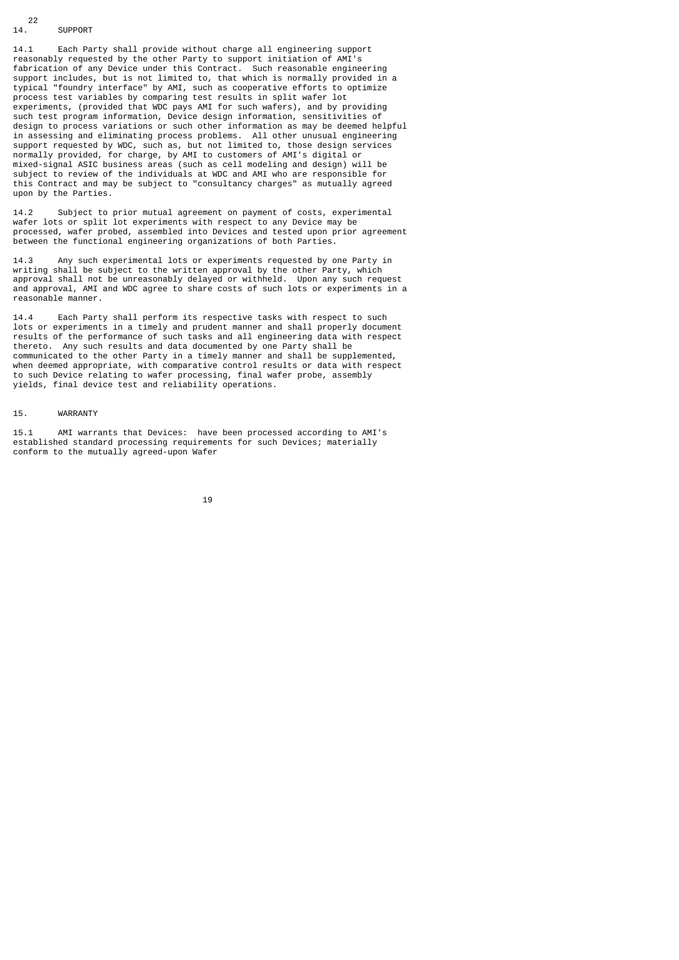#### $14.$ <sup>22</sup> **SUPPORT**

14.1 Each Party shall provide without charge all engineering support reasonably requested by the other Party to support initiation of AMI's fabrication of any Device under this Contract. Such reasonable engineering support includes, but is not limited to, that which is normally provided in a typical "foundry interface" by AMI, such as cooperative efforts to optimize process test variables by comparing test results in split wafer lot experiments, (provided that WDC pays AMI for such wafers), and by providing such test program information, Device design information, sensitivities of design to process variations or such other information as may be deemed helpful in assessing and eliminating process problems. All other unusual engineering support requested by WDC, such as, but not limited to, those design services normally provided, for charge, by AMI to customers of AMI's digital or mixed-signal ASIC business areas (such as cell modeling and design) will be subject to review of the individuals at WDC and AMI who are responsible for this Contract and may be subject to "consultancy charges" as mutually agreed upon by the Parties.

14.2 Subject to prior mutual agreement on payment of costs, experimental wafer lots or split lot experiments with respect to any Device may be processed, wafer probed, assembled into Devices and tested upon prior agreement between the functional engineering organizations of both Parties.

14.3 Any such experimental lots or experiments requested by one Party in writing shall be subject to the written approval by the other Party, which approval shall not be unreasonably delayed or withheld. Upon any such request and approval, AMI and WDC agree to share costs of such lots or experiments in a reasonable manner.

14.4 Each Party shall perform its respective tasks with respect to such lots or experiments in a timely and prudent manner and shall properly document results of the performance of such tasks and all engineering data with respect thereto. Any such results and data documented by one Party shall be communicated to the other Party in a timely manner and shall be supplemented, when deemed appropriate, with comparative control results or data with respect to such Device relating to wafer processing, final wafer probe, assembly yields, final device test and reliability operations.

#### 15. WARRANTY

15.1 AMI warrants that Devices: have been processed according to AMI's established standard processing requirements for such Devices; materially conform to the mutually agreed-upon Wafer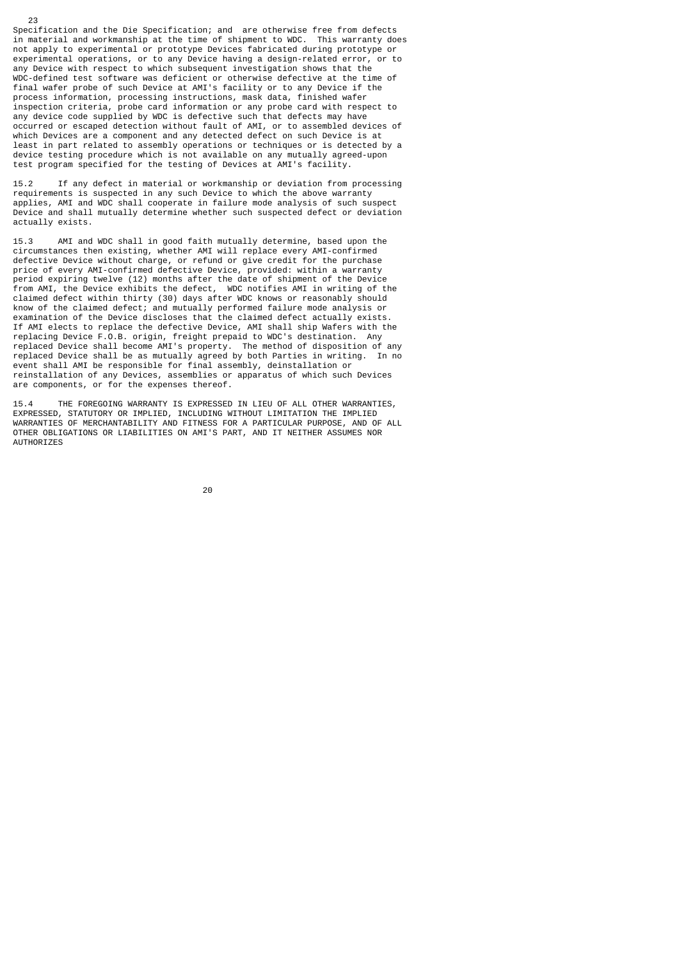Specification and the Die Specification; and are otherwise free from defects in material and workmanship at the time of shipment to WDC. This warranty does not apply to experimental or prototype Devices fabricated during prototype or experimental operations, or to any Device having a design-related error, or to any Device with respect to which subsequent investigation shows that the WDC-defined test software was deficient or otherwise defective at the time of final wafer probe of such Device at AMI's facility or to any Device if the process information, processing instructions, mask data, finished wafer inspection criteria, probe card information or any probe card with respect to any device code supplied by WDC is defective such that defects may have occurred or escaped detection without fault of AMI, or to assembled devices of which Devices are a component and any detected defect on such Device is at least in part related to assembly operations or techniques or is detected by a device testing procedure which is not available on any mutually agreed-upon test program specified for the testing of Devices at AMI's facility.

23

15.2 If any defect in material or workmanship or deviation from processing requirements is suspected in any such Device to which the above warranty applies, AMI and WDC shall cooperate in failure mode analysis of such suspect Device and shall mutually determine whether such suspected defect or deviation actually exists.

15.3 AMI and WDC shall in good faith mutually determine, based upon the circumstances then existing, whether AMI will replace every AMI-confirmed defective Device without charge, or refund or give credit for the purchase price of every AMI-confirmed defective Device, provided: within a warranty period expiring twelve (12) months after the date of shipment of the Device from AMI, the Device exhibits the defect, WDC notifies AMI in writing of the claimed defect within thirty (30) days after WDC knows or reasonably should know of the claimed defect; and mutually performed failure mode analysis or examination of the Device discloses that the claimed defect actually exists. If AMI elects to replace the defective Device, AMI shall ship Wafers with the replacing Device F.O.B. origin, freight prepaid to WDC's destination. Any replaced Device shall become AMI's property. The method of disposition of any replaced Device shall be as mutually agreed by both Parties in writing. In no event shall AMI be responsible for final assembly, deinstallation or reinstallation of any Devices, assemblies or apparatus of which such Devices are components, or for the expenses thereof.

15.4 THE FOREGOING WARRANTY IS EXPRESSED IN LIEU OF ALL OTHER WARRANTIES, EXPRESSED, STATUTORY OR IMPLIED, INCLUDING WITHOUT LIMITATION THE IMPLIED WARRANTIES OF MERCHANTABILITY AND FITNESS FOR A PARTICULAR PURPOSE, AND OF ALL OTHER OBLIGATIONS OR LIABILITIES ON AMI'S PART, AND IT NEITHER ASSUMES NOR **AUTHORIZES**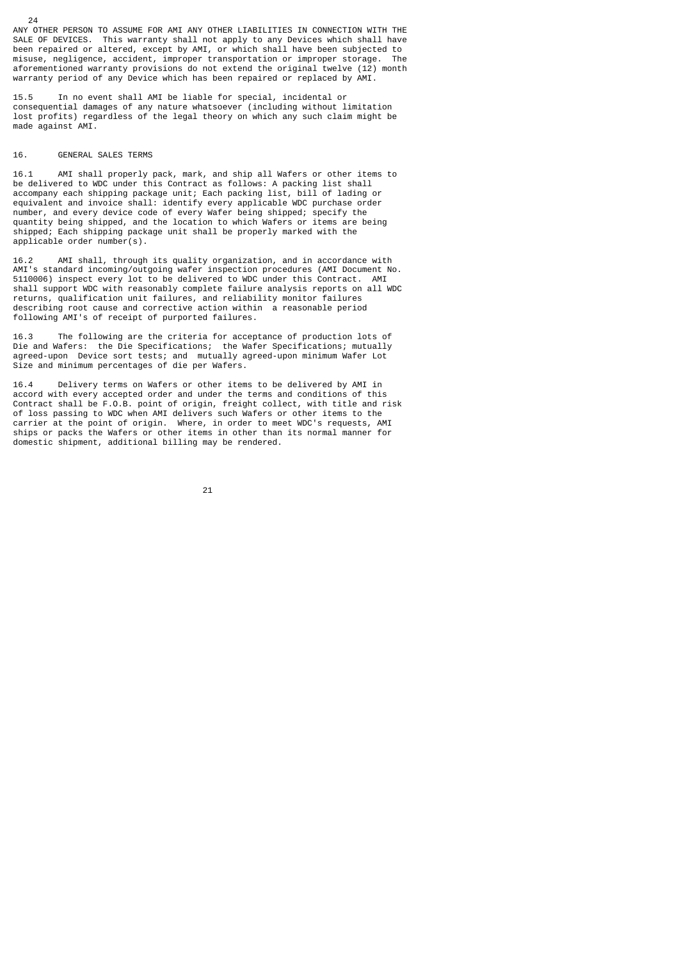ANY OTHER PERSON TO ASSUME FOR AMI ANY OTHER LIABILITIES IN CONNECTION WITH THE SALE OF DEVICES. This warranty shall not apply to any Devices which shall have been repaired or altered, except by AMI, or which shall have been subjected to misuse, negligence, accident, improper transportation or improper storage. The aforementioned warranty provisions do not extend the original twelve (12) month warranty period of any Device which has been repaired or replaced by AMI.

15.5 In no event shall AMI be liable for special, incidental or consequential damages of any nature whatsoever (including without limitation lost profits) regardless of the legal theory on which any such claim might be made against AMI.

#### 16. GENERAL SALES TERMS

24

16.1 AMI shall properly pack, mark, and ship all Wafers or other items to be delivered to WDC under this Contract as follows: A packing list shall accompany each shipping package unit; Each packing list, bill of lading or equivalent and invoice shall: identify every applicable WDC purchase order number, and every device code of every Wafer being shipped; specify the quantity being shipped, and the location to which Wafers or items are being shipped; Each shipping package unit shall be properly marked with the applicable order number(s).

16.2 AMI shall, through its quality organization, and in accordance with AMI's standard incoming/outgoing wafer inspection procedures (AMI Document No. 5110006) inspect every lot to be delivered to WDC under this Contract. AMI shall support WDC with reasonably complete failure analysis reports on all WDC returns, qualification unit failures, and reliability monitor failures describing root cause and corrective action within a reasonable period following AMI's of receipt of purported failures.

16.3 The following are the criteria for acceptance of production lots of Die and Wafers: the Die Specifications; the Wafer Specifications; mutually agreed-upon Device sort tests; and mutually agreed-upon minimum Wafer Lot Size and minimum percentages of die per Wafers.

16.4 Delivery terms on Wafers or other items to be delivered by AMI in accord with every accepted order and under the terms and conditions of this Contract shall be F.O.B. point of origin, freight collect, with title and risk of loss passing to WDC when AMI delivers such Wafers or other items to the carrier at the point of origin. Where, in order to meet WDC's requests, AMI ships or packs the Wafers or other items in other than its normal manner for domestic shipment, additional billing may be rendered.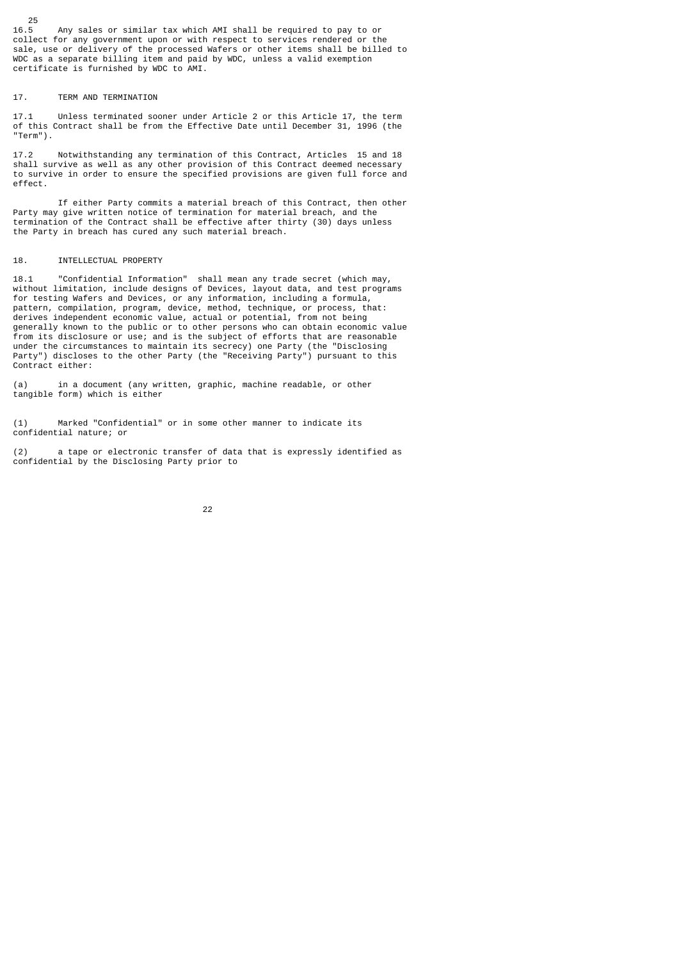Any sales or similar tax which AMI shall be required to pay to or collect for any government upon or with respect to services rendered or the sale, use or delivery of the processed Wafers or other items shall be billed to WDC as a separate billing item and paid by WDC, unless a valid exemption certificate is furnished by WDC to AMI.

## 17. TERM AND TERMINATION

17.1 Unless terminated sooner under Article 2 or this Article 17, the term of this Contract shall be from the Effective Date until December 31, 1996 (the "Term").

17.2 Notwithstanding any termination of this Contract, Articles 15 and 18 shall survive as well as any other provision of this Contract deemed necessary to survive in order to ensure the specified provisions are given full force and effect.

 If either Party commits a material breach of this Contract, then other Party may give written notice of termination for material breach, and the termination of the Contract shall be effective after thirty (30) days unless the Party in breach has cured any such material breach.

#### 18. INTELLECTUAL PROPERTY

18.1 "Confidential Information" shall mean any trade secret (which may, without limitation, include designs of Devices, layout data, and test programs for testing Wafers and Devices, or any information, including a formula, pattern, compilation, program, device, method, technique, or process, that: derives independent economic value, actual or potential, from not being generally known to the public or to other persons who can obtain economic value from its disclosure or use; and is the subject of efforts that are reasonable under the circumstances to maintain its secrecy) one Party (the "Disclosing Party") discloses to the other Party (the "Receiving Party") pursuant to this Contract either:

(a) in a document (any written, graphic, machine readable, or other tangible form) which is either

(1) Marked "Confidential" or in some other manner to indicate its confidential nature; or

(2) a tape or electronic transfer of data that is expressly identified as confidential by the Disclosing Party prior to



 $rac{25}{16.5}$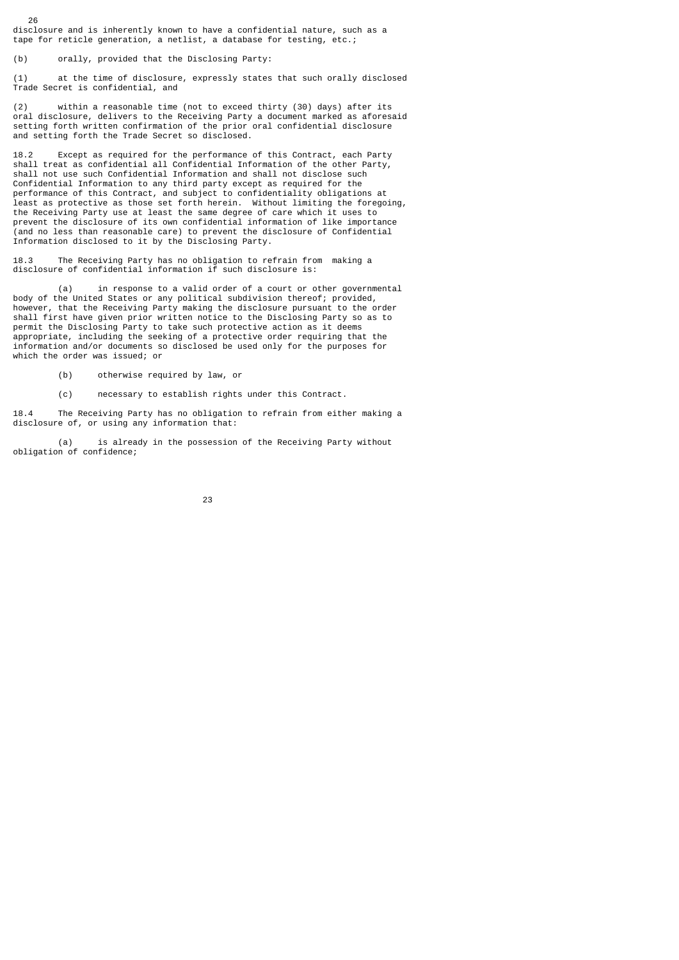disclosure and is inherently known to have a confidential nature, such as a tape for reticle generation, a netlist, a database for testing, etc.;

(b) orally, provided that the Disclosing Party:

26

(1) at the time of disclosure, expressly states that such orally disclosed Trade Secret is confidential, and

(2) within a reasonable time (not to exceed thirty (30) days) after its oral disclosure, delivers to the Receiving Party a document marked as aforesaid setting forth written confirmation of the prior oral confidential disclosure and setting forth the Trade Secret so disclosed.

18.2 Except as required for the performance of this Contract, each Party shall treat as confidential all Confidential Information of the other Party, shall not use such Confidential Information and shall not disclose such Confidential Information to any third party except as required for the performance of this Contract, and subject to confidentiality obligations at least as protective as those set forth herein. Without limiting the foregoing, the Receiving Party use at least the same degree of care which it uses to prevent the disclosure of its own confidential information of like importance (and no less than reasonable care) to prevent the disclosure of Confidential Information disclosed to it by the Disclosing Party.

18.3 The Receiving Party has no obligation to refrain from making a disclosure of confidential information if such disclosure is:

 (a) in response to a valid order of a court or other governmental body of the United States or any political subdivision thereof; provided, however, that the Receiving Party making the disclosure pursuant to the order shall first have given prior written notice to the Disclosing Party so as to permit the Disclosing Party to take such protective action as it deems appropriate, including the seeking of a protective order requiring that the information and/or documents so disclosed be used only for the purposes for which the order was issued; or

- (b) otherwise required by law, or
- (c) necessary to establish rights under this Contract.

18.4 The Receiving Party has no obligation to refrain from either making a disclosure of, or using any information that:

 (a) is already in the possession of the Receiving Party without obligation of confidence;

<u>23 and 23 and 23 and 23 and 23 and 23 and 23 and 23 and 23 and 23 and 23 and 23 and 23 and 23 and 23 and 23 and 23 and 23 and 23 and 23 and 23 and 23 and 23 and 23 and 23 and 23 and 23 and 23 and 23 and 23 and 23 and 23 a</u>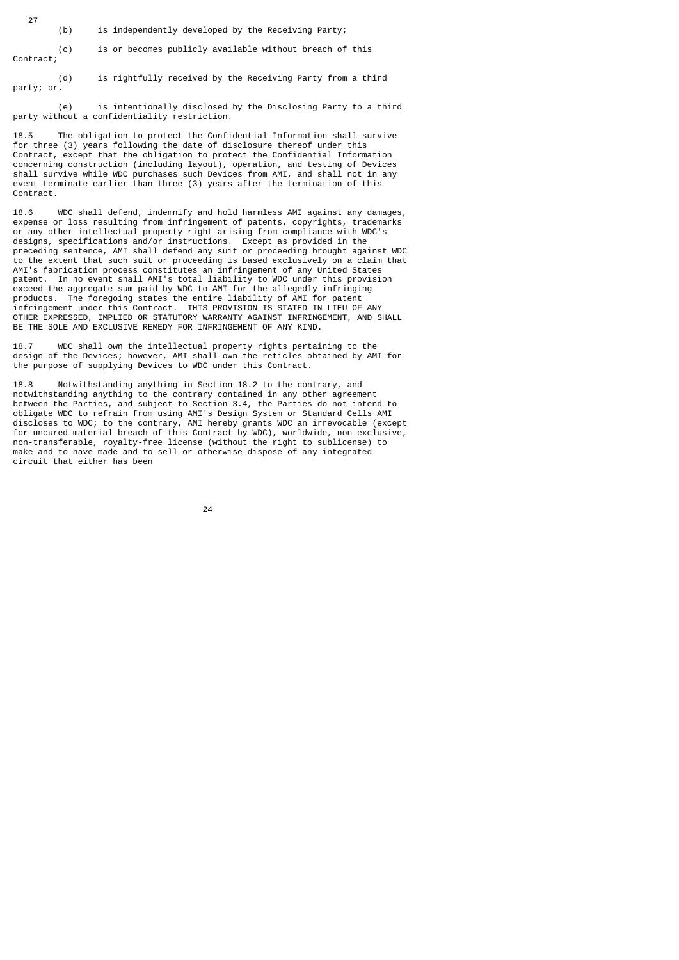(b) is independently developed by the Receiving Party;

27

 (c) is or becomes publicly available without breach of this Contract;

 (d) is rightfully received by the Receiving Party from a third party; or.

 (e) is intentionally disclosed by the Disclosing Party to a third party without a confidentiality restriction.

18.5 The obligation to protect the Confidential Information shall survive for three (3) years following the date of disclosure thereof under this Contract, except that the obligation to protect the Confidential Information concerning construction (including layout), operation, and testing of Devices shall survive while WDC purchases such Devices from AMI, and shall not in any event terminate earlier than three (3) years after the termination of this Contract.

18.6 WDC shall defend, indemnify and hold harmless AMI against any damages, expense or loss resulting from infringement of patents, copyrights, trademarks or any other intellectual property right arising from compliance with WDC's designs, specifications and/or instructions. Except as provided in the preceding sentence, AMI shall defend any suit or proceeding brought against WDC to the extent that such suit or proceeding is based exclusively on a claim that AMI's fabrication process constitutes an infringement of any United States patent. In no event shall AMI's total liability to WDC under this provision exceed the aggregate sum paid by WDC to AMI for the allegedly infringing products. The foregoing states the entire liability of AMI for patent infringement under this Contract. THIS PROVISION IS STATED IN LIEU OF ANY OTHER EXPRESSED, IMPLIED OR STATUTORY WARRANTY AGAINST INFRINGEMENT, AND SHALL BE THE SOLE AND EXCLUSIVE REMEDY FOR INFRINGEMENT OF ANY KIND.

18.7 WDC shall own the intellectual property rights pertaining to the design of the Devices; however, AMI shall own the reticles obtained by AMI for the purpose of supplying Devices to WDC under this Contract.

18.8 Notwithstanding anything in Section 18.2 to the contrary, and notwithstanding anything to the contrary contained in any other agreement between the Parties, and subject to Section 3.4, the Parties do not intend to obligate WDC to refrain from using AMI's Design System or Standard Cells AMI discloses to WDC; to the contrary, AMI hereby grants WDC an irrevocable (except for uncured material breach of this Contract by WDC), worldwide, non-exclusive, non-transferable, royalty-free license (without the right to sublicense) to make and to have made and to sell or otherwise dispose of any integrated circuit that either has been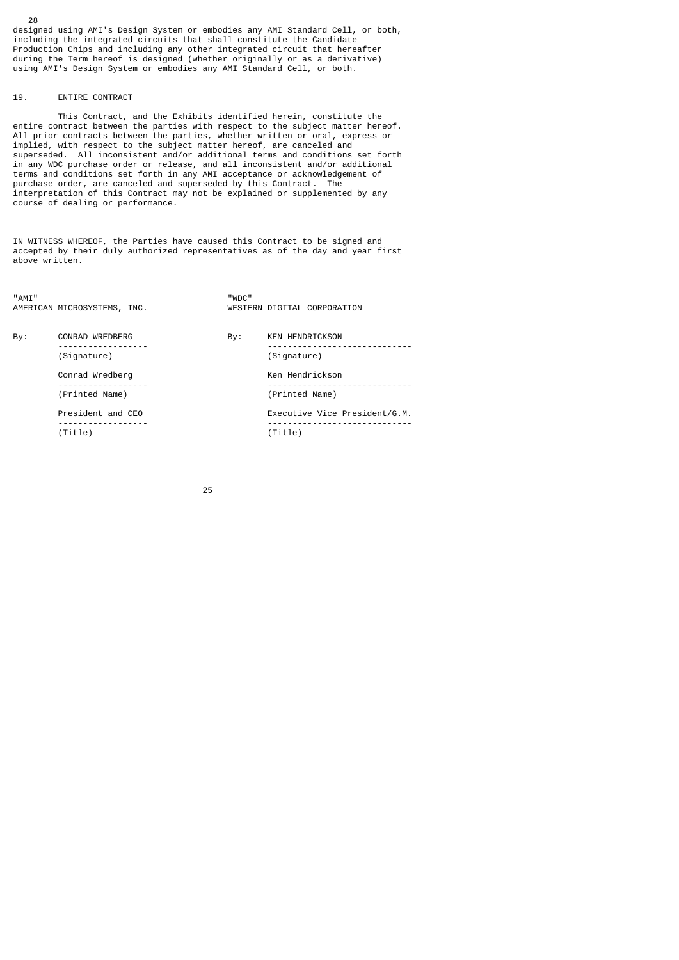designed using AMI's Design System or embodies any AMI Standard Cell, or both, including the integrated circuits that shall constitute the Candidate Production Chips and including any other integrated circuit that hereafter during the Term hereof is designed (whether originally or as a derivative) using AMI's Design System or embodies any AMI Standard Cell, or both.

## 19. ENTIRE CONTRACT

28

 This Contract, and the Exhibits identified herein, constitute the entire contract between the parties with respect to the subject matter hereof. All prior contracts between the parties, whether written or oral, express or implied, with respect to the subject matter hereof, are canceled and superseded. All inconsistent and/or additional terms and conditions set forth in any WDC purchase order or release, and all inconsistent and/or additional terms and conditions set forth in any AMI acceptance or acknowledgement of purchase order, are canceled and superseded by this Contract. The interpretation of this Contract may not be explained or supplemented by any course of dealing or performance.

IN WITNESS WHEREOF, the Parties have caused this Contract to be signed and accepted by their duly authorized representatives as of the day and year first above written.

| "AMT" | AMERICAN MICROSYSTEMS, INC. | "WDC" | WESTERN DIGITAL CORPORATION   |
|-------|-----------------------------|-------|-------------------------------|
| Bv:   | CONRAD WREDBERG             | By:   | <b>KEN HENDRICKSON</b>        |
|       | (Signature)                 |       | (Signature)                   |
|       | Conrad Wredberg             |       | Ken Hendrickson               |
|       | (Printed Name)              |       | (Printed Name)                |
|       | President and CEO           |       | Executive Vice President/G.M. |
|       | . <u>.</u><br>(Title)       |       | (Title)                       |

<u>25 and 25</u>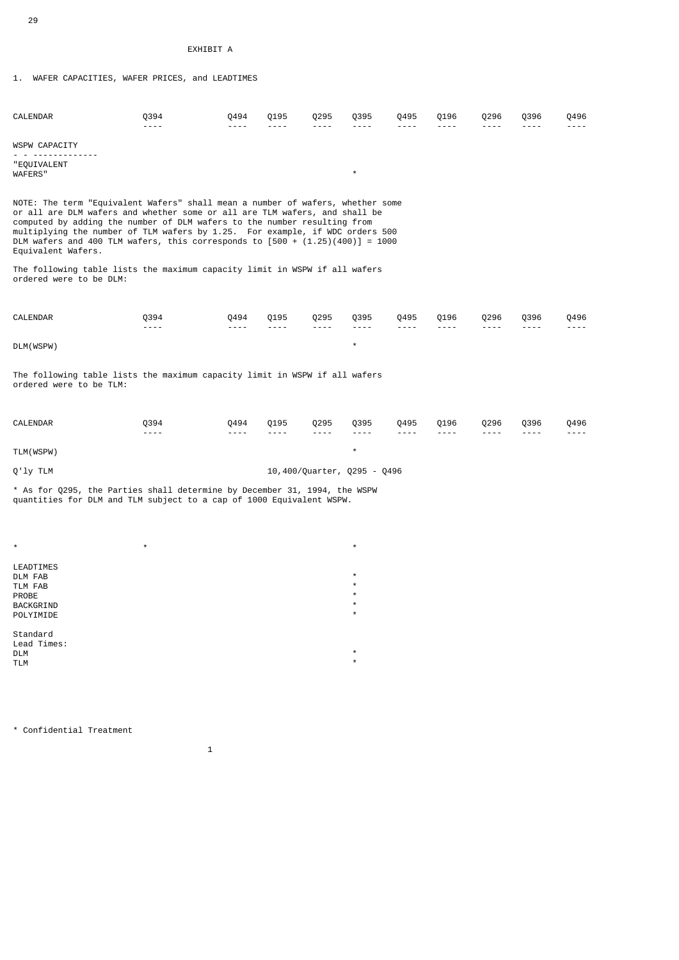29

# EXHIBIT A

1. WAFER CAPACITIES, WAFER PRICES, and LEADTIMES

| CALENDAR                                                                                                                                                                                                                                                                                                                                                                                                                          | 0394<br>$- - - -$     | 0494<br>$- - - -$     | Q195<br>$- - - -$ | 0295<br>$- - - -$                                                                                         | 0395<br>$- - - -$           | 0495<br>$- - - -$     | 0196<br>$- - - -$     | Q296<br>----      | 0396<br>$- - - -$ | Q496<br>----      |  |  |  |  |
|-----------------------------------------------------------------------------------------------------------------------------------------------------------------------------------------------------------------------------------------------------------------------------------------------------------------------------------------------------------------------------------------------------------------------------------|-----------------------|-----------------------|-------------------|-----------------------------------------------------------------------------------------------------------|-----------------------------|-----------------------|-----------------------|-------------------|-------------------|-------------------|--|--|--|--|
| WSPW CAPACITY                                                                                                                                                                                                                                                                                                                                                                                                                     |                       |                       |                   |                                                                                                           |                             |                       |                       |                   |                   |                   |  |  |  |  |
| <u>.</u><br>"EQUIVALENT<br><b>WAFERS"</b>                                                                                                                                                                                                                                                                                                                                                                                         |                       |                       |                   |                                                                                                           | $\star$                     |                       |                       |                   |                   |                   |  |  |  |  |
| NOTE: The term "Equivalent Wafers" shall mean a number of wafers, whether some<br>or all are DLM wafers and whether some or all are TLM wafers, and shall be<br>computed by adding the number of DLM wafers to the number resulting from<br>multiplying the number of TLM wafers by 1.25. For example, if WDC orders 500<br>DLM wafers and 400 TLM wafers, this corresponds to $[500 + (1.25)(400)] = 1000$<br>Equivalent Wafers. |                       |                       |                   |                                                                                                           |                             |                       |                       |                   |                   |                   |  |  |  |  |
| The following table lists the maximum capacity limit in WSPW if all wafers<br>ordered were to be DLM:                                                                                                                                                                                                                                                                                                                             |                       |                       |                   |                                                                                                           |                             |                       |                       |                   |                   |                   |  |  |  |  |
| CALENDAR                                                                                                                                                                                                                                                                                                                                                                                                                          | 0394<br>$- - - -$     | 0494<br>$- - - -$     | 0195<br>$- - - -$ | 0295<br>$- - - -$                                                                                         | 0395<br>----                | 0495<br>$- - - -$     | 0196<br>$- - - -$     | 0296<br>$- - - -$ | 0396<br>$- - - -$ | 0496<br>----      |  |  |  |  |
| DLM(WSPW)                                                                                                                                                                                                                                                                                                                                                                                                                         |                       |                       |                   |                                                                                                           | $^\star$                    |                       |                       |                   |                   |                   |  |  |  |  |
| The following table lists the maximum capacity limit in WSPW if all wafers<br>ordered were to be TLM:                                                                                                                                                                                                                                                                                                                             |                       |                       |                   |                                                                                                           |                             |                       |                       |                   |                   |                   |  |  |  |  |
| CALENDAR                                                                                                                                                                                                                                                                                                                                                                                                                          | Q394<br>$\frac{1}{2}$ | Q494<br>$\frac{1}{2}$ | Q195<br>$- - - -$ | Q295<br>$\frac{1}{2} \frac{1}{2} \frac{1}{2} \frac{1}{2} \frac{1}{2} \frac{1}{2} \frac{1}{2} \frac{1}{2}$ | Q395<br>----                | Q495<br>$\frac{1}{2}$ | Q196<br>$\frac{1}{2}$ | Q296<br>$- - - -$ | Q396<br>$- - - -$ | Q496<br>$- - - -$ |  |  |  |  |
| TLM(WSPW)                                                                                                                                                                                                                                                                                                                                                                                                                         |                       |                       |                   |                                                                                                           | $\star$                     |                       |                       |                   |                   |                   |  |  |  |  |
| Q'ly TLM                                                                                                                                                                                                                                                                                                                                                                                                                          |                       |                       |                   |                                                                                                           | 10,400/Quarter, Q295 - Q496 |                       |                       |                   |                   |                   |  |  |  |  |
| * As for Q295, the Parties shall determine by December 31, 1994, the WSPW<br>quantities for DLM and TLM subject to a cap of 1000 Equivalent WSPW.                                                                                                                                                                                                                                                                                 |                       |                       |                   |                                                                                                           |                             |                       |                       |                   |                   |                   |  |  |  |  |
|                                                                                                                                                                                                                                                                                                                                                                                                                                   |                       |                       |                   |                                                                                                           |                             |                       |                       |                   |                   |                   |  |  |  |  |
| $\star$                                                                                                                                                                                                                                                                                                                                                                                                                           | $\star$               |                       |                   |                                                                                                           | $\star$                     |                       |                       |                   |                   |                   |  |  |  |  |
| LEADTIMES<br>DLM FAB<br>TLM FAB<br><b>PROBE</b><br>BACKGRIND<br>POLYIMIDE                                                                                                                                                                                                                                                                                                                                                         |                       |                       |                   |                                                                                                           |                             |                       |                       |                   |                   |                   |  |  |  |  |

Standard Lead Times:  $\bullet$   $\star$ TLM  $\star$ 

\* Confidential Treatment

 $\sim$  1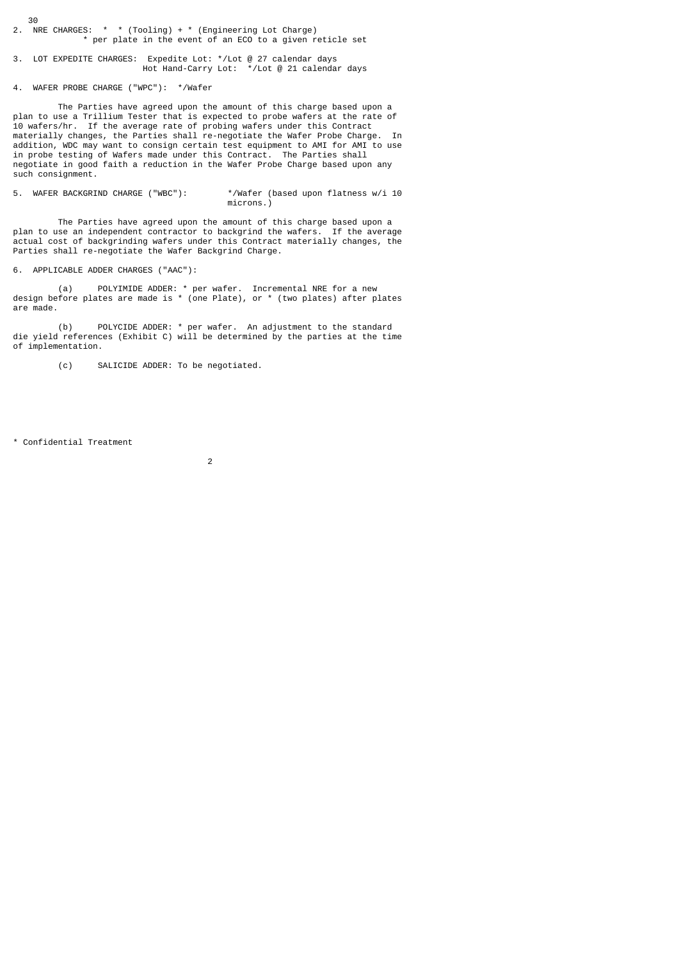$30$ <br>2. N  $\overline{\phantom{a}}$  NRE CHARGES: \* \* (Tooling) + \* (Engineering Lot Charge) \* per plate in the event of an ECO to a given reticle set

3. LOT EXPEDITE CHARGES: Expedite Lot: \*/Lot @ 27 calendar days Hot Hand-Carry Lot: \*/Lot @ 21 calendar days

4. WAFER PROBE CHARGE ("WPC"): \*/Wafer

 The Parties have agreed upon the amount of this charge based upon a plan to use a Trillium Tester that is expected to probe wafers at the rate of 10 wafers/hr. If the average rate of probing wafers under this Contract materially changes, the Parties shall re-negotiate the Wafer Probe Charge. In addition, WDC may want to consign certain test equipment to AMI for AMI to use in probe testing of Wafers made under this Contract. The Parties shall negotiate in good faith a reduction in the Wafer Probe Charge based upon any such consignment.

5. WAFER BACKGRIND CHARGE ("WBC"): \*/Wafer (based upon flatness w/i 10 microns.)

 The Parties have agreed upon the amount of this charge based upon a plan to use an independent contractor to backgrind the wafers. If the average actual cost of backgrinding wafers under this Contract materially changes, the Parties shall re-negotiate the Wafer Backgrind Charge.

6. APPLICABLE ADDER CHARGES ("AAC"):

 (a) POLYIMIDE ADDER: \* per wafer. Incremental NRE for a new design before plates are made is \* (one Plate), or \* (two plates) after plates are made.

 (b) POLYCIDE ADDER: \* per wafer. An adjustment to the standard die yield references (Exhibit C) will be determined by the parties at the time of implementation.

(c) SALICIDE ADDER: To be negotiated.

\* Confidential Treatment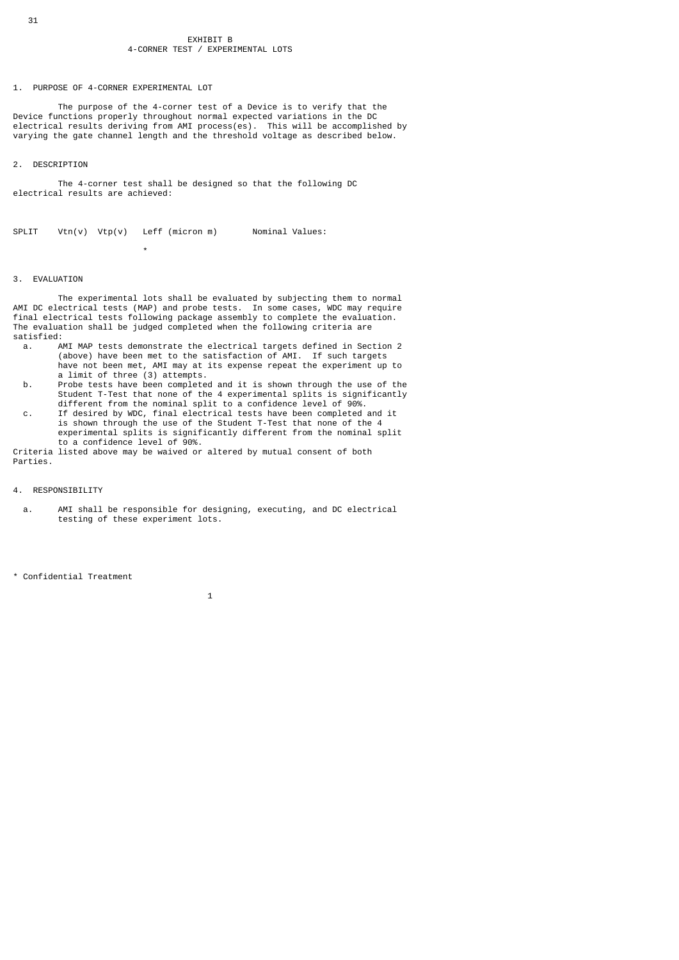#### EXHIBIT B 4-CORNER TEST / EXPERIMENTAL LOTS

1. PURPOSE OF 4-CORNER EXPERIMENTAL LOT

 The purpose of the 4-corner test of a Device is to verify that the Device functions properly throughout normal expected variations in the DC electrical results deriving from AMI process(es). This will be accomplished by varying the gate channel length and the threshold voltage as described below.

## 2. DESCRIPTION

 The 4-corner test shall be designed so that the following DC electrical results are achieved:

SPLIT  $Vtn(v)$   $Vtp(v)$  Leff (micron m) Nominal Values:

## 3. EVALUATION

\*

 The experimental lots shall be evaluated by subjecting them to normal AMI DC electrical tests (MAP) and probe tests. In some cases, WDC may require final electrical tests following package assembly to complete the evaluation. The evaluation shall be judged completed when the following criteria are satisfied:

- a. AMI MAP tests demonstrate the electrical targets defined in Section 2 (above) have been met to the satisfaction of AMI. If such targets have not been met, AMI may at its expense repeat the experiment up to a limit of three (3) attempts.
- b. Probe tests have been completed and it is shown through the use of the Student T-Test that none of the 4 experimental splits is significantly different from the nominal split to a confidence level of 90%.
- c. If desired by WDC, final electrical tests have been completed and it is shown through the use of the Student T-Test that none of the 4 experimental splits is significantly different from the nominal split to a confidence level of 90%.

Criteria listed above may be waived or altered by mutual consent of both Parties.

#### 4. RESPONSIBILITY

 a. AMI shall be responsible for designing, executing, and DC electrical testing of these experiment lots.

\* Confidential Treatment

 $\sim$  1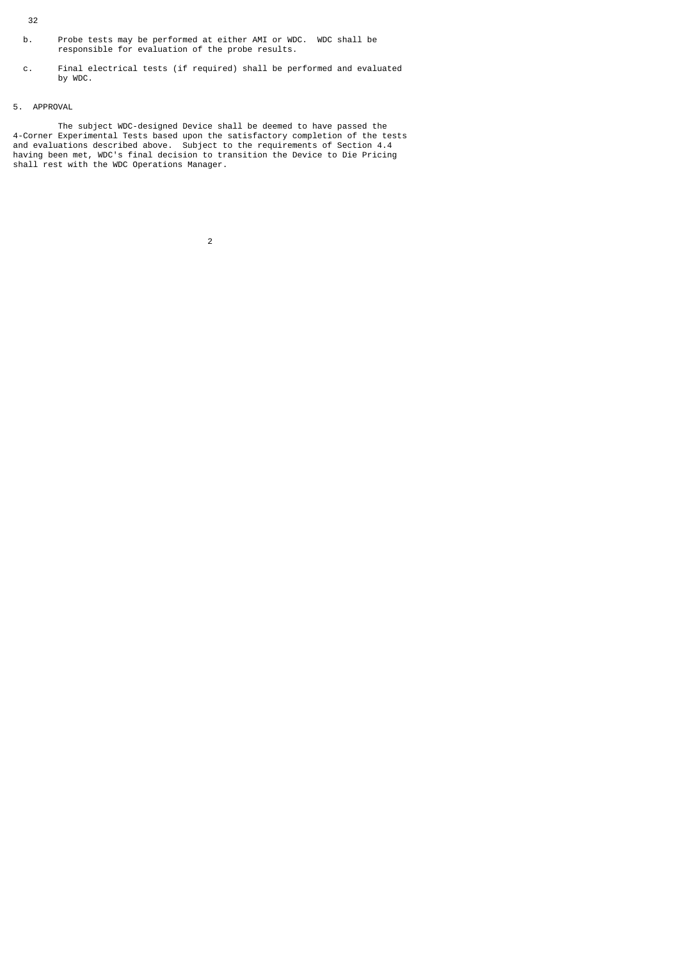- 32
- b. Probe tests may be performed at either AMI or WDC. WDC shall be responsible for evaluation of the probe results.
- c. Final electrical tests (if required) shall be performed and evaluated by WDC.

# 5. APPROVAL

 The subject WDC-designed Device shall be deemed to have passed the 4-Corner Experimental Tests based upon the satisfactory completion of the tests and evaluations described above. Subject to the requirements of Section 4.4 having been met, WDC's final decision to transition the Device to Die Pricing shall rest with the WDC Operations Manager.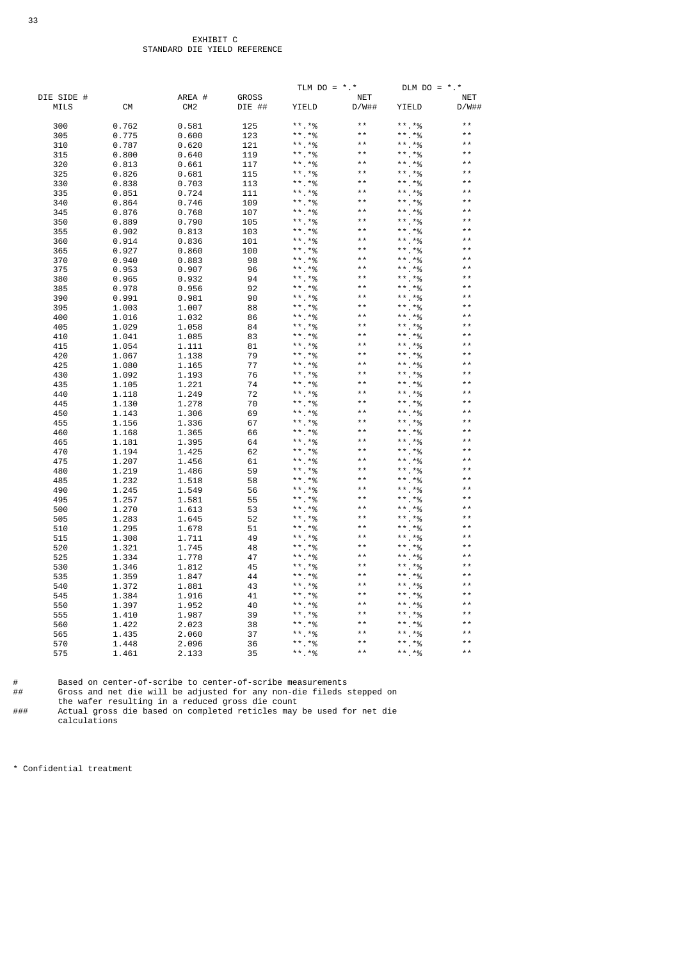|            |           |                 |              | TLM $DO = *.*$        |              | DLM $DO = *.*$ |            |
|------------|-----------|-----------------|--------------|-----------------------|--------------|----------------|------------|
| DIE SIDE # |           | AREA #          | <b>GROSS</b> |                       | <b>NET</b>   |                | <b>NET</b> |
| MILS       | <b>CM</b> | CM <sub>2</sub> | DIE ##       | YIELD                 | D/W##        | YIELD          | D/W##      |
| 300        | 0.762     | 0.581           | 125          | ** $*$ %              | $* *$        | **.*%          | $* *$      |
|            |           |                 |              |                       | $* *$        |                | $* *$      |
| 305        | 0.775     | 0.600           | 123          | **. *%                | $* *$        | **.*%          | $* *$      |
| 310        | 0.787     | 0.620           | 121          | $***.*%$              | $* *$        | **.*%          |            |
| 315        | 0.800     | 0.640           | 119          | **.*%                 |              | $***.*%$       | $* *$      |
| 320        | 0.813     | 0.661           | 117          | **.*%                 | $* *$        | $***$ $*$ %    | $* *$      |
| 325        | 0.826     | 0.681           | 115          | $***.*%$              | $* *$        | $***$ *%       | $* *$      |
| 330        | 0.838     | 0.703           | 113          | $***.*%$              | $* *$        | $***$ . $*$ %  | $* *$      |
| 335        | 0.851     | 0.724           | 111          | **.*%                 | $* *$        | **.*%          | $* *$      |
| 340        | 0.864     | 0.746           | 109          | $***.*%$              | $* *$        | $***.*%$       | $* *$      |
| 345        | 0.876     | 0.768           | 107          | **.*%                 | $* *$        | **.*%          | * *        |
| 350        | 0.889     | 0.790           | 105          | $***.*%$              | $* *$        | $***$ . $*$ %  | $* *$      |
| 355        | 0.902     | 0.813           | 103          | **.*%                 | $* *$        | $***$ *%       | $* *$      |
| 360        | 0.914     | 0.836           | 101          | **.*%                 | $* *$        | **.*%          | $* *$      |
| 365        | 0.927     | 0.860           | 100          | $***.*%$              | $* *$        | **.*%          |            |
| 370        | 0.940     | 0.883           | 98           | * *<br>$. *%$         | * *          | * *<br>$.*\%$  | $* *$      |
| 375        | 0.953     | 0.907           | 96           | $. *%$                | $* *$        | $***$ *%       |            |
|            |           |                 | 94           | $***.*%$              | * *          | **.*%          | * *        |
| 380        | 0.965     | 0.932           |              | **.*%                 | $* *$        | $***$ *%       | $* *$      |
| 385        | 0.978     | 0.956           | 92           | * *                   | * *          | $***.*%$       | * *        |
| 390        | 0.991     | 0.981           | 90           | $. *%$                | $* *$        |                | $* *$      |
| 395        | 1.003     | 1.007           | 88           | $. *%$                | $* *$        | **.*%          | $* *$      |
| 400        | 1.016     | 1.032           | 86           | * *<br>$.*%$          | $* *$        | **.*%          | $* *$      |
| 405        | 1.029     | 1.058           | 84           | **.*%                 |              | ** *%          |            |
| 410        | 1.041     | 1.085           | 83           | * *<br>$. *%$         | $* *$        | $***.*%$       | $* *$      |
| 415        | 1.054     | 1.111           | 81           | **.*%                 | $* *$        | **.*%          | $* *$      |
| 420        | 1.067     | 1.138           | 79           | $***.*%$              | $* *$        | **.*%          | $* *$      |
| 425        | 1.080     | 1.165           | 77           | $***$ . $*$ %         | $* *$        | $***.*%$       | $* *$      |
| 430        | 1.092     | 1.193           | 76           | $***.*%$              | $* *$        | $***$ . $*$ %  | * *        |
| 435        | 1.105     | 1.221           | 74           | $* *$<br>$. *%$       | $* *$        | ** *%          | $* *$      |
| 440        | 1.118     | 1.249           | 72           | **.*%                 | $* *$        | **.*%          | $* *$      |
| 445        | 1.130     | 1.278           | 70           | **.*%                 | $* *$        | **.*%          | $* *$      |
| 450        | 1.143     | 1.306           | 69           | $. *%$                | $* *$        | $***.*%$       |            |
| 455        | 1.156     | 1.336           | 67           | $\star\star$<br>$.*%$ | $* *$        | $***$ $*$ %    | * *        |
| 460        | 1.168     | 1.365           | 66           | $. *%$                | $* *$        | $***$ *%       |            |
| 465        | 1.181     | 1.395           | 64           | **.*%                 | $* *$        | **.*%          | * *        |
| 470        | 1.194     | 1.425           | 62           | $. *%$                | $* *$        | $***$ *%       | * *        |
| 475        | 1.207     | 1.456           | 61           | * *<br>$*_{\%}$       | $* *$        | $***$ *%       | * *        |
| 480        | 1.219     | 1.486           | 59           | $.*\%$                | $* *$        | **.*%          | $* *$      |
| 485        | 1.232     | 1.518           | 58           | * *<br>$. *%$         | $* *$        | **.*%          | $* *$      |
| 490        | 1.245     | 1.549           | 56           | **.*%                 | $* *$        | **.*%          | $* *$      |
|            |           |                 |              | * *<br>$. *%$         | * *          | $***.*%$       | * *        |
| 495        | 1.257     | 1.581           | 55           | $* *$                 | $* *$        | **.*%          | $* *$      |
| 500        | 1.270     | 1.613           | 53           | $.*\%$<br>* *         | $* *$        |                | $* *$      |
| 505        | 1.283     | 1.645           | 52           | $.*%$                 | $* *$        | ** *%          | $* *$      |
| 510        | 1.295     | 1.678           | 51           | $***.*%$              | $* *$        | $***.*%$       | $* *$      |
| 515        | 1.308     | 1.711           | 49           | $. *%$<br>* *         |              | $***.*%$       |            |
| 520        | 1.321     | 1.745           | 48           | **.*%                 | $* *$        | ** *%          | $* *$      |
| 525        | 1.334     | 1.778           | 47           | **.*%                 | $* *$        | **.*%          | $* *$      |
| 530        | 1.346     | 1.812           | 45           | **.*%                 | $\star\star$ | **.*%          | $* *$      |
| 535        | 1.359     | 1.847           | 44           | **.*%                 | $* *$        | **.*%          | * *        |
| 540        | 1.372     | 1.881           | 43           | * *<br>$. *%$         | $* *$        | $***.*%$       | $* *$      |
| 545        | 1.384     | 1.916           | 41           | $. *%$                | $* *$        | **.*%          | $* *$      |
| 550        | 1.397     | 1.952           | 40           | $*_{\%}$<br>* *       | $* *$        | **.*%          | * *        |
| 555        | 1.410     | 1.987           | 39           | $*_{\%}$              | $* *$        | **.*%          | * *        |
| 560        | 1.422     | 2.023           | 38           | $*$ %                 | * *          | .*%<br>* *     | * *        |
| 565        | 1.435     | 2.060           | 37           | $*$ %                 | $* *$        | $***$ *%       | $* *$      |
| 570        | 1.448     | 2.096           | 36           | $. *%$<br>* *         | $* *$        | $***$ *%       | $* *$      |
| 575        | 1.461     | 2.133           | 35           | **.*%                 | $* *$        | **.*%          | $* *$      |
|            |           |                 |              |                       |              |                |            |

# Based on center-of-scribe to center-of-scribe measurements

## Gross and net die will be adjusted for any non-die fileds stepped on

the wafer resulting in a reduced gross die count

### Actual gross die based on completed reticles may be used for net die calculations

\* Confidential treatment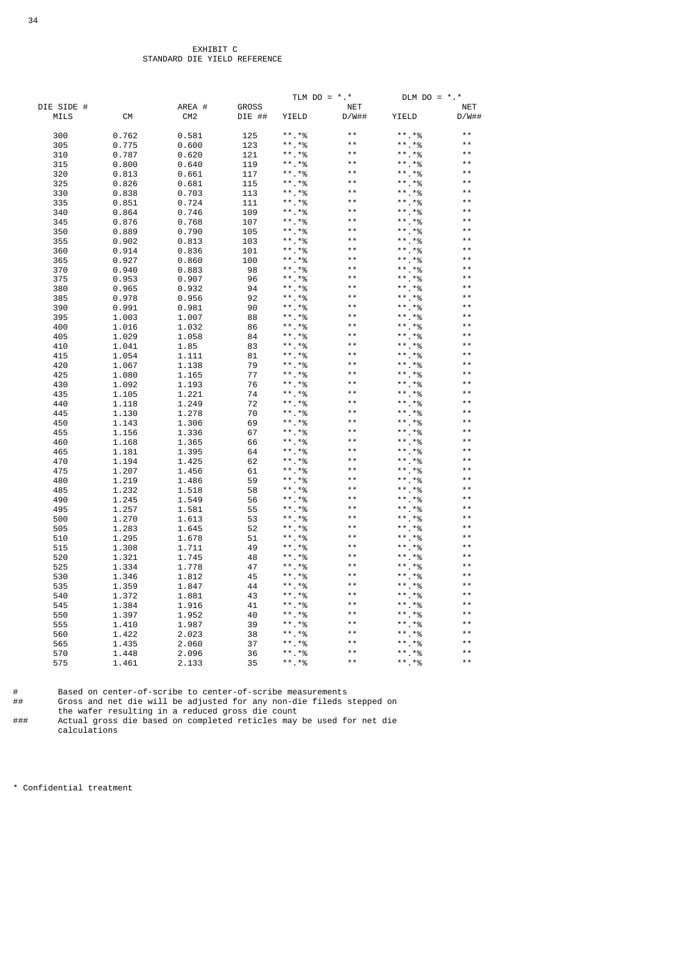|                    |           |                           |                        | TLM $DO = *.*$            |                     | DLM $DO = *.*$ |                     |
|--------------------|-----------|---------------------------|------------------------|---------------------------|---------------------|----------------|---------------------|
| DIE SIDE #<br>MILS | <b>CM</b> | AREA #<br>CM <sub>2</sub> | <b>GROSS</b><br>DIE ## | YIELD                     | <b>NET</b><br>D/W## | YIELD          | <b>NET</b><br>D/W## |
| 300                | 0.762     | 0.581                     | 125                    | **.*%                     | $* *$               | $***$ *%       | $* *$               |
| 305                | 0.775     | 0.600                     | 123                    | **.*%                     | $* *$               | **.*%          | $* *$               |
| 310                | 0.787     | 0.620                     | 121                    | **.*%                     | $* *$               | $***$ $*$ %    | $* *$               |
| 315                | 0.800     | 0.640                     | 119                    | **.*%                     | $* *$               | $***$ *%       | $* *$               |
| 320                | 0.813     | 0.661                     | 117                    | **.*%                     | $* *$               | **.*%          | $* *$               |
| 325                | 0.826     | 0.681                     | 115                    | **.*%                     | $* *$               | **.*%          | * *                 |
| 330                | 0.838     | 0.703                     | 113                    | **.*%                     | $* *$               | $***$ *%       | $* *$               |
| 335                | 0.851     | 0.724                     | 111                    | **.*%                     | $* *$               | $***$ *%       | $* *$               |
| 340                | 0.864     | 0.746                     | 109                    | **.*%                     | $* *$               | $***.*%$       | $* *$               |
| 345                | 0.876     | 0.768                     | 107                    | **.*%                     | $* *$               | $***$ *%       | $* *$               |
| 350                | 0.889     | 0.790                     | 105                    | **.*%                     | $* *$               | **.*%          | * *                 |
| 355                | 0.902     | 0.813                     | 103                    | **.*%                     | $* *$               | **.*%          | $* *$               |
| 360                | 0.914     | 0.836                     | 101                    | $***$ *%                  | $* *$               | $***.*%$       | $* *$               |
| 365                | 0.927     | 0.860                     | 100                    | ** *%                     | $* *$               | **.*%          | $* *$               |
|                    |           |                           | 98                     | ** *%                     | $* *$               | ** *%          | * *                 |
| 370                | 0.940     | 0.883                     | 96                     | **.*%                     | $* *$               | **.*%          | $* *$               |
| 375                | 0.953     | 0.907                     |                        | $***$ *%                  | $* *$               | $***.*%$       | $* *$               |
| 380                | 0.965     | 0.932                     | 94                     |                           | $* *$               |                | $\star\star$        |
| 385                | 0.978     | 0.956                     | 92                     | **.*%                     | $* *$               | $***.*%$       | $* *$               |
| 390                | 0.991     | 0.981                     | 90                     | $***$ *%                  | $* *$               | **.*%          | $* *$               |
| 395                | 1.003     | 1.007                     | 88                     | **.*%                     | $* *$               | $***.*%$       | * *                 |
| 400                | 1.016     | 1.032                     | 86                     | **.*%                     | $* *$               | **.*%          | $* *$               |
| 405                | 1.029     | 1.058                     | 84                     | $***$ *%                  | $\star\star$        | $***$ *%       | $* *$               |
| 410                | 1.041     | 1.85                      | 83                     | **.*%                     |                     | $***$ *%       |                     |
| 415                | 1.054     | 1.111                     | 81                     | **.*%                     | $* *$               | **.*%          | * *<br>$* *$        |
| 420                | 1.067     | 1.138                     | 79                     | **.*%                     | $* *$               | **.*%          |                     |
| 425                | 1.080     | 1.165                     | 77                     | **.*%                     | $\star\star$        | **.*%          | $* *$               |
| 430                | 1.092     | 1.193                     | 76                     | **.*%                     | $* *$               | **.*%          | $* *$               |
| 435                | 1.105     | 1.221                     | 74                     | $***.*%$                  | $* *$               | **.*%          | * *                 |
| 440                | 1.118     | 1.249                     | 72                     | **.*%                     | $* *$               | **.*%          | $* *$               |
| 445                | 1.130     | 1.278                     | 70                     | **.*%                     | $* *$               | ** *%          | $* *$               |
| 450                | 1.143     | 1.306                     | 69                     | **.*%                     | $* *$               | $***.*%$       | $* *$               |
| 455                | 1.156     | 1.336                     | 67                     | $***$ *%                  | $* *$               | **.*%          | $* *$               |
| 460                | 1.168     | 1.365                     | 66                     | **.*%                     | $* *$               | $***$ $*$ %    | $* *$               |
| 465                | 1.181     | 1.395                     | 64                     | $***.*%$                  | $* *$               | **.*%          | $* *$               |
| 470                | 1.194     | 1.425                     | 62                     | $***$ *%                  | $* *$               | $***$ $*$ %    | $* *$               |
| 475                | 1.207     | 1.456                     | 61                     | **.*%                     | $* *$               | **.*%          | $* *$               |
| 480                | 1.219     | 1.486                     | 59                     | $***.*%$                  | $* *$               | $***.*%$       | $* *$               |
| 485                | 1.232     | 1.518                     | 58                     | **.*%                     | $* *$               | **.*%          |                     |
| 490                | 1.245     | 1.549                     | 56                     | **.*%                     | $* *$               | **.*%          | * *                 |
| 495                | 1.257     | 1.581                     | 55                     | **.*%                     | * *                 | **.*%          |                     |
| 500                | 1.270     | 1.613                     | 53                     | $\star$ $\star$<br>$. *%$ | $\star\star$        | $***.*%$       | $* *$               |
| 505                | 1.283     | 1.645                     | 52                     | **.*%                     | $* *$               | **.*%          | $* *$               |
| 510                | 1.295     | 1.678                     | 51                     | **.*%                     | $* *$               | **.*%          | $* *$               |
| 515                | 1.308     | 1.711                     | 49                     | $***.*%$                  | $* *$               | **.*%          | $* *$               |
| 520                | 1.321     | 1.745                     | 48                     | $***.*%$                  | $* *$               | **.*%          | $* *$               |
| 525                | 1.334     | 1.778                     | 47                     | **.*%                     | $\star$ $\star$     | ** *%          | $* *$               |
| 530                | 1.346     | 1.812                     | 45                     | ** *%                     | $* *$               | $***.*%$       | $* *$               |
| 535                | 1.359     | 1.847                     | 44                     | **.*%                     | $* *$               | **.*%          | $* *$               |
| 540                | 1.372     | 1.881                     | 43                     | $***.*%$                  | $* *$               | **.*%          | $* *$               |
| 545                | 1.384     | 1.916                     | 41                     | $***$ *%                  | $* *$               | $***.*%$       | $* *$               |
| 550                | 1.397     | 1.952                     | 40                     | $***$ *%                  | $* *$               | **.*%          | $* *$               |
| 555                | 1.410     | 1.987                     | 39                     | **.*%                     | $* *$               | $***.*%$       | $* *$               |
| 560                | 1.422     | 2.023                     | 38                     | **.*%                     | $* *$               | $***$ . $*$ %  |                     |
| 565                | 1.435     | 2.060                     | 37                     | **.*%                     | $* *$               | $***.*%$       | $* *$               |
| 570                | 1.448     | 2.096                     | 36                     | **.*%                     | $* *$               | $***$ *%       | $\star\star$        |
| 575                | 1.461     | 2.133                     | 35                     | **.*%                     | $* *$               | **.*%          | $* *$               |
|                    |           |                           |                        |                           |                     |                |                     |

# Based on center-of-scribe to center-of-scribe measurements

## Gross and net die will be adjusted for any non-die fileds stepped on the wafer resulting in a reduced gross die count

### Actual gross die based on completed reticles may be used for net die calculations

\* Confidential treatment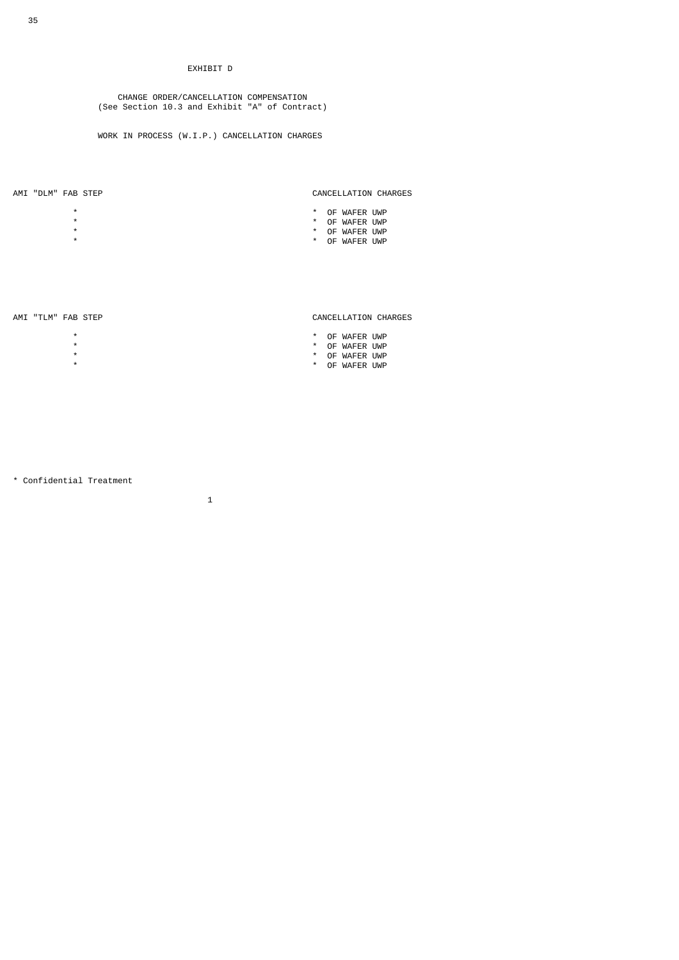# EXHIBIT D

 CHANGE ORDER/CANCELLATION COMPENSATION (See Section 10.3 and Exhibit "A" of Contract)

WORK IN PROCESS (W.I.P.) CANCELLATION CHARGES

- 
- 

# AMI "DLM" FAB STEP CANCELLATION CHARGES

- \* \* OF WAFER UWP
- \* \* OF WAFER UWP
- \* \* OF WAFER UWP
- \* \* OF WAFER UWP

\* \* \* \* \* OF WAFER UWP<br>\* \* OF WAFER UWP<br>\* \* OF WAFER UWP<br>\* \* OF WAFER UWP \* \* OF WAFER UWP \* \* OF WAFER UWP

 $\sim$  1

# AMI "TLM" FAB STEP CANCELLATION CHARGES

- 
- 
- 
- \* \* OF WAFER UWP

\* Confidential Treatment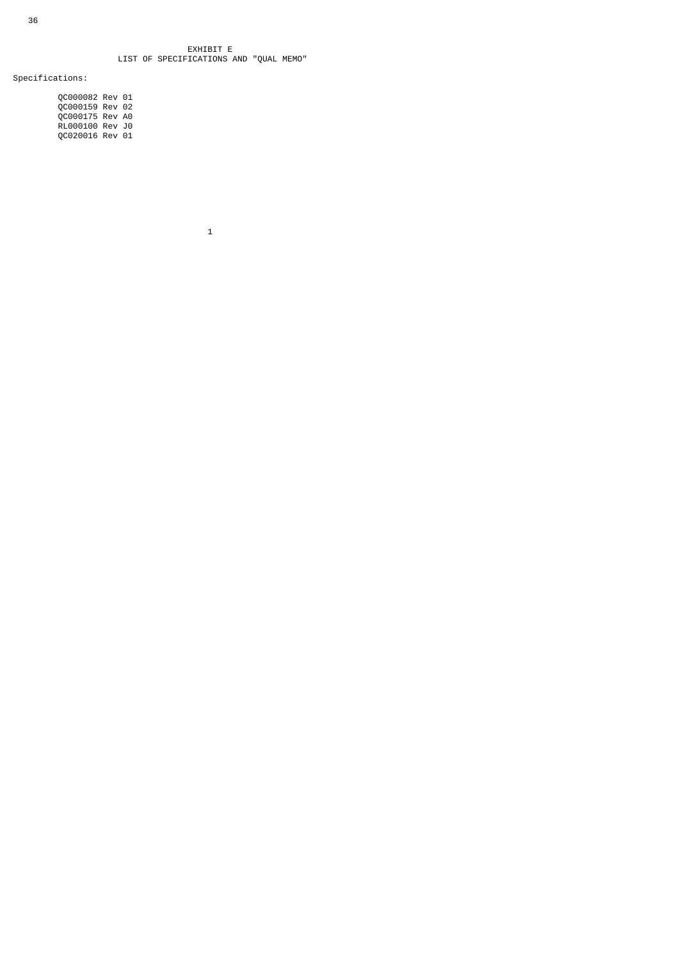## EXHIBIT E LIST OF SPECIFICATIONS AND "QUAL MEMO"

Specifications:

 QC000082 Rev 01 QC000159 Rev 02 QC000175 Rev A0 RL000100 Rev J0 QC020016 Rev 01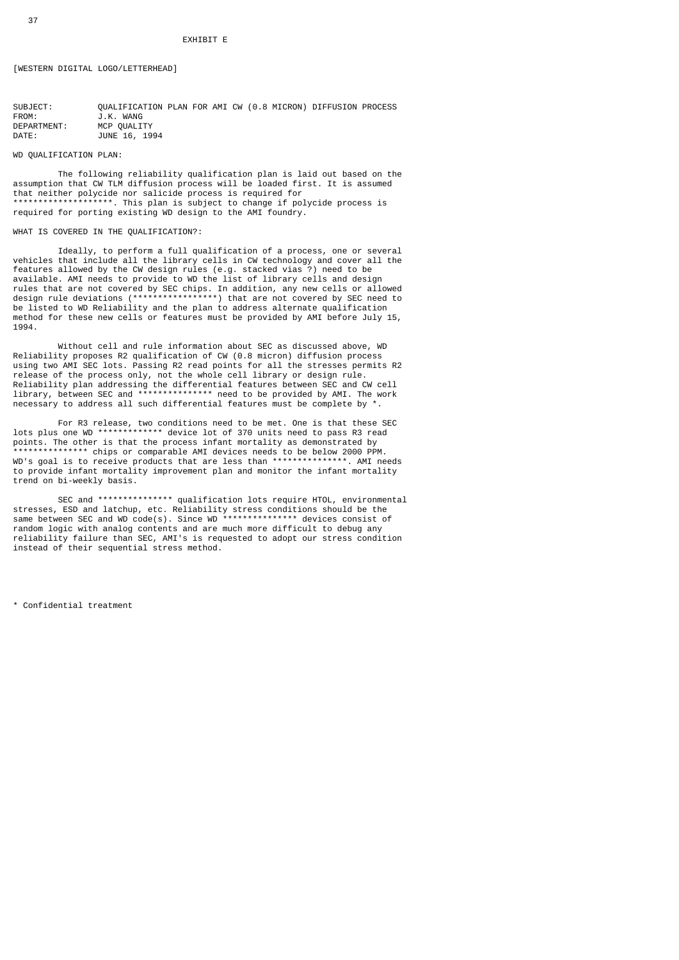# [WESTERN DIGITAL LOGO/LETTERHEAD]

| SUBJECT:    | OUALIFICATION PLAN FOR AMI CW (0.8 MICRON) DIFFUSION PROCESS |  |  |  |  |
|-------------|--------------------------------------------------------------|--|--|--|--|
| FROM:       | J.K. WANG                                                    |  |  |  |  |
| DEPARTMENT: | MCP OUALITY                                                  |  |  |  |  |
| DATE :      | JUNE 16, 1994                                                |  |  |  |  |

#### WD QUALIFICATION PLAN:

 The following reliability qualification plan is laid out based on the assumption that CW TLM diffusion process will be loaded first. It is assumed that neither polycide nor salicide process is required for \*\*\*\*\*\*\*\*\*\*\*\*\*\*\*\*\*\*\*\*. This plan is subject to change if polycide process is required for porting existing WD design to the AMI foundry.

#### WHAT IS COVERED IN THE QUALIFICATION?:

 Ideally, to perform a full qualification of a process, one or several vehicles that include all the library cells in CW technology and cover all the features allowed by the CW design rules (e.g. stacked vias ?) need to be available. AMI needs to provide to WD the list of library cells and design rules that are not covered by SEC chips. In addition, any new cells or allowed design rule deviations (\*\*\*\*\*\*\*\*\*\*\*\*\*\*\*\*\*) that are not covered by SEC need to be listed to WD Reliability and the plan to address alternate qualification method for these new cells or features must be provided by AMI before July 15, 1994.

 Without cell and rule information about SEC as discussed above, WD Reliability proposes R2 qualification of CW (0.8 micron) diffusion process using two AMI SEC lots. Passing R2 read points for all the stresses permits R2 release of the process only, not the whole cell library or design rule. Reliability plan addressing the differential features between SEC and CW cell library, between SEC and \*\*\*\*\*\*\*\*\*\*\*\*\*\*\* need to be provided by AMI. The work necessary to address all such differential features must be complete by

 For R3 release, two conditions need to be met. One is that these SEC lots plus one WD \*\*\*\*\*\*\*\*\*\*\*\*\* device lot of 370 units need to pass R3 read points. The other is that the process infant mortality as demonstrated by \*\*\*\*\*\*\*\*\*\*\*\*\*\*\* chips or comparable AMI devices needs to be below 2000 PPM. WD's goal is to receive products that are less than \*\*\*\*\*\*\*\*\*\*\*\*\*\*\*. AMI needs to provide infant mortality improvement plan and monitor the infant mortality trend on bi-weekly basis.

SEC and \*\*\*\*\*\*\*\*\*\*\*\*\*\*\*\* qualification lots require HTOL, environmental stresses, ESD and latchup, etc. Reliability stress conditions should be the same between SEC and WD code(s). Since WD \*\*\*\*\*\*\*\*\*\*\*\*\*\*\* devices consist of random logic with analog contents and are much more difficult to debug any reliability failure than SEC, AMI's is requested to adopt our stress condition instead of their sequential stress method.

\* Confidential treatment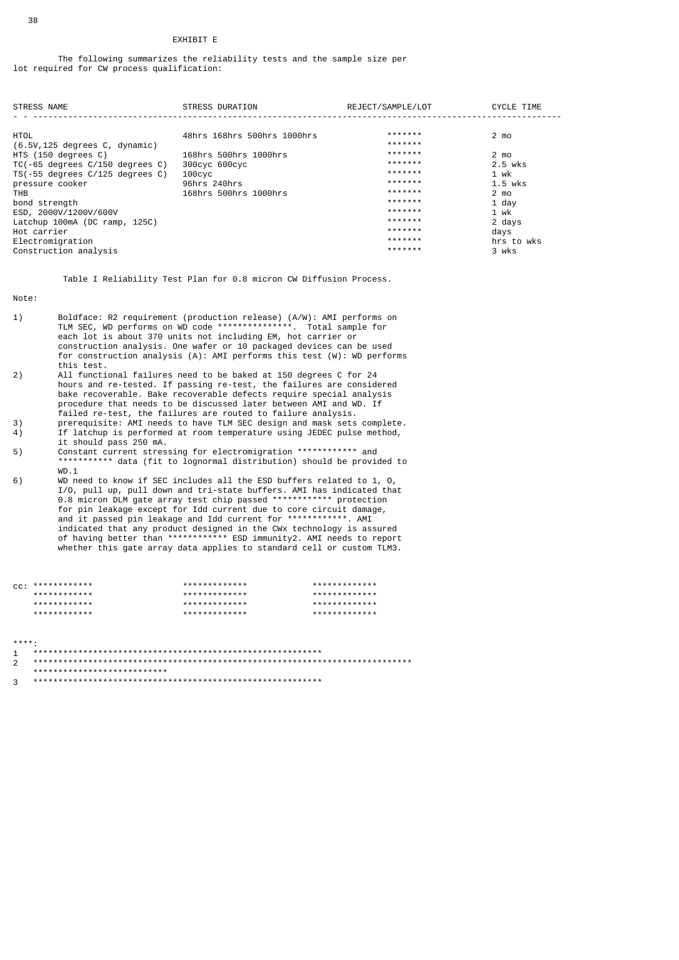#### EXHIBIT E

 The following summarizes the reliability tests and the sample size per lot required for CW process qualification:

| <b>STRESS NAME</b>                     | <b>STRESS DURATION</b>      | REJECT/SAMPLE/LOT | <b>CYCLE TIME</b> |
|----------------------------------------|-----------------------------|-------------------|-------------------|
|                                        |                             |                   |                   |
| <b>HTOL</b>                            | 48hrs 168hrs 500hrs 1000hrs | *******           | $2 \text{ mo}$    |
| $(6.5V, 125$ degrees $C$ , dynamic)    |                             | *******           |                   |
| HTS (150 degrees C)                    | 168hrs 500hrs 1000hrs       | *******           | $2 \text{ mo}$    |
| $TC(-65$ degrees $C/150$ degrees $C$ ) | 300cyc 600cyc               | *******           | 2.5 wks           |
| $TS(-55$ degrees $C/125$ degrees $C$ ) | $100$ CVC                   | *******           | 1 wk              |
| pressure cooker                        | 96hrs 240hrs                | *******           | $1.5$ wks         |
| THB                                    | 168hrs 500hrs 1000hrs       | *******           | $2 \text{ mo}$    |
| bond strength                          |                             | *******           | $1$ day           |
| ESD, 2000V/1200V/600V                  |                             | *******           | 1 wk              |
| Latchup 100mA (DC ramp, 125C)          |                             | *******           | 2 days            |
| Hot carrier                            |                             | *******           | days              |
| Electromigration                       |                             | *******           | hrs to wks        |
| Construction analysis                  |                             | *******           | 3 wks             |

Table I Reliability Test Plan for 0.8 micron CW Diffusion Process.

Note:

- 1) Boldface: R2 requirement (production release) (A/W): AMI performs on TLM SEC, WD performs on WD code \*\*\*\*\*\*\*\*\*\*\*\*\*\*\*. Total sample for each lot is about 370 units not including EM, hot carrier or construction analysis. One wafer or 10 packaged devices can be used for construction analysis (A): AMI performs this test (W): WD performs this test.<br>2) All functi
- All functional failures need to be baked at 150 degrees C for 24 hours and re-tested. If passing re-test, the failures are considered bake recoverable. Bake recoverable defects require special analysis procedure that needs to be discussed later between AMI and WD. If failed re-test, the failures are routed to failure analysis.<br>3) prerequisite: AMT needs to have TIM SEC design and mask sets
- 3) prerequisite: AMI needs to have TLM SEC design and mask sets complete.<br>4) If latchup is performed at room temperature using JEDEC pulse method, If latchup is performed at room temperature using JEDEC pulse method,
- it should pass 250 mA.<br>5) Constant current stres 5) Constant current stressing for electromigration \*\*\*\*\*\*\*\*\*\*\*\* and \*\*\*\*\*\*\*\*\*\*\* data (fit to lognormal distribution) should be provided to WD.1<br>6) WD.ne
- WD need to know if SEC includes all the ESD buffers related to 1, 0, I/O, pull up, pull down and tri-state buffers. AMI has indicated that 0.8 micron DLM gate array test chip passed \*\*\*\*\*\*\*\*\*\*\*\* protection for pin leakage except for Idd current due to core circuit damage, and it passed pin leakage and Idd current for \*\*\*\*\*\*\*\*\*\*\*\*. AMI indicated that any product designed in the CWx technology is assured of having better than \*\*\*\*\*\*\*\*\*\*\*\* ESD immunity2. AMI needs to report whether this gate array data applies to standard cell or custom TLM3.

| $CC:$ ************* | ************* | ************* |
|---------------------|---------------|---------------|
| ************        | ************* | ************* |
| ************        | ************* | ************* |
| ************        | ************* | ************* |

| ***** |  |  |  |  |  |  |  |  |  |                             |  |  |  |  |  |  |  |  |  |  |  |  |  |  |  |  |  |  |  |  |  |  |
|-------|--|--|--|--|--|--|--|--|--|-----------------------------|--|--|--|--|--|--|--|--|--|--|--|--|--|--|--|--|--|--|--|--|--|--|
|       |  |  |  |  |  |  |  |  |  |                             |  |  |  |  |  |  |  |  |  |  |  |  |  |  |  |  |  |  |  |  |  |  |
|       |  |  |  |  |  |  |  |  |  |                             |  |  |  |  |  |  |  |  |  |  |  |  |  |  |  |  |  |  |  |  |  |  |
|       |  |  |  |  |  |  |  |  |  | *************************** |  |  |  |  |  |  |  |  |  |  |  |  |  |  |  |  |  |  |  |  |  |  |
|       |  |  |  |  |  |  |  |  |  |                             |  |  |  |  |  |  |  |  |  |  |  |  |  |  |  |  |  |  |  |  |  |  |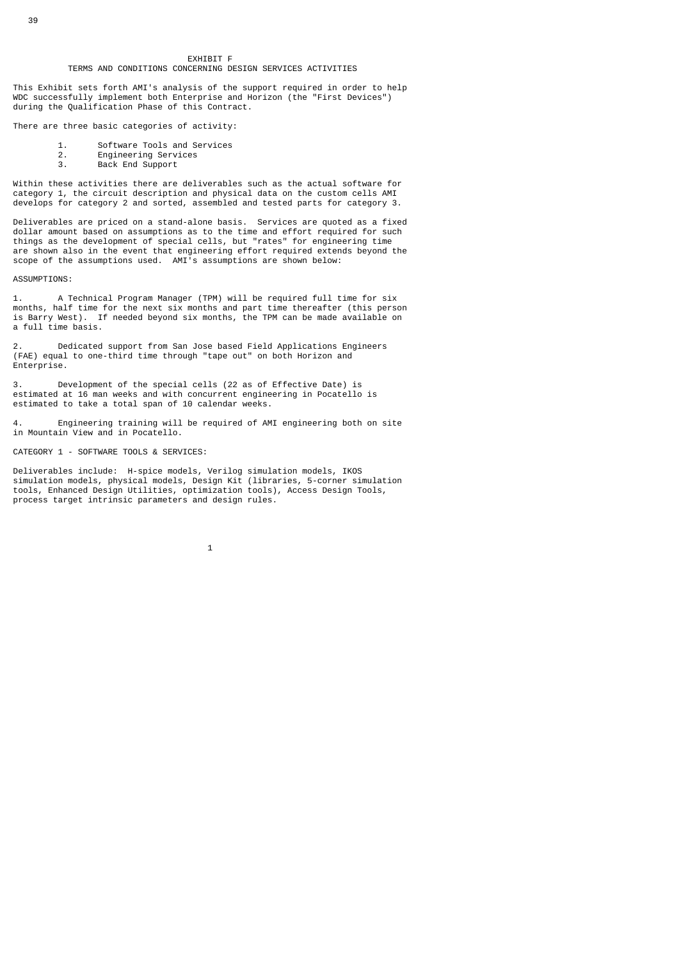#### EXHIBIT F TERMS AND CONDITIONS CONCERNING DESIGN SERVICES ACTIVITIES

This Exhibit sets forth AMI's analysis of the support required in order to help WDC successfully implement both Enterprise and Horizon (the "First Devices") during the Qualification Phase of this Contract.

There are three basic categories of activity:

- 1. Software Tools and Services<br>2. Engineering Services
- 2. Engineering Services
- 3. Back End Support

Within these activities there are deliverables such as the actual software for category 1, the circuit description and physical data on the custom cells AMI develops for category 2 and sorted, assembled and tested parts for category 3.

Deliverables are priced on a stand-alone basis. Services are quoted as a fixed dollar amount based on assumptions as to the time and effort required for such things as the development of special cells, but "rates" for engineering time are shown also in the event that engineering effort required extends beyond the scope of the assumptions used. AMI's assumptions are shown below:

#### ASSUMPTIONS:

1. A Technical Program Manager (TPM) will be required full time for six months, half time for the next six months and part time thereafter (this person is Barry West). If needed beyond six months, the TPM can be made available on a full time basis.

2. Dedicated support from San Jose based Field Applications Engineers (FAE) equal to one-third time through "tape out" on both Horizon and Enterprise.

3. Development of the special cells (22 as of Effective Date) is estimated at 16 man weeks and with concurrent engineering in Pocatello is estimated to take a total span of 10 calendar weeks.

4. Engineering training will be required of AMI engineering both on site in Mountain View and in Pocatello.

#### CATEGORY 1 - SOFTWARE TOOLS & SERVICES:

Deliverables include: H-spice models, Verilog simulation models, IKOS simulation models, physical models, Design Kit (libraries, 5-corner simulation tools, Enhanced Design Utilities, optimization tools), Access Design Tools, process target intrinsic parameters and design rules.

 $\sim$  1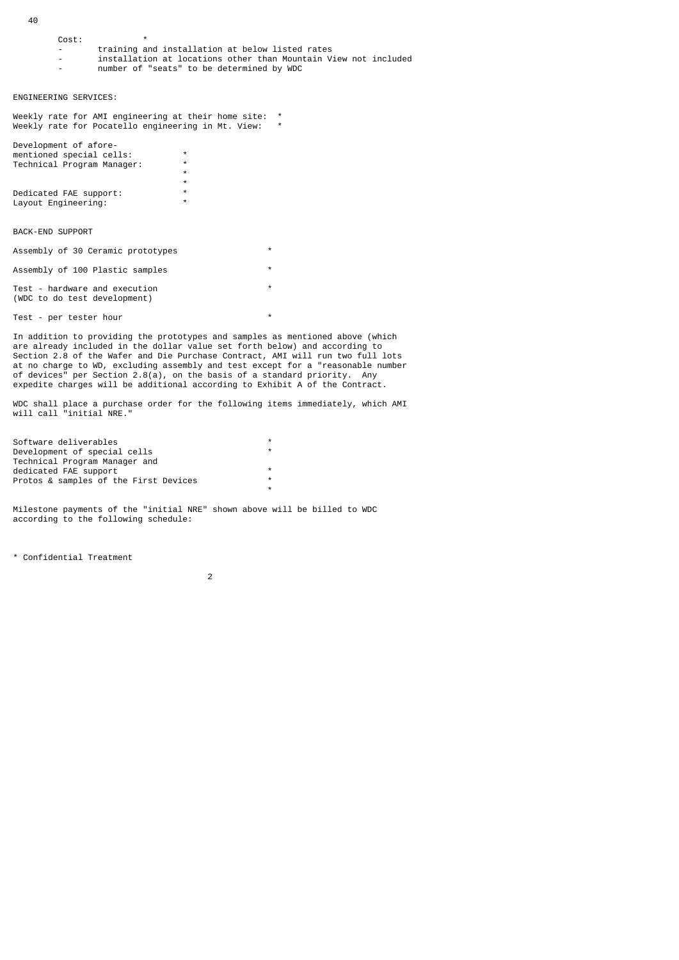40

| Cost:                                                                         | $\star$                                                                                                            |                    |          |  |
|-------------------------------------------------------------------------------|--------------------------------------------------------------------------------------------------------------------|--------------------|----------|--|
|                                                                               | training and installation at below listed rates<br>installation at locations other than Mountain View not included |                    |          |  |
|                                                                               | number of "seats" to be determined by WDC                                                                          |                    |          |  |
|                                                                               |                                                                                                                    |                    |          |  |
| ENGINEERING SERVICES:                                                         |                                                                                                                    |                    |          |  |
| Weekly rate for AMI engineering at their home site:                           |                                                                                                                    |                    | $^\star$ |  |
| Weekly rate for Pocatello engineering in Mt. View:                            |                                                                                                                    |                    | *        |  |
| Development of afore-                                                         |                                                                                                                    |                    |          |  |
| mentioned special cells:<br>Technical Program Manager:                        |                                                                                                                    | $\star$<br>$\star$ |          |  |
|                                                                               |                                                                                                                    | $\star$            |          |  |
| Dedicated FAE support:                                                        |                                                                                                                    | $\star$<br>$\star$ |          |  |
| Layout Engineering:                                                           |                                                                                                                    | $\star$            |          |  |
|                                                                               |                                                                                                                    |                    |          |  |
| <b>BACK-END SUPPORT</b>                                                       |                                                                                                                    |                    |          |  |
| Assembly of 30 Ceramic prototypes                                             |                                                                                                                    |                    | $\star$  |  |
| Assembly of 100 Plastic samples                                               |                                                                                                                    |                    | $\star$  |  |
| Test - hardware and execution<br>(WDC to do test development)                 |                                                                                                                    |                    | $\star$  |  |
| Test - per tester hour                                                        |                                                                                                                    |                    | $\star$  |  |
| In addition to providing the prototypes and samples as mentioned above (which |                                                                                                                    |                    |          |  |

are already included in the dollar value set forth below) and according to Section 2.8 of the Wafer and Die Purchase Contract, AMI will run two full lots at no charge to WD, excluding assembly and test except for a "reasonable number of devices" per Section 2.8(a), on the basis of a standard priority. Any expedite charges will be additional according to Exhibit A of the Contract.

WDC shall place a purchase order for the following items immediately, which AMI will call "initial NRE."

| Software deliverables                 | *       |
|---------------------------------------|---------|
| Development of special cells          | $\star$ |
| Technical Program Manager and         |         |
| dedicated FAE support                 | $\star$ |
| Protos & samples of the First Devices | $\ast$  |
|                                       | $\star$ |
|                                       |         |

Milestone payments of the "initial NRE" shown above will be billed to WDC according to the following schedule:

\* Confidential Treatment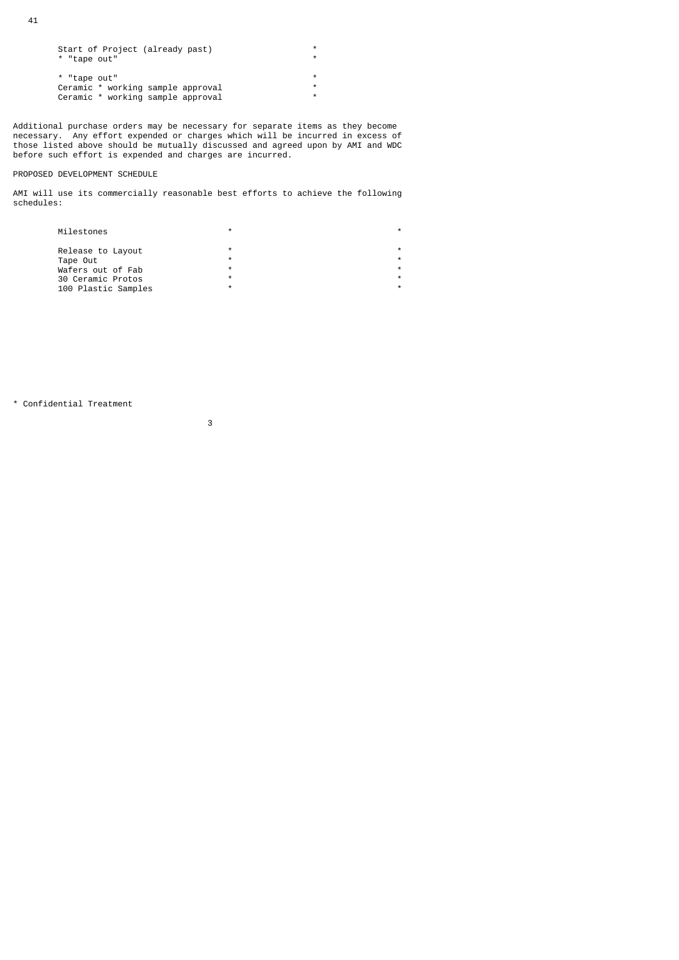| Start of Project (already past)   | *       |
|-----------------------------------|---------|
| * "tape out"                      | $\star$ |
|                                   |         |
| * "tape out"                      | *       |
| Ceramic * working sample approval | *       |
| Ceramic * working sample approval | $\star$ |
|                                   |         |

Additional purchase orders may be necessary for separate items as they become necessary. Any effort expended or charges which will be incurred in excess of those listed above should be mutually discussed and agreed upon by AMI and WDC before such effort is expended and charges are incurred.

## PROPOSED DEVELOPMENT SCHEDULE

AMI will use its commercially reasonable best efforts to achieve the following schedules:

| Milestones          |   |  |
|---------------------|---|--|
| Release to Layout   | ÷ |  |
| Tape Out            | ÷ |  |
| Wafers out of Fab   | ÷ |  |
| 30 Ceramic Protos   | ÷ |  |
| 100 Plastic Samples | ÷ |  |
|                     |   |  |

\* Confidential Treatment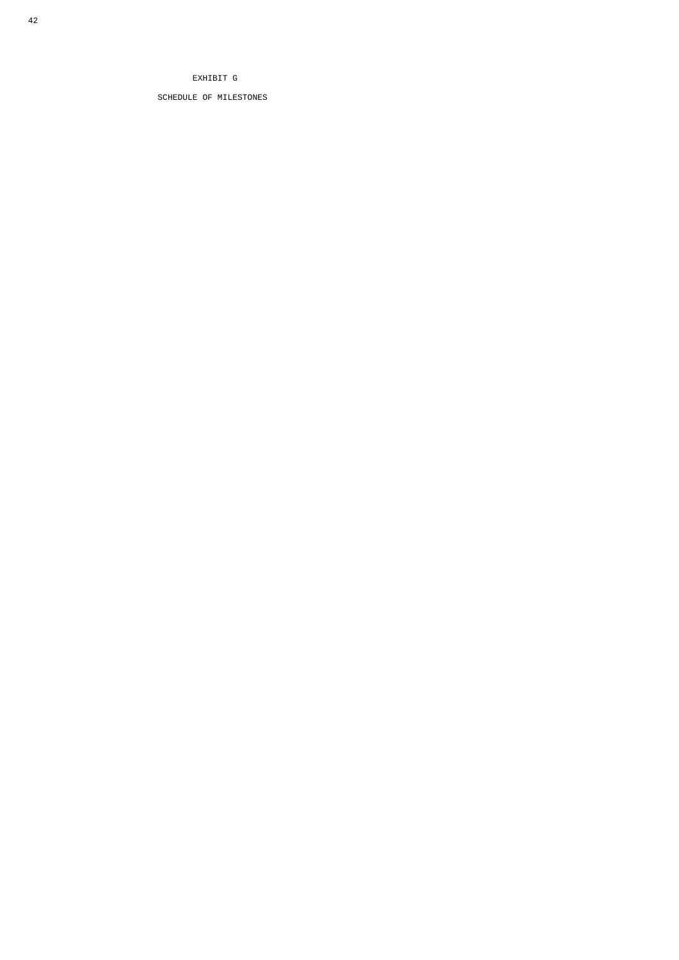# EXHIBIT G

SCHEDULE OF MILESTONES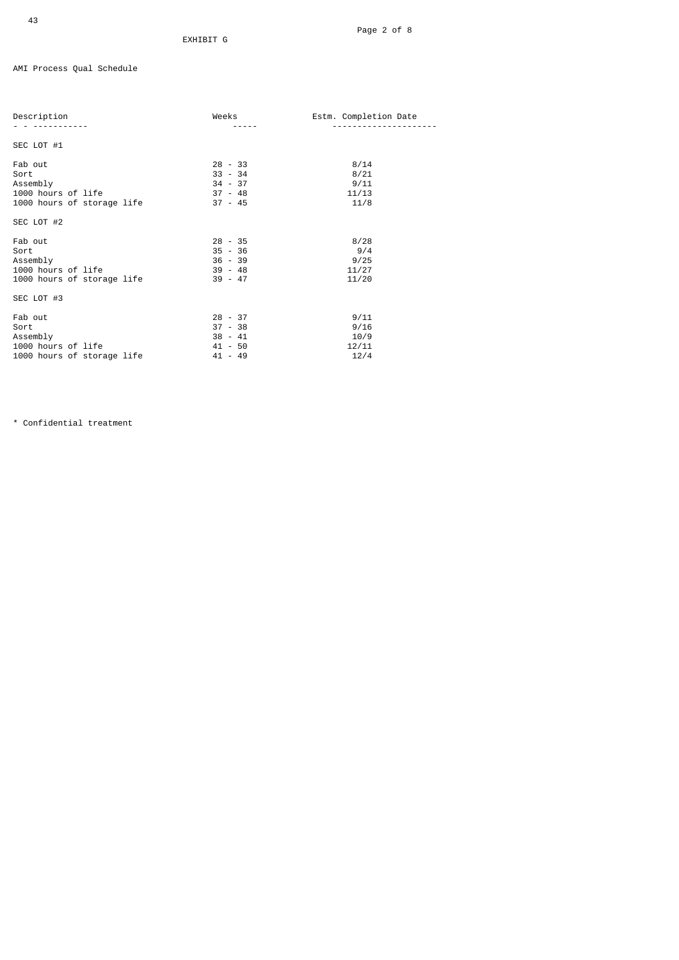AMI Process Qual Schedule

| Description                                                                     | Weeks                                                       | Estm. Completion Date                 |
|---------------------------------------------------------------------------------|-------------------------------------------------------------|---------------------------------------|
| SEC LOT #1                                                                      |                                                             |                                       |
| Fab out<br>Sort<br>Assembly<br>1000 hours of life<br>1000 hours of storage life | $28 - 33$<br>$33 - 34$<br>$34 - 37$<br>37 - 48<br>$37 - 45$ | 8/14<br>8/21<br>9/11<br>11/13<br>11/8 |
| SEC LOT #2                                                                      |                                                             |                                       |
| Fab out<br>Sort<br>Assembly<br>1000 hours of life<br>1000 hours of storage life | $28 - 35$<br>$35 - 36$<br>$36 - 39$<br>39 - 48<br>$39 - 47$ | 8/28<br>9/4<br>9/25<br>11/27<br>11/20 |
| SEC LOT #3                                                                      |                                                             |                                       |
| Fab out<br>Sort<br>Assembly<br>1000 hours of life<br>1000 hours of storage life | $28 - 37$<br>$37 - 38$<br>$38 - 41$<br>41 - 50<br>$41 - 49$ | 9/11<br>9/16<br>10/9<br>12/11<br>12/4 |

\* Confidential treatment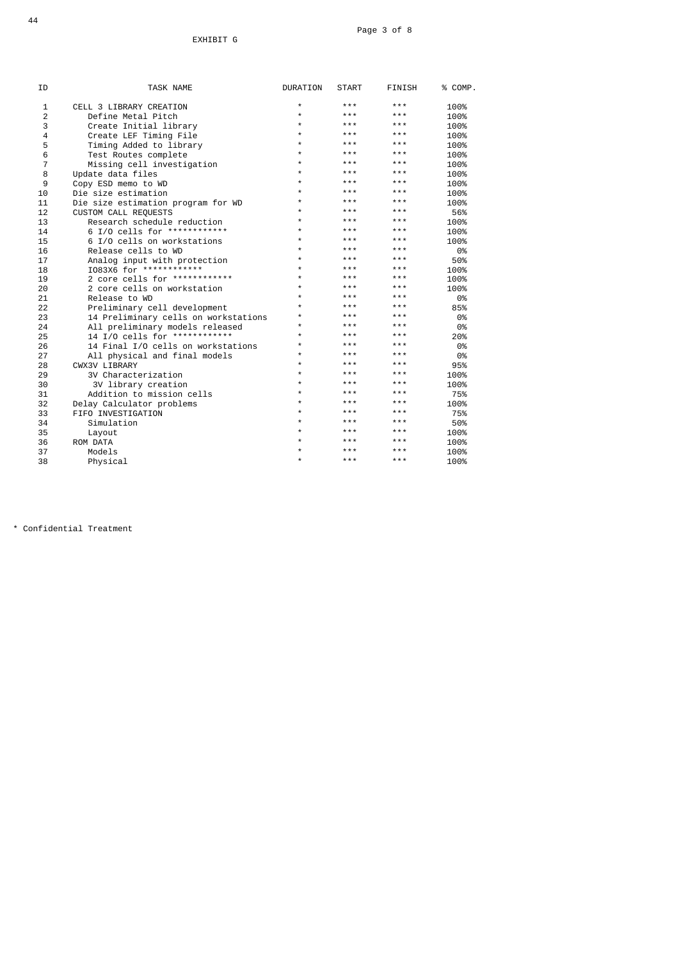| ΙD | TASK NAME                            | <b>DURATION</b> | <b>START</b> | FINISH | % COMP. |
|----|--------------------------------------|-----------------|--------------|--------|---------|
| 1  | CELL 3 LIBRARY CREATION              | $\star$         | ***          | ***    | 100%    |
| 2  | Define Metal Pitch                   | $\star$         | ***          | ***    | 100%    |
| 3  | Create Initial library               | $\star$         | ***          | ***    | 100%    |
| 4  | Create LEF Timing File               | $\star$         | ***          | ***    | 100%    |
| 5  | Timing Added to library              | $\star$         | ***          | ***    | 100%    |
| 6  | Test Routes complete                 | $\star$         | ***          | ***    | 100%    |
| 7  | Missing cell investigation           | $\star$         | ***          | ***    | 100%    |
| 8  | Update data files                    | $\star$         | ***          | ***    | 100%    |
| 9  | Copy ESD memo to WD                  | $\star$         | ***          | ***    | 100%    |
| 10 | Die size estimation                  | $\star$         | ***          | ***    | 100%    |
| 11 | Die size estimation program for WD   | $\star$         | ***          | ***    | 100%    |
| 12 | CUSTOM CALL REQUESTS                 | $\star$         | ***          | ***    | 56%     |
| 13 | Research schedule reduction          | $\star$         | ***          | ***    | 100%    |
| 14 | 6 I/O cells for *************        | $\star$         | ***          | ***    | 100%    |
| 15 | 6 I/O cells on workstations          | $\star$         | ***          | ***    | 100%    |
| 16 | Release cells to WD                  | $\star$         | ***          | ***    | 0%      |
| 17 | Analog input with protection         | $\star$         | ***          | ***    | 50%     |
| 18 | I083X6 for *************             | $\star$         | ***          | ***    | 100%    |
| 19 | 2 core cells for ************        | $\star$         | ***          | ***    | 100%    |
| 20 | 2 core cells on workstation          | $\star$         | ***          | ***    | 100%    |
| 21 | Release to WD                        | $\star$         | ***          | ***    | 0%      |
| 22 | Preliminary cell development         | $\star$         | ***          | ***    | 85%     |
| 23 | 14 Preliminary cells on workstations | $^{\star}$      | ***          | ***    | 0%      |
| 24 | All preliminary models released      | $\star$         | ***          | ***    | 0%      |
| 25 | 14 I/O cells for ************        | $\star$         | ***          | ***    | 20%     |
| 26 | 14 Final I/O cells on workstations   | $\star$         | ***          | ***    | 0%      |
| 27 | All physical and final models        | $\star$         | ***          | ***    | 0%      |
| 28 | CWX3V LIBRARY                        | $\star$         | ***          | ***    | 95%     |
| 29 | 3V Characterization                  | $\star$         | $***$        | ***    | 100%    |
| 30 | 3V library creation                  | $\star$         | ***          | ***    | 100%    |
| 31 | Addition to mission cells            | $\star$         | ***          | ***    | 75%     |
| 32 | Delay Calculator problems            | $\star$         | ***          | ***    | 100%    |
| 33 | FIFO INVESTIGATION                   | $\star$         | ***          | ***    | 75%     |
| 34 | Simulation                           | $\star$         | ***          | ***    | 50%     |
| 35 | Layout                               | $^{\star}$      | ***          | ***    | 100%    |
| 36 | ROM DATA                             | $\star$         | ***          | ***    | 100%    |
| 37 | Models                               | $\star$         | ***          | ***    | 100%    |
| 38 | Physical                             | $\star$         | ***          | ***    | 100%    |
|    |                                      |                 |              |        |         |

\* Confidential Treatment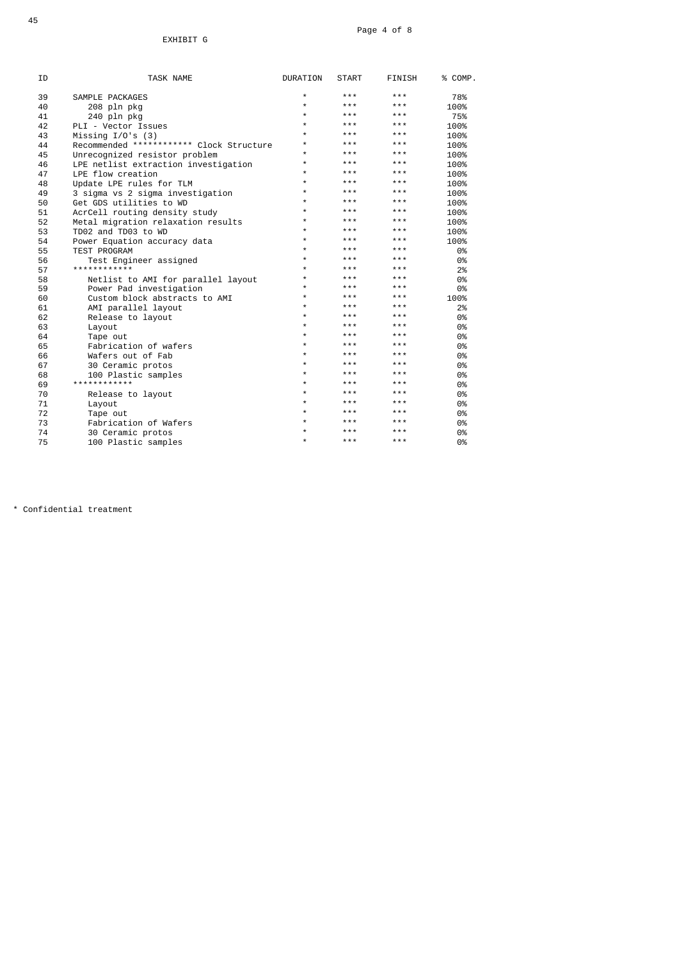| ΙD | TASK NAME                                | <b>DURATION</b> | <b>START</b> | <b>FINISH</b> | % COMP. |
|----|------------------------------------------|-----------------|--------------|---------------|---------|
| 39 | SAMPLE PACKAGES                          | *               | * * *        | ***           | 78%     |
| 40 | 208 pln pkg                              | $\star$         | ***          | ***           | 100%    |
| 41 | 240 pln pkq                              | *               | ***          | ***           | 75%     |
| 42 | PLI - Vector Issues                      | *               | ***          | ***           | 100%    |
| 43 | Missing $I/O's$ (3)                      | $\star$         | ***          | ***           | 100%    |
| 44 | Recommended ************ Clock Structure | *               | ***          | ***           | 100%    |
| 45 | Unrecognized resistor problem            | *               | * * *        | ***           | 100%    |
| 46 | LPE netlist extraction investigation     | $\star$         | ***          | ***           | 100%    |
| 47 | LPE flow creation                        | $\star$         | ***          | $* * *$       | 100%    |
| 48 | Update LPE rules for TLM                 | $\star$         | ***          | ***           | 100%    |
| 49 | 3 sigma vs 2 sigma investigation         | *               | ***          | ***           | 100%    |
| 50 | Get GDS utilities to WD                  | *               | ***          | ***           | 100%    |
| 51 | AcrCell routing density study            | $\star$         | * * *        | ***           | 100%    |
| 52 | Metal migration relaxation results       | *               | * * *        | ***           | 100%    |
| 53 | TD02 and TD03 to WD                      | *               | * * *        | ***           | 100%    |
| 54 | Power Equation accuracy data             | *               | ***          | ***           | 100%    |
| 55 | <b>TEST PROGRAM</b>                      | $\star$         | ***          | $* * *$       | 0%      |
| 56 | Test Engineer assigned                   | *               | ***          | ***           | 0%      |
| 57 | ************                             | $\star$         | ***          | ***           | 2%      |
| 58 | Netlist to AMI for parallel layout       | *               | ***          | ***           | 0%      |
| 59 | Power Pad investigation                  | $\star$         | ***          | ***           | 0%      |
| 60 | Custom block abstracts to AMI            | $\star$         | ***          | ***           | 100%    |
| 61 | AMI parallel layout                      | $\star$         | ***          | $* * *$       | 2%      |
| 62 | Release to layout                        | $\star$         | ***          | ***           | 0%      |
| 63 | Layout                                   | $\star$         | ***          | ***           | 0%      |
| 64 | Tape out                                 | *               | ***          | ***           | 0%      |
| 65 | Fabrication of wafers                    | *               | * * *        | ***           | 0%      |
| 66 | Wafers out of Fab                        | *               | ***          | ***           | 0%      |
| 67 | 30 Ceramic protos                        | *               | ***          | ***           | 0%      |
| 68 | 100 Plastic samples                      | *               | ***          | ***           | 0%      |
| 69 | ************                             | $\star$         | ***          | ***           | 0%      |
| 70 | Release to layout                        | *               | ***          | ***           | 0%      |
| 71 | Layout                                   | *               | * * *        | ***           | 0%      |
| 72 | Tape out                                 | *               | ***          | ***           | 0%      |
| 73 | Fabrication of Wafers                    | *               | ***          | ***           | 0%      |
| 74 | 30 Ceramic protos                        | $\star$         | ***          | ***           | 0%      |
| 75 | 100 Plastic samples                      | $\star$         | ***          | ***           | 0%      |

\* Confidential treatment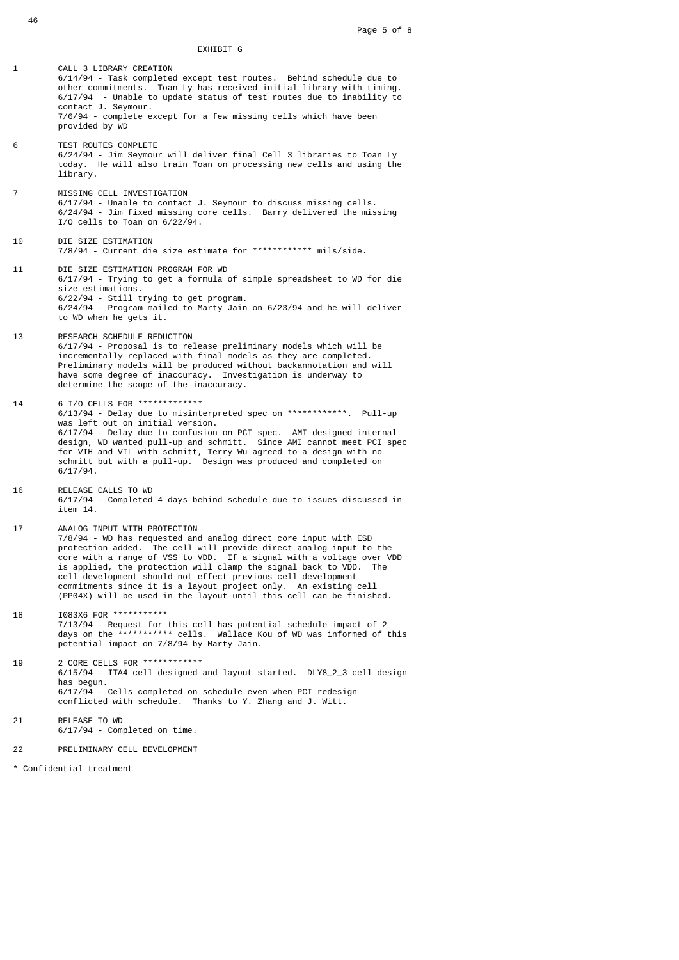1 CALL 3 LIBRARY CREATION 6/14/94 - Task completed except test routes. Behind schedule due to other commitments. Toan Ly has received initial library with timing. 6/17/94 - Unable to update status of test routes due to inability to contact J. Seymour. 7/6/94 - complete except for a few missing cells which have been provided by WD 6 TEST ROUTES COMPLETE 6/24/94 - Jim Seymour will deliver final Cell 3 libraries to Toan Ly today. He will also train Toan on processing new cells and using the library. 7 MISSING CELL INVESTIGATION 6/17/94 - Unable to contact J. Seymour to discuss missing cells. 6/24/94 - Jim fixed missing core cells. Barry delivered the missing I/O cells to Toan on 6/22/94. 10 DIE SIZE ESTIMATION 7/8/94 - Current die size estimate for \*\*\*\*\*\*\*\*\*\*\*\* mils/side. 11 DIE SIZE ESTIMATION PROGRAM FOR WD 6/17/94 - Trying to get a formula of simple spreadsheet to WD for die size estimations. 6/22/94 - Still trying to get program. 6/24/94 - Program mailed to Marty Jain on 6/23/94 and he will deliver to WD when he gets it. 13 RESEARCH SCHEDULE REDUCTION 6/17/94 - Proposal is to release preliminary models which will be incrementally replaced with final models as they are completed. Preliminary models will be produced without backannotation and will have some degree of inaccuracy. Investigation is underway to determine the scope of the inaccuracy. 14 6 I/O CELLS FOR \*\*\*\*\*\*\*\*\*\*\*\*\* 6/13/94 - Delay due to misinterpreted spec on \*\*\*\*\*\*\*\*\*\*\*\*. Pull-up was left out on initial version. 6/17/94 - Delay due to confusion on PCI spec. AMI designed internal design, WD wanted pull-up and schmitt. Since AMI cannot meet PCI spec for VIH and VIL with schmitt, Terry Wu agreed to a design with no schmitt but with a pull-up. Design was produced and completed on 6/17/94. 16 RELEASE CALLS TO WD 6/17/94 - Completed 4 days behind schedule due to issues discussed in item 14. 17 ANALOG INPUT WITH PROTECTION 7/8/94 - WD has requested and analog direct core input with ESD protection added. The cell will provide direct analog input to the core with a range of VSS to VDD. If a signal with a voltage over VDD is applied, the protection will clamp the signal back to VDD. The cell development should not effect previous cell development commitments since it is a layout project only. An existing cell (PP04X) will be used in the layout until this cell can be finished. 18 I083X6 FOR \*\*\*\*\*\*\*\*\*\*\* 7/13/94 - Request for this cell has potential schedule impact of 2 days on the \*\*\*\*\*\*\*\*\*\*\* cells. Wallace Kou of WD was informed of this potential impact on 7/8/94 by Marty Jain. 19 2 CORE CELLS FOR \*\*\*\*\*\*\*\*\*\*\*\* 6/15/94 - ITA4 cell designed and layout started. DLY8\_2\_3 cell design has begun. 6/17/94 - Cells completed on schedule even when PCI redesign conflicted with schedule. Thanks to Y. Zhang and J. Witt.

- 21 RELEASE TO WD 6/17/94 - Completed on time.
- 22 PRELIMINARY CELL DEVELOPMENT

\* Confidential treatment

46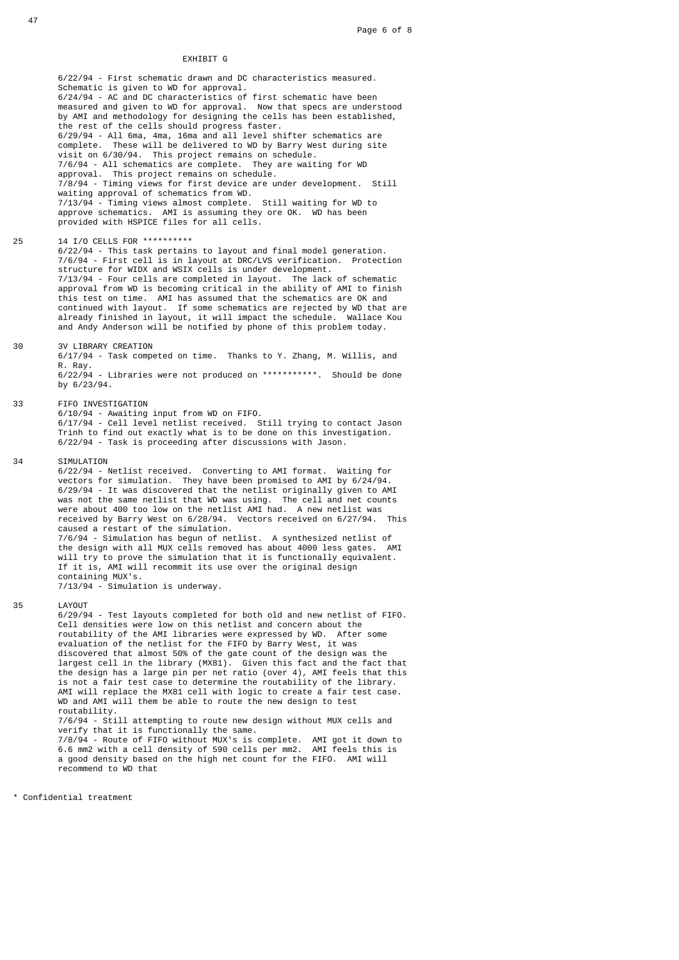## EXHIBIT G

 6/22/94 - First schematic drawn and DC characteristics measured. Schematic is given to WD for approval. 6/24/94 - AC and DC characteristics of first schematic have been measured and given to WD for approval. Now that specs are understood by AMI and methodology for designing the cells has been established, the rest of the cells should progress faster. 6/29/94 - All 6ma, 4ma, 16ma and all level shifter schematics are complete. These will be delivered to WD by Barry West during site visit on 6/30/94. This project remains on schedule. 7/6/94 - All schematics are complete. They are waiting for WD approval. This project remains on schedule. 7/8/94 - Timing views for first device are under development. Still waiting approval of schematics from WD. 7/13/94 - Timing views almost complete. Still waiting for WD to approve schematics. AMI is assuming they ore OK. WD has been provided with HSPICE files for all cells.

25 14 I/O CELLS FOR \*\*\*\*\*\*\*\*\*\*

 6/22/94 - This task pertains to layout and final model generation. 7/6/94 - First cell is in layout at DRC/LVS verification. Protection structure for WIDX and WSIX cells is under development. 7/13/94 - Four cells are completed in layout. The lack of schematic approval from WD is becoming critical in the ability of AMI to finish this test on time. AMI has assumed that the schematics are OK and continued with layout. If some schematics are rejected by WD that are already finished in layout, it will impact the schedule. Wallace Kou and Andy Anderson will be notified by phone of this problem today.

## 30 3V LIBRARY CREATION

 6/17/94 - Task competed on time. Thanks to Y. Zhang, M. Willis, and R. Ray.

 6/22/94 - Libraries were not produced on \*\*\*\*\*\*\*\*\*\*\*. Should be done by 6/23/94.

- 33 FIFO INVESTIGATION 6/10/94 - Awaiting input from WD on FIFO. 6/17/94 - Cell level netlist received. Still trying to contact Jason Trinh to find out exactly what is to be done on this investigation. 6/22/94 - Task is proceeding after discussions with Jason.
- 34 SIMULATION

 6/22/94 - Netlist received. Converting to AMI format. Waiting for vectors for simulation. They have been promised to AMI by 6/24/94. 6/29/94 - It was discovered that the netlist originally given to AMI was not the same netlist that WD was using. The cell and net counts were about 400 too low on the netlist AMI had. A new netlist was received by Barry West on 6/28/94. Vectors received on 6/27/94. This caused a restart of the simulation. 7/6/94 - Simulation has begun of netlist. A synthesized netlist of the design with all MUX cells removed has about 4000 less gates. AMI will try to prove the simulation that it is functionally equivalent. If it is, AMI will recommit its use over the original design containing MUX's. 7/13/94 - Simulation is underway.

35 LAYOUT 6/29/94 - Test layouts completed for both old and new netlist of FIFO. Cell densities were low on this netlist and concern about the routability of the AMI libraries were expressed by WD. After some evaluation of the netlist for the FIFO by Barry West, it was discovered that almost 50% of the gate count of the design was the largest cell in the library (MX81). Given this fact and the fact that the design has a large pin per net ratio (over 4), AMI feels that this is not a fair test case to determine the routability of the library. AMI will replace the MX81 cell with logic to create a fair test case. WD and AMI will them be able to route the new design to test routability. 7/6/94 - Still attempting to route new design without MUX cells and verify that it is functionally the same. 7/8/94 - Route of FIFO without MUX's is complete. AMI got it down to 6.6 mm2 with a cell density of 590 cells per mm2. AMI feels this is a good density based on the high net count for the FIFO. AMI will recommend to WD that

\* Confidential treatment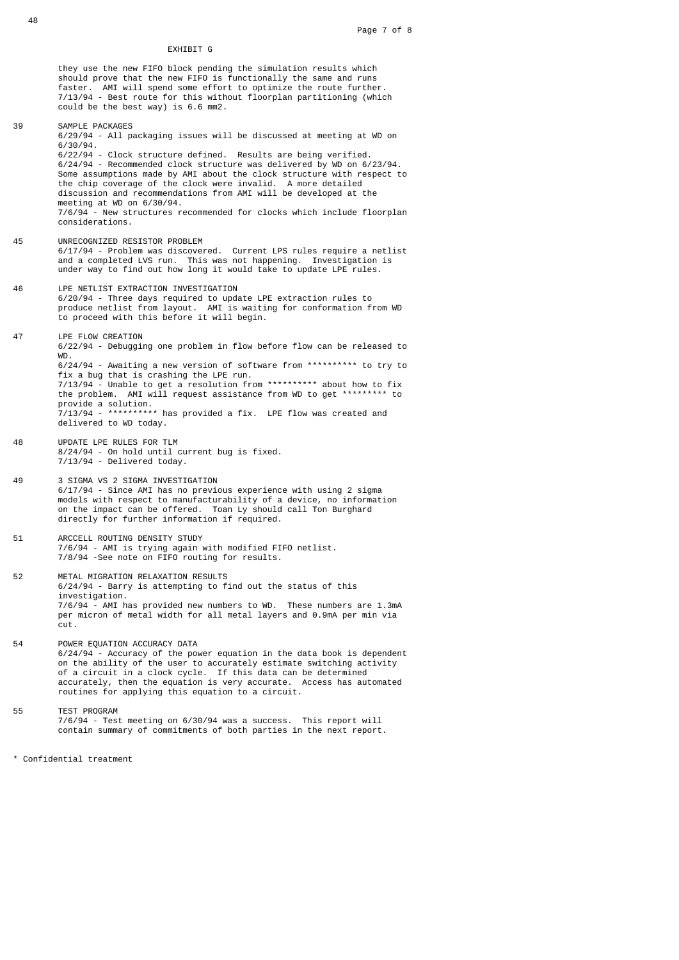## EXHIBIT G

 they use the new FIFO block pending the simulation results which should prove that the new FIFO is functionally the same and runs faster. AMI will spend some effort to optimize the route further. 7/13/94 - Best route for this without floorplan partitioning (which could be the best way) is 6.6 mm2.

 6/29/94 - All packaging issues will be discussed at meeting at WD on 6/30/94. 6/22/94 - Clock structure defined. Results are being verified. 6/24/94 - Recommended clock structure was delivered by WD on 6/23/94. Some assumptions made by AMI about the clock structure with respect to the chip coverage of the clock were invalid. A more detailed discussion and recommendations from AMI will be developed at the meeting at WD on 6/30/94. 7/6/94 - New structures recommended for clocks which include floorplan considerations. 45 UNRECOGNIZED RESISTOR PROBLEM 6/17/94 - Problem was discovered. Current LPS rules require a netlist and a completed LVS run. This was not happening. Investigation is under way to find out how long it would take to update LPE rules. 46 LPE NETLIST EXTRACTION INVESTIGATION 6/20/94 - Three days required to update LPE extraction rules to produce netlist from layout. AMI is waiting for conformation from WD to proceed with this before it will begin. 47 LPE FLOW CREATION 6/22/94 - Debugging one problem in flow before flow can be released to WD. 6/24/94 - Awaiting a new version of software from \*\*\*\*\*\*\*\*\*\* to try to fix a bug that is crashing the LPE run. 7/13/94 - Unable to get a resolution from \*\*\*\*\*\*\*\*\*\* about how to fix the problem. AMI will request assistance from WD to get \*\*\*\*\*\*\*\*\* to provide a solution. 7/13/94 - \*\*\*\*\*\*\*\*\*\* has provided a fix. LPE flow was created and delivered to WD today. 48 UPDATE LPE RULES FOR TLM 8/24/94 - On hold until current bug is fixed. 7/13/94 - Delivered today. 49 3 SIGMA VS 2 SIGMA INVESTIGATION 6/17/94 - Since AMI has no previous experience with using 2 sigma models with respect to manufacturability of a device, no information on the impact can be offered. Toan Ly should call Ton Burghard directly for further information if required. 51 ARCCELL ROUTING DENSITY STUDY 7/6/94 - AMI is trying again with modified FIFO netlist. 7/8/94 -See note on FIFO routing for results. 52 METAL MIGRATION RELAXATION RESULTS 6/24/94 - Barry is attempting to find out the status of this investigation. 7/6/94 - AMI has provided new numbers to WD. These numbers are 1.3mA per micron of metal width for all metal layers and 0.9mA per min via cut. 54 POWER EQUATION ACCURACY DATA 6/24/94 - Accuracy of the power equation in the data book is dependent on the ability of the user to accurately estimate switching activity of a circuit in a clock cycle. If this data can be determined accurately, then the equation is very accurate. Access has automated routines for applying this equation to a circuit. 55 TEST PROGRAM 7/6/94 - Test meeting on 6/30/94 was a success. This report will contain summary of commitments of both parties in the next report.

\* Confidential treatment

48

39 SAMPLE PACKAGES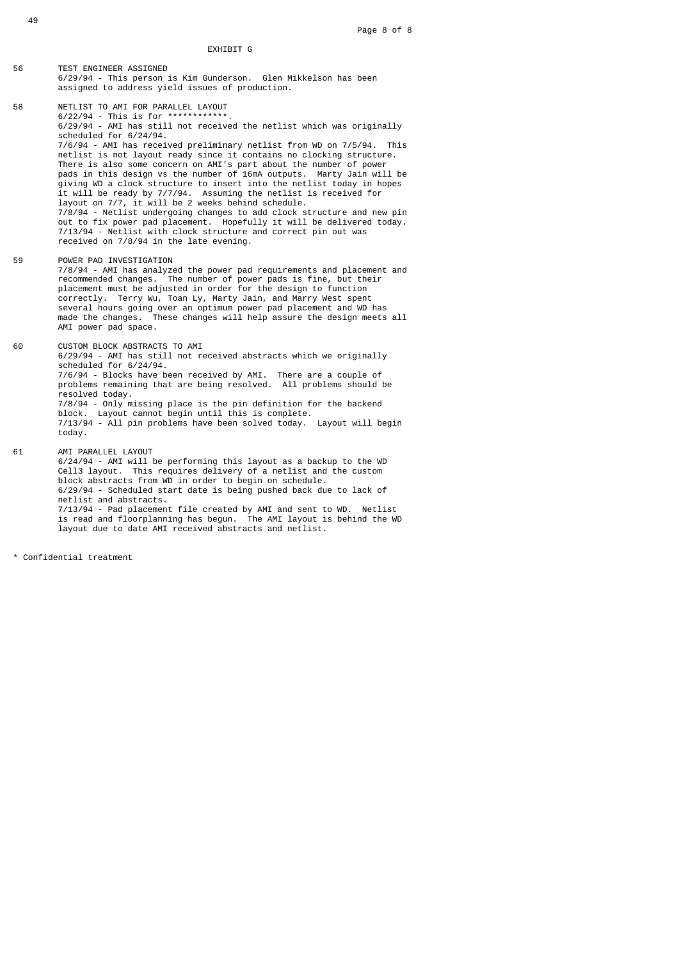EXHIBIT G

- 56 TEST ENGINEER ASSIGNED 6/29/94 - This person is Kim Gunderson. Glen Mikkelson has been assigned to address yield issues of production.
- 58 NETLIST TO AMI FOR PARALLEL LAYOUT 6/22/94 - This is for \*\*\*\*\*\*\*\*\*\*\*\*. 6/29/94 - AMI has still not received the netlist which was originally scheduled for 6/24/94. 7/6/94 - AMI has received preliminary netlist from WD on 7/5/94. This netlist is not layout ready since it contains no clocking structure. There is also some concern on AMI's part about the number of power pads in this design vs the number of 16mA outputs. Marty Jain will be giving WD a clock structure to insert into the netlist today in hopes it will be ready by 7/7/94. Assuming the netlist is received for layout on 7/7, it will be 2 weeks behind schedule. 7/8/94 - Netlist undergoing changes to add clock structure and new pin out to fix power pad placement. Hopefully it will be delivered today. 7/13/94 - Netlist with clock structure and correct pin out was received on 7/8/94 in the late evening.

## 59 POWER PAD INVESTIGATION

- 7/8/94 AMI has analyzed the power pad requirements and placement and recommended changes. The number of power pads is fine, but their placement must be adjusted in order for the design to function correctly. Terry Wu, Toan Ly, Marty Jain, and Marry West spent several hours going over an optimum power pad placement and WD has made the changes. These changes will help assure the design meets all AMI power pad space.
- 60 CUSTOM BLOCK ABSTRACTS TO AMI 6/29/94 - AMI has still not received abstracts which we originally scheduled for 6/24/94. 7/6/94 - Blocks have been received by AMI. There are a couple of problems remaining that are being resolved. All problems should be resolved today. 7/8/94 - Only missing place is the pin definition for the backend block. Layout cannot begin until this is complete. 7/13/94 - All pin problems have been solved today. Layout will begin today. 61 AMI PARALLEL LAYOUT 6/24/94 - AMI will be performing this layout as a backup to the WD
- Cell3 layout. This requires delivery of a netlist and the custom block abstracts from WD in order to begin on schedule. 6/29/94 - Scheduled start date is being pushed back due to lack of netlist and abstracts. 7/13/94 - Pad placement file created by AMI and sent to WD. Netlist is read and floorplanning has begun. The AMI layout is behind the WD layout due to date AMI received abstracts and netlist.
- \* Confidential treatment

49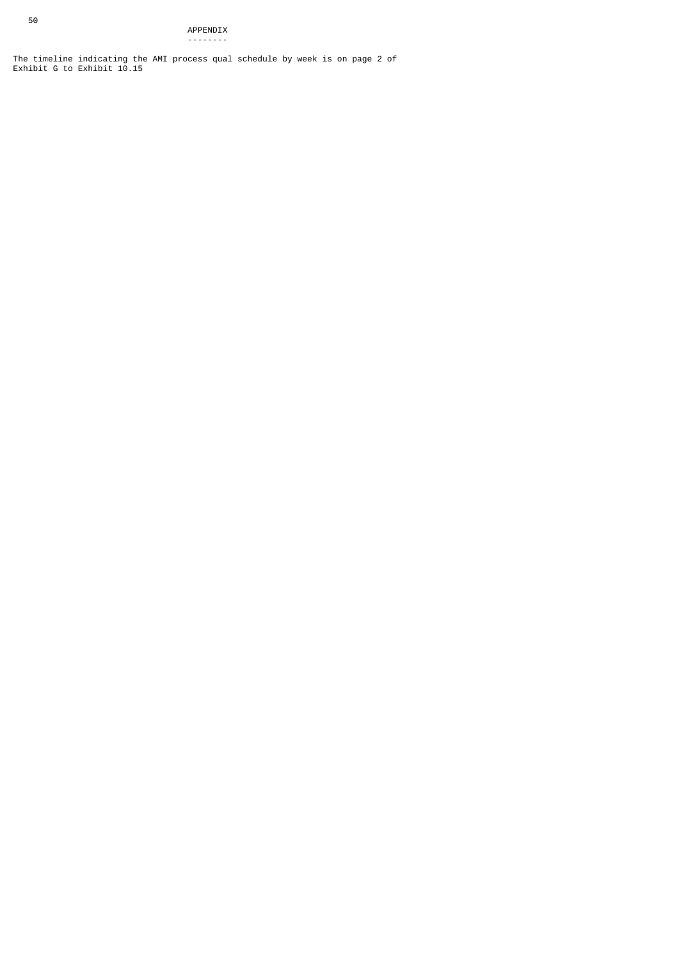The timeline indicating the AMI process qual schedule by week is on page 2 of Exhibit G to Exhibit 10.15